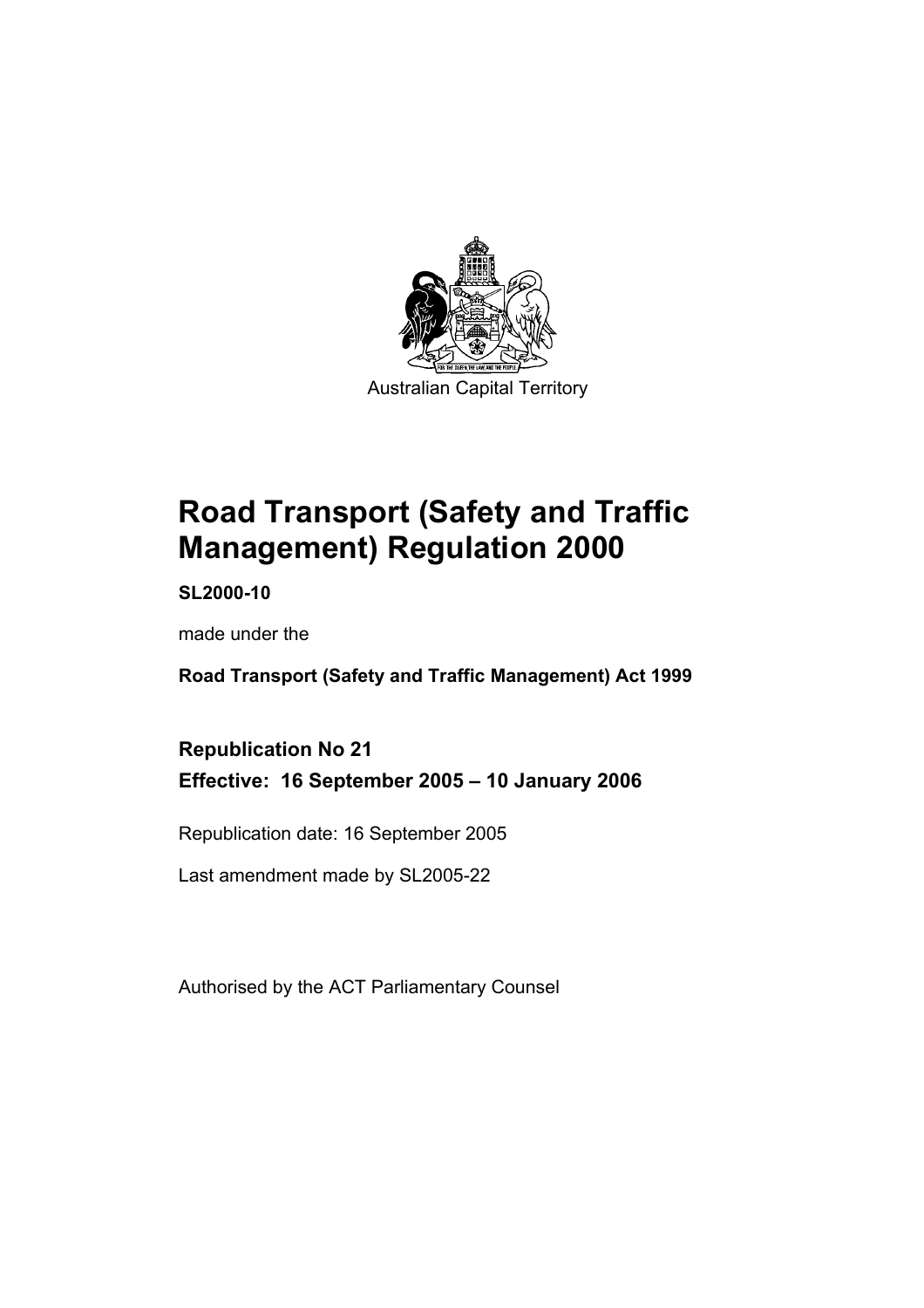

**Road Transport (Safety and Traffic Management) Regulation 2000** 

**SL2000-10** 

made under the

**Road Transport (Safety and Traffic Management) Act 1999** 

**Republication No 21 Effective: 16 September 2005 – 10 January 2006** 

Republication date: 16 September 2005

Last amendment made by SL2005-22

Authorised by the ACT Parliamentary Counsel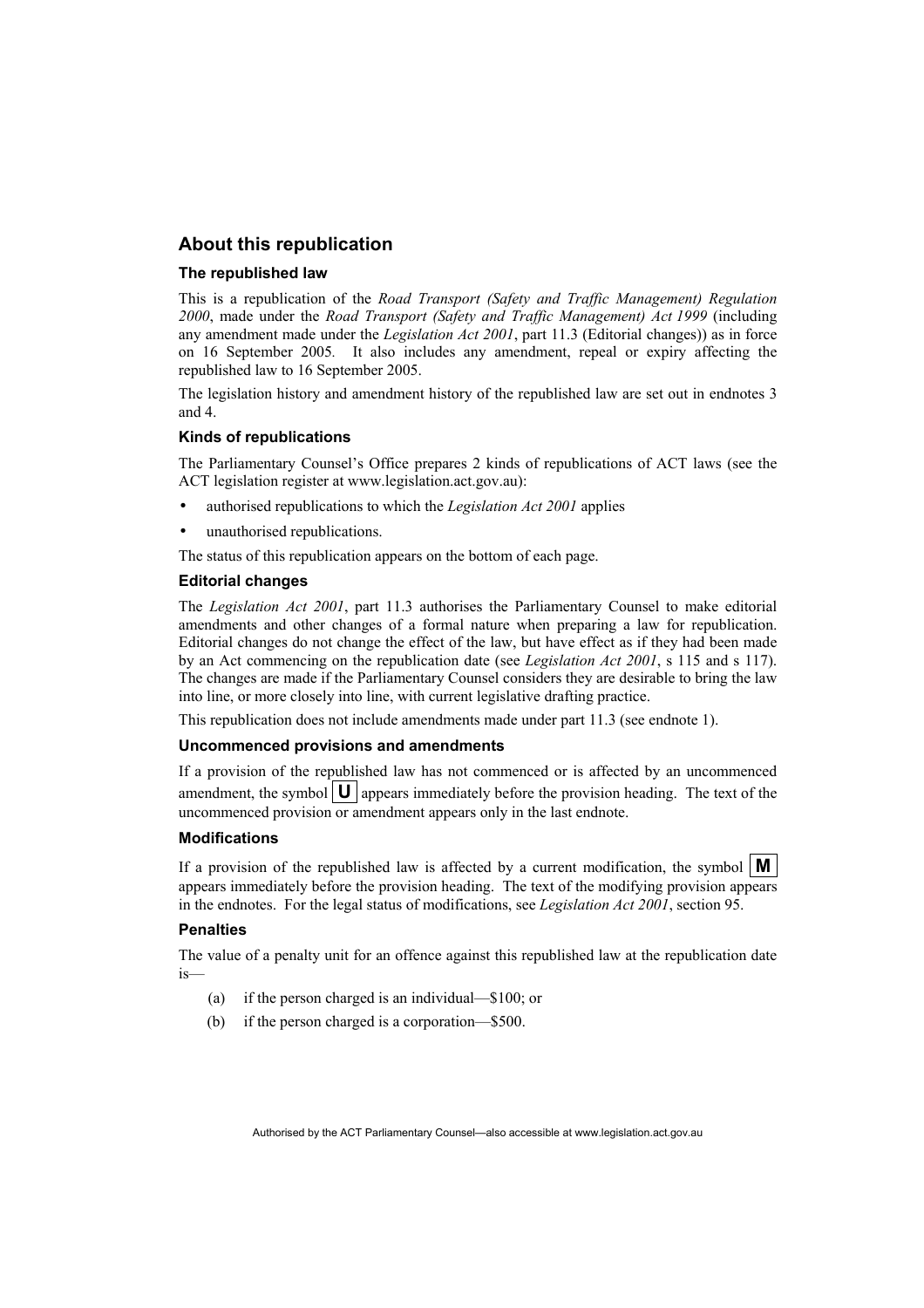#### **About this republication**

#### **The republished law**

This is a republication of the *Road Transport (Safety and Traffic Management) Regulation 2000*, made under the *Road Transport (Safety and Traffic Management) Act 1999* (including any amendment made under the *Legislation Act 2001*, part 11.3 (Editorial changes)) as in force on 16 September 2005*.* It also includes any amendment, repeal or expiry affecting the republished law to 16 September 2005.

The legislation history and amendment history of the republished law are set out in endnotes 3 and 4.

#### **Kinds of republications**

The Parliamentary Counsel's Office prepares 2 kinds of republications of ACT laws (see the ACT legislation register at www.legislation.act.gov.au):

- authorised republications to which the *Legislation Act 2001* applies
- unauthorised republications.

The status of this republication appears on the bottom of each page.

#### **Editorial changes**

The *Legislation Act 2001*, part 11.3 authorises the Parliamentary Counsel to make editorial amendments and other changes of a formal nature when preparing a law for republication. Editorial changes do not change the effect of the law, but have effect as if they had been made by an Act commencing on the republication date (see *Legislation Act 2001*, s 115 and s 117). The changes are made if the Parliamentary Counsel considers they are desirable to bring the law into line, or more closely into line, with current legislative drafting practice.

This republication does not include amendments made under part 11.3 (see endnote 1).

#### **Uncommenced provisions and amendments**

If a provision of the republished law has not commenced or is affected by an uncommenced amendment, the symbol  $\mathbf{U}$  appears immediately before the provision heading. The text of the uncommenced provision or amendment appears only in the last endnote.

#### **Modifications**

If a provision of the republished law is affected by a current modification, the symbol  $\mathbf{M}$ appears immediately before the provision heading. The text of the modifying provision appears in the endnotes. For the legal status of modifications, see *Legislation Act 2001*, section 95.

#### **Penalties**

The value of a penalty unit for an offence against this republished law at the republication date is—

- (a) if the person charged is an individual—\$100; or
- (b) if the person charged is a corporation—\$500.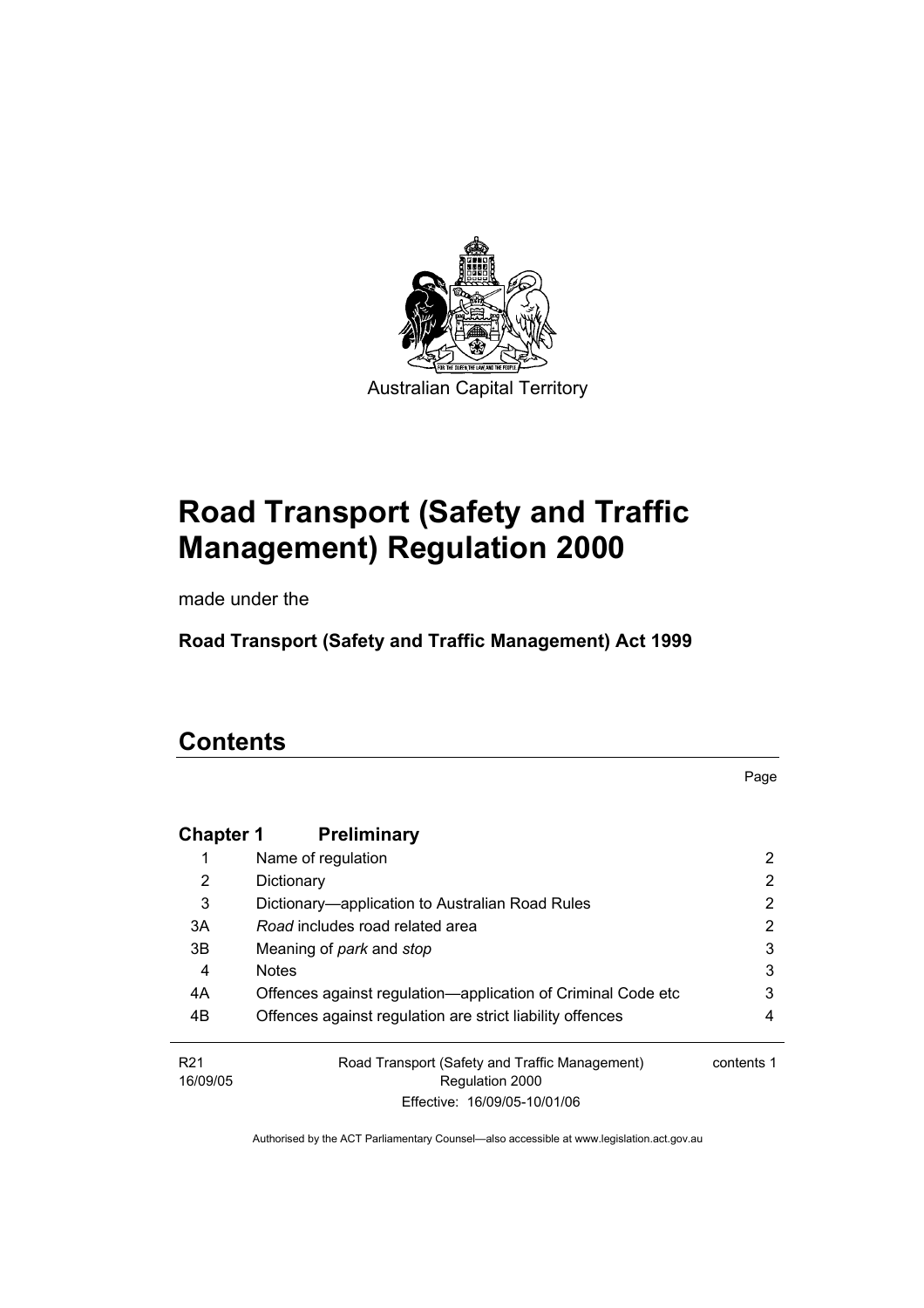

# **Road Transport (Safety and Traffic Management) Regulation 2000**

made under the

**Road Transport (Safety and Traffic Management) Act 1999** 

# **Contents**

Page

| <b>Chapter 1</b>            | <b>Preliminary</b>                                                |            |
|-----------------------------|-------------------------------------------------------------------|------------|
|                             | Name of regulation                                                | 2          |
| 2                           | Dictionary                                                        | 2          |
| 3                           | Dictionary—application to Australian Road Rules                   | 2          |
| 3A                          | Road includes road related area                                   | 2          |
| 3B                          | Meaning of <i>park</i> and <i>stop</i>                            | 3          |
| 4                           | <b>Notes</b>                                                      | 3          |
| 4A                          | Offences against regulation-application of Criminal Code etc      | 3          |
| 4B                          | Offences against regulation are strict liability offences         | 4          |
| R <sub>21</sub><br>16/09/05 | Road Transport (Safety and Traffic Management)<br>Regulation 2000 | contents 1 |
|                             | Effective: 16/09/05-10/01/06                                      |            |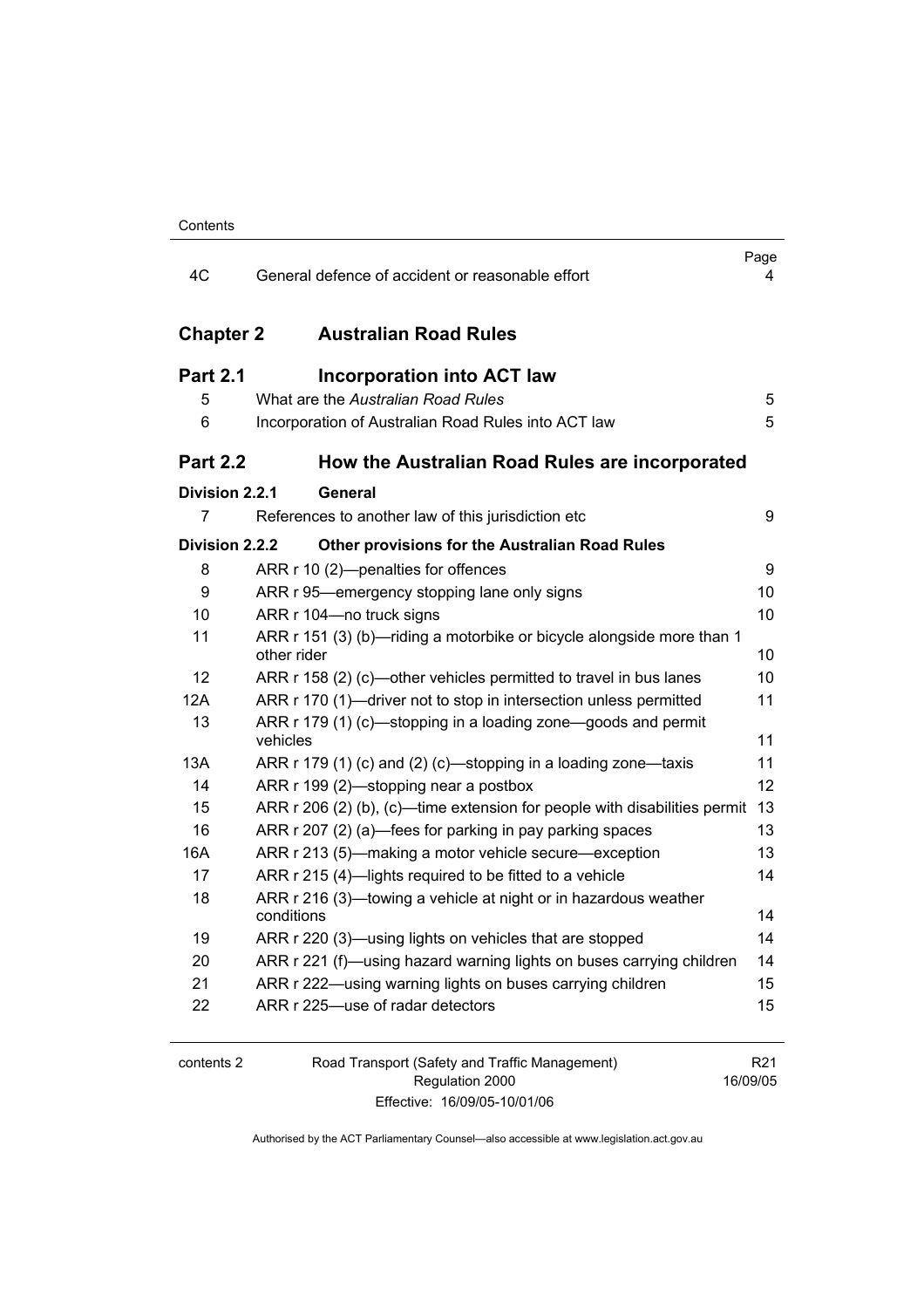| 4C               | General defence of accident or reasonable effort                                     | Page<br>4 |
|------------------|--------------------------------------------------------------------------------------|-----------|
| <b>Chapter 2</b> | <b>Australian Road Rules</b>                                                         |           |
| <b>Part 2.1</b>  | <b>Incorporation into ACT law</b>                                                    |           |
| 5                | What are the Australian Road Rules                                                   | 5         |
| 6                | Incorporation of Australian Road Rules into ACT law                                  | 5         |
| <b>Part 2.2</b>  | How the Australian Road Rules are incorporated                                       |           |
| Division 2.2.1   | General                                                                              |           |
| $\overline{7}$   | References to another law of this jurisdiction etc                                   | 9         |
| Division 2.2.2   | <b>Other provisions for the Australian Road Rules</b>                                |           |
| 8                | ARR r 10 (2)-penalties for offences                                                  | 9         |
| 9                | ARR r 95—emergency stopping lane only signs                                          | 10        |
| 10               | ARR r 104-no truck signs                                                             | 10        |
| 11               | ARR r 151 (3) (b)-riding a motorbike or bicycle alongside more than 1<br>other rider | 10        |
| 12               | ARR r 158 (2) (c)—other vehicles permitted to travel in bus lanes                    | 10        |
| 12A              | ARR r 170 (1)-driver not to stop in intersection unless permitted                    | 11        |
| 13               | ARR r 179 (1) (c)—stopping in a loading zone—goods and permit<br>vehicles            | 11        |
| 13A              | ARR r 179 (1) (c) and (2) (c)—stopping in a loading zone—taxis                       | 11        |
| 14               | ARR r 199 (2)—stopping near a postbox                                                | 12        |
| 15               | ARR r 206 (2) (b), (c)—time extension for people with disabilities permit            | 13        |
| 16               | ARR r 207 (2) (a)—fees for parking in pay parking spaces                             | 13        |
| 16A              | ARR r 213 (5)-making a motor vehicle secure-exception                                | 13        |
| 17               | ARR r 215 (4)-lights required to be fitted to a vehicle                              | 14        |
| 18               | ARR r 216 (3)—towing a vehicle at night or in hazardous weather<br>conditions        | 14        |
| 19               | ARR r 220 (3)-using lights on vehicles that are stopped                              | 14        |
| 20               | ARR r 221 (f)—using hazard warning lights on buses carrying children                 | 14        |
| 21               | ARR r 222—using warning lights on buses carrying children                            | 15        |
| 22               | ARR r 225-use of radar detectors                                                     | 15        |
|                  |                                                                                      |           |
| contents 2       | Road Transport (Safety and Traffic Management)                                       | R21       |

| contents : |  |
|------------|--|
|            |  |

Regulation 2000 Effective: 16/09/05-10/01/06

R21 16/09/05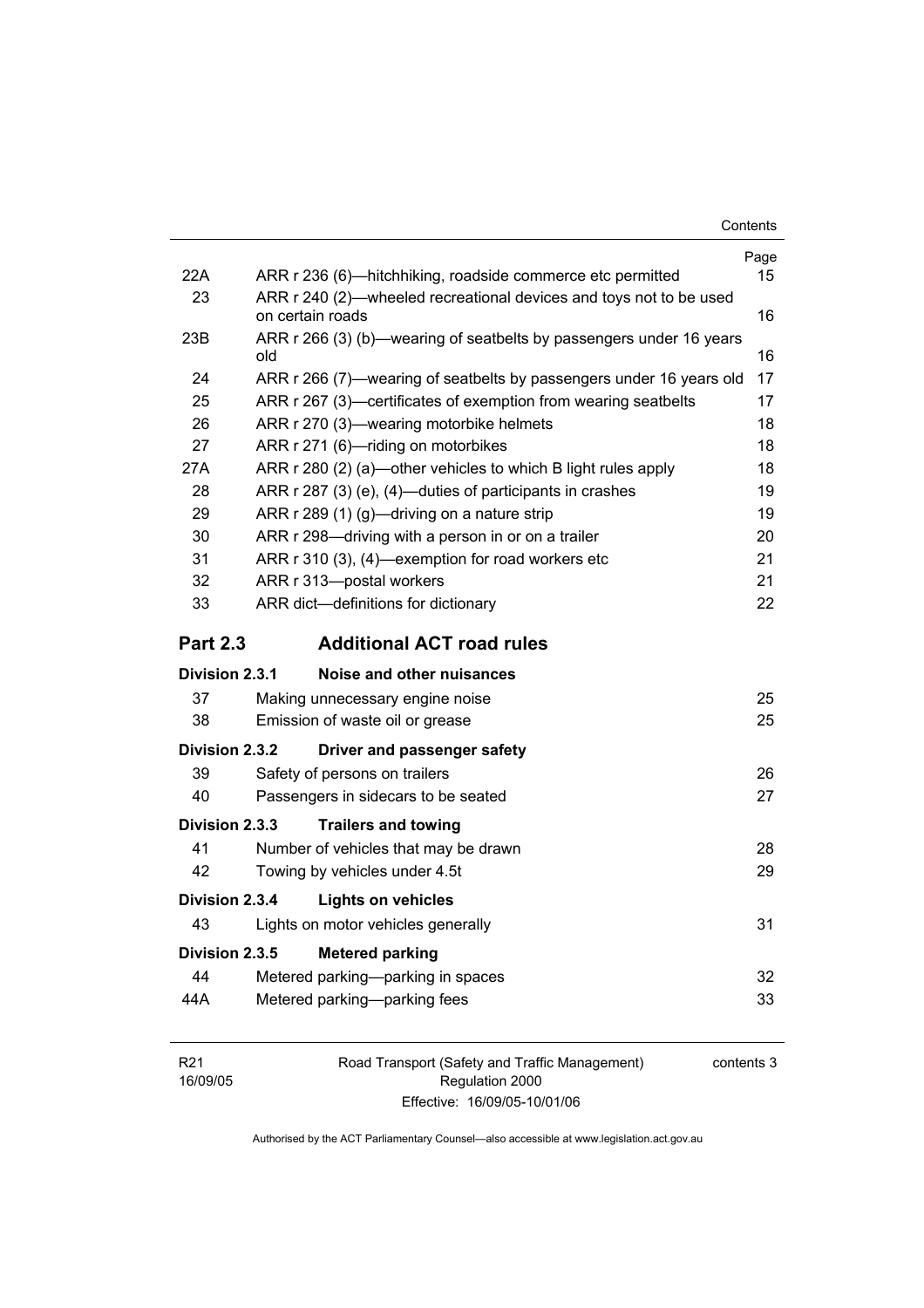| 22A             | ARR r 236 (6)—hitchhiking, roadside commerce etc permitted                             | Page<br>15 |
|-----------------|----------------------------------------------------------------------------------------|------------|
| 23              | ARR r 240 (2)—wheeled recreational devices and toys not to be used<br>on certain roads | 16         |
| 23B             | ARR r 266 (3) (b)—wearing of seatbelts by passengers under 16 years<br>old             | 16         |
| 24              | ARR r 266 (7)—wearing of seatbelts by passengers under 16 years old                    | 17         |
| 25              | ARR r 267 (3)—certificates of exemption from wearing seatbelts                         | 17         |
| 26              | ARR r 270 (3)—wearing motorbike helmets                                                | 18         |
| 27              | ARR r 271 (6)-riding on motorbikes                                                     | 18         |
| 27A             | ARR r 280 (2) (a)—other vehicles to which B light rules apply                          | 18         |
| 28              | ARR r 287 (3) (e), (4)—duties of participants in crashes                               | 19         |
| 29              | ARR r 289 (1) (g)-driving on a nature strip                                            | 19         |
| 30              | ARR r 298—driving with a person in or on a trailer                                     | 20         |
| 31              | ARR r 310 (3), (4)—exemption for road workers etc                                      | 21         |
| 32              | ARR r 313-postal workers                                                               | 21         |
| 33              | ARR dict-definitions for dictionary                                                    | 22         |
| <b>Part 2.3</b> | <b>Additional ACT road rules</b>                                                       |            |
| Division 2.3.1  | Noise and other nuisances                                                              |            |
| 37              | Making unnecessary engine noise                                                        | 25         |
| 38              | Emission of waste oil or grease                                                        | 25         |
| Division 2.3.2  | Driver and passenger safety                                                            |            |
| 39              | Safety of persons on trailers                                                          | 26         |
| 40              | Passengers in sidecars to be seated                                                    | 27         |
| Division 2.3.3  | <b>Trailers and towing</b>                                                             |            |
| 41              | Number of vehicles that may be drawn                                                   | 28         |
| 42              | Towing by vehicles under 4.5t                                                          | 29         |
| Division 2.3.4  | <b>Lights on vehicles</b>                                                              |            |
| 43              | Lights on motor vehicles generally                                                     | 31         |
| Division 2.3.5  | <b>Metered parking</b>                                                                 |            |
| 44              | Metered parking-parking in spaces                                                      | 32         |
| 44A             | Metered parking-parking fees                                                           | 33         |
|                 |                                                                                        |            |

Road Transport (Safety and Traffic Management) Regulation 2000 Effective: 16/09/05-10/01/06

contents 3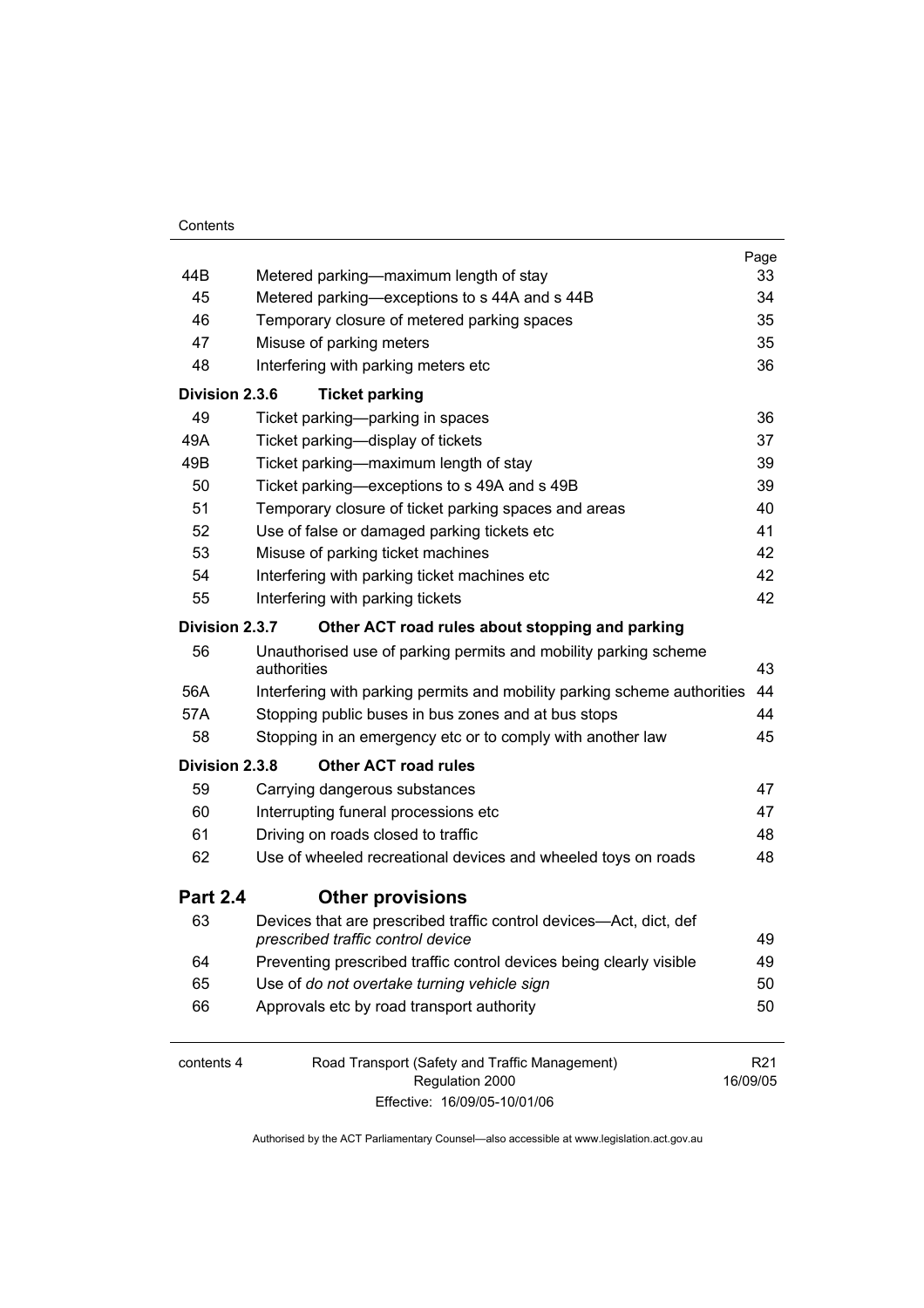|                 |                                                                                                         | Page            |
|-----------------|---------------------------------------------------------------------------------------------------------|-----------------|
| 44B             | Metered parking—maximum length of stay                                                                  | 33              |
| 45              | Metered parking—exceptions to s 44A and s 44B                                                           | 34              |
| 46              | Temporary closure of metered parking spaces                                                             | 35              |
| 47              | Misuse of parking meters                                                                                | 35              |
| 48              | Interfering with parking meters etc                                                                     | 36              |
| Division 2.3.6  | <b>Ticket parking</b>                                                                                   |                 |
| 49              | Ticket parking-parking in spaces                                                                        | 36              |
| 49A             | Ticket parking-display of tickets                                                                       | 37              |
| 49B             | Ticket parking—maximum length of stay                                                                   | 39              |
| 50              | Ticket parking—exceptions to s 49A and s 49B                                                            | 39              |
| 51              | Temporary closure of ticket parking spaces and areas                                                    | 40              |
| 52              | Use of false or damaged parking tickets etc                                                             | 41              |
| 53              | Misuse of parking ticket machines                                                                       | 42              |
| 54              | Interfering with parking ticket machines etc                                                            | 42              |
| 55              | Interfering with parking tickets                                                                        | 42              |
| Division 2.3.7  | Other ACT road rules about stopping and parking                                                         |                 |
| 56              | Unauthorised use of parking permits and mobility parking scheme                                         |                 |
|                 | authorities                                                                                             | 43              |
| 56A             | Interfering with parking permits and mobility parking scheme authorities                                | 44              |
| 57A             | Stopping public buses in bus zones and at bus stops                                                     | 44              |
| 58              | Stopping in an emergency etc or to comply with another law                                              | 45              |
| Division 2.3.8  | <b>Other ACT road rules</b>                                                                             |                 |
| 59              | Carrying dangerous substances                                                                           | 47              |
| 60              | Interrupting funeral processions etc                                                                    | 47              |
| 61              | Driving on roads closed to traffic                                                                      | 48              |
| 62              | Use of wheeled recreational devices and wheeled toys on roads                                           | 48              |
| <b>Part 2.4</b> | <b>Other provisions</b>                                                                                 |                 |
| 63              | Devices that are prescribed traffic control devices—Act, dict, def<br>prescribed traffic control device | 49              |
| 64              | Preventing prescribed traffic control devices being clearly visible                                     | 49              |
| 65              | Use of do not overtake turning vehicle sign                                                             | 50              |
| 66              | Approvals etc by road transport authority                                                               | 50              |
| contents 4      | Road Transport (Safety and Traffic Management)                                                          | R <sub>21</sub> |
|                 | Regulation 2000                                                                                         | 16/09/05        |
|                 | Effective: 16/09/05-10/01/06                                                                            |                 |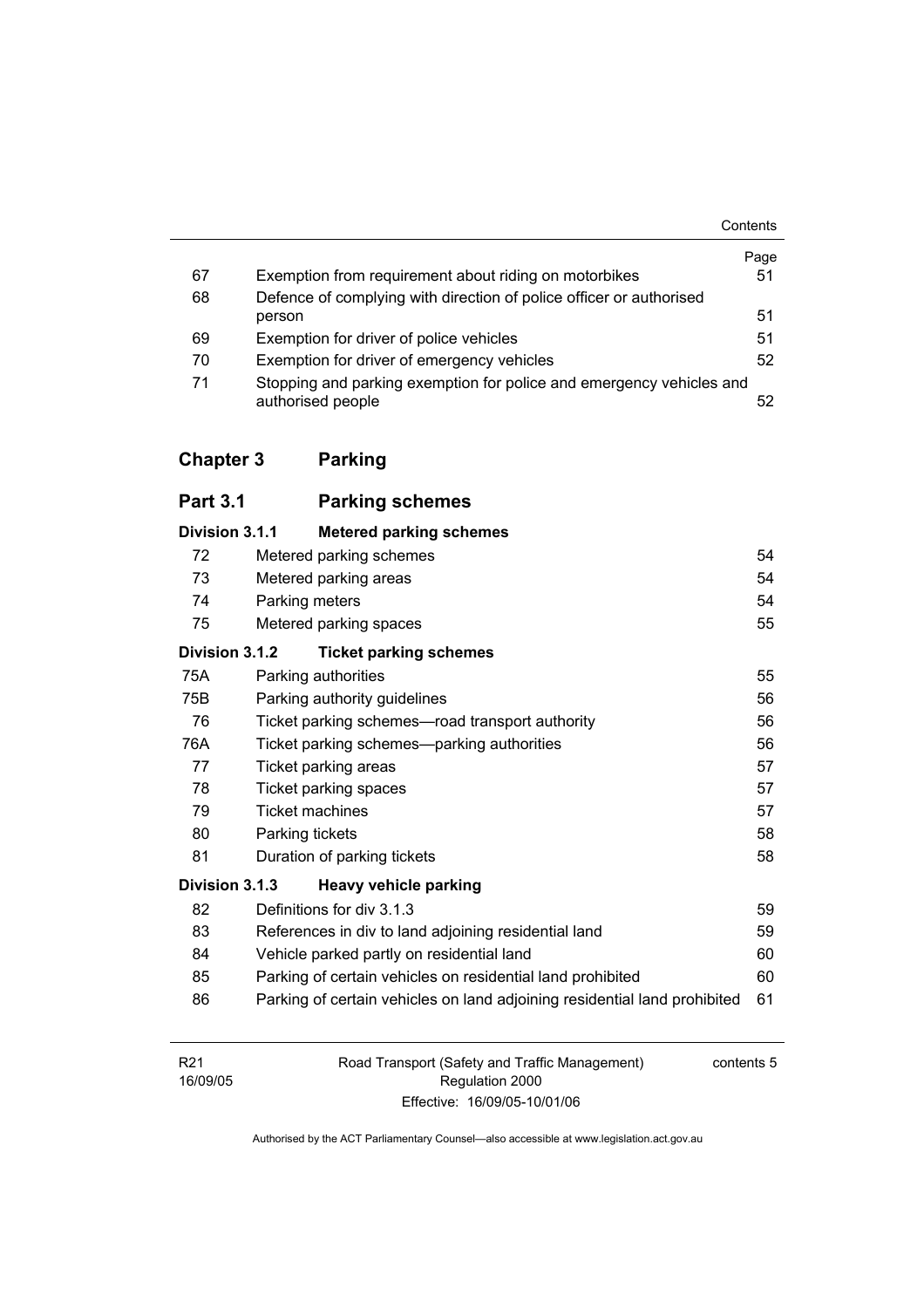|    |                                                                                           | Contents |
|----|-------------------------------------------------------------------------------------------|----------|
|    |                                                                                           | Page     |
| 67 | Exemption from requirement about riding on motorbikes                                     | 51       |
| 68 | Defence of complying with direction of police officer or authorised                       |          |
|    | person                                                                                    | 51       |
| 69 | Exemption for driver of police vehicles                                                   | 51       |
| 70 | Exemption for driver of emergency vehicles                                                | 52       |
| 71 | Stopping and parking exemption for police and emergency vehicles and<br>authorised people | 52       |

# **Chapter 3 Parking**

| <b>Part 3.1</b> | <b>Parking schemes</b>                                                    |    |
|-----------------|---------------------------------------------------------------------------|----|
| Division 3.1.1  | <b>Metered parking schemes</b>                                            |    |
| 72              | Metered parking schemes                                                   | 54 |
| 73              | Metered parking areas                                                     | 54 |
| 74              | Parking meters                                                            | 54 |
| 75              | Metered parking spaces                                                    | 55 |
| Division 3.1.2  | <b>Ticket parking schemes</b>                                             |    |
| 75A             | Parking authorities                                                       | 55 |
| 75B             | Parking authority guidelines                                              | 56 |
| 76              | Ticket parking schemes-road transport authority                           | 56 |
| 76A             | Ticket parking schemes—parking authorities                                | 56 |
| 77              | Ticket parking areas                                                      | 57 |
| 78              | Ticket parking spaces                                                     | 57 |
| 79              | <b>Ticket machines</b>                                                    | 57 |
| 80              | Parking tickets                                                           | 58 |
| 81              | Duration of parking tickets                                               | 58 |
| Division 3.1.3  | <b>Heavy vehicle parking</b>                                              |    |
| 82              | Definitions for div 3.1.3                                                 | 59 |
| 83              | References in div to land adjoining residential land                      | 59 |
| 84              | Vehicle parked partly on residential land                                 | 60 |
| 85              | Parking of certain vehicles on residential land prohibited                | 60 |
| 86              | Parking of certain vehicles on land adjoining residential land prohibited | 61 |

| R <sub>21</sub> | Road Transport (Safety and Traffic Management) | contents 5 |
|-----------------|------------------------------------------------|------------|
| 16/09/05        | Regulation 2000                                |            |
|                 | Effective: 16/09/05-10/01/06                   |            |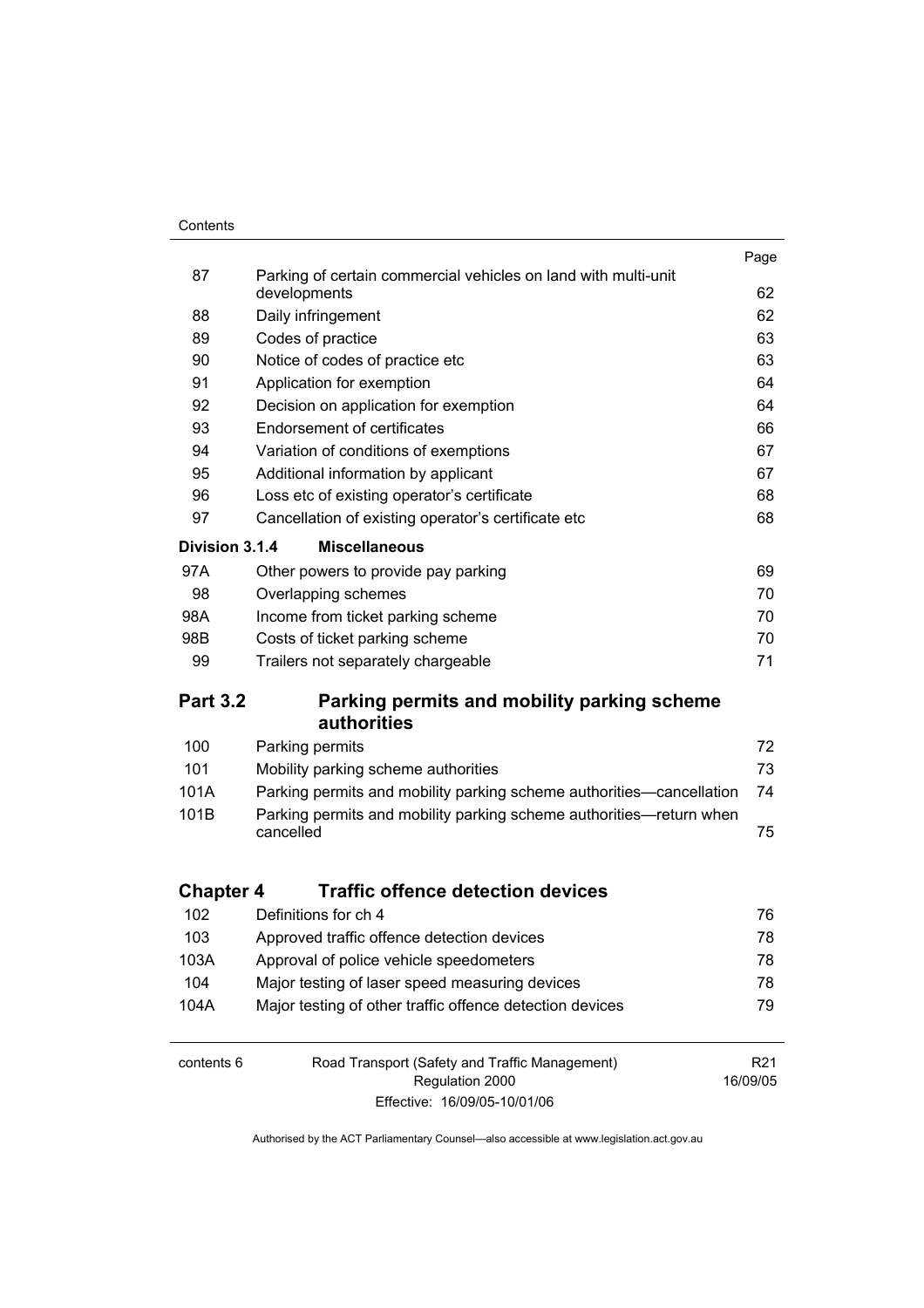#### **Contents**

|                  |                                                                                | Page            |
|------------------|--------------------------------------------------------------------------------|-----------------|
| 87               | Parking of certain commercial vehicles on land with multi-unit<br>developments | 62              |
| 88               | Daily infringement                                                             | 62              |
| 89               | Codes of practice                                                              | 63              |
| 90               | Notice of codes of practice etc                                                | 63              |
| 91               | Application for exemption                                                      | 64              |
| 92               | Decision on application for exemption                                          | 64              |
| 93               | <b>Endorsement of certificates</b>                                             | 66              |
| 94               | Variation of conditions of exemptions                                          | 67              |
| 95               | Additional information by applicant                                            | 67              |
| 96               | Loss etc of existing operator's certificate                                    | 68              |
| 97               | Cancellation of existing operator's certificate etc                            | 68              |
|                  |                                                                                |                 |
| Division 3.1.4   | <b>Miscellaneous</b>                                                           |                 |
| 97A              | Other powers to provide pay parking                                            | 69              |
| 98               | Overlapping schemes                                                            | 70              |
| 98A              | Income from ticket parking scheme                                              | 70              |
| 98B              | Costs of ticket parking scheme                                                 | 70              |
| 99               | Trailers not separately chargeable                                             | 71              |
| <b>Part 3.2</b>  | Parking permits and mobility parking scheme<br><b>authorities</b>              |                 |
| 100              | Parking permits                                                                | 72              |
| 101              | Mobility parking scheme authorities                                            | 73              |
| 101A             | Parking permits and mobility parking scheme authorities—cancellation           | 74              |
| 101B             | Parking permits and mobility parking scheme authorities-return when            |                 |
|                  | cancelled                                                                      | 75              |
|                  |                                                                                |                 |
| <b>Chapter 4</b> | <b>Traffic offence detection devices</b>                                       |                 |
| 102              | Definitions for ch 4                                                           | 76              |
| 103              | Approved traffic offence detection devices                                     | 78              |
| 103A             | Approval of police vehicle speedometers                                        | 78              |
| 104              | Major testing of laser speed measuring devices                                 | 78              |
| 104A             | Major testing of other traffic offence detection devices                       | 79              |
| contents 6       | Road Transport (Safety and Traffic Management)                                 | R <sub>21</sub> |
|                  | Regulation 2000                                                                | 16/09/05        |
|                  | Effective: 16/09/05-10/01/06                                                   |                 |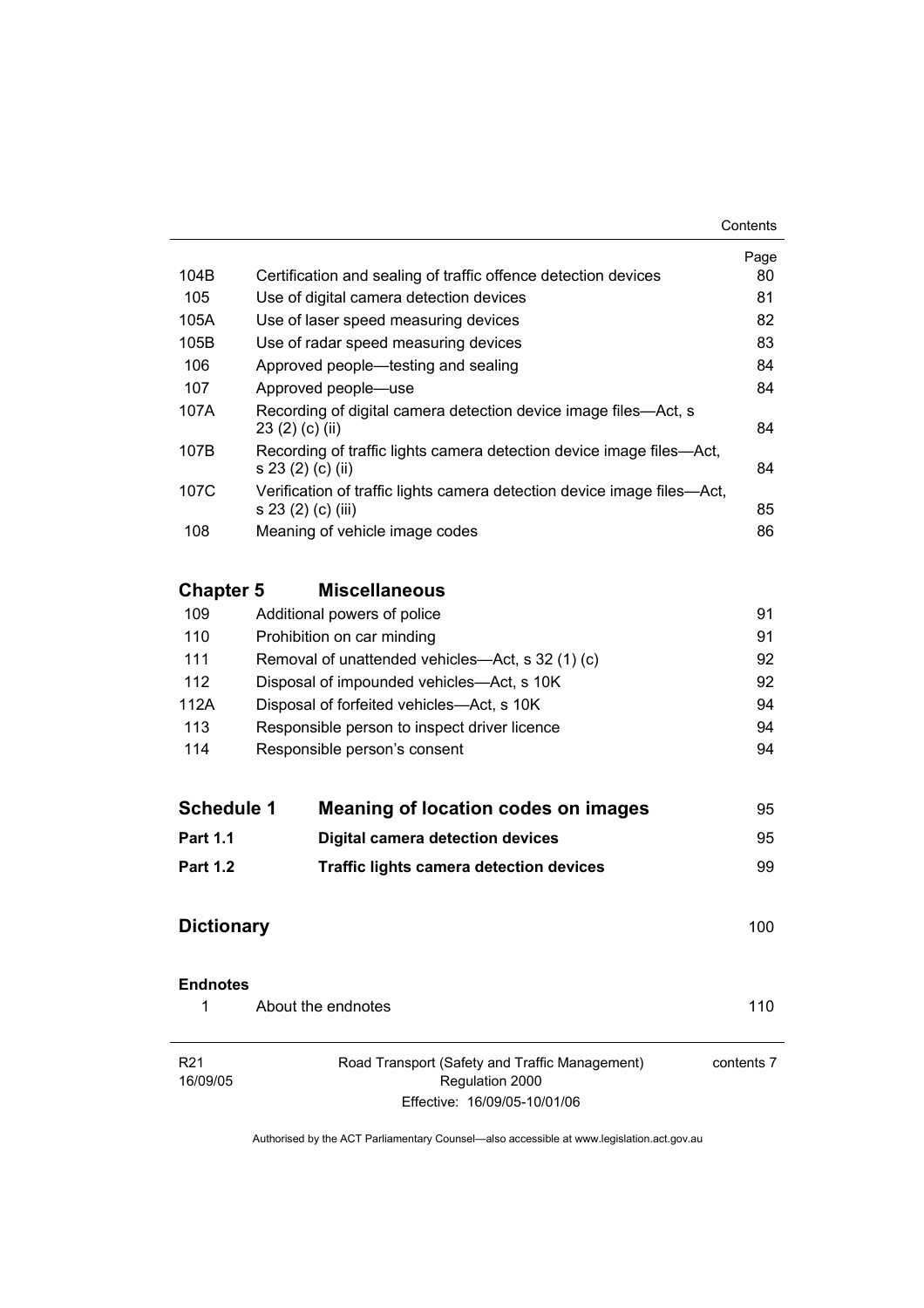|      |                                                                                               | Page |
|------|-----------------------------------------------------------------------------------------------|------|
| 104B | Certification and sealing of traffic offence detection devices                                | 80   |
| 105  | Use of digital camera detection devices                                                       | 81   |
| 105A | Use of laser speed measuring devices                                                          | 82   |
| 105B | Use of radar speed measuring devices                                                          | 83   |
| 106  | Approved people—testing and sealing                                                           | 84   |
| 107  | Approved people—use                                                                           | 84   |
| 107A | Recording of digital camera detection device image files—Act, s<br>23(2)(c)(ii)               | 84   |
| 107B | Recording of traffic lights camera detection device image files—Act,<br>s 23 (2) (c) (ii)     | 84   |
| 107C | Verification of traffic lights camera detection device image files—Act,<br>s 23 (2) (c) (iii) | 85   |
| 108  | Meaning of vehicle image codes                                                                | 86   |
|      |                                                                                               |      |

# **Chapter 5 Miscellaneous**

| 109  | Additional powers of police                      | 91 |
|------|--------------------------------------------------|----|
| 110  | Prohibition on car minding                       | 91 |
| 111  | Removal of unattended vehicles—Act, s 32 (1) (c) | 92 |
| 112  | Disposal of impounded vehicles—Act, s 10K        | 92 |
| 112A | Disposal of forfeited vehicles—Act, s 10K        | 94 |
| 113  | Responsible person to inspect driver licence     | 94 |
| 114  | Responsible person's consent                     | 94 |
|      |                                                  |    |

| <b>Schedule 1</b> | Meaning of location codes on images            | 95  |
|-------------------|------------------------------------------------|-----|
| <b>Part 1.1</b>   | Digital camera detection devices               | 95  |
| <b>Part 1.2</b>   | <b>Traffic lights camera detection devices</b> | 99. |

# **Dictionary** 100

| <b>Endnotes</b> |                    |     |  |
|-----------------|--------------------|-----|--|
|                 | About the endnotes | 110 |  |

| R21<br>Road Transport (Safety and Traffic Management) |                              | contents 7 |
|-------------------------------------------------------|------------------------------|------------|
| 16/09/05                                              | Regulation 2000              |            |
|                                                       | Effective: 16/09/05-10/01/06 |            |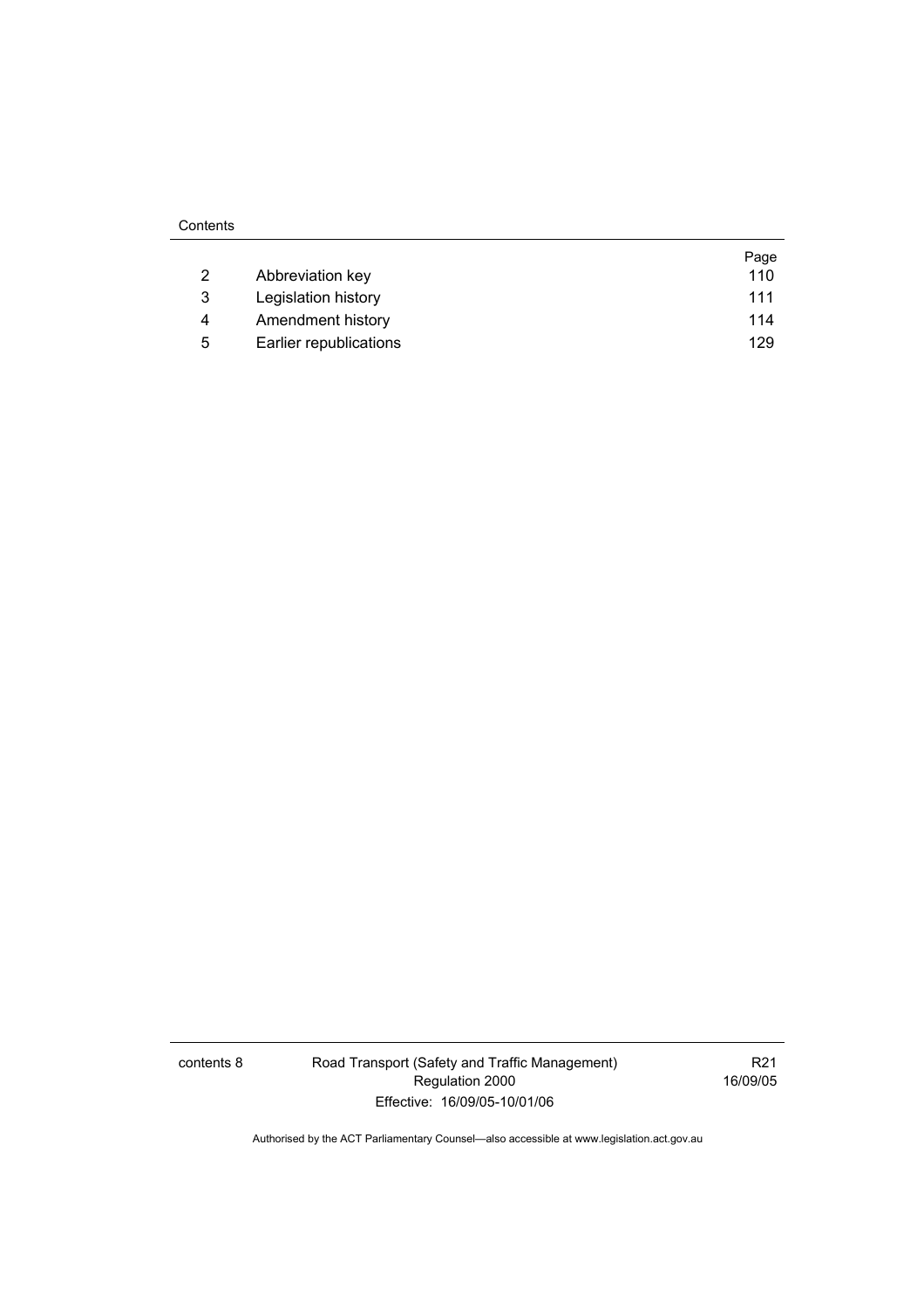|   |                        | Page |
|---|------------------------|------|
| 2 | Abbreviation key       | 110  |
| 3 | Legislation history    | 111  |
| 4 | Amendment history      | 114  |
| 5 | Earlier republications | 129  |

contents 8 Road Transport (Safety and Traffic Management) Regulation 2000 Effective: 16/09/05-10/01/06

R21 16/09/05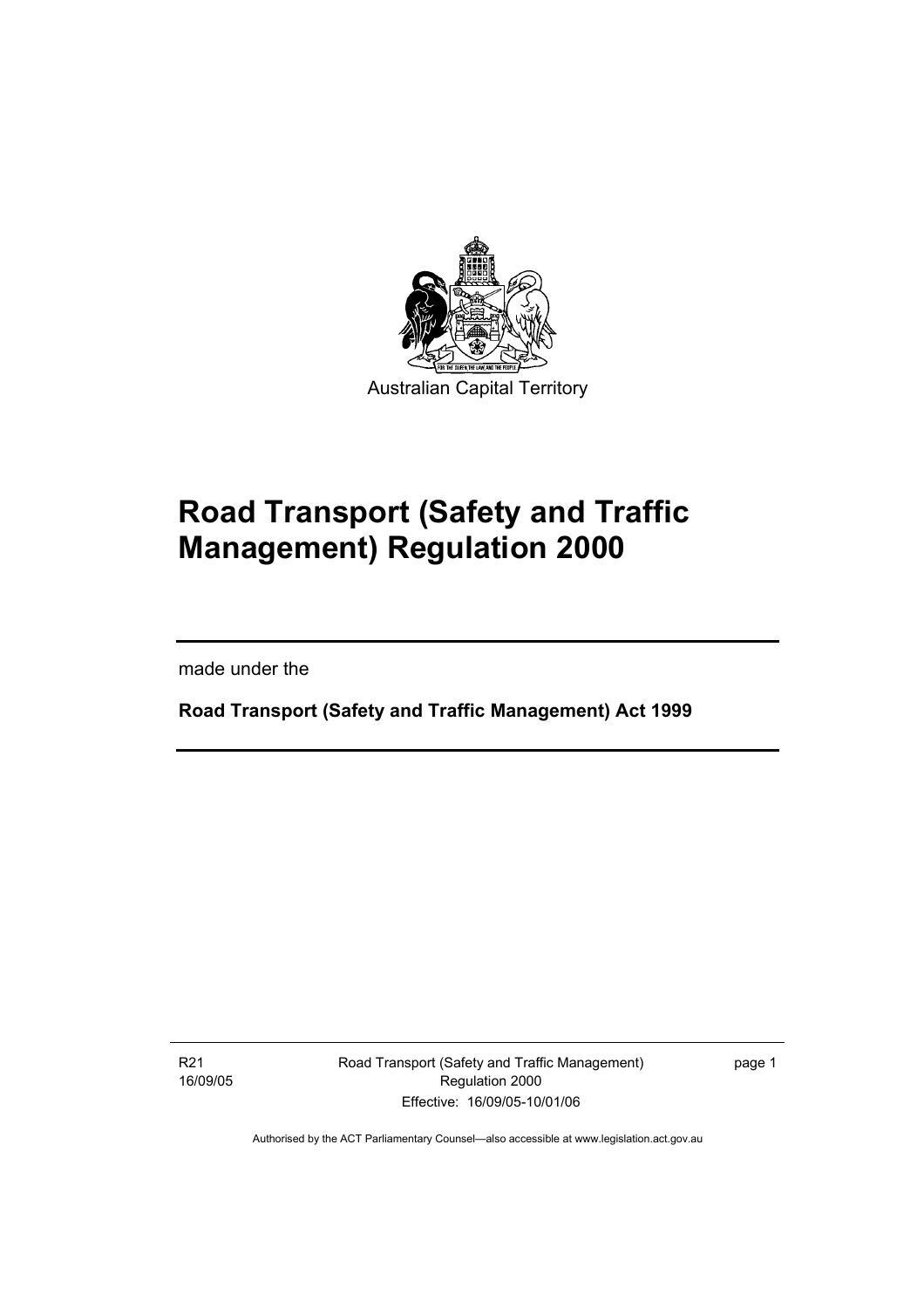

# **Road Transport (Safety and Traffic Management) Regulation 2000**

made under the

I

**Road Transport (Safety and Traffic Management) Act 1999** 

R21 16/09/05 Road Transport (Safety and Traffic Management) Regulation 2000 Effective: 16/09/05-10/01/06

page 1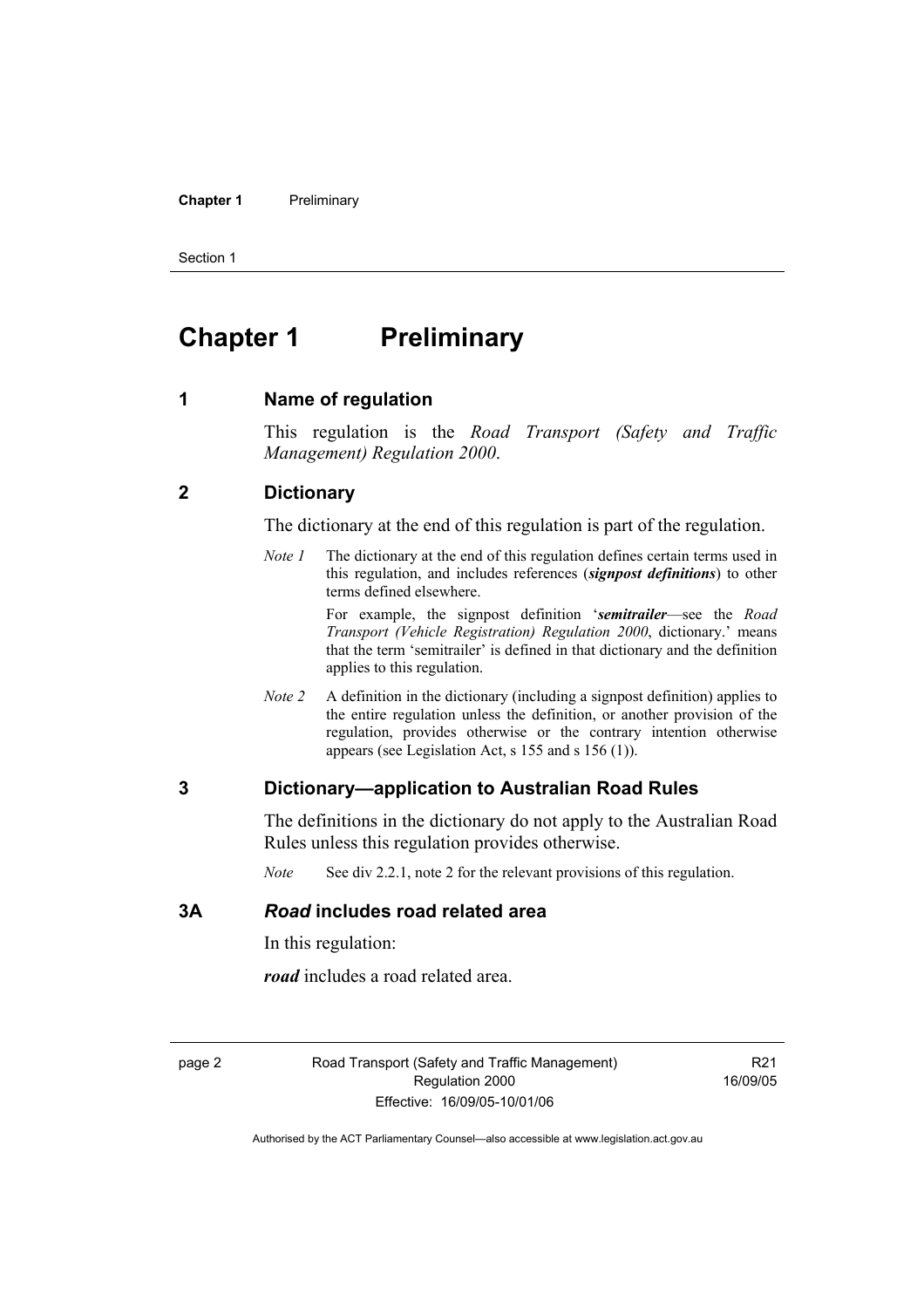#### **Chapter 1** Preliminary

Section 1

# **Chapter 1** Preliminary

#### **1 Name of regulation**

This regulation is the *Road Transport (Safety and Traffic Management) Regulation 2000*.

#### **2 Dictionary**

The dictionary at the end of this regulation is part of the regulation.

*Note 1* The dictionary at the end of this regulation defines certain terms used in this regulation, and includes references (*signpost definitions*) to other terms defined elsewhere.

> For example, the signpost definition '*semitrailer*—see the *Road Transport (Vehicle Registration) Regulation 2000*, dictionary.' means that the term 'semitrailer' is defined in that dictionary and the definition applies to this regulation.

*Note 2* A definition in the dictionary (including a signpost definition) applies to the entire regulation unless the definition, or another provision of the regulation, provides otherwise or the contrary intention otherwise appears (see Legislation Act, s 155 and s 156 (1)).

### **3 Dictionary—application to Australian Road Rules**

The definitions in the dictionary do not apply to the Australian Road Rules unless this regulation provides otherwise.

*Note* See div 2.2.1, note 2 for the relevant provisions of this regulation.

### **3A** *Road* **includes road related area**

In this regulation:

*road* includes a road related area.

page 2 Road Transport (Safety and Traffic Management) Regulation 2000 Effective: 16/09/05-10/01/06

R21 16/09/05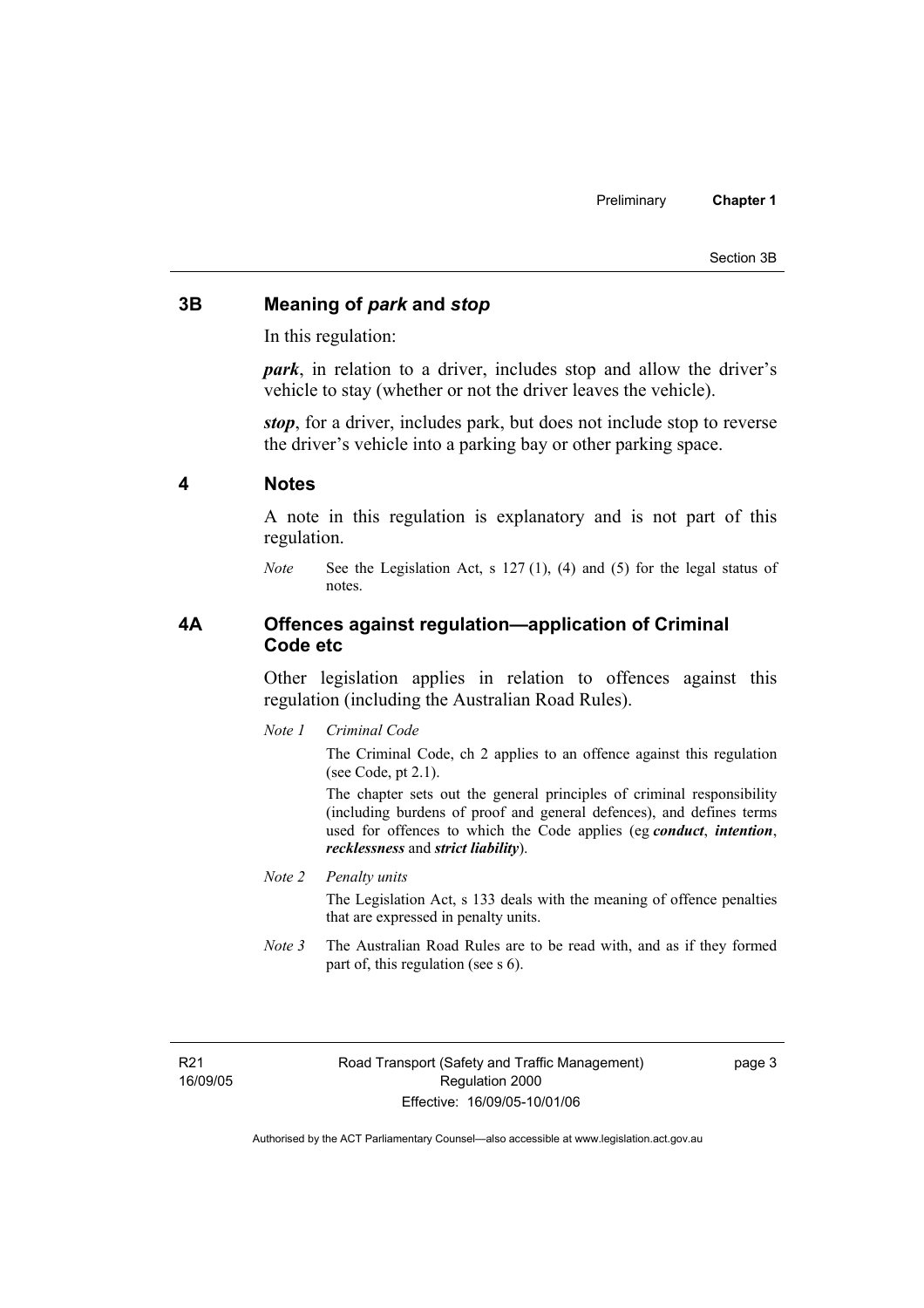#### Section 3B

### **3B Meaning of** *park* **and** *stop*

In this regulation:

*park*, in relation to a driver, includes stop and allow the driver's vehicle to stay (whether or not the driver leaves the vehicle).

*stop*, for a driver, includes park, but does not include stop to reverse the driver's vehicle into a parking bay or other parking space.

#### **4 Notes**

A note in this regulation is explanatory and is not part of this regulation.

*Note* See the Legislation Act, s 127 (1), (4) and (5) for the legal status of notes.

### **4A Offences against regulation—application of Criminal Code etc**

Other legislation applies in relation to offences against this regulation (including the Australian Road Rules).

*Note 1 Criminal Code*

The Criminal Code, ch 2 applies to an offence against this regulation (see Code, pt 2.1).

The chapter sets out the general principles of criminal responsibility (including burdens of proof and general defences), and defines terms used for offences to which the Code applies (eg *conduct*, *intention*, *recklessness* and *strict liability*).

#### *Note 2 Penalty units*

The Legislation Act, s 133 deals with the meaning of offence penalties that are expressed in penalty units.

*Note 3* The Australian Road Rules are to be read with, and as if they formed part of, this regulation (see s 6).

R21 16/09/05 page 3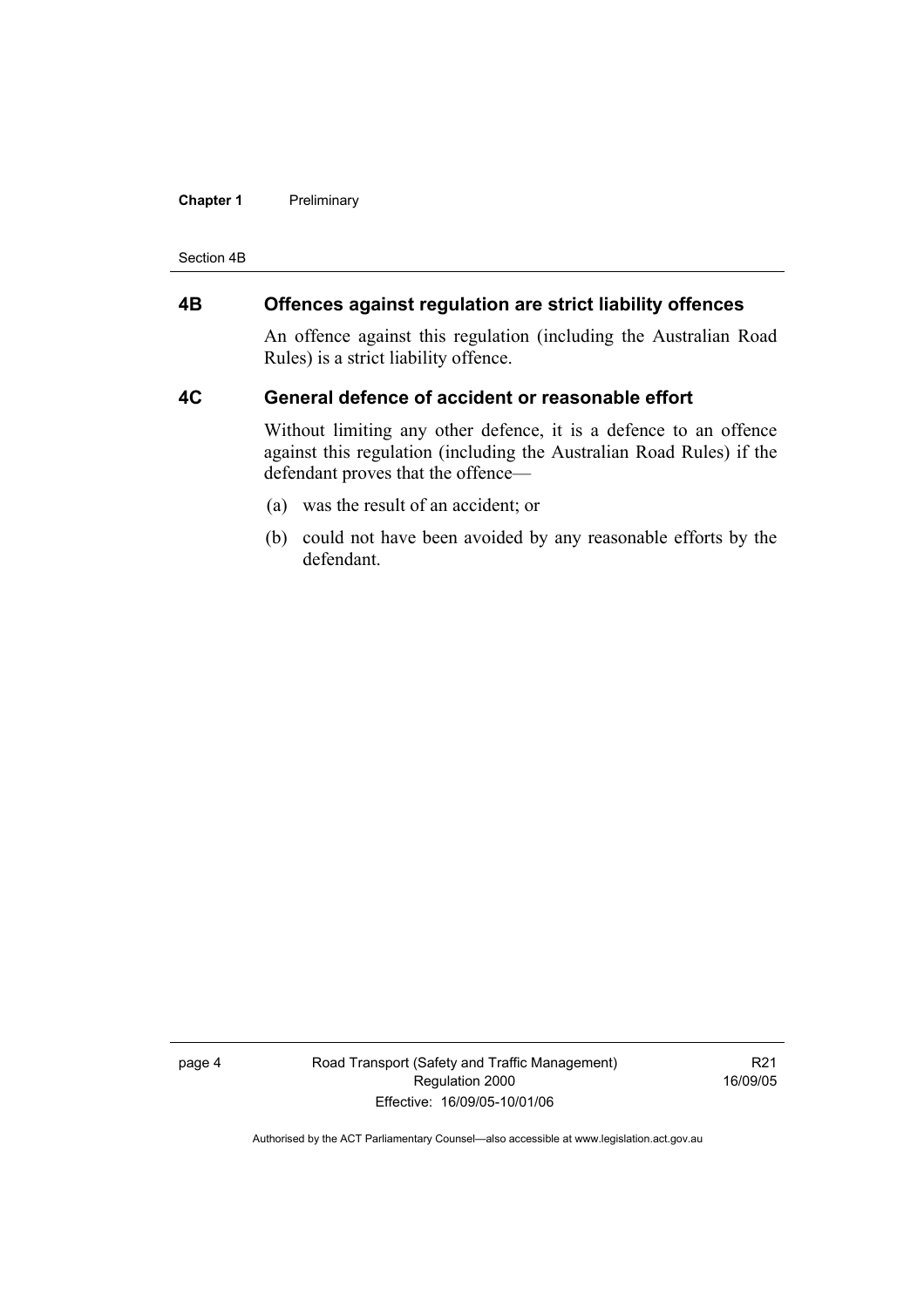#### **Chapter 1** Preliminary

Section 4B

# **4B Offences against regulation are strict liability offences**

An offence against this regulation (including the Australian Road Rules) is a strict liability offence.

#### **4C General defence of accident or reasonable effort**

Without limiting any other defence, it is a defence to an offence against this regulation (including the Australian Road Rules) if the defendant proves that the offence—

- (a) was the result of an accident; or
- (b) could not have been avoided by any reasonable efforts by the defendant.

page 4 Road Transport (Safety and Traffic Management) Regulation 2000 Effective: 16/09/05-10/01/06

R21 16/09/05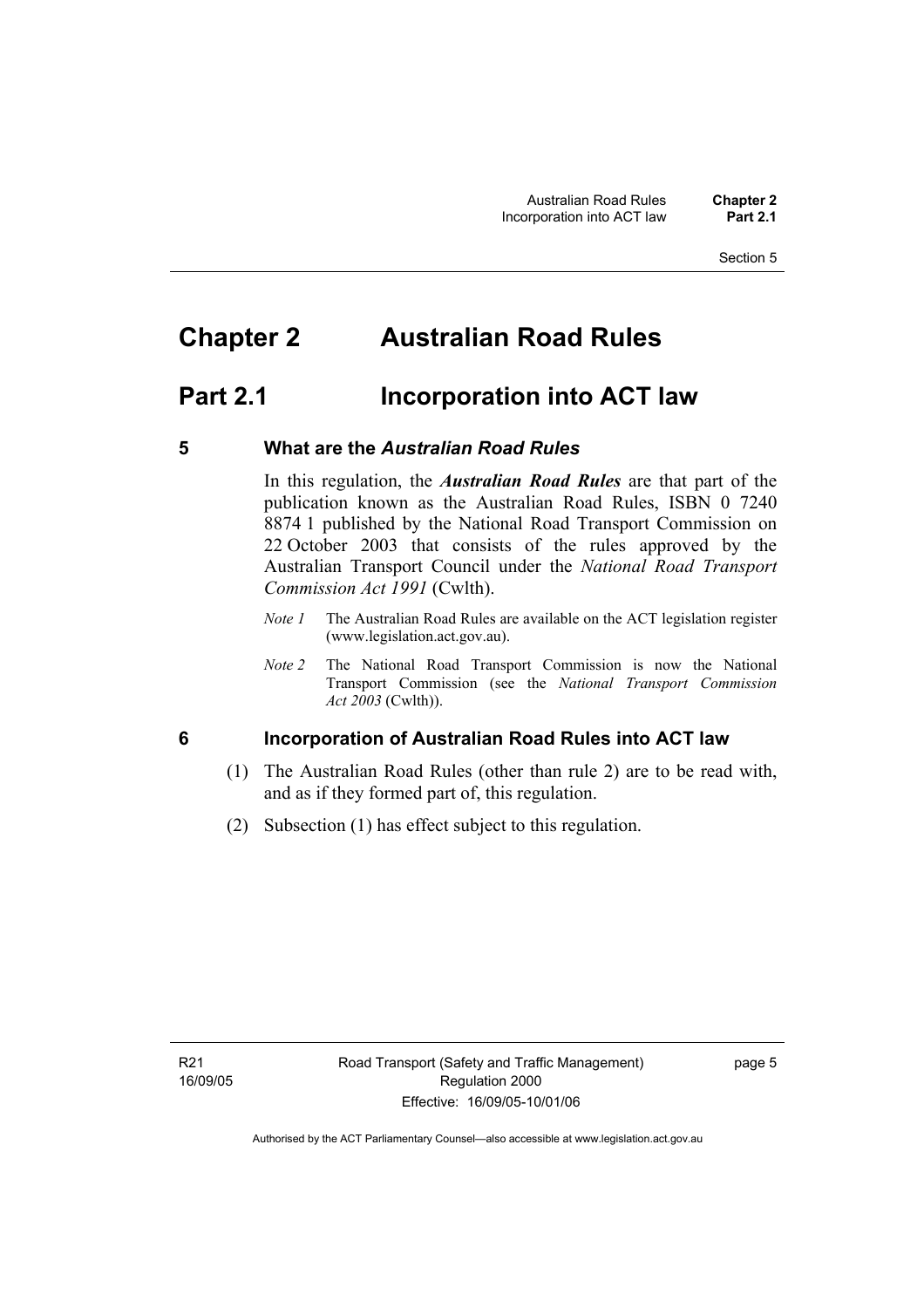# **Chapter 2 Australian Road Rules**

# **Part 2.1 Incorporation into ACT law**

### **5 What are the** *Australian Road Rules*

In this regulation, the *Australian Road Rules* are that part of the publication known as the Australian Road Rules, ISBN 0 7240 8874 1 published by the National Road Transport Commission on 22 October 2003 that consists of the rules approved by the Australian Transport Council under the *National Road Transport Commission Act 1991* (Cwlth).

- *Note 1* The Australian Road Rules are available on the ACT legislation register (www.legislation.act.gov.au).
- *Note 2* The National Road Transport Commission is now the National Transport Commission (see the *National Transport Commission Act 2003* (Cwlth)).

# **6 Incorporation of Australian Road Rules into ACT law**

- (1) The Australian Road Rules (other than rule 2) are to be read with, and as if they formed part of, this regulation.
- (2) Subsection (1) has effect subject to this regulation.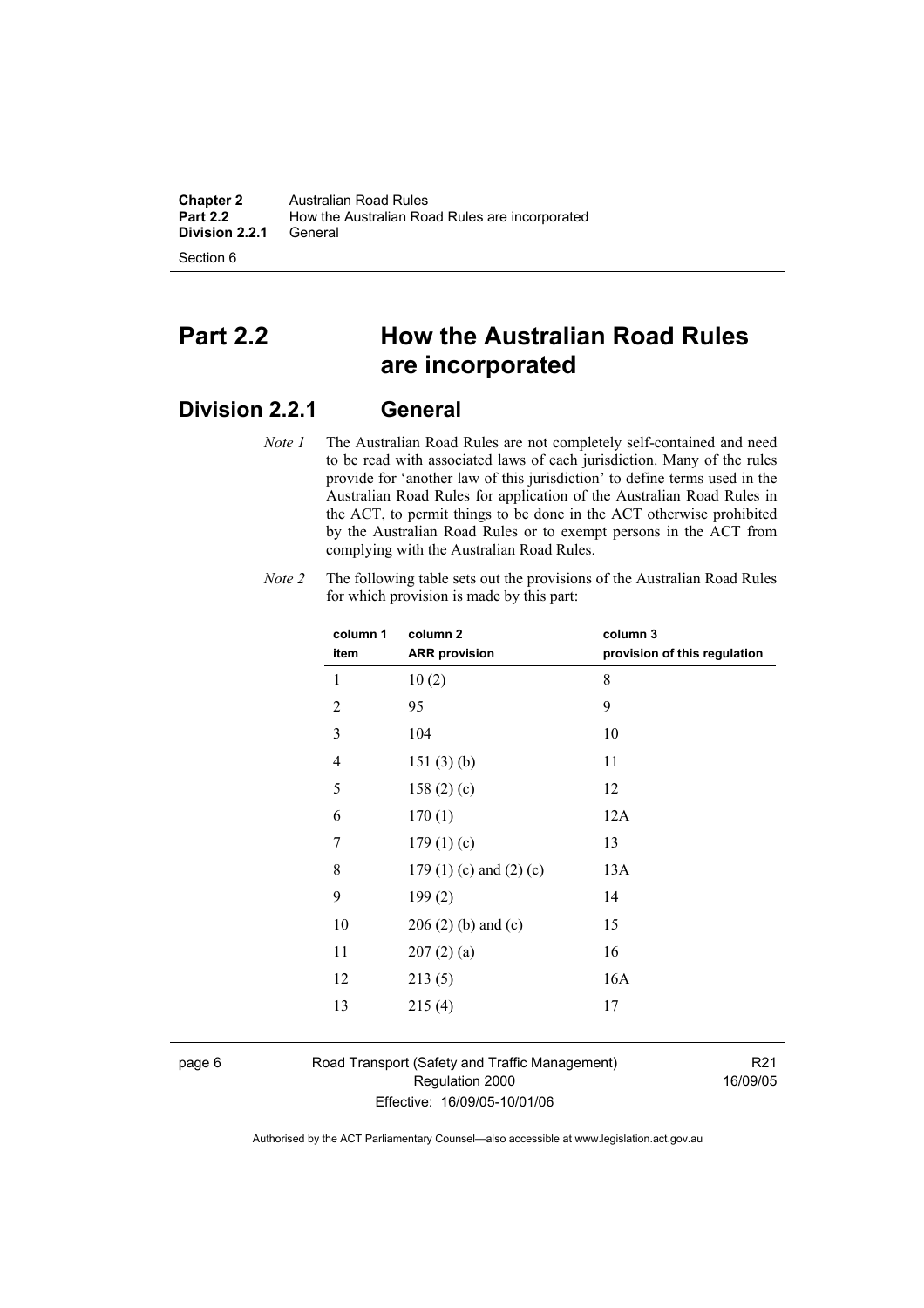**Chapter 2** Australian Road Rules<br>**Part 2.2** How the Australian Road How the Australian Road Rules are incorporated<br>General **Division 2.2.1** 

Section 6

# **Part 2.2 How the Australian Road Rules are incorporated**

# **Division 2.2.1 General**

*Note 1* The Australian Road Rules are not completely self-contained and need to be read with associated laws of each jurisdiction. Many of the rules provide for 'another law of this jurisdiction' to define terms used in the Australian Road Rules for application of the Australian Road Rules in the ACT, to permit things to be done in the ACT otherwise prohibited by the Australian Road Rules or to exempt persons in the ACT from complying with the Australian Road Rules.

| column 1       | column <sub>2</sub>             | column 3                     |
|----------------|---------------------------------|------------------------------|
| item           | <b>ARR</b> provision            | provision of this regulation |
| 1              | 10(2)                           | 8                            |
| $\overline{2}$ | 95                              | 9                            |
| 3              | 104                             | 10                           |
| 4              | 151(3)(b)                       | 11                           |
| 5              | 158(2)(c)                       | 12                           |
| 6              | 170(1)                          | 12A                          |
| 7              | 179(1)(c)                       | 13                           |
| 8              | 179 $(1)$ $(c)$ and $(2)$ $(c)$ | 13A                          |
| 9              | 199(2)                          | 14                           |
| 10             | $206(2)$ (b) and (c)            | 15                           |
| 11             | 207(2)(a)                       | 16                           |
| 12             | 213(5)                          | 16A                          |
| 13             | 215(4)                          | 17                           |
|                |                                 |                              |

*Note 2* The following table sets out the provisions of the Australian Road Rules for which provision is made by this part:

page 6 Road Transport (Safety and Traffic Management) Regulation 2000 Effective: 16/09/05-10/01/06

R21 16/09/05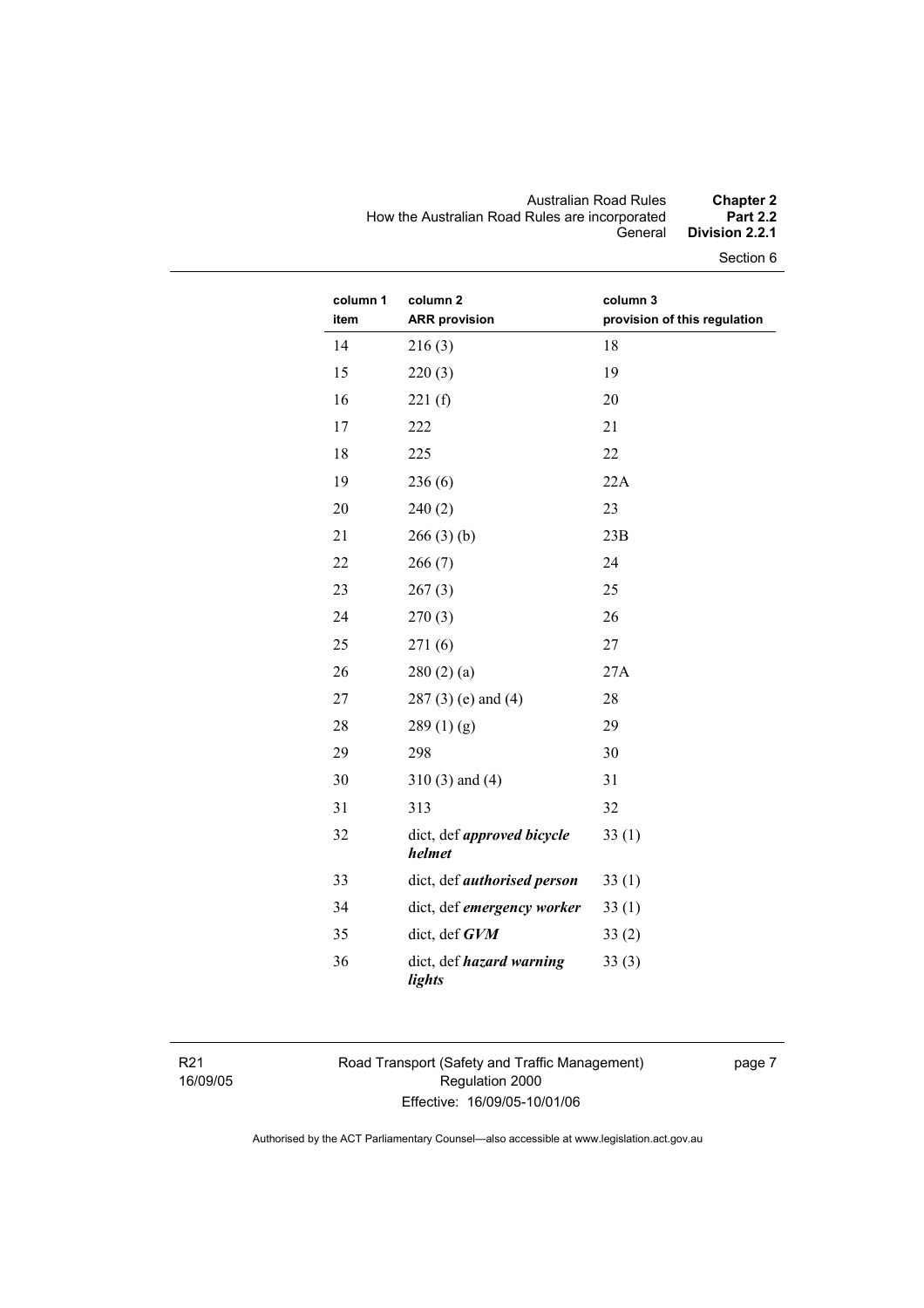#### Australian Road Rules **Chapter 2**  How the Australian Road Rules are incorporated **Part 2.2**  General **Division 2.2.1**

Section 6

| column 1<br>item | column <sub>2</sub><br><b>ARR provision</b> | column 3<br>provision of this regulation |
|------------------|---------------------------------------------|------------------------------------------|
| 14               | 216(3)                                      | 18                                       |
| 15               | 220(3)                                      | 19                                       |
| 16               | 221(f)                                      | 20                                       |
| 17               | 222                                         | 21                                       |
| 18               | 225                                         | 22                                       |
| 19               | 236(6)                                      | 22A                                      |
| 20               | 240(2)                                      | 23                                       |
| 21               | 266(3)(b)                                   | 23B                                      |
| 22               | 266(7)                                      | 24                                       |
| 23               | 267(3)                                      | 25                                       |
| 24               | 270(3)                                      | 26                                       |
| 25               | 271(6)                                      | 27                                       |
| 26               | 280(2)(a)                                   | 27A                                      |
| 27               | 287 (3) (e) and (4)                         | 28                                       |
| 28               | 289(1)(g)                                   | 29                                       |
| 29               | 298                                         | 30                                       |
| 30               | $310(3)$ and $(4)$                          | 31                                       |
| 31               | 313                                         | 32                                       |
| 32               | dict, def <i>approved bicycle</i><br>helmet | 33(1)                                    |
| 33               | dict, def <i>authorised</i> person          | 33(1)                                    |
| 34               | dict, def emergency worker                  | 33(1)                                    |
| 35               | dict, def GVM                               | 33(2)                                    |
| 36               | dict, def hazard warning<br>lights          | 33(3)                                    |

R21 16/09/05 Road Transport (Safety and Traffic Management) Regulation 2000 Effective: 16/09/05-10/01/06

page 7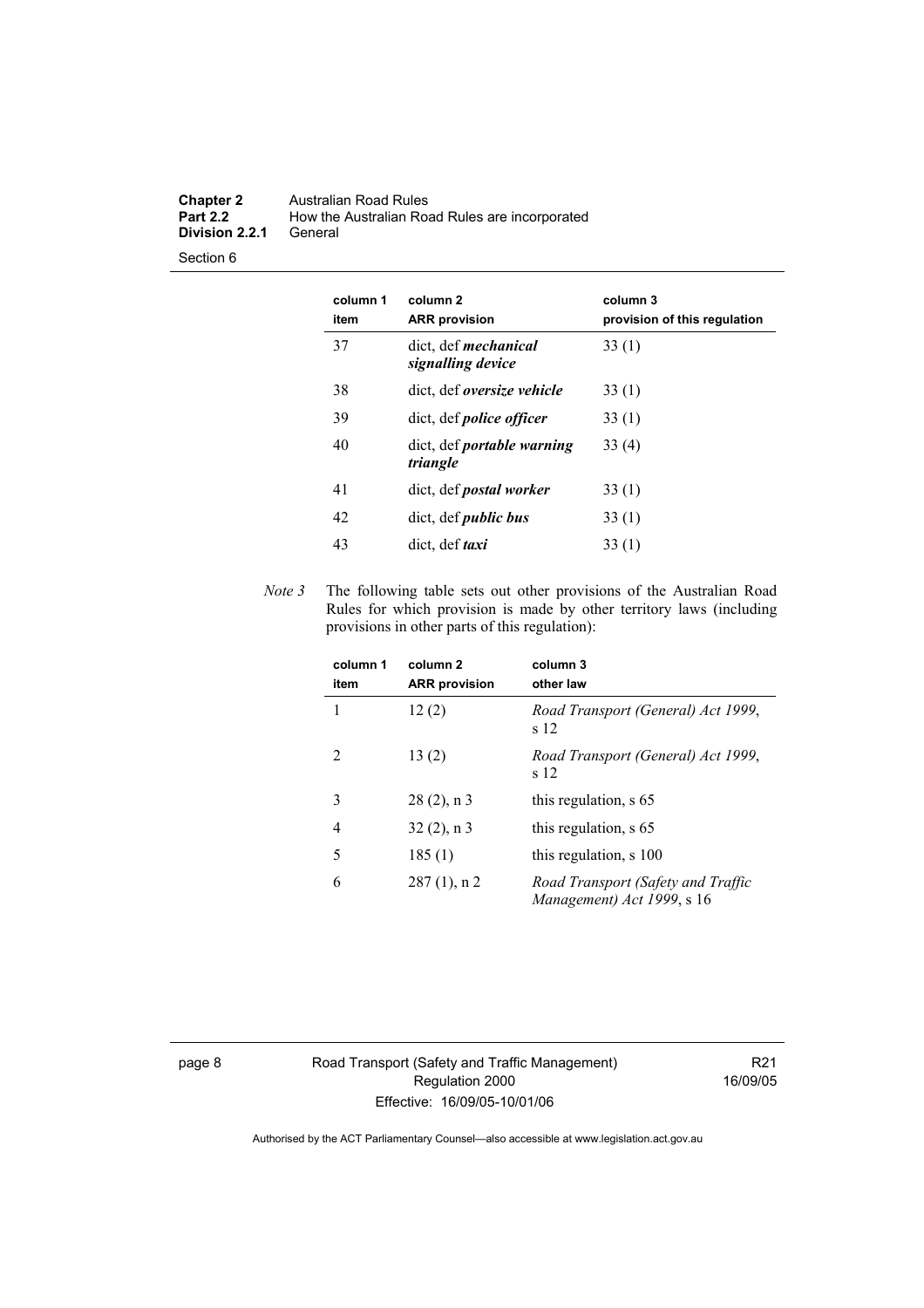#### **Chapter 2** Australian Road Rules<br>**Part 2.2** How the Australian Road How the Australian Road Rules are incorporated<br>General **Division 2.2.1**

Section 6

| column 1<br>item | column 2<br><b>ARR</b> provision                 | column 3<br>provision of this regulation |
|------------------|--------------------------------------------------|------------------------------------------|
| 37               | dict, def <i>mechanical</i><br>signalling device | 33(1)                                    |
| 38               | dict, def <i>oversize</i> vehicle                | 33(1)                                    |
| 39               | dict, def <i>police officer</i>                  | 33(1)                                    |
| 40               | dict, def <i>portable</i> warning<br>triangle    | 33(4)                                    |
| 41               | dict, def <i>postal</i> worker                   | 33(1)                                    |
| 42               | dict, def <i>public bus</i>                      | 33(1)                                    |
| 43               | dict, def <i>taxi</i>                            | 33 (1)                                   |

*Note 3* The following table sets out other provisions of the Australian Road Rules for which provision is made by other territory laws (including provisions in other parts of this regulation):

| column 1<br>item | column <sub>2</sub><br><b>ARR</b> provision | column 3<br>other law                                            |
|------------------|---------------------------------------------|------------------------------------------------------------------|
| 1                | 12(2)                                       | Road Transport (General) Act 1999,<br>s 12                       |
| $\mathcal{L}$    | 13(2)                                       | Road Transport (General) Act 1999,<br>s 12                       |
| 3                | $28(2)$ , n 3                               | this regulation, s 65                                            |
| 4                | $32(2)$ , n 3                               | this regulation, s 65                                            |
| 5                | 185(1)                                      | this regulation, s 100                                           |
| 6                | $287(1)$ , n 2                              | Road Transport (Safety and Traffic<br>Management) Act 1999, s 16 |

page 8 Road Transport (Safety and Traffic Management) Regulation 2000 Effective: 16/09/05-10/01/06

R21 16/09/05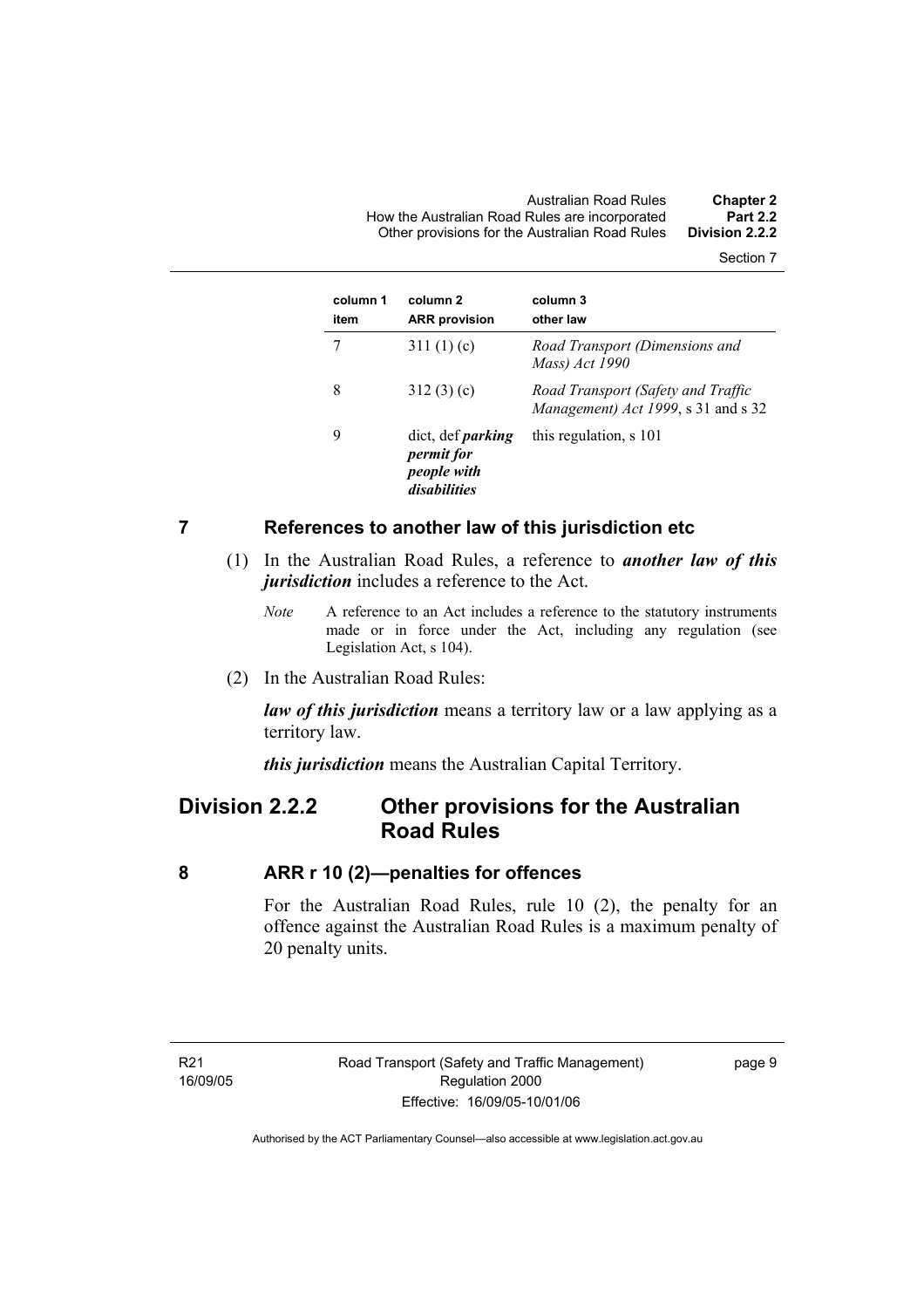Australian Road Rules **Chapter 2**  How the Australian Road Rules are incorporated **Part 2.2**  Other provisions for the Australian Road Rules **Division 2.2.2** 

Section 7

| column 1<br>item | column <sub>2</sub><br><b>ARR</b> provision                                  | column 3<br>other law                                                     |
|------------------|------------------------------------------------------------------------------|---------------------------------------------------------------------------|
|                  | 311 $(1)(c)$                                                                 | Road Transport (Dimensions and<br>Mass) Act 1990                          |
| 8                | 312(3)(c)                                                                    | Road Transport (Safety and Traffic<br>Management) Act 1999, s 31 and s 32 |
| 9                | dict, def <i>parking</i><br><i>permit for</i><br>people with<br>disabilities | this regulation, s 101                                                    |

#### **7 References to another law of this jurisdiction etc**

- (1) In the Australian Road Rules, a reference to *another law of this jurisdiction* includes a reference to the Act.
	- *Note* A reference to an Act includes a reference to the statutory instruments made or in force under the Act, including any regulation (see Legislation Act, s 104).
- (2) In the Australian Road Rules:

*law of this jurisdiction* means a territory law or a law applying as a territory law.

*this jurisdiction* means the Australian Capital Territory.

# **Division 2.2.2 Other provisions for the Australian Road Rules**

#### **8 ARR r 10 (2)—penalties for offences**

For the Australian Road Rules, rule 10 (2), the penalty for an offence against the Australian Road Rules is a maximum penalty of 20 penalty units.

R21 16/09/05 page 9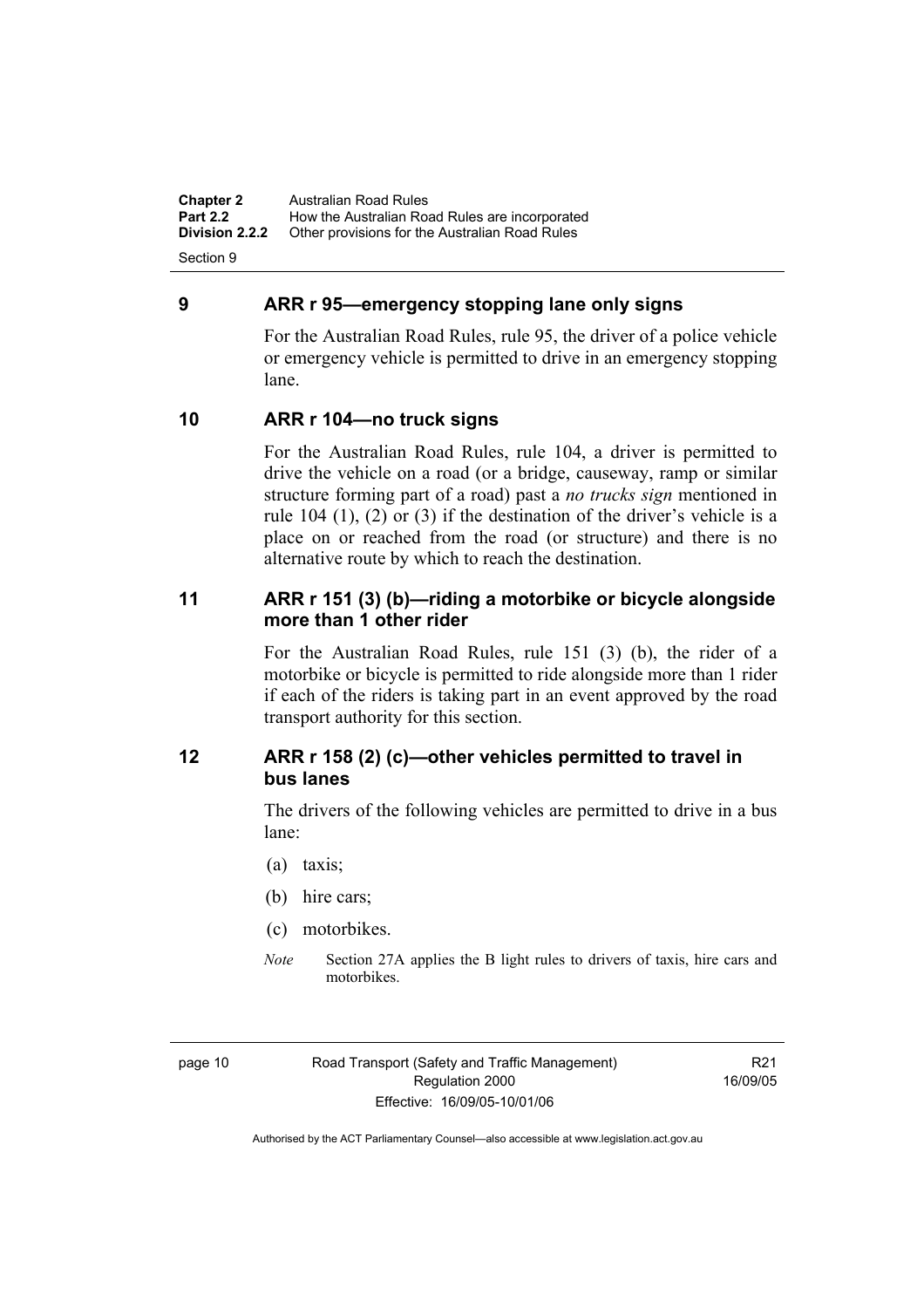**Chapter 2** Australian Road Rules<br>**Part 2.2** How the Australian Ro **Part 2.2 How the Australian Road Rules are incorporated Division 2.2.2** Other provisions for the Australian Road Rules **Other provisions for the Australian Road Rules** 

Section 9

### **9 ARR r 95—emergency stopping lane only signs**

For the Australian Road Rules, rule 95, the driver of a police vehicle or emergency vehicle is permitted to drive in an emergency stopping lane.

### **10 ARR r 104—no truck signs**

For the Australian Road Rules, rule 104, a driver is permitted to drive the vehicle on a road (or a bridge, causeway, ramp or similar structure forming part of a road) past a *no trucks sign* mentioned in rule 104 (1), (2) or (3) if the destination of the driver's vehicle is a place on or reached from the road (or structure) and there is no alternative route by which to reach the destination.

### **11 ARR r 151 (3) (b)—riding a motorbike or bicycle alongside more than 1 other rider**

For the Australian Road Rules, rule 151 (3) (b), the rider of a motorbike or bicycle is permitted to ride alongside more than 1 rider if each of the riders is taking part in an event approved by the road transport authority for this section.

# **12 ARR r 158 (2) (c)—other vehicles permitted to travel in bus lanes**

The drivers of the following vehicles are permitted to drive in a bus lane:

- (a) taxis;
- (b) hire cars;
- (c) motorbikes.
- *Note* Section 27A applies the B light rules to drivers of taxis, hire cars and motorbikes.

R21 16/09/05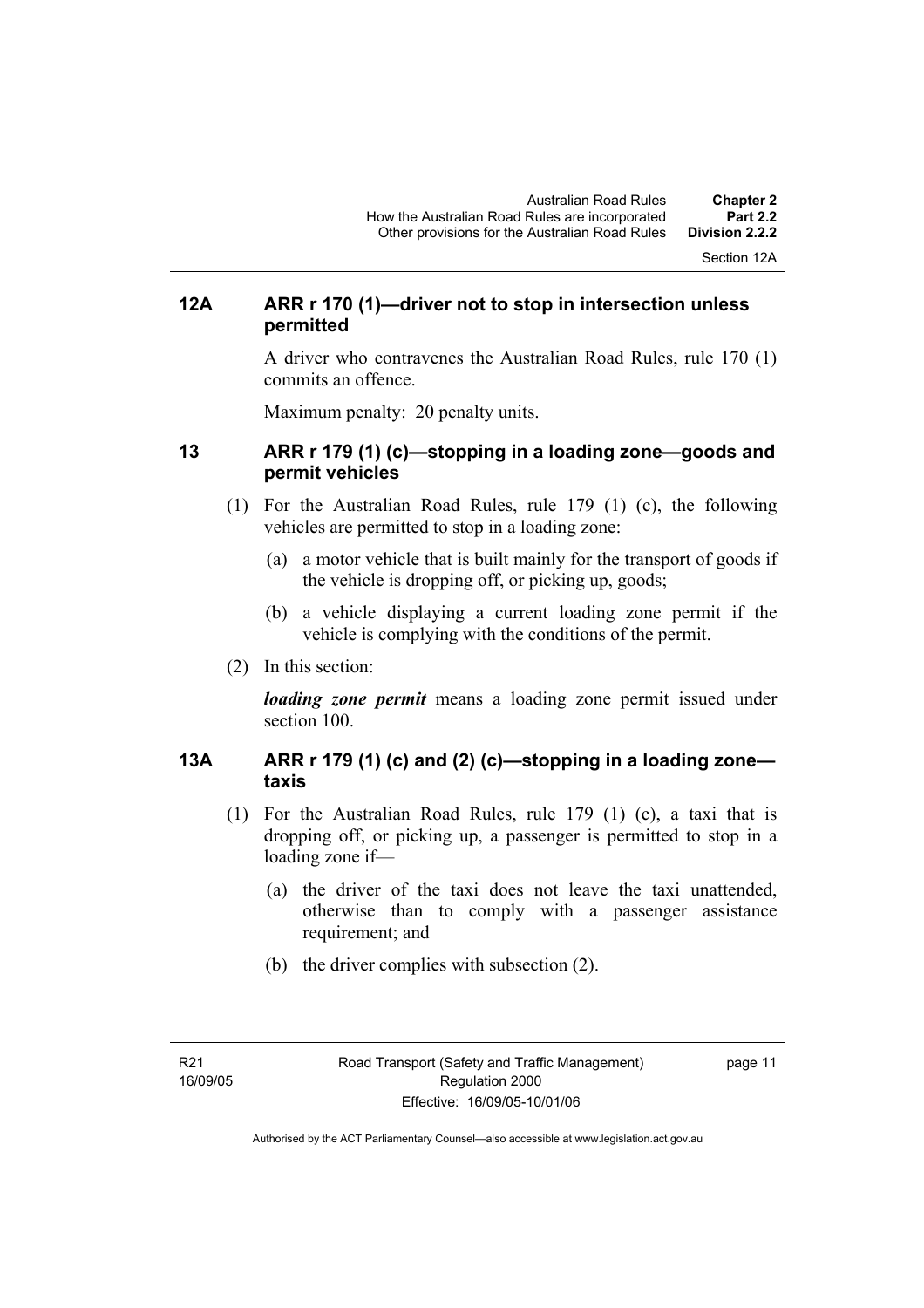Section 12A

# **12A ARR r 170 (1)—driver not to stop in intersection unless permitted**

A driver who contravenes the Australian Road Rules, rule 170 (1) commits an offence.

Maximum penalty: 20 penalty units.

### **13 ARR r 179 (1) (c)—stopping in a loading zone—goods and permit vehicles**

- (1) For the Australian Road Rules, rule 179 (1) (c), the following vehicles are permitted to stop in a loading zone:
	- (a) a motor vehicle that is built mainly for the transport of goods if the vehicle is dropping off, or picking up, goods;
	- (b) a vehicle displaying a current loading zone permit if the vehicle is complying with the conditions of the permit.
- (2) In this section:

*loading zone permit* means a loading zone permit issued under section 100.

# **13A ARR r 179 (1) (c) and (2) (c)—stopping in a loading zone taxis**

- (1) For the Australian Road Rules, rule 179 (1) (c), a taxi that is dropping off, or picking up, a passenger is permitted to stop in a loading zone if—
	- (a) the driver of the taxi does not leave the taxi unattended, otherwise than to comply with a passenger assistance requirement; and
	- (b) the driver complies with subsection (2).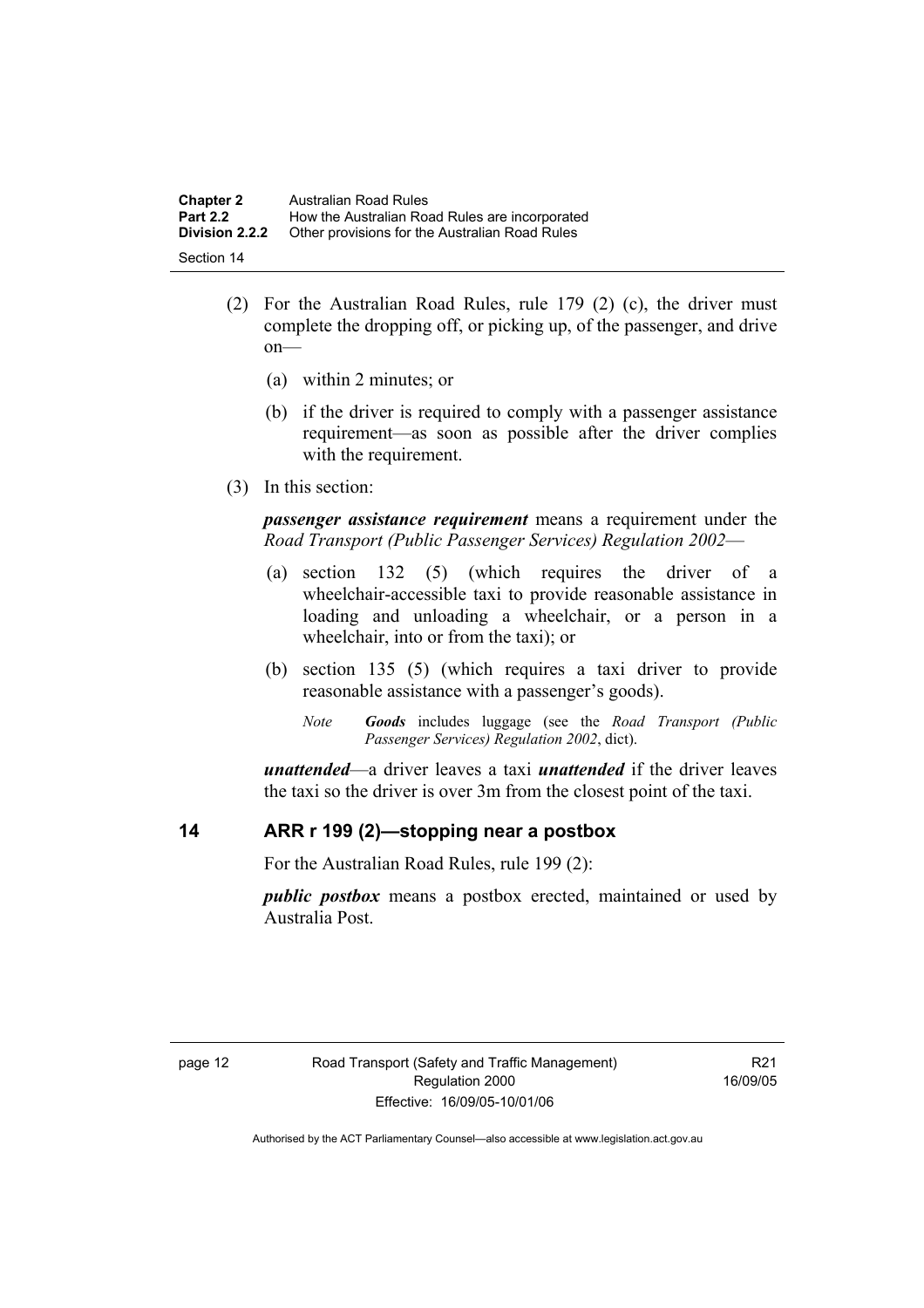| <b>Chapter 2</b>      | Australian Road Rules                          |
|-----------------------|------------------------------------------------|
| <b>Part 2.2</b>       | How the Australian Road Rules are incorporated |
| <b>Division 2.2.2</b> | Other provisions for the Australian Road Rules |
| Section 14            |                                                |

- (2) For the Australian Road Rules, rule 179 (2) (c), the driver must complete the dropping off, or picking up, of the passenger, and drive on—
	- (a) within 2 minutes; or
	- (b) if the driver is required to comply with a passenger assistance requirement—as soon as possible after the driver complies with the requirement.
- (3) In this section:

*passenger assistance requirement* means a requirement under the *Road Transport (Public Passenger Services) Regulation 2002*—

- (a) section 132 (5) (which requires the driver of a wheelchair-accessible taxi to provide reasonable assistance in loading and unloading a wheelchair, or a person in a wheelchair, into or from the taxi); or
- (b) section 135 (5) (which requires a taxi driver to provide reasonable assistance with a passenger's goods).
	- *Note Goods* includes luggage (see the *Road Transport (Public Passenger Services) Regulation 2002*, dict).

*unattended*—a driver leaves a taxi *unattended* if the driver leaves the taxi so the driver is over 3m from the closest point of the taxi.

### **14 ARR r 199 (2)—stopping near a postbox**

For the Australian Road Rules, rule 199 (2):

*public postbox* means a postbox erected, maintained or used by Australia Post.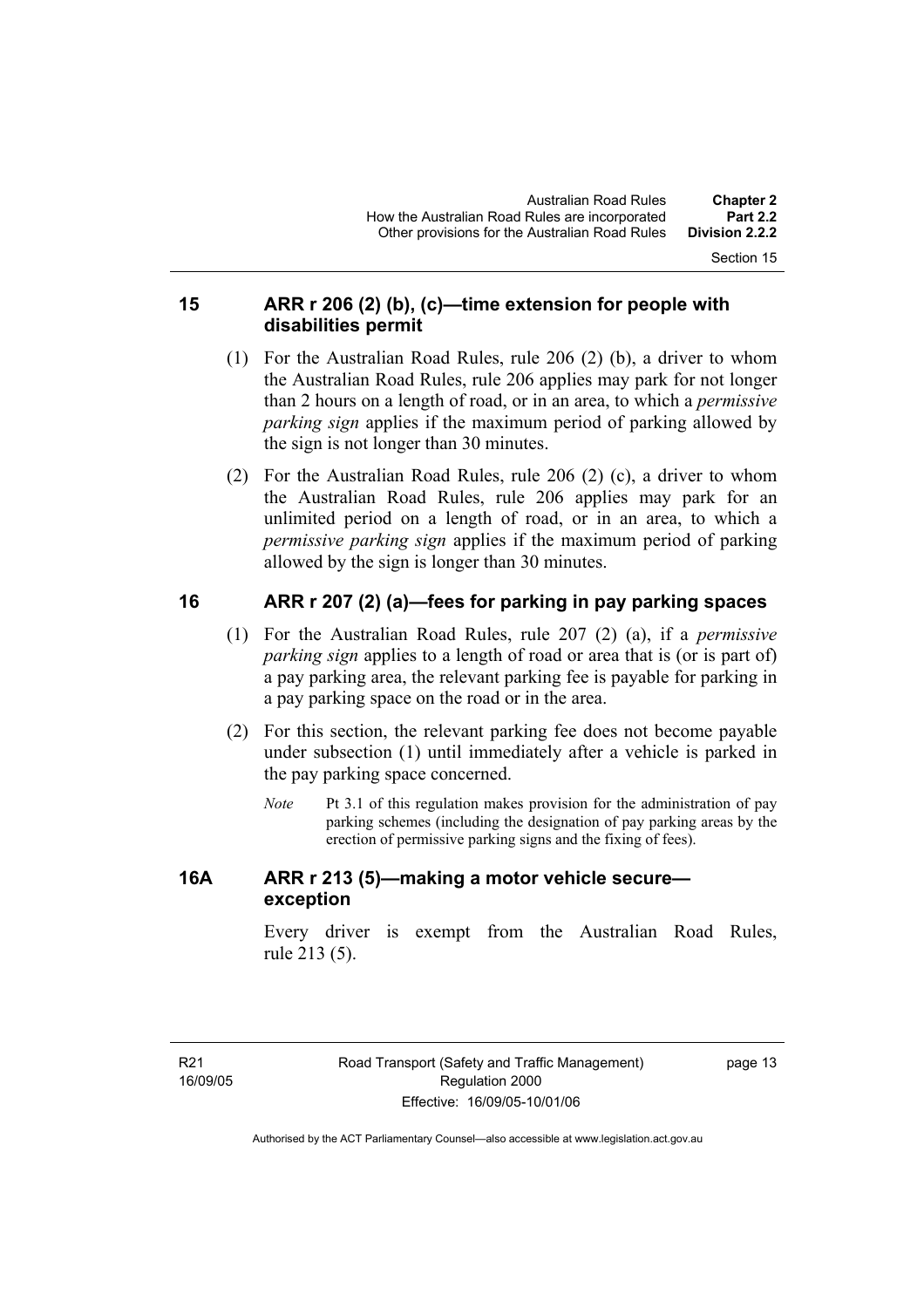Section 15

## **15 ARR r 206 (2) (b), (c)—time extension for people with disabilities permit**

- (1) For the Australian Road Rules, rule 206 (2) (b), a driver to whom the Australian Road Rules, rule 206 applies may park for not longer than 2 hours on a length of road, or in an area, to which a *permissive parking sign* applies if the maximum period of parking allowed by the sign is not longer than 30 minutes.
- (2) For the Australian Road Rules, rule 206 (2) (c), a driver to whom the Australian Road Rules, rule 206 applies may park for an unlimited period on a length of road, or in an area, to which a *permissive parking sign* applies if the maximum period of parking allowed by the sign is longer than 30 minutes.

# **16 ARR r 207 (2) (a)—fees for parking in pay parking spaces**

- (1) For the Australian Road Rules, rule 207 (2) (a), if a *permissive parking sign* applies to a length of road or area that is (or is part of) a pay parking area, the relevant parking fee is payable for parking in a pay parking space on the road or in the area.
- (2) For this section, the relevant parking fee does not become payable under subsection (1) until immediately after a vehicle is parked in the pay parking space concerned.
	- *Note* Pt 3.1 of this regulation makes provision for the administration of pay parking schemes (including the designation of pay parking areas by the erection of permissive parking signs and the fixing of fees).

# **16A ARR r 213 (5)—making a motor vehicle secure exception**

Every driver is exempt from the Australian Road Rules, rule 213 (5).

page 13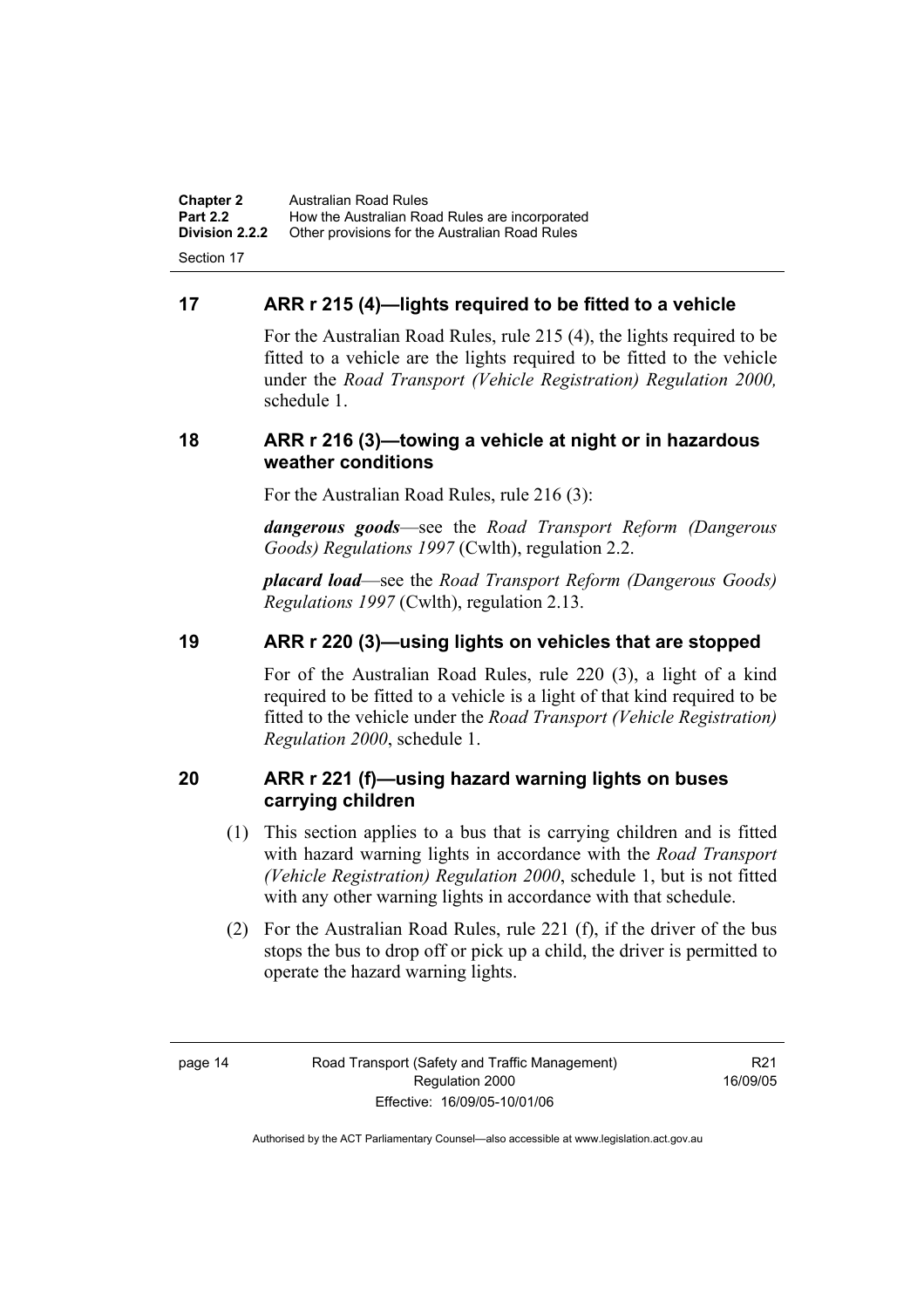**Chapter 2** Australian Road Rules<br>**Part 2.2** How the Australian Ro **Part 2.2 How the Australian Road Rules are incorporated Division 2.2.2** Other provisions for the Australian Road Rules **Other provisions for the Australian Road Rules** Section 17

## **17 ARR r 215 (4)—lights required to be fitted to a vehicle**

For the Australian Road Rules, rule 215 (4), the lights required to be fitted to a vehicle are the lights required to be fitted to the vehicle under the *Road Transport (Vehicle Registration) Regulation 2000,*  schedule 1.

### **18 ARR r 216 (3)—towing a vehicle at night or in hazardous weather conditions**

For the Australian Road Rules, rule 216 (3):

*dangerous goods*—see the *Road Transport Reform (Dangerous Goods) Regulations 1997* (Cwlth), regulation 2.2.

*placard load*—see the *Road Transport Reform (Dangerous Goods) Regulations 1997* (Cwlth), regulation 2.13.

### **19 ARR r 220 (3)—using lights on vehicles that are stopped**

For of the Australian Road Rules, rule 220 (3), a light of a kind required to be fitted to a vehicle is a light of that kind required to be fitted to the vehicle under the *Road Transport (Vehicle Registration) Regulation 2000*, schedule 1.

### **20 ARR r 221 (f)—using hazard warning lights on buses carrying children**

- (1) This section applies to a bus that is carrying children and is fitted with hazard warning lights in accordance with the *Road Transport (Vehicle Registration) Regulation 2000*, schedule 1, but is not fitted with any other warning lights in accordance with that schedule.
- (2) For the Australian Road Rules, rule 221 (f), if the driver of the bus stops the bus to drop off or pick up a child, the driver is permitted to operate the hazard warning lights.

R21 16/09/05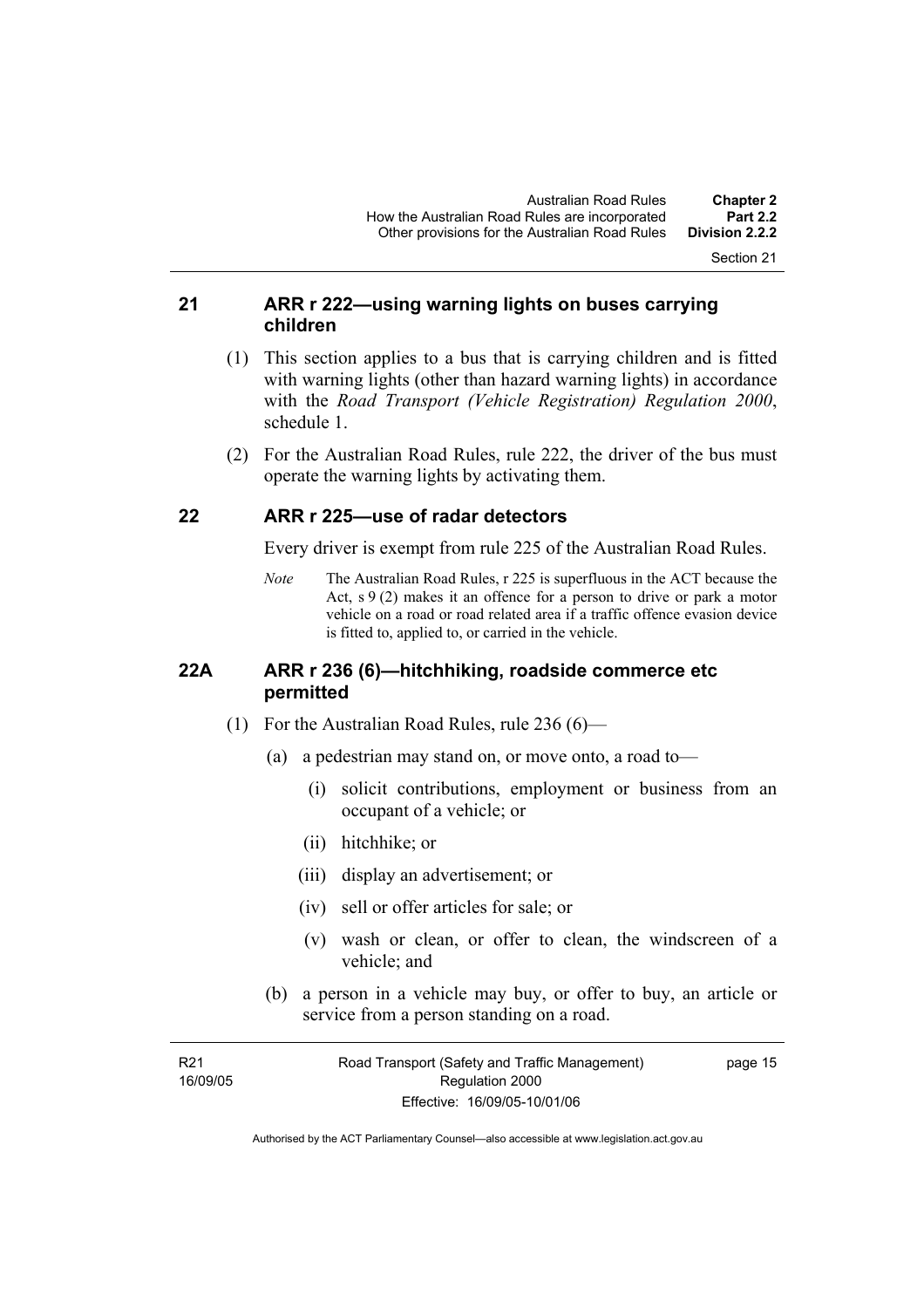Section 21

### **21 ARR r 222—using warning lights on buses carrying children**

- (1) This section applies to a bus that is carrying children and is fitted with warning lights (other than hazard warning lights) in accordance with the *Road Transport (Vehicle Registration) Regulation 2000*, schedule 1.
- (2) For the Australian Road Rules, rule 222, the driver of the bus must operate the warning lights by activating them.

#### **22 ARR r 225—use of radar detectors**

Every driver is exempt from rule 225 of the Australian Road Rules.

*Note* The Australian Road Rules, r 225 is superfluous in the ACT because the Act,  $s \theta(2)$  makes it an offence for a person to drive or park a motor vehicle on a road or road related area if a traffic offence evasion device is fitted to, applied to, or carried in the vehicle.

#### **22A ARR r 236 (6)—hitchhiking, roadside commerce etc permitted**

- (1) For the Australian Road Rules, rule 236 (6)—
	- (a) a pedestrian may stand on, or move onto, a road to—
		- (i) solicit contributions, employment or business from an occupant of a vehicle; or
		- (ii) hitchhike; or
		- (iii) display an advertisement; or
		- (iv) sell or offer articles for sale; or
		- (v) wash or clean, or offer to clean, the windscreen of a vehicle; and
	- (b) a person in a vehicle may buy, or offer to buy, an article or service from a person standing on a road.

| R <sub>21</sub> | Road Transport (Safety and Traffic Management) | page 15 |
|-----------------|------------------------------------------------|---------|
| 16/09/05        | Regulation 2000                                |         |
|                 | Effective: 16/09/05-10/01/06                   |         |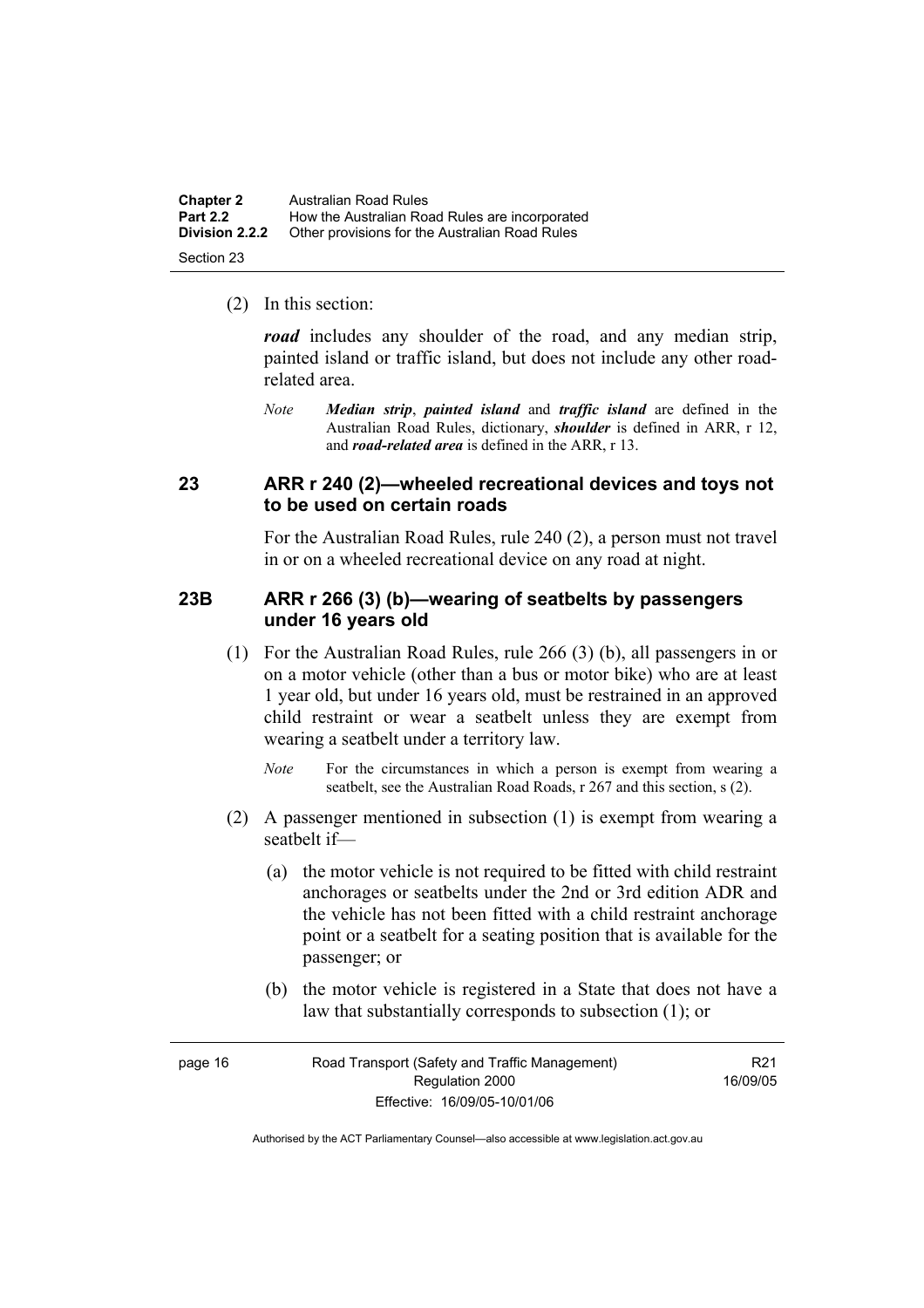| <b>Chapter 2</b>      | Australian Road Rules                          |
|-----------------------|------------------------------------------------|
| <b>Part 2.2</b>       | How the Australian Road Rules are incorporated |
| <b>Division 2.2.2</b> | Other provisions for the Australian Road Rules |
| Section 23            |                                                |

(2) In this section:

*road* includes any shoulder of the road, and any median strip, painted island or traffic island, but does not include any other roadrelated area.

*Note Median strip*, *painted island* and *traffic island* are defined in the Australian Road Rules, dictionary, *shoulder* is defined in ARR, r 12, and *road-related area* is defined in the ARR, r 13.

#### **23 ARR r 240 (2)—wheeled recreational devices and toys not to be used on certain roads**

For the Australian Road Rules, rule 240 (2), a person must not travel in or on a wheeled recreational device on any road at night.

#### **23B ARR r 266 (3) (b)—wearing of seatbelts by passengers under 16 years old**

- (1) For the Australian Road Rules, rule 266 (3) (b), all passengers in or on a motor vehicle (other than a bus or motor bike) who are at least 1 year old, but under 16 years old, must be restrained in an approved child restraint or wear a seatbelt unless they are exempt from wearing a seatbelt under a territory law.
	- *Note* For the circumstances in which a person is exempt from wearing a seatbelt, see the Australian Road Roads, r 267 and this section, s (2).
- (2) A passenger mentioned in subsection (1) is exempt from wearing a seatbelt if—
	- (a) the motor vehicle is not required to be fitted with child restraint anchorages or seatbelts under the 2nd or 3rd edition ADR and the vehicle has not been fitted with a child restraint anchorage point or a seatbelt for a seating position that is available for the passenger; or
	- (b) the motor vehicle is registered in a State that does not have a law that substantially corresponds to subsection (1); or

| page 16 | Road Transport (Safety and Traffic Management) | R <sub>21</sub> |
|---------|------------------------------------------------|-----------------|
|         | Regulation 2000                                | 16/09/05        |
|         | Effective: 16/09/05-10/01/06                   |                 |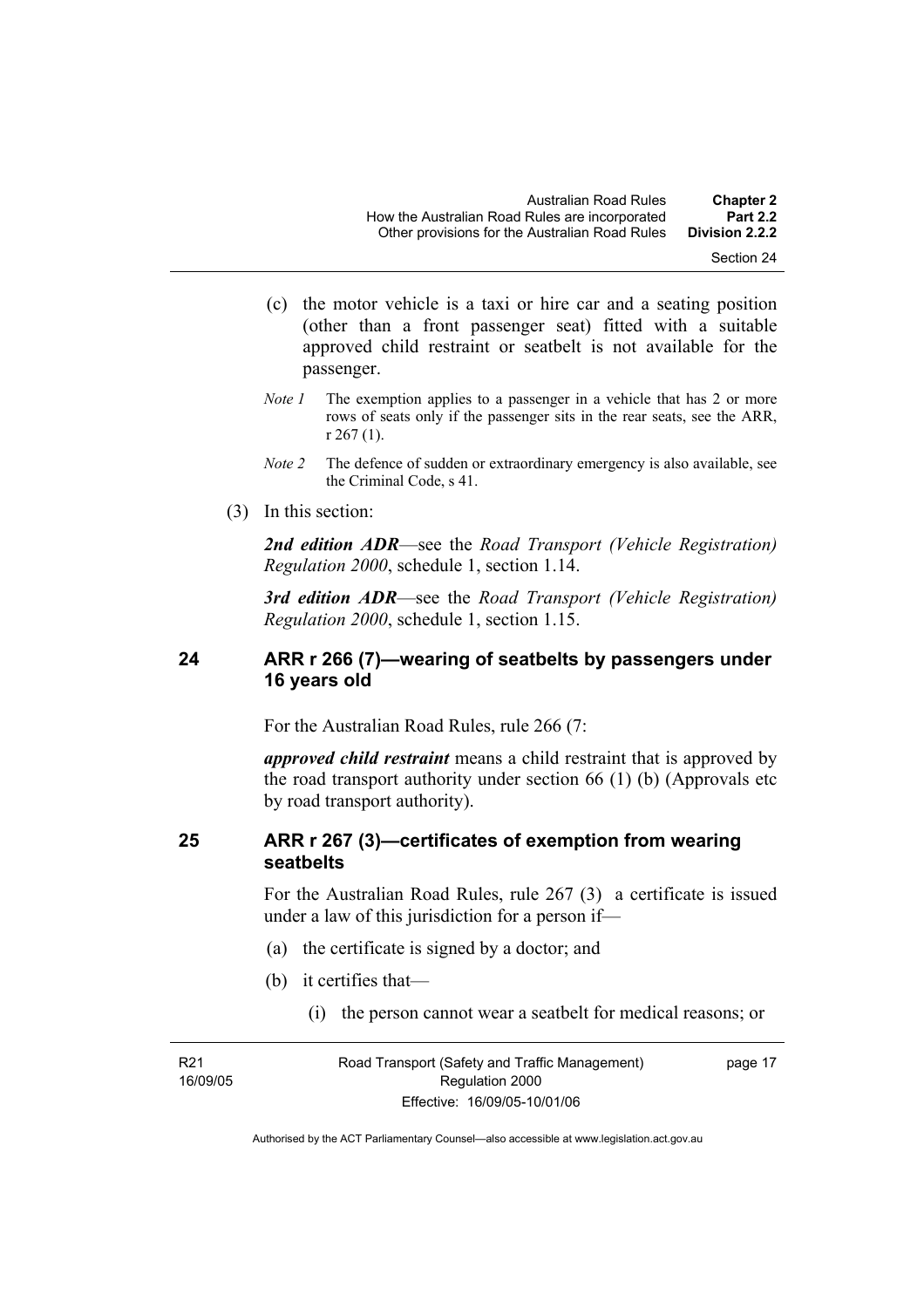- (c) the motor vehicle is a taxi or hire car and a seating position (other than a front passenger seat) fitted with a suitable approved child restraint or seatbelt is not available for the passenger.
- *Note 1* The exemption applies to a passenger in a vehicle that has 2 or more rows of seats only if the passenger sits in the rear seats, see the ARR, r 267 (1).
- *Note 2* The defence of sudden or extraordinary emergency is also available, see the Criminal Code, s 41.
- (3) In this section:

*2nd edition ADR*—see the *Road Transport (Vehicle Registration) Regulation 2000*, schedule 1, section 1.14.

*3rd edition ADR*—see the *Road Transport (Vehicle Registration) Regulation 2000*, schedule 1, section 1.15.

### **24 ARR r 266 (7)—wearing of seatbelts by passengers under 16 years old**

For the Australian Road Rules, rule 266 (7:

*approved child restraint* means a child restraint that is approved by the road transport authority under section 66 (1) (b) (Approvals etc by road transport authority).

### **25 ARR r 267 (3)—certificates of exemption from wearing seatbelts**

For the Australian Road Rules, rule 267 (3) a certificate is issued under a law of this jurisdiction for a person if—

- (a) the certificate is signed by a doctor; and
- (b) it certifies that—
	- (i) the person cannot wear a seatbelt for medical reasons; or

R21 16/09/05 Road Transport (Safety and Traffic Management) Regulation 2000 Effective: 16/09/05-10/01/06

page 17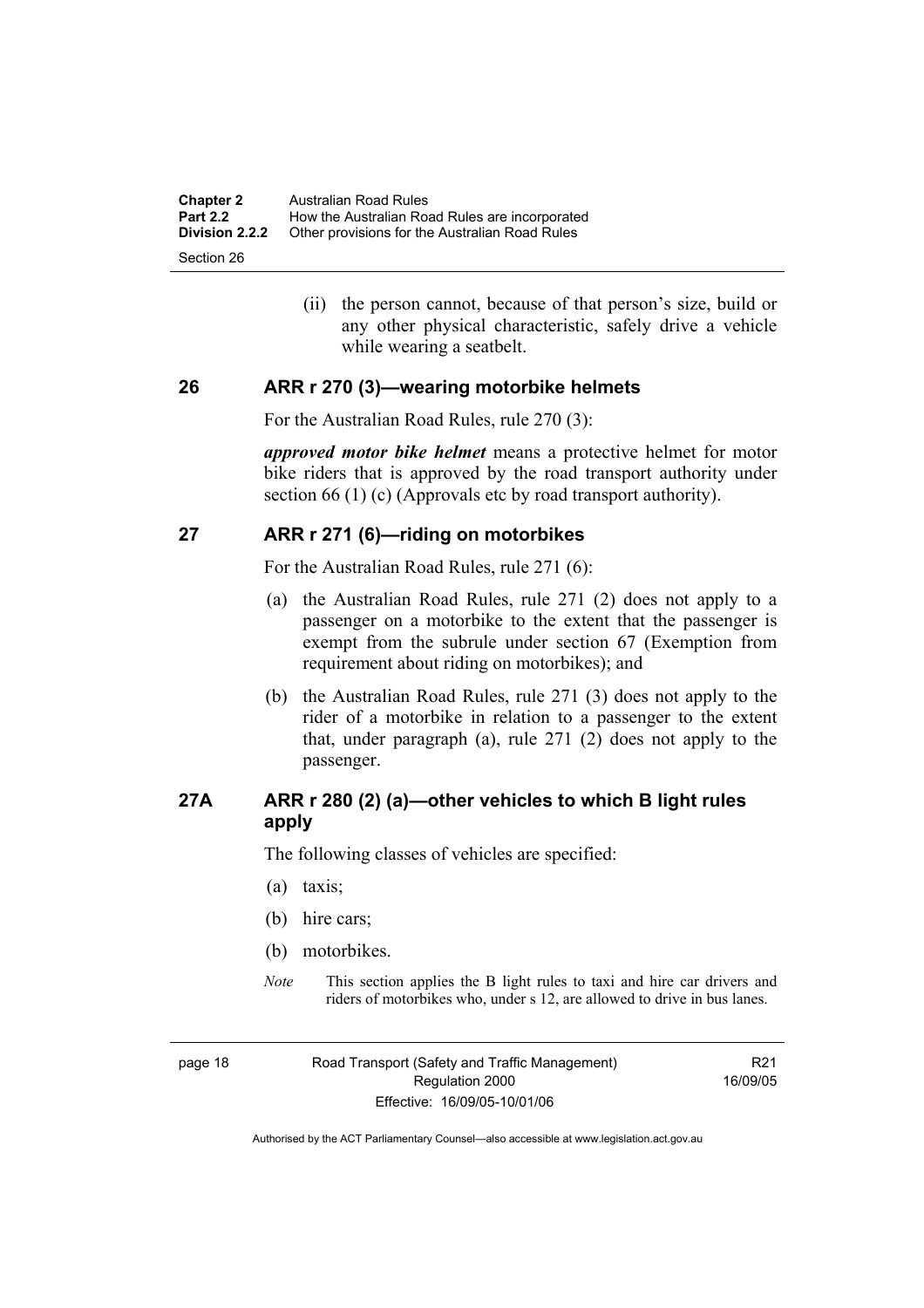| <b>Chapter 2</b>                    | Australian Road Rules                          |
|-------------------------------------|------------------------------------------------|
| <b>Part 2.2</b>                     | How the Australian Road Rules are incorporated |
| <b>Division 2.2.2</b><br>Section 26 | Other provisions for the Australian Road Rules |

 (ii) the person cannot, because of that person's size, build or any other physical characteristic, safely drive a vehicle while wearing a seatbelt.

#### **26 ARR r 270 (3)—wearing motorbike helmets**

For the Australian Road Rules, rule 270 (3):

*approved motor bike helmet* means a protective helmet for motor bike riders that is approved by the road transport authority under section 66 (1) (c) (Approvals etc by road transport authority).

#### **27 ARR r 271 (6)—riding on motorbikes**

For the Australian Road Rules, rule 271 (6):

- (a) the Australian Road Rules, rule 271 (2) does not apply to a passenger on a motorbike to the extent that the passenger is exempt from the subrule under section 67 (Exemption from requirement about riding on motorbikes); and
- (b) the Australian Road Rules, rule 271 (3) does not apply to the rider of a motorbike in relation to a passenger to the extent that, under paragraph (a), rule 271 (2) does not apply to the passenger.

# **27A ARR r 280 (2) (a)—other vehicles to which B light rules apply**

The following classes of vehicles are specified:

- (a) taxis;
- (b) hire cars;
- (b) motorbikes.
- *Note* This section applies the B light rules to taxi and hire car drivers and riders of motorbikes who, under s 12, are allowed to drive in bus lanes.

page 18 Road Transport (Safety and Traffic Management) Regulation 2000 Effective: 16/09/05-10/01/06

R21 16/09/05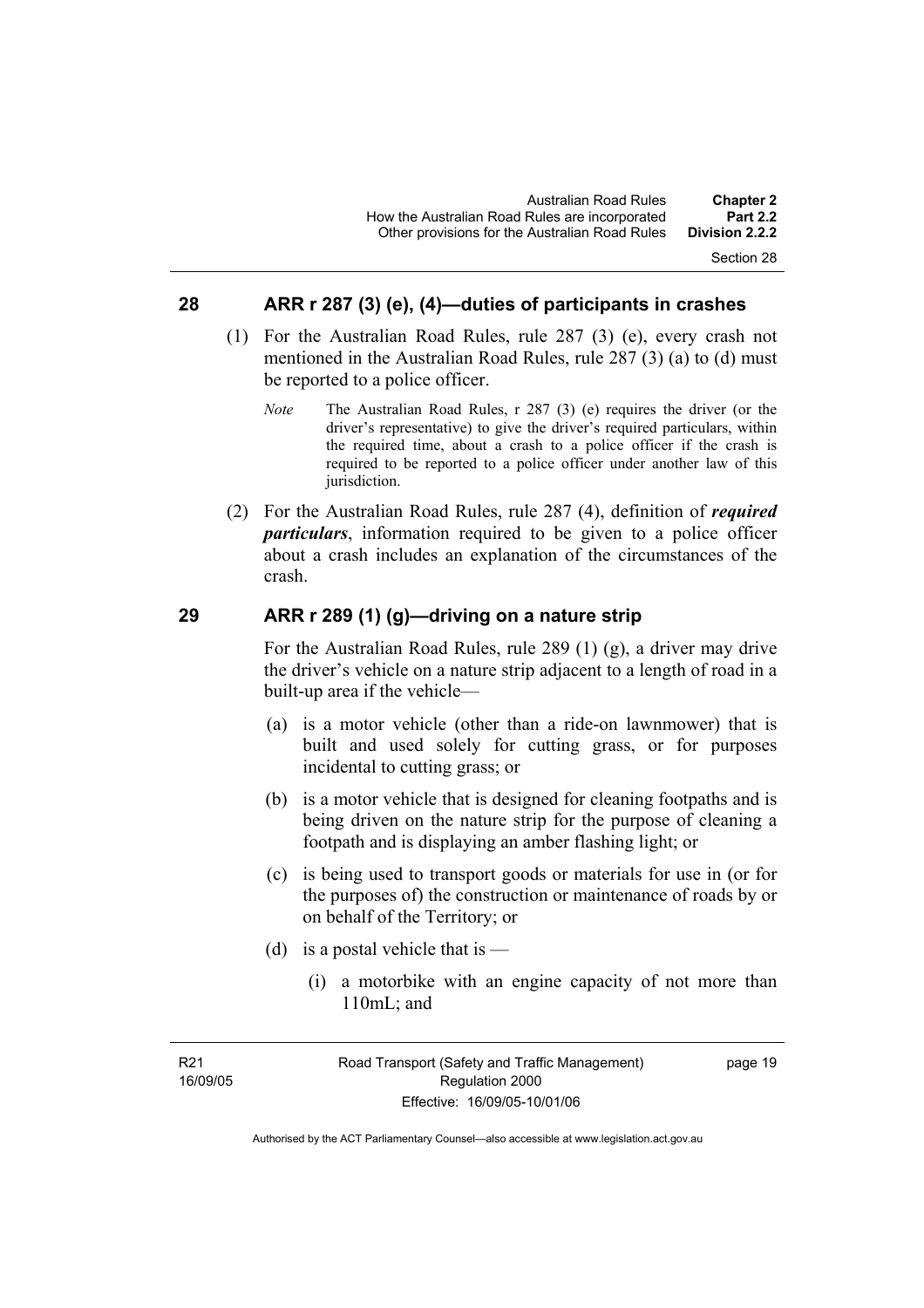#### Section 28

#### **28 ARR r 287 (3) (e), (4)—duties of participants in crashes**

- (1) For the Australian Road Rules, rule 287 (3) (e), every crash not mentioned in the Australian Road Rules, rule 287 (3) (a) to (d) must be reported to a police officer.
	- *Note* The Australian Road Rules, r 287 (3) (e) requires the driver (or the driver's representative) to give the driver's required particulars, within the required time, about a crash to a police officer if the crash is required to be reported to a police officer under another law of this jurisdiction.
- (2) For the Australian Road Rules, rule 287 (4), definition of *required particulars*, information required to be given to a police officer about a crash includes an explanation of the circumstances of the crash.

#### **29 ARR r 289 (1) (g)—driving on a nature strip**

For the Australian Road Rules, rule 289 (1) (g), a driver may drive the driver's vehicle on a nature strip adjacent to a length of road in a built-up area if the vehicle—

- (a) is a motor vehicle (other than a ride-on lawnmower) that is built and used solely for cutting grass, or for purposes incidental to cutting grass; or
- (b) is a motor vehicle that is designed for cleaning footpaths and is being driven on the nature strip for the purpose of cleaning a footpath and is displaying an amber flashing light; or
- (c) is being used to transport goods or materials for use in (or for the purposes of) the construction or maintenance of roads by or on behalf of the Territory; or
- (d) is a postal vehicle that is
	- (i) a motorbike with an engine capacity of not more than 110mL; and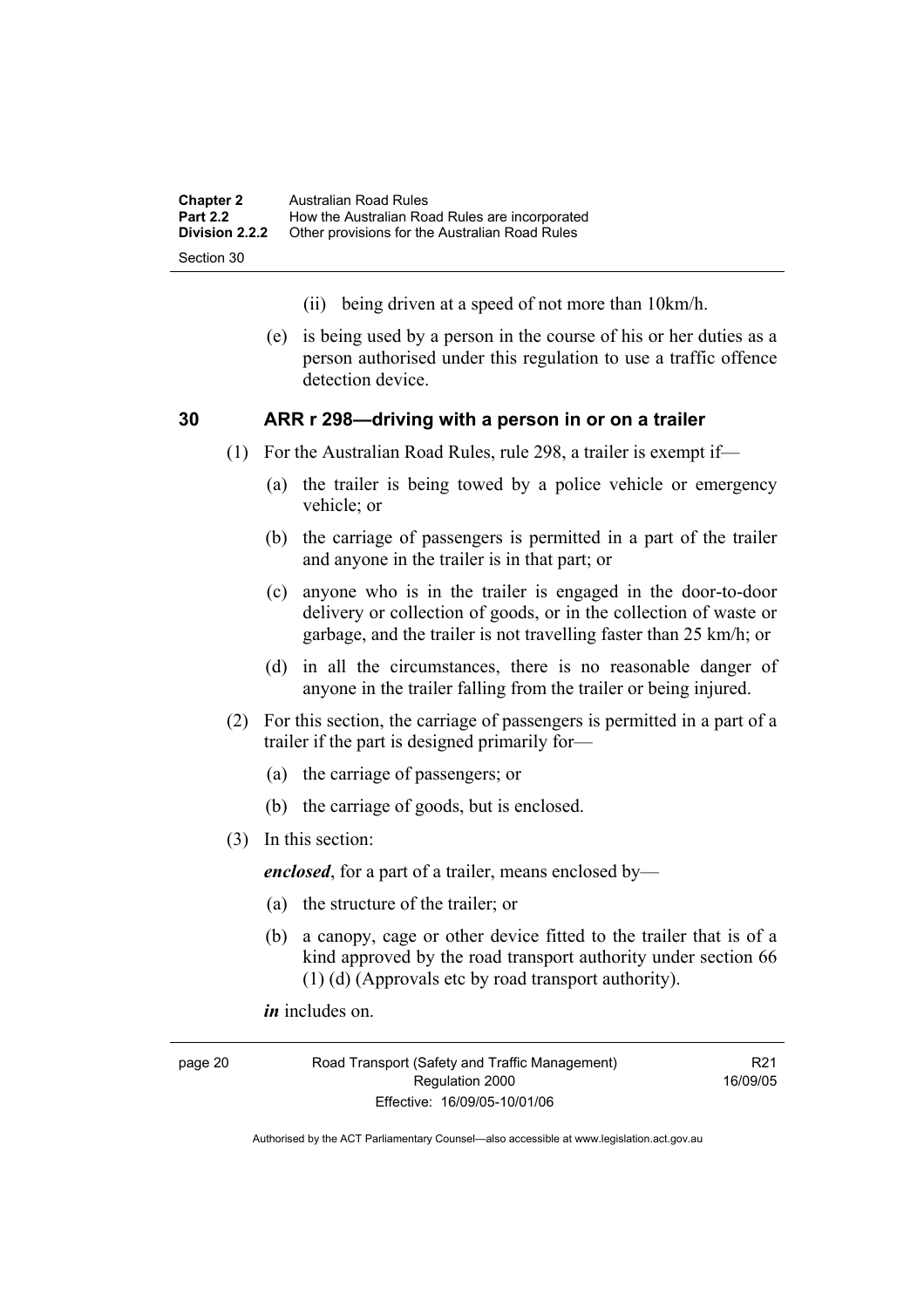| <b>Chapter 2</b> | Australian Road Rules                          |
|------------------|------------------------------------------------|
| <b>Part 2.2</b>  | How the Australian Road Rules are incorporated |
| Division 2.2.2   | Other provisions for the Australian Road Rules |
| Section 30       |                                                |

- (ii) being driven at a speed of not more than 10km/h.
- (e) is being used by a person in the course of his or her duties as a person authorised under this regulation to use a traffic offence detection device.

#### **30 ARR r 298—driving with a person in or on a trailer**

- (1) For the Australian Road Rules, rule 298, a trailer is exempt if—
	- (a) the trailer is being towed by a police vehicle or emergency vehicle; or
	- (b) the carriage of passengers is permitted in a part of the trailer and anyone in the trailer is in that part; or
	- (c) anyone who is in the trailer is engaged in the door-to-door delivery or collection of goods, or in the collection of waste or garbage, and the trailer is not travelling faster than 25 km/h; or
	- (d) in all the circumstances, there is no reasonable danger of anyone in the trailer falling from the trailer or being injured.
- (2) For this section, the carriage of passengers is permitted in a part of a trailer if the part is designed primarily for—
	- (a) the carriage of passengers; or
	- (b) the carriage of goods, but is enclosed.
- (3) In this section:

*enclosed*, for a part of a trailer, means enclosed by—

- (a) the structure of the trailer; or
- (b) a canopy, cage or other device fitted to the trailer that is of a kind approved by the road transport authority under section 66 (1) (d) (Approvals etc by road transport authority).

*in* includes on.

page 20 Road Transport (Safety and Traffic Management) Regulation 2000 Effective: 16/09/05-10/01/06

R21 16/09/05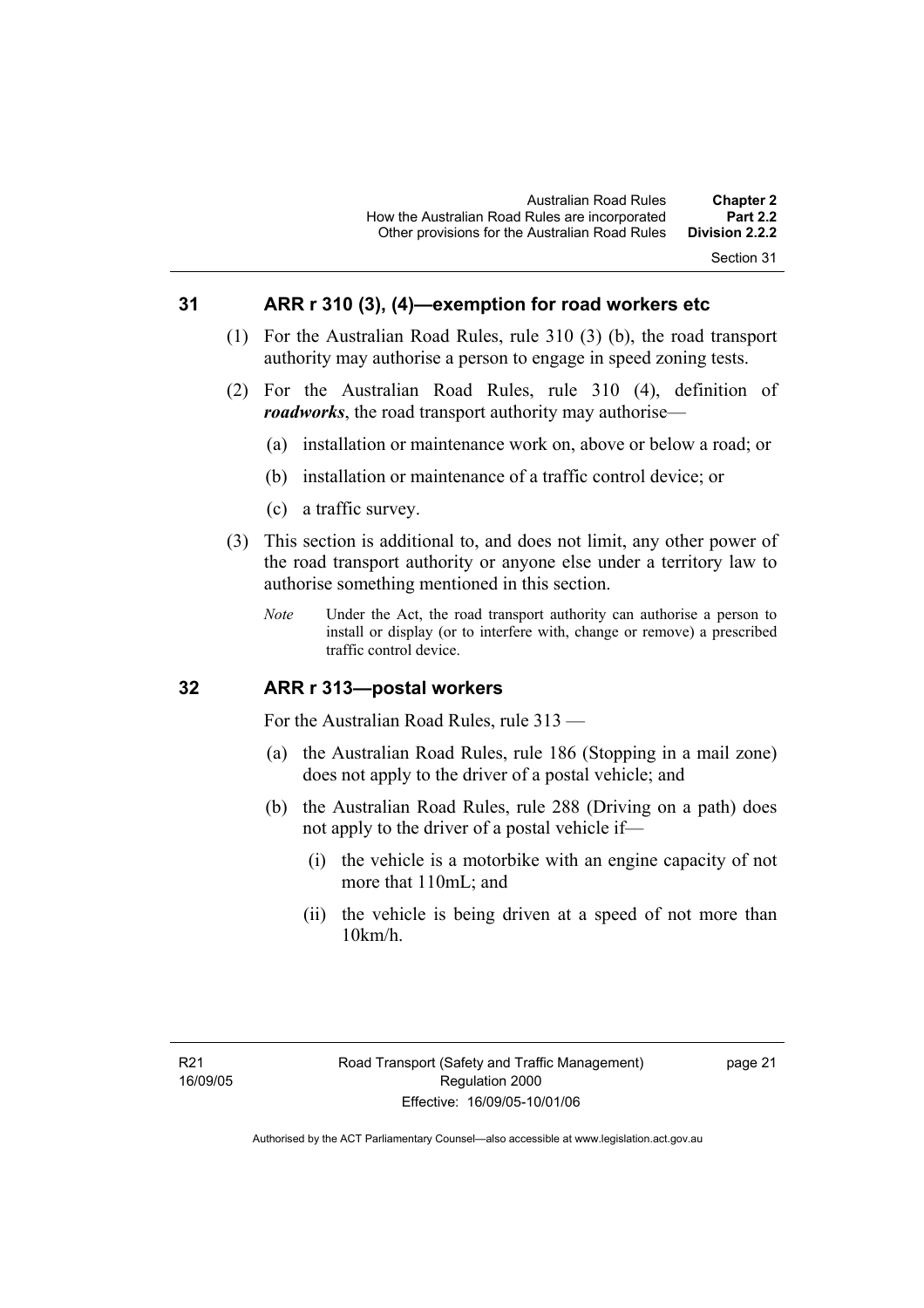### **31 ARR r 310 (3), (4)—exemption for road workers etc**

- (1) For the Australian Road Rules, rule 310 (3) (b), the road transport authority may authorise a person to engage in speed zoning tests.
- (2) For the Australian Road Rules, rule 310 (4), definition of *roadworks*, the road transport authority may authorise—
	- (a) installation or maintenance work on, above or below a road; or
	- (b) installation or maintenance of a traffic control device; or
	- (c) a traffic survey.
- (3) This section is additional to, and does not limit, any other power of the road transport authority or anyone else under a territory law to authorise something mentioned in this section.
	- *Note* Under the Act, the road transport authority can authorise a person to install or display (or to interfere with, change or remove) a prescribed traffic control device.

### **32 ARR r 313—postal workers**

For the Australian Road Rules, rule 313 —

- (a) the Australian Road Rules, rule 186 (Stopping in a mail zone) does not apply to the driver of a postal vehicle; and
- (b) the Australian Road Rules, rule 288 (Driving on a path) does not apply to the driver of a postal vehicle if—
	- (i) the vehicle is a motorbike with an engine capacity of not more that 110mL; and
	- (ii) the vehicle is being driven at a speed of not more than 10km/h.

page 21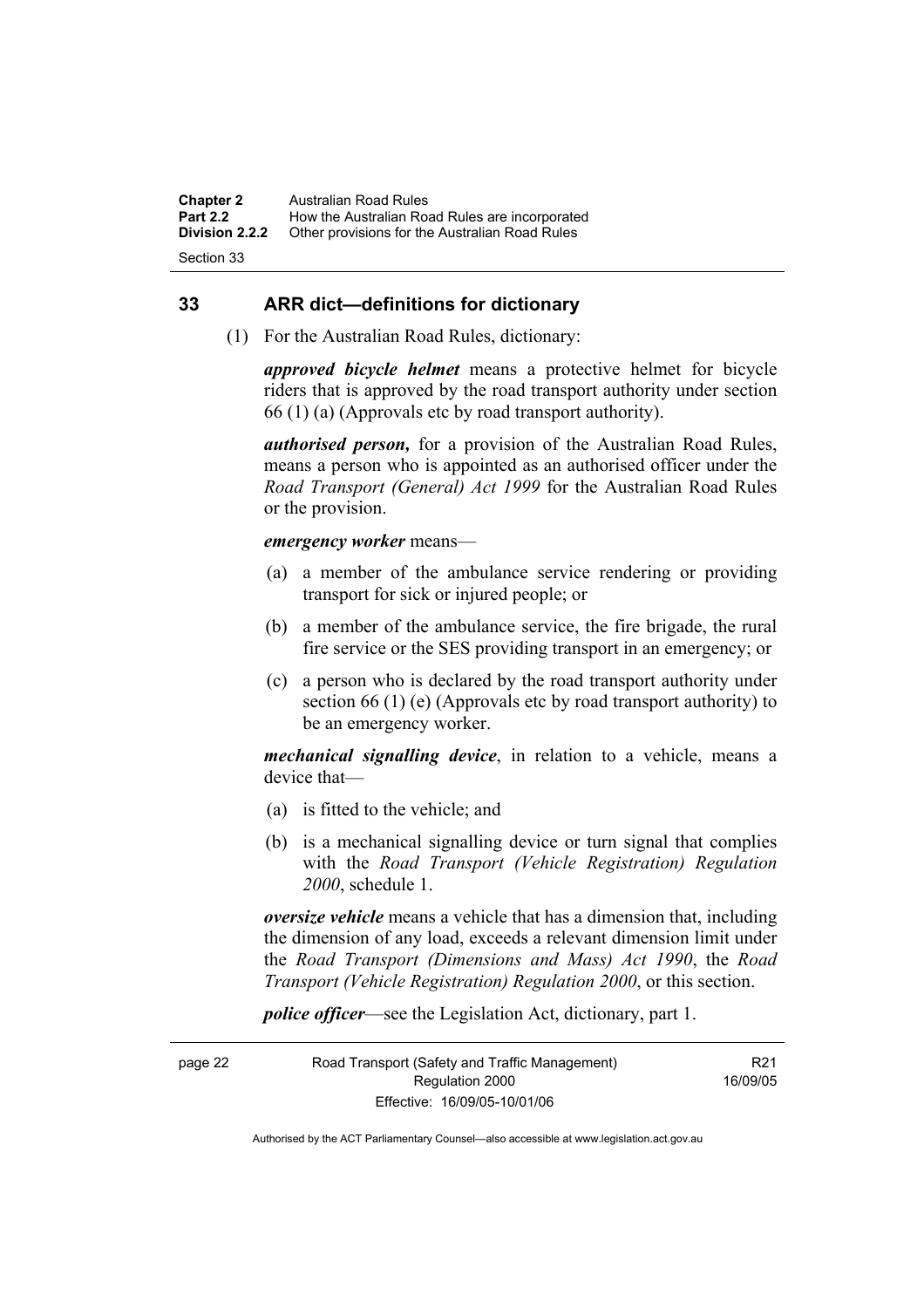**Chapter 2** Australian Road Rules<br>**Part 2.2** How the Australian Ro **Part 2.2 How the Australian Road Rules are incorporated Division 2.2.2** Other provisions for the Australian Road Rules **Other provisions for the Australian Road Rules** 

Section 33

#### **33 ARR dict—definitions for dictionary**

(1) For the Australian Road Rules, dictionary:

*approved bicycle helmet* means a protective helmet for bicycle riders that is approved by the road transport authority under section 66 (1) (a) (Approvals etc by road transport authority).

*authorised person,* for a provision of the Australian Road Rules, means a person who is appointed as an authorised officer under the *Road Transport (General) Act 1999* for the Australian Road Rules or the provision.

#### *emergency worker* means—

- (a) a member of the ambulance service rendering or providing transport for sick or injured people; or
- (b) a member of the ambulance service, the fire brigade, the rural fire service or the SES providing transport in an emergency; or
- (c) a person who is declared by the road transport authority under section 66 (1) (e) (Approvals etc by road transport authority) to be an emergency worker.

*mechanical signalling device*, in relation to a vehicle, means a device that—

- (a) is fitted to the vehicle; and
- (b) is a mechanical signalling device or turn signal that complies with the *Road Transport (Vehicle Registration) Regulation 2000*, schedule 1.

*oversize vehicle* means a vehicle that has a dimension that, including the dimension of any load, exceeds a relevant dimension limit under the *Road Transport (Dimensions and Mass) Act 1990*, the *Road Transport (Vehicle Registration) Regulation 2000*, or this section.

*police officer*—see the Legislation Act, dictionary, part 1.

page 22 Road Transport (Safety and Traffic Management) Regulation 2000 Effective: 16/09/05-10/01/06

R21 16/09/05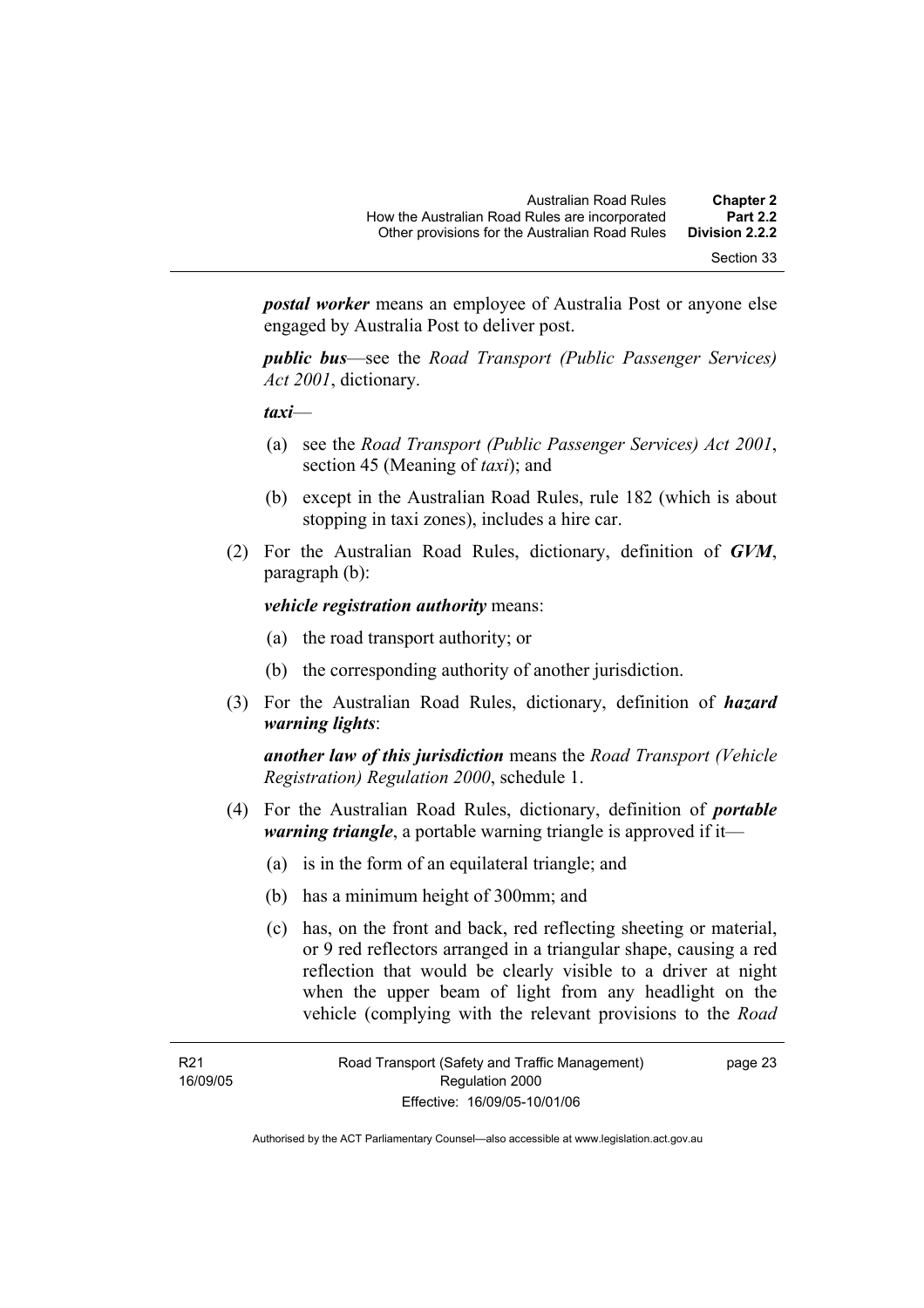Section 33

*postal worker* means an employee of Australia Post or anyone else engaged by Australia Post to deliver post.

*public bus*—see the *Road Transport (Public Passenger Services) Act 2001*, dictionary.

*taxi*—

- (a) see the *Road Transport (Public Passenger Services) Act 2001*, section 45 (Meaning of *taxi*); and
- (b) except in the Australian Road Rules, rule 182 (which is about stopping in taxi zones), includes a hire car.
- (2) For the Australian Road Rules, dictionary, definition of *GVM*, paragraph (b):

*vehicle registration authority* means:

- (a) the road transport authority; or
- (b) the corresponding authority of another jurisdiction.
- (3) For the Australian Road Rules, dictionary, definition of *hazard warning lights*:

*another law of this jurisdiction* means the *Road Transport (Vehicle Registration) Regulation 2000*, schedule 1.

- (4) For the Australian Road Rules, dictionary, definition of *portable warning triangle*, a portable warning triangle is approved if it—
	- (a) is in the form of an equilateral triangle; and
	- (b) has a minimum height of 300mm; and
	- (c) has, on the front and back, red reflecting sheeting or material, or 9 red reflectors arranged in a triangular shape, causing a red reflection that would be clearly visible to a driver at night when the upper beam of light from any headlight on the vehicle (complying with the relevant provisions to the *Road*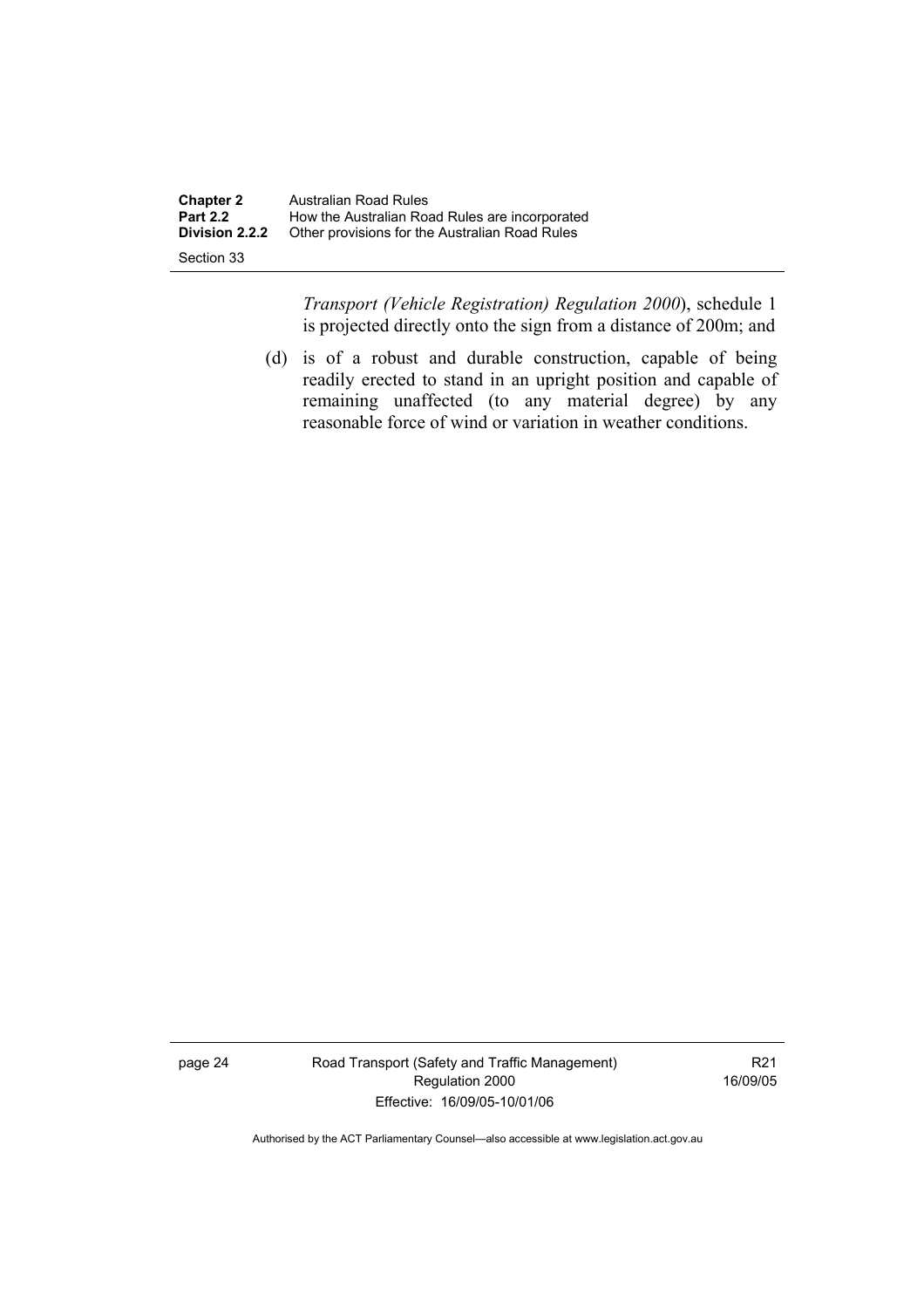| <b>Chapter 2</b> | Australian Road Rules                          |
|------------------|------------------------------------------------|
| <b>Part 2.2</b>  | How the Australian Road Rules are incorporated |
| Division 2.2.2   | Other provisions for the Australian Road Rules |
| Section 33       |                                                |

*Transport (Vehicle Registration) Regulation 2000*), schedule 1 is projected directly onto the sign from a distance of 200m; and

 (d) is of a robust and durable construction, capable of being readily erected to stand in an upright position and capable of remaining unaffected (to any material degree) by any reasonable force of wind or variation in weather conditions.

page 24 Road Transport (Safety and Traffic Management) Regulation 2000 Effective: 16/09/05-10/01/06

R21 16/09/05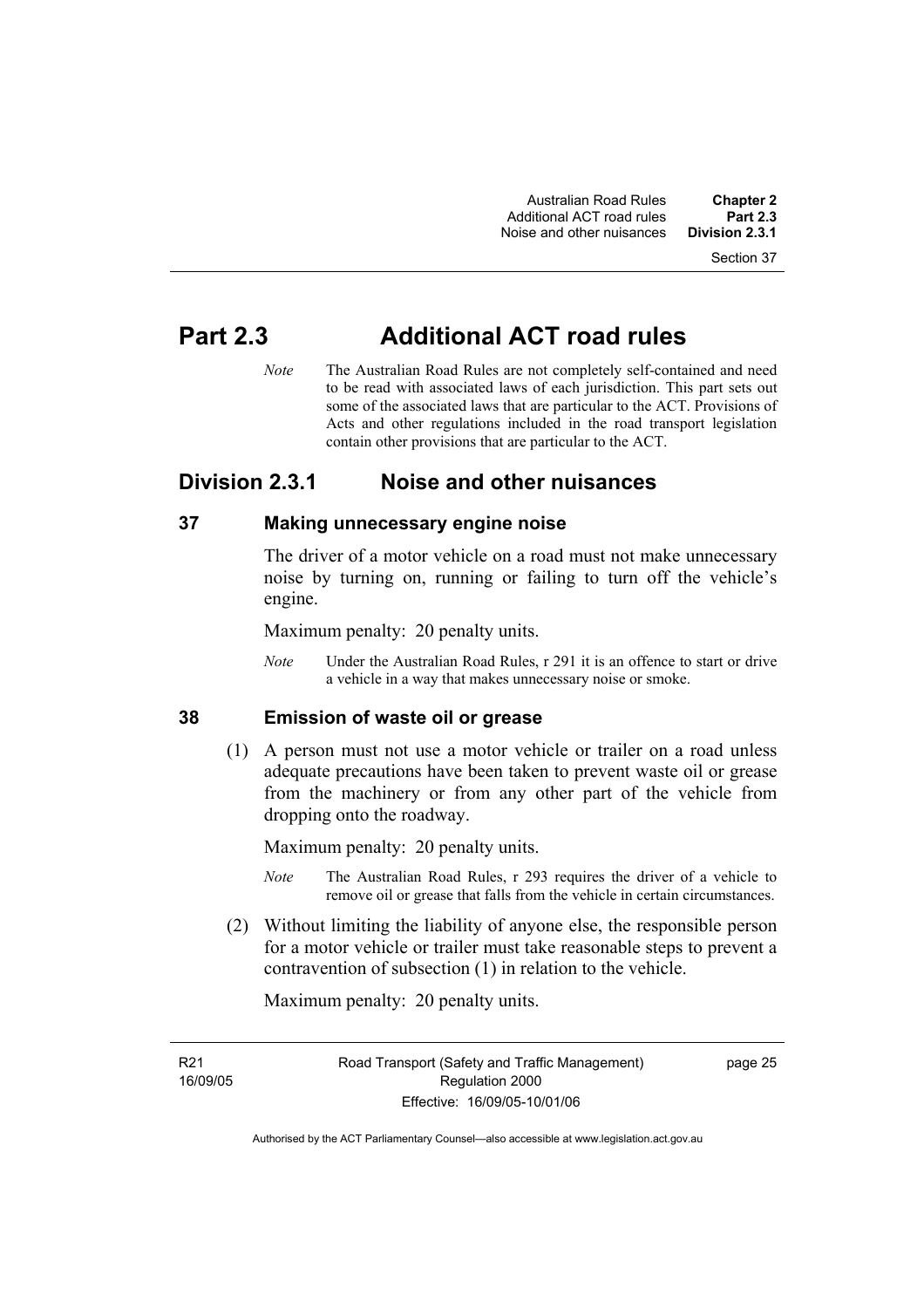Section 37

# **Part 2.3 Additional ACT road rules**

*Note* The Australian Road Rules are not completely self-contained and need to be read with associated laws of each jurisdiction. This part sets out some of the associated laws that are particular to the ACT. Provisions of Acts and other regulations included in the road transport legislation contain other provisions that are particular to the ACT.

# **Division 2.3.1 Noise and other nuisances**

# **37 Making unnecessary engine noise**

The driver of a motor vehicle on a road must not make unnecessary noise by turning on, running or failing to turn off the vehicle's engine.

Maximum penalty: 20 penalty units.

*Note* Under the Australian Road Rules, r 291 it is an offence to start or drive a vehicle in a way that makes unnecessary noise or smoke.

# **38 Emission of waste oil or grease**

 (1) A person must not use a motor vehicle or trailer on a road unless adequate precautions have been taken to prevent waste oil or grease from the machinery or from any other part of the vehicle from dropping onto the roadway.

Maximum penalty: 20 penalty units.

- *Note* The Australian Road Rules, r 293 requires the driver of a vehicle to remove oil or grease that falls from the vehicle in certain circumstances.
- (2) Without limiting the liability of anyone else, the responsible person for a motor vehicle or trailer must take reasonable steps to prevent a contravention of subsection (1) in relation to the vehicle.

Maximum penalty: 20 penalty units.

R21 16/09/05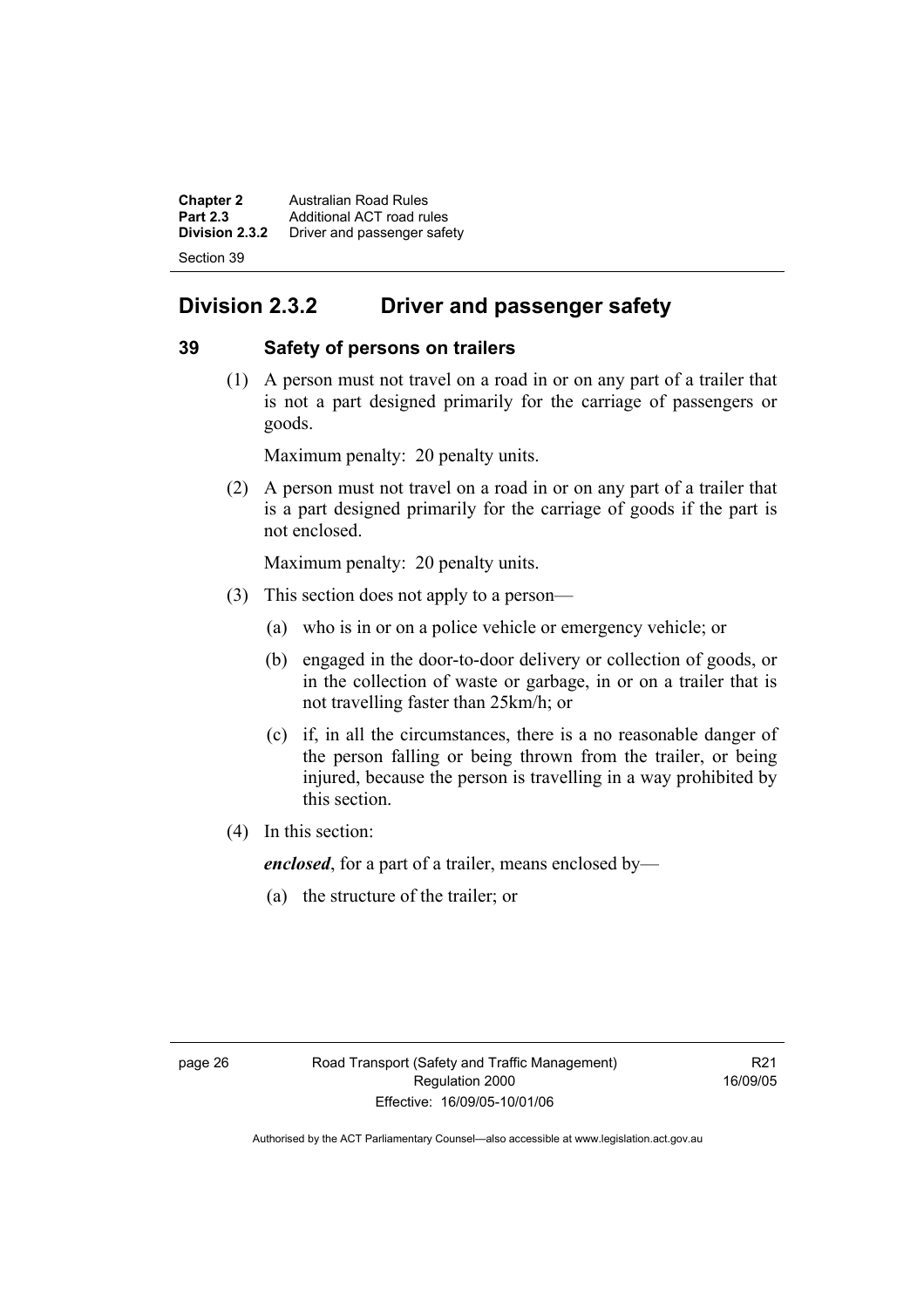**Chapter 2 Australian Road Rules**<br>**Part 2.3 Additional ACT road rules Part 2.3** Additional ACT road rules<br>**Division 2.3.2** Driver and passenger safe **Division 2.3.2** Driver and passenger safety Section 39

# **Division 2.3.2 Driver and passenger safety**

# **39 Safety of persons on trailers**

 (1) A person must not travel on a road in or on any part of a trailer that is not a part designed primarily for the carriage of passengers or goods.

Maximum penalty: 20 penalty units.

 (2) A person must not travel on a road in or on any part of a trailer that is a part designed primarily for the carriage of goods if the part is not enclosed.

Maximum penalty: 20 penalty units.

- (3) This section does not apply to a person—
	- (a) who is in or on a police vehicle or emergency vehicle; or
	- (b) engaged in the door-to-door delivery or collection of goods, or in the collection of waste or garbage, in or on a trailer that is not travelling faster than 25km/h; or
	- (c) if, in all the circumstances, there is a no reasonable danger of the person falling or being thrown from the trailer, or being injured, because the person is travelling in a way prohibited by this section.
- (4) In this section:

*enclosed*, for a part of a trailer, means enclosed by—

(a) the structure of the trailer; or

R21 16/09/05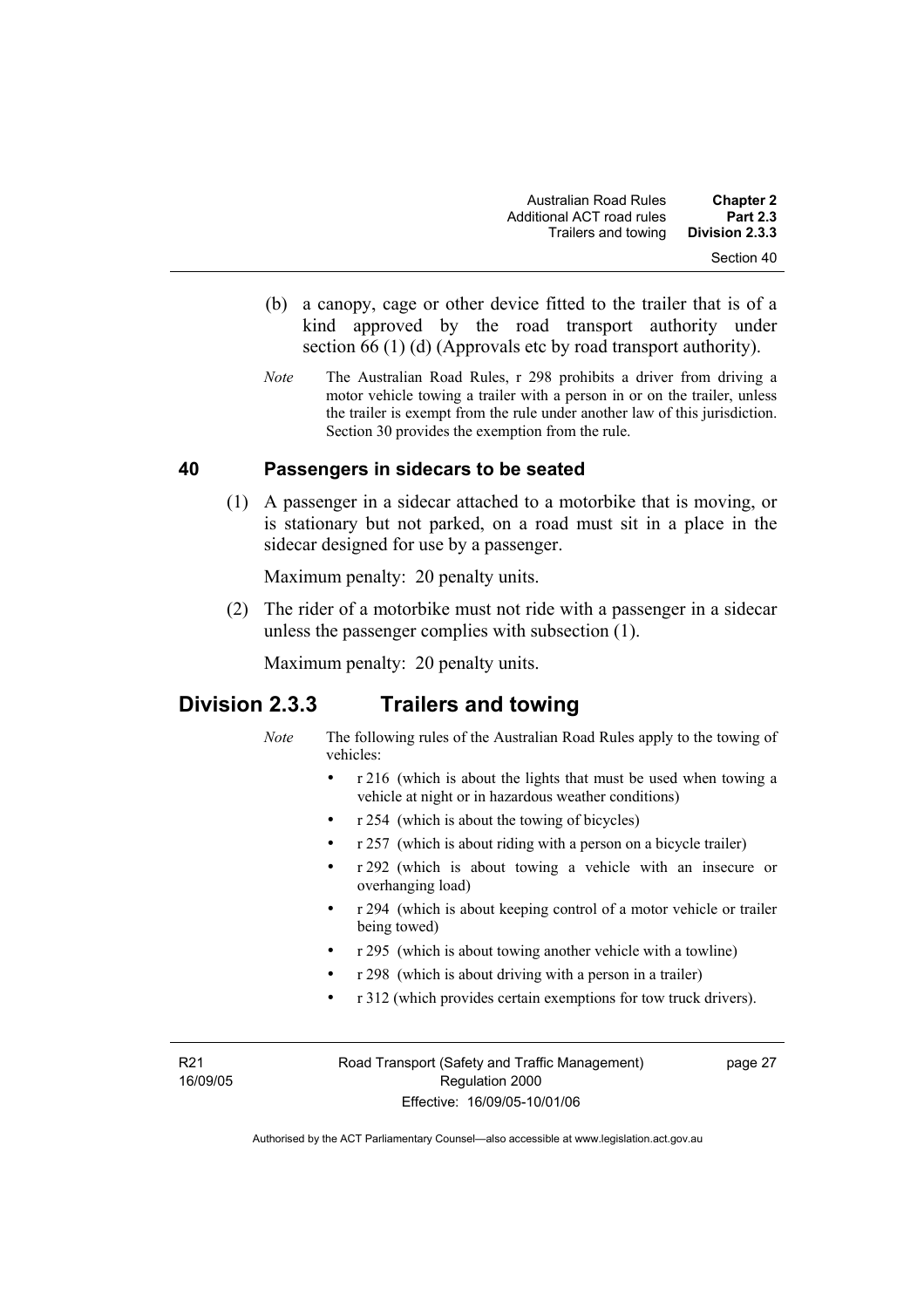- (b) a canopy, cage or other device fitted to the trailer that is of a kind approved by the road transport authority under section 66 (1) (d) (Approvals etc by road transport authority).
- *Note* The Australian Road Rules, r 298 prohibits a driver from driving a motor vehicle towing a trailer with a person in or on the trailer, unless the trailer is exempt from the rule under another law of this jurisdiction. Section 30 provides the exemption from the rule.

### **40 Passengers in sidecars to be seated**

 (1) A passenger in a sidecar attached to a motorbike that is moving, or is stationary but not parked, on a road must sit in a place in the sidecar designed for use by a passenger.

Maximum penalty: 20 penalty units.

 (2) The rider of a motorbike must not ride with a passenger in a sidecar unless the passenger complies with subsection (1).

Maximum penalty: 20 penalty units.

## **Division 2.3.3 Trailers and towing**

- *Note* The following rules of the Australian Road Rules apply to the towing of vehicles:
	- r 216 (which is about the lights that must be used when towing a vehicle at night or in hazardous weather conditions)
	- r 254 (which is about the towing of bicycles)
	- r 257 (which is about riding with a person on a bicycle trailer)
	- r 292 (which is about towing a vehicle with an insecure or overhanging load)
	- r 294 (which is about keeping control of a motor vehicle or trailer being towed)
	- r 295 (which is about towing another vehicle with a towline)
	- r 298 (which is about driving with a person in a trailer)
	- r 312 (which provides certain exemptions for tow truck drivers).

R21 16/09/05 Road Transport (Safety and Traffic Management) Regulation 2000 Effective: 16/09/05-10/01/06

page 27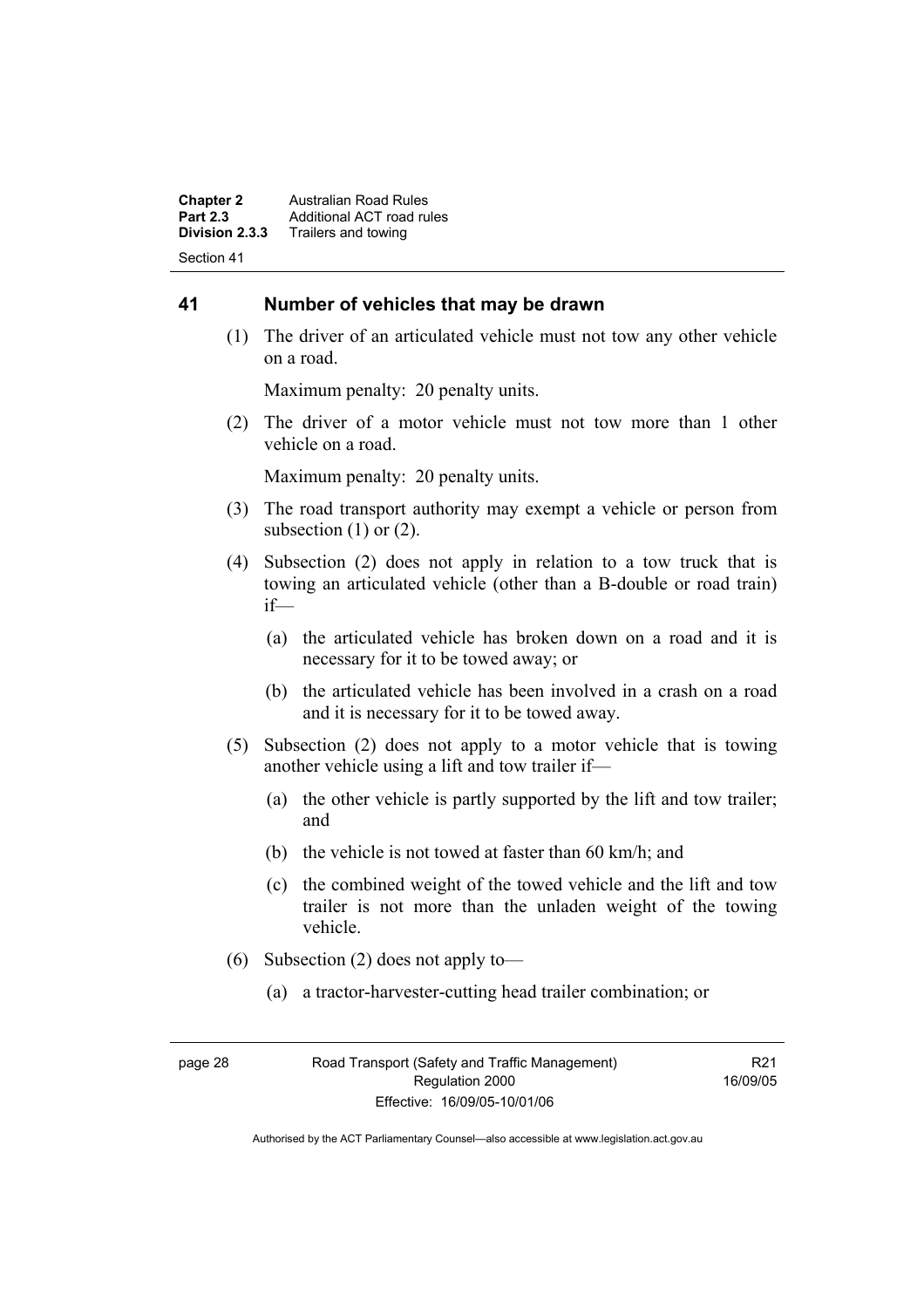**Chapter 2 Australian Road Rules**<br>**Part 2.3 Additional ACT road rules Part 2.3** Additional ACT road rules<br>**Division 2.3.3** Trailers and towing **Division 2.3.3** Trailers and towing Section 41

### **41 Number of vehicles that may be drawn**

 (1) The driver of an articulated vehicle must not tow any other vehicle on a road.

Maximum penalty: 20 penalty units.

 (2) The driver of a motor vehicle must not tow more than 1 other vehicle on a road.

Maximum penalty: 20 penalty units.

- (3) The road transport authority may exempt a vehicle or person from subsection  $(1)$  or  $(2)$ .
- (4) Subsection (2) does not apply in relation to a tow truck that is towing an articulated vehicle (other than a B-double or road train) if—
	- (a) the articulated vehicle has broken down on a road and it is necessary for it to be towed away; or
	- (b) the articulated vehicle has been involved in a crash on a road and it is necessary for it to be towed away.
- (5) Subsection (2) does not apply to a motor vehicle that is towing another vehicle using a lift and tow trailer if—
	- (a) the other vehicle is partly supported by the lift and tow trailer; and
	- (b) the vehicle is not towed at faster than 60 km/h; and
	- (c) the combined weight of the towed vehicle and the lift and tow trailer is not more than the unladen weight of the towing vehicle.
- (6) Subsection (2) does not apply to—
	- (a) a tractor-harvester-cutting head trailer combination; or

R<sub>21</sub> 16/09/05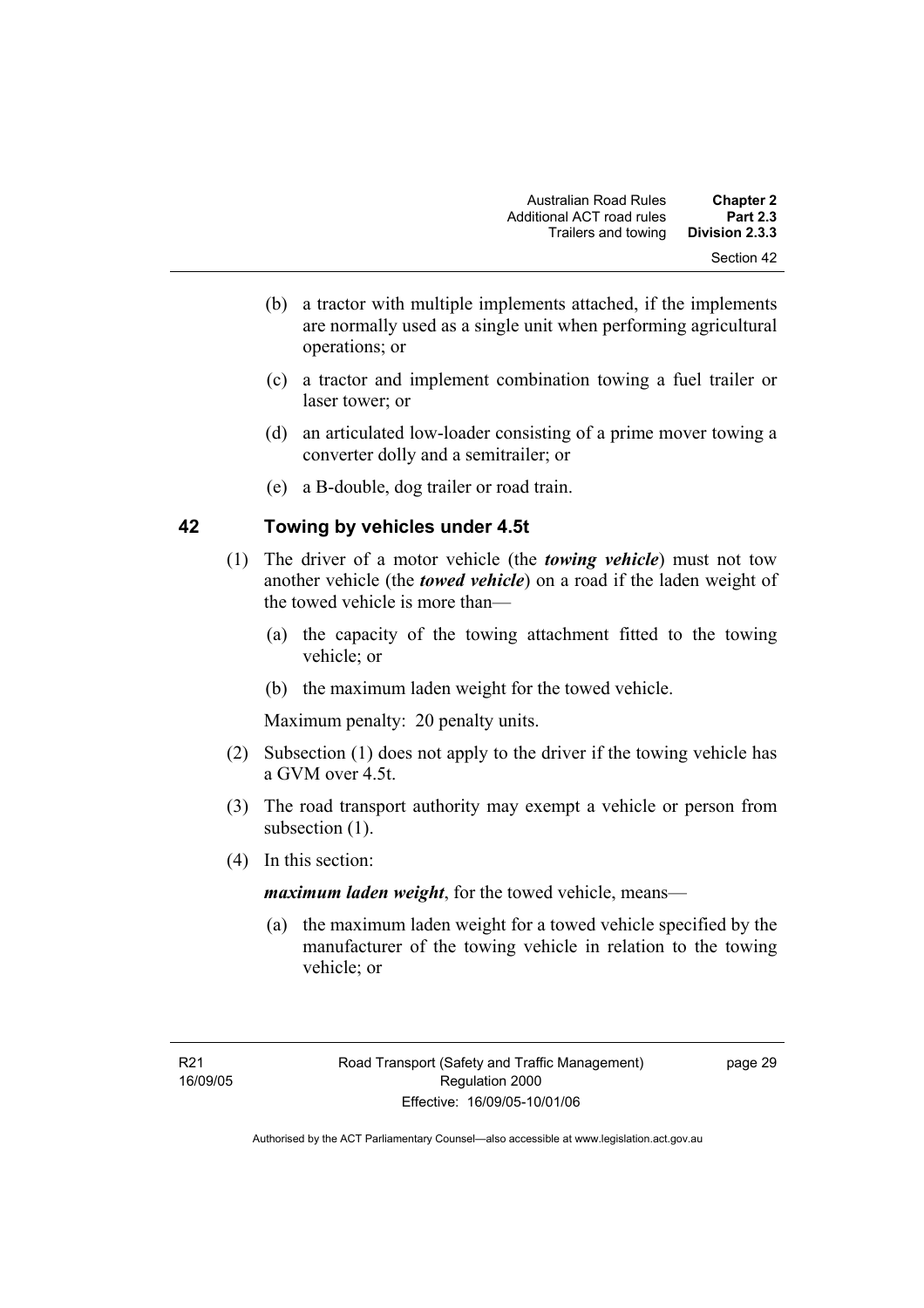- (b) a tractor with multiple implements attached, if the implements are normally used as a single unit when performing agricultural operations; or
- (c) a tractor and implement combination towing a fuel trailer or laser tower; or
- (d) an articulated low-loader consisting of a prime mover towing a converter dolly and a semitrailer; or
- (e) a B-double, dog trailer or road train.

### **42 Towing by vehicles under 4.5t**

- (1) The driver of a motor vehicle (the *towing vehicle*) must not tow another vehicle (the *towed vehicle*) on a road if the laden weight of the towed vehicle is more than—
	- (a) the capacity of the towing attachment fitted to the towing vehicle; or
	- (b) the maximum laden weight for the towed vehicle.

Maximum penalty: 20 penalty units.

- (2) Subsection (1) does not apply to the driver if the towing vehicle has a GVM over 4.5t.
- (3) The road transport authority may exempt a vehicle or person from subsection  $(1)$ .
- (4) In this section:

*maximum laden weight*, for the towed vehicle, means—

 (a) the maximum laden weight for a towed vehicle specified by the manufacturer of the towing vehicle in relation to the towing vehicle; or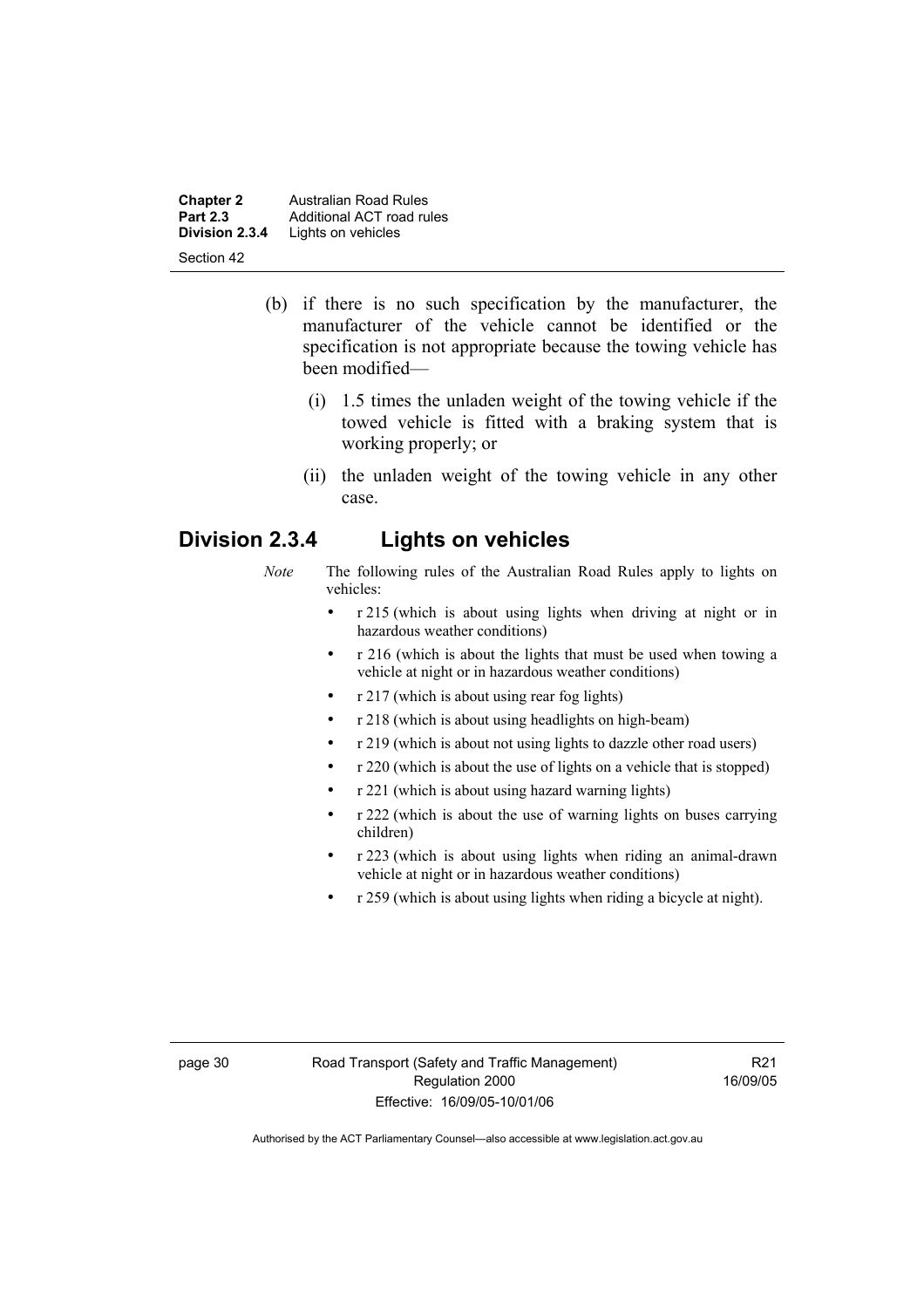**Chapter 2 Australian Road Rules**<br>**Part 2.3 Additional ACT road rules Part 2.3** Additional ACT road rules<br>**Division 2.3.4** Lights on vehicles Lights on vehicles Section 42

- (b) if there is no such specification by the manufacturer, the manufacturer of the vehicle cannot be identified or the specification is not appropriate because the towing vehicle has been modified—
	- (i) 1.5 times the unladen weight of the towing vehicle if the towed vehicle is fitted with a braking system that is working properly; or
	- (ii) the unladen weight of the towing vehicle in any other case.

### **Division 2.3.4 Lights on vehicles**

- *Note* The following rules of the Australian Road Rules apply to lights on vehicles:
	- r 215 (which is about using lights when driving at night or in hazardous weather conditions)
	- r 216 (which is about the lights that must be used when towing a vehicle at night or in hazardous weather conditions)
	- r 217 (which is about using rear fog lights)
	- r 218 (which is about using headlights on high-beam)
	- r 219 (which is about not using lights to dazzle other road users)
	- r 220 (which is about the use of lights on a vehicle that is stopped)
	- r 221 (which is about using hazard warning lights)
	- r 222 (which is about the use of warning lights on buses carrying children)
	- r 223 (which is about using lights when riding an animal-drawn vehicle at night or in hazardous weather conditions)
	- r 259 (which is about using lights when riding a bicycle at night).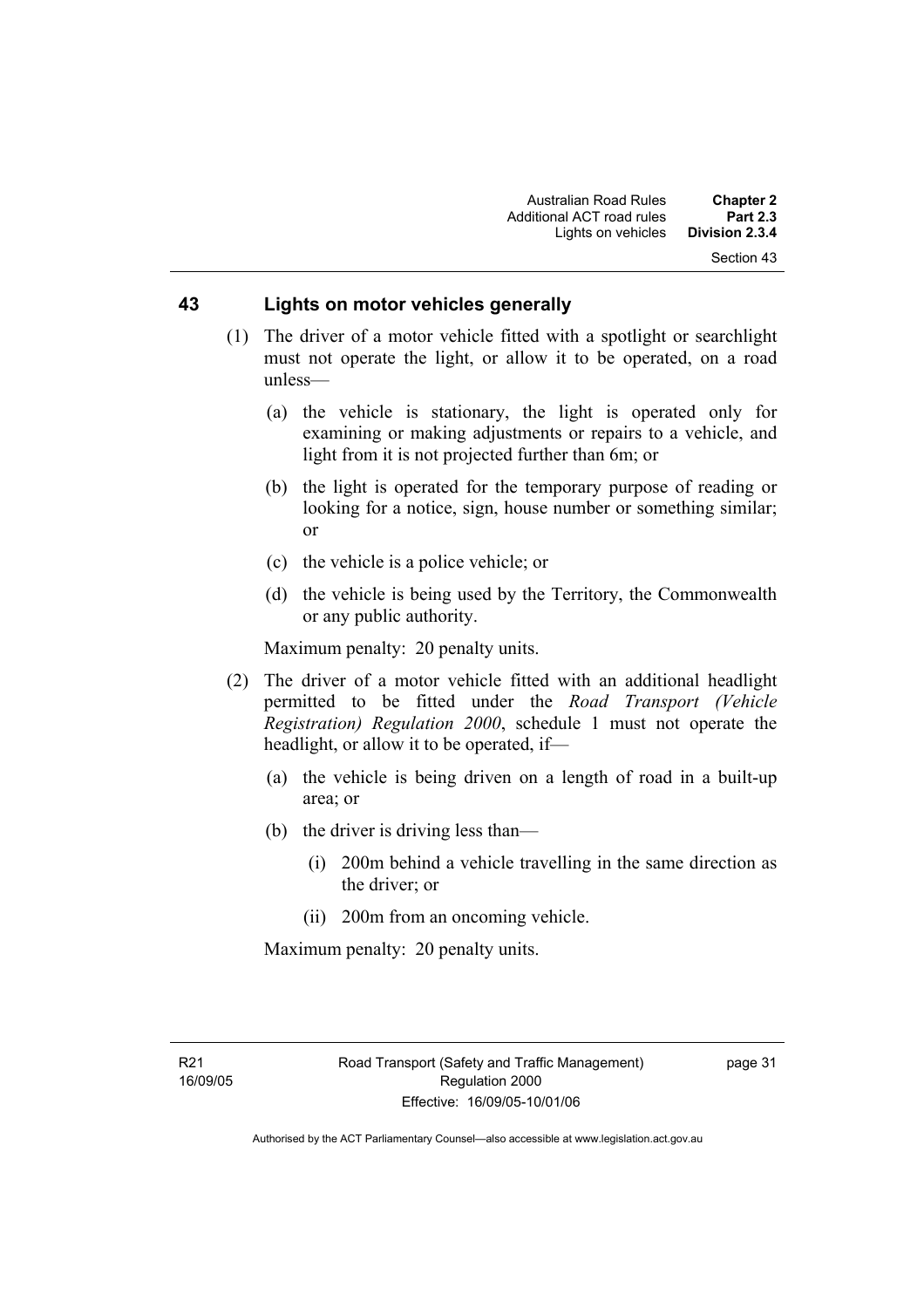### **43 Lights on motor vehicles generally**

- (1) The driver of a motor vehicle fitted with a spotlight or searchlight must not operate the light, or allow it to be operated, on a road unless—
	- (a) the vehicle is stationary, the light is operated only for examining or making adjustments or repairs to a vehicle, and light from it is not projected further than 6m; or
	- (b) the light is operated for the temporary purpose of reading or looking for a notice, sign, house number or something similar; or
	- (c) the vehicle is a police vehicle; or
	- (d) the vehicle is being used by the Territory, the Commonwealth or any public authority.

Maximum penalty: 20 penalty units.

- (2) The driver of a motor vehicle fitted with an additional headlight permitted to be fitted under the *Road Transport (Vehicle Registration) Regulation 2000*, schedule 1 must not operate the headlight, or allow it to be operated, if—
	- (a) the vehicle is being driven on a length of road in a built-up area; or
	- (b) the driver is driving less than—
		- (i) 200m behind a vehicle travelling in the same direction as the driver; or
		- (ii) 200m from an oncoming vehicle.

Maximum penalty: 20 penalty units.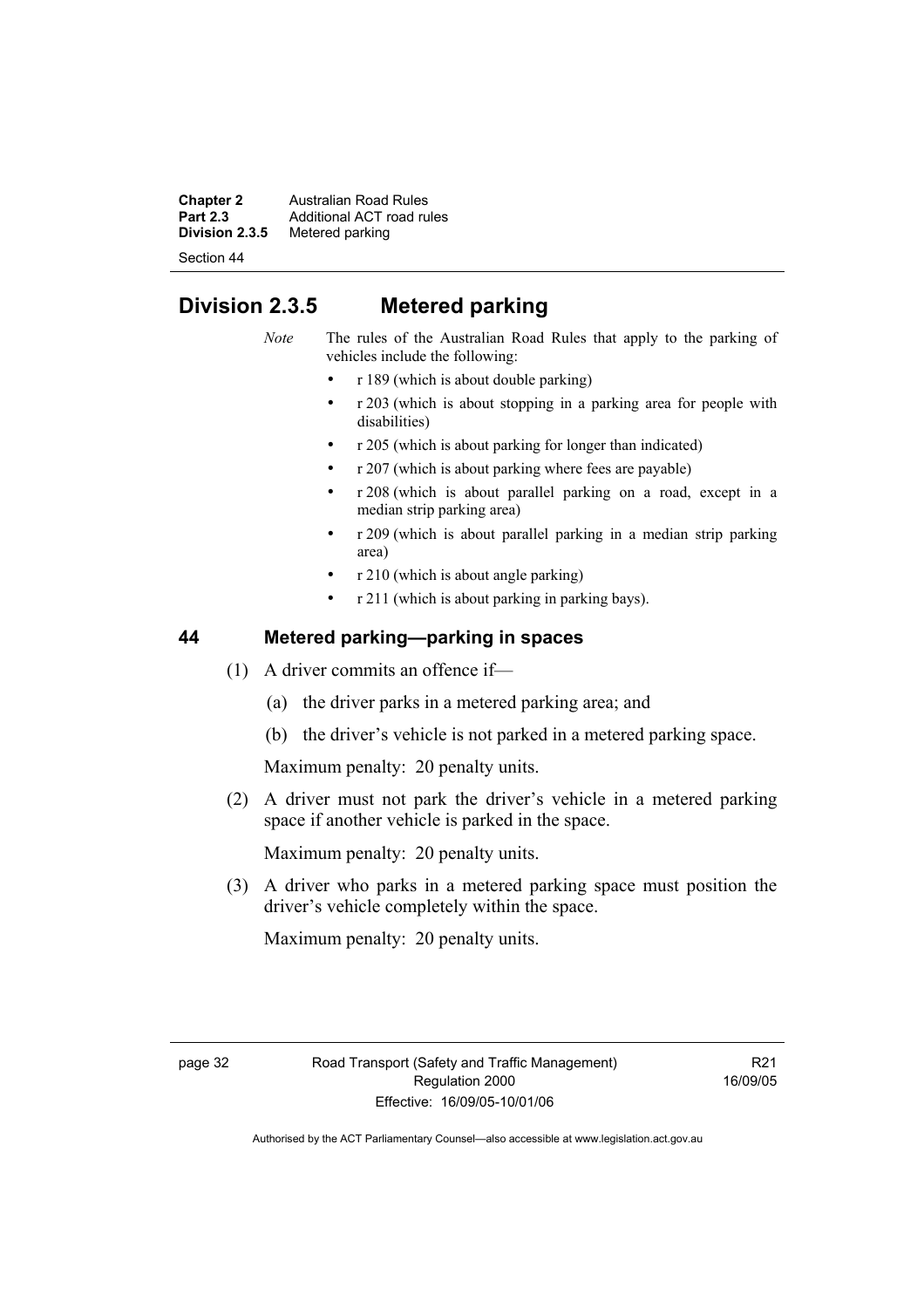**Chapter 2** Australian Road Rules<br>**Part 2.3** Additional ACT road rules **Part 2.3** Additional ACT road rules<br>**Division 2.3.5** Metered parking **Metered parking** 

Section 44

# **Division 2.3.5 Metered parking**

*Note* The rules of the Australian Road Rules that apply to the parking of vehicles include the following:

- r 189 (which is about double parking)
- r 203 (which is about stopping in a parking area for people with disabilities)
- r 205 (which is about parking for longer than indicated)
- r 207 (which is about parking where fees are payable)
- r 208 (which is about parallel parking on a road, except in a median strip parking area)
- r 209 (which is about parallel parking in a median strip parking area)
- r 210 (which is about angle parking)
- r 211 (which is about parking in parking bays).

### **44 Metered parking—parking in spaces**

- (1) A driver commits an offence if—
	- (a) the driver parks in a metered parking area; and
	- (b) the driver's vehicle is not parked in a metered parking space.

Maximum penalty: 20 penalty units.

 (2) A driver must not park the driver's vehicle in a metered parking space if another vehicle is parked in the space.

Maximum penalty: 20 penalty units.

 (3) A driver who parks in a metered parking space must position the driver's vehicle completely within the space.

Maximum penalty: 20 penalty units.

R21 16/09/05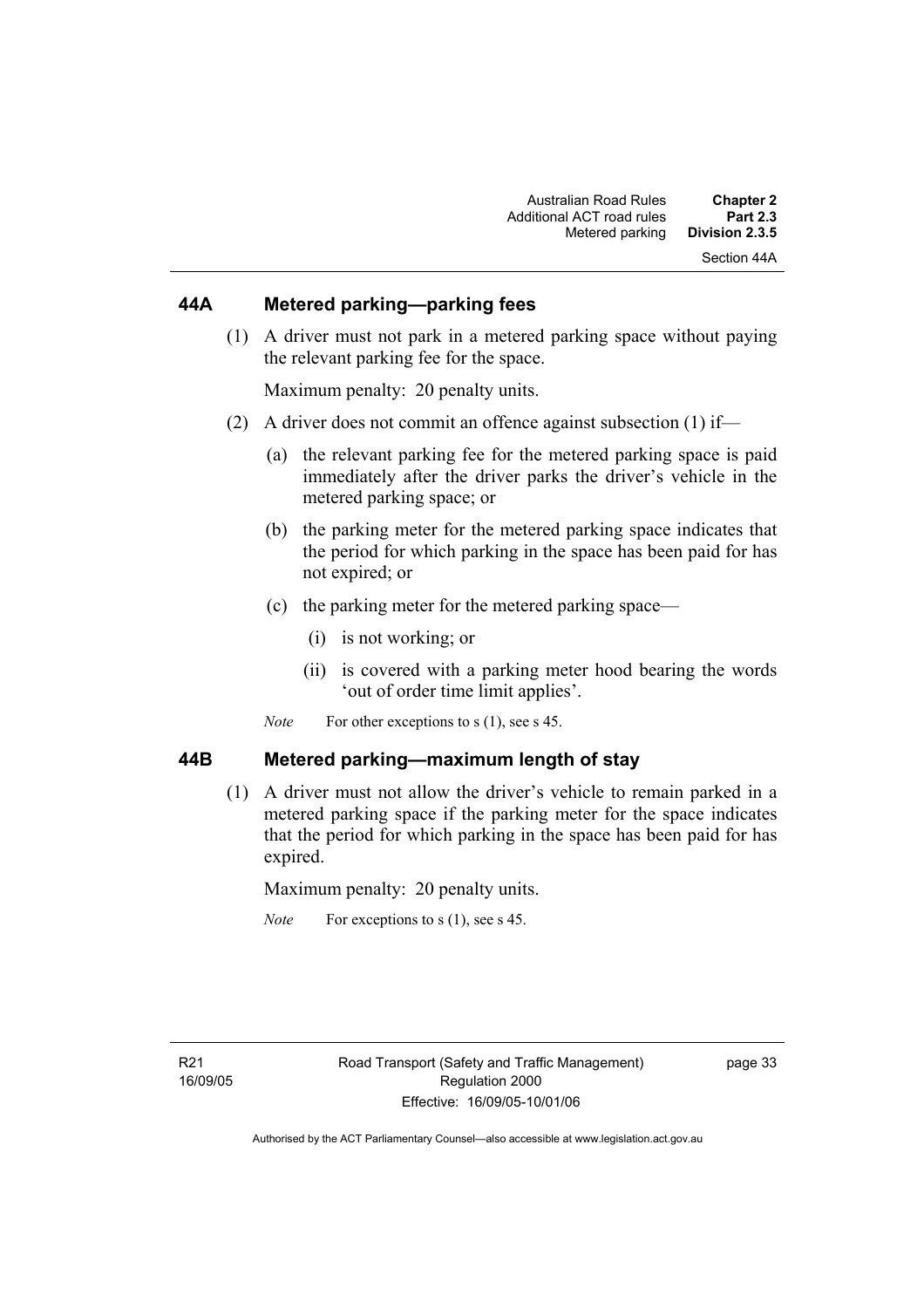### **44A Metered parking—parking fees**

 (1) A driver must not park in a metered parking space without paying the relevant parking fee for the space.

Maximum penalty: 20 penalty units.

- (2) A driver does not commit an offence against subsection (1) if—
	- (a) the relevant parking fee for the metered parking space is paid immediately after the driver parks the driver's vehicle in the metered parking space; or
	- (b) the parking meter for the metered parking space indicates that the period for which parking in the space has been paid for has not expired; or
	- (c) the parking meter for the metered parking space—
		- (i) is not working; or
		- (ii) is covered with a parking meter hood bearing the words 'out of order time limit applies'.
	- *Note* For other exceptions to s (1), see s 45.

### **44B Metered parking—maximum length of stay**

 (1) A driver must not allow the driver's vehicle to remain parked in a metered parking space if the parking meter for the space indicates that the period for which parking in the space has been paid for has expired.

Maximum penalty: 20 penalty units.

*Note* For exceptions to s (1), see s 45.

page 33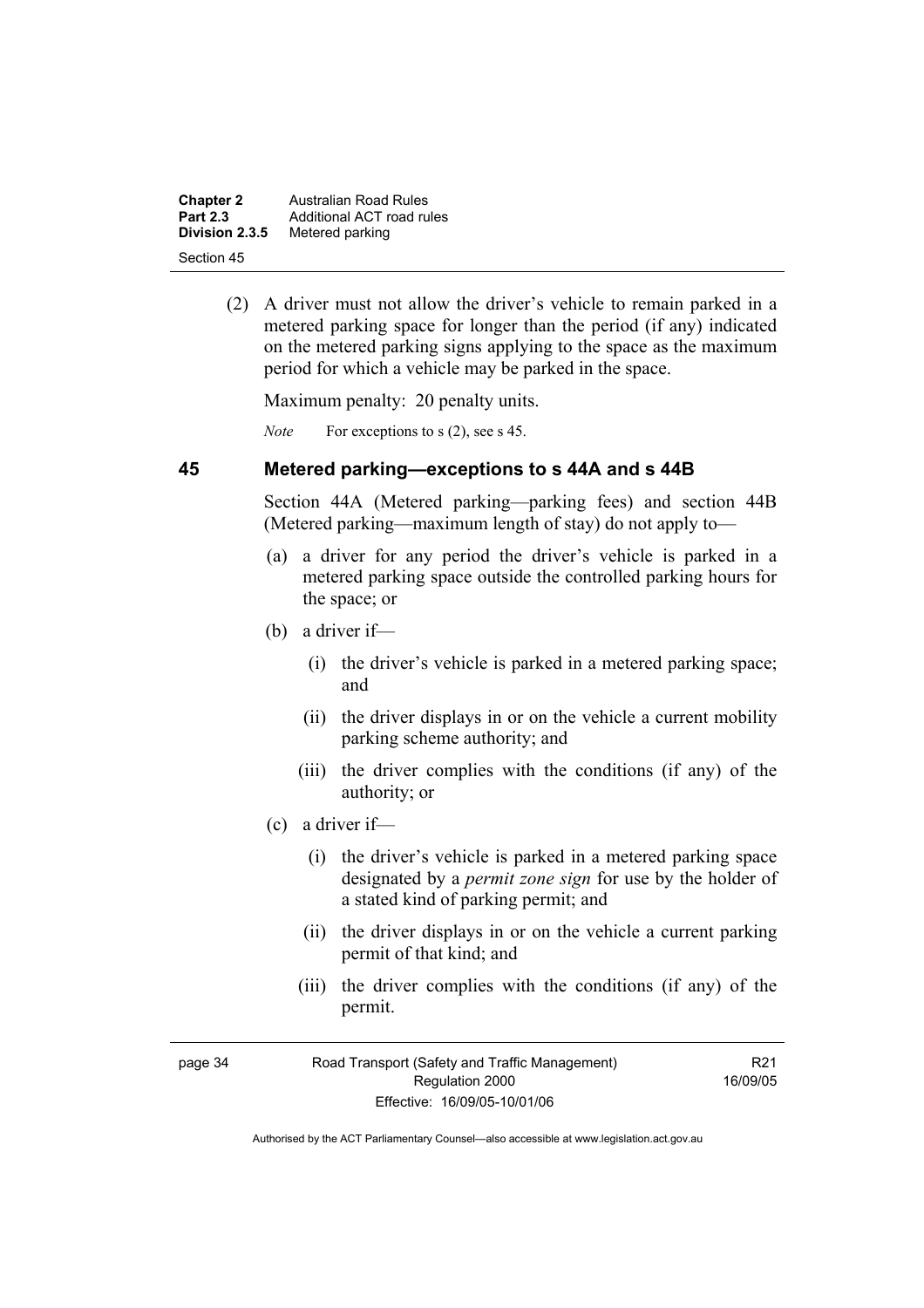| <b>Chapter 2</b> | Australian Road Rules     |
|------------------|---------------------------|
| <b>Part 2.3</b>  | Additional ACT road rules |
| Division 2.3.5   | Metered parking           |
| Section 45       |                           |

 (2) A driver must not allow the driver's vehicle to remain parked in a metered parking space for longer than the period (if any) indicated on the metered parking signs applying to the space as the maximum period for which a vehicle may be parked in the space.

Maximum penalty: 20 penalty units.

*Note* For exceptions to s (2), see s 45.

### **45 Metered parking—exceptions to s 44A and s 44B**

Section 44A (Metered parking—parking fees) and section 44B (Metered parking—maximum length of stay) do not apply to—

- (a) a driver for any period the driver's vehicle is parked in a metered parking space outside the controlled parking hours for the space; or
- (b) a driver if—
	- (i) the driver's vehicle is parked in a metered parking space; and
	- (ii) the driver displays in or on the vehicle a current mobility parking scheme authority; and
	- (iii) the driver complies with the conditions (if any) of the authority; or
- (c) a driver if—
	- (i) the driver's vehicle is parked in a metered parking space designated by a *permit zone sign* for use by the holder of a stated kind of parking permit; and
	- (ii) the driver displays in or on the vehicle a current parking permit of that kind; and
	- (iii) the driver complies with the conditions (if any) of the permit.

| page 34 |  |
|---------|--|
|         |  |

R21 16/09/05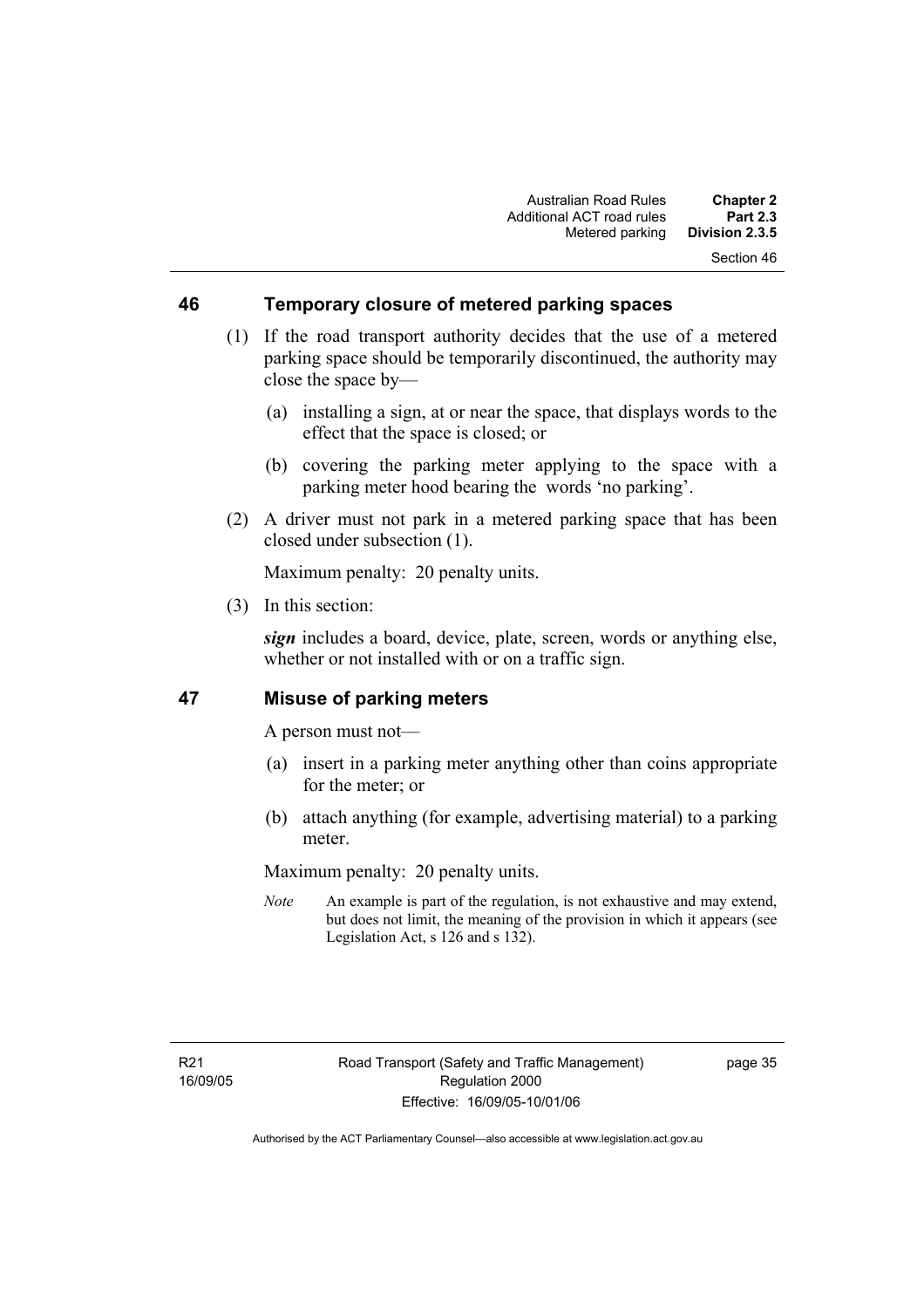### **46 Temporary closure of metered parking spaces**

- (1) If the road transport authority decides that the use of a metered parking space should be temporarily discontinued, the authority may close the space by—
	- (a) installing a sign, at or near the space, that displays words to the effect that the space is closed; or
	- (b) covering the parking meter applying to the space with a parking meter hood bearing the words 'no parking'.
- (2) A driver must not park in a metered parking space that has been closed under subsection (1).

Maximum penalty: 20 penalty units.

(3) In this section:

*sign* includes a board, device, plate, screen, words or anything else, whether or not installed with or on a traffic sign.

### **47 Misuse of parking meters**

A person must not—

- (a) insert in a parking meter anything other than coins appropriate for the meter; or
- (b) attach anything (for example, advertising material) to a parking meter.

Maximum penalty: 20 penalty units.

*Note* An example is part of the regulation, is not exhaustive and may extend, but does not limit, the meaning of the provision in which it appears (see Legislation Act, s 126 and s 132).

page 35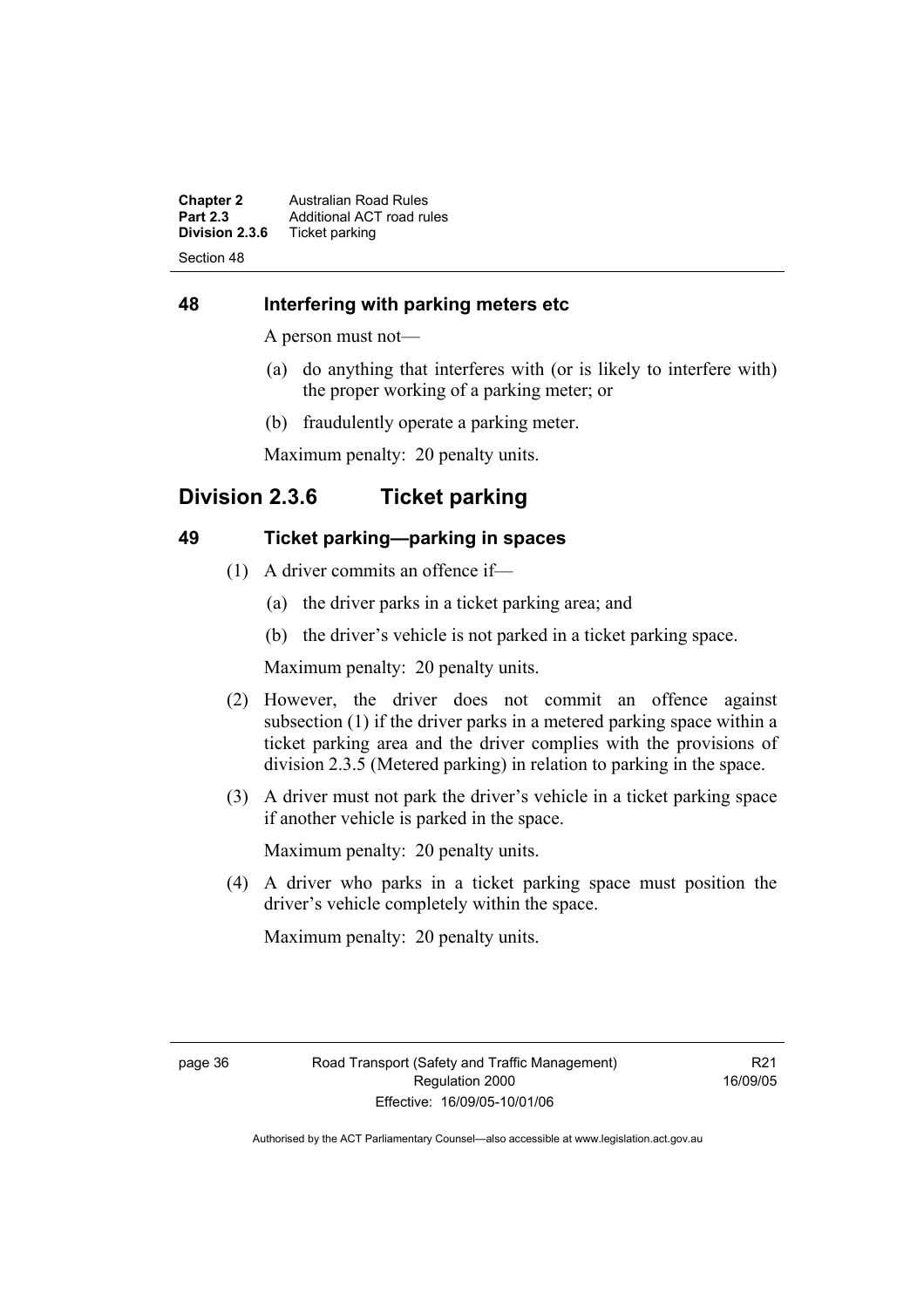**Chapter 2** Australian Road Rules<br>**Part 2.3** Additional ACT road rules **Part 2.3** Additional ACT road rules<br>**Division 2.3.6** Ticket parking **Ticket parking** Section 48

### **48 Interfering with parking meters etc**

A person must not—

- (a) do anything that interferes with (or is likely to interfere with) the proper working of a parking meter; or
- (b) fraudulently operate a parking meter.

Maximum penalty: 20 penalty units.

# **Division 2.3.6 Ticket parking**

### **49 Ticket parking—parking in spaces**

- (1) A driver commits an offence if—
	- (a) the driver parks in a ticket parking area; and
	- (b) the driver's vehicle is not parked in a ticket parking space.

Maximum penalty: 20 penalty units.

- (2) However, the driver does not commit an offence against subsection (1) if the driver parks in a metered parking space within a ticket parking area and the driver complies with the provisions of division 2.3.5 (Metered parking) in relation to parking in the space.
- (3) A driver must not park the driver's vehicle in a ticket parking space if another vehicle is parked in the space.

Maximum penalty: 20 penalty units.

 (4) A driver who parks in a ticket parking space must position the driver's vehicle completely within the space.

Maximum penalty: 20 penalty units.

R21 16/09/05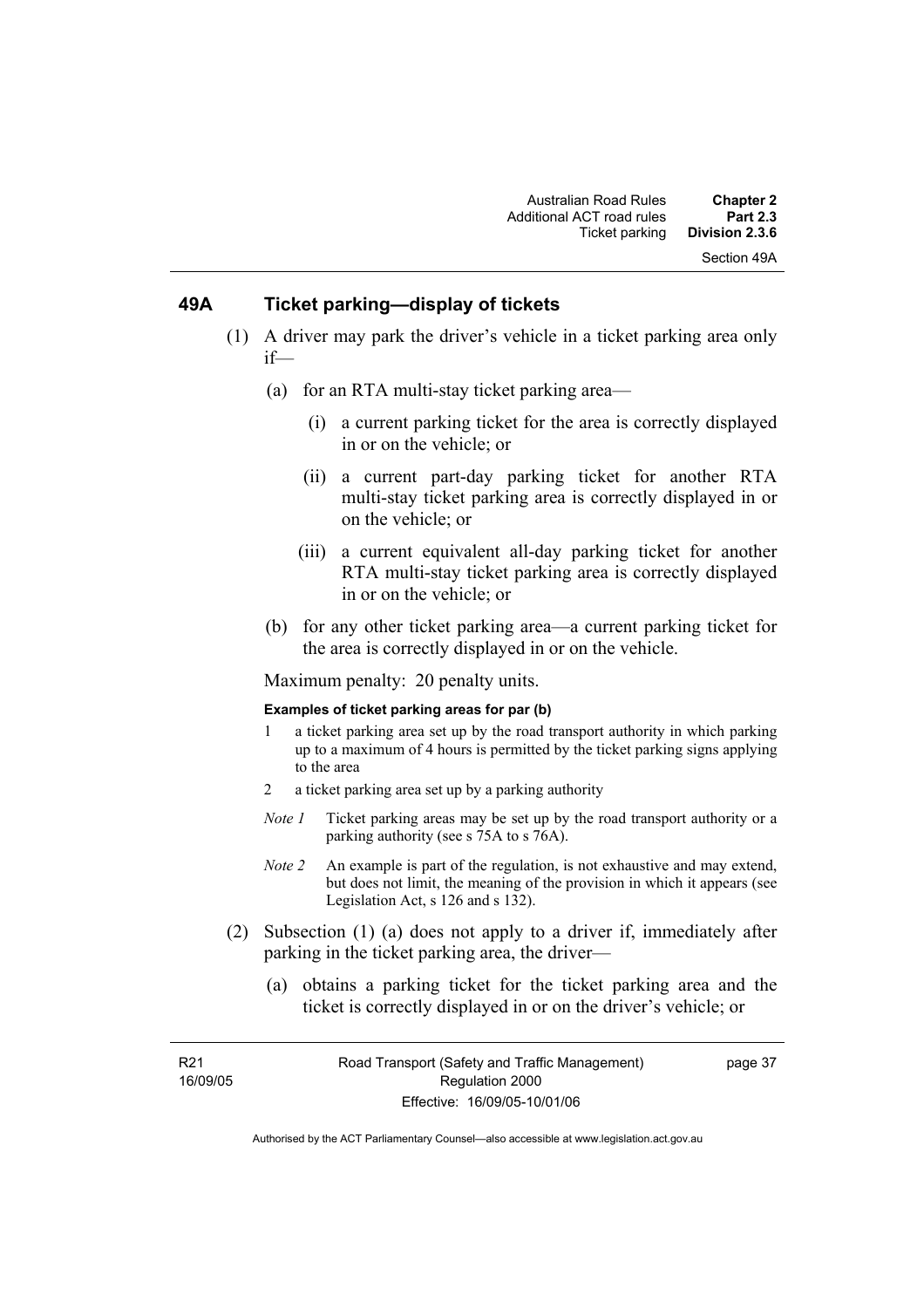### **49A Ticket parking—display of tickets**

- (1) A driver may park the driver's vehicle in a ticket parking area only if—
	- (a) for an RTA multi-stay ticket parking area—
		- (i) a current parking ticket for the area is correctly displayed in or on the vehicle; or
		- (ii) a current part-day parking ticket for another RTA multi-stay ticket parking area is correctly displayed in or on the vehicle; or
		- (iii) a current equivalent all-day parking ticket for another RTA multi-stay ticket parking area is correctly displayed in or on the vehicle; or
	- (b) for any other ticket parking area—a current parking ticket for the area is correctly displayed in or on the vehicle.

Maximum penalty: 20 penalty units.

#### **Examples of ticket parking areas for par (b)**

- 1 a ticket parking area set up by the road transport authority in which parking up to a maximum of 4 hours is permitted by the ticket parking signs applying to the area
- 2 a ticket parking area set up by a parking authority
- *Note 1* Ticket parking areas may be set up by the road transport authority or a parking authority (see s 75A to s 76A).
- *Note 2* An example is part of the regulation, is not exhaustive and may extend, but does not limit, the meaning of the provision in which it appears (see Legislation Act, s 126 and s 132).
- (2) Subsection (1) (a) does not apply to a driver if, immediately after parking in the ticket parking area, the driver—
	- (a) obtains a parking ticket for the ticket parking area and the ticket is correctly displayed in or on the driver's vehicle; or

R21 16/09/05 page 37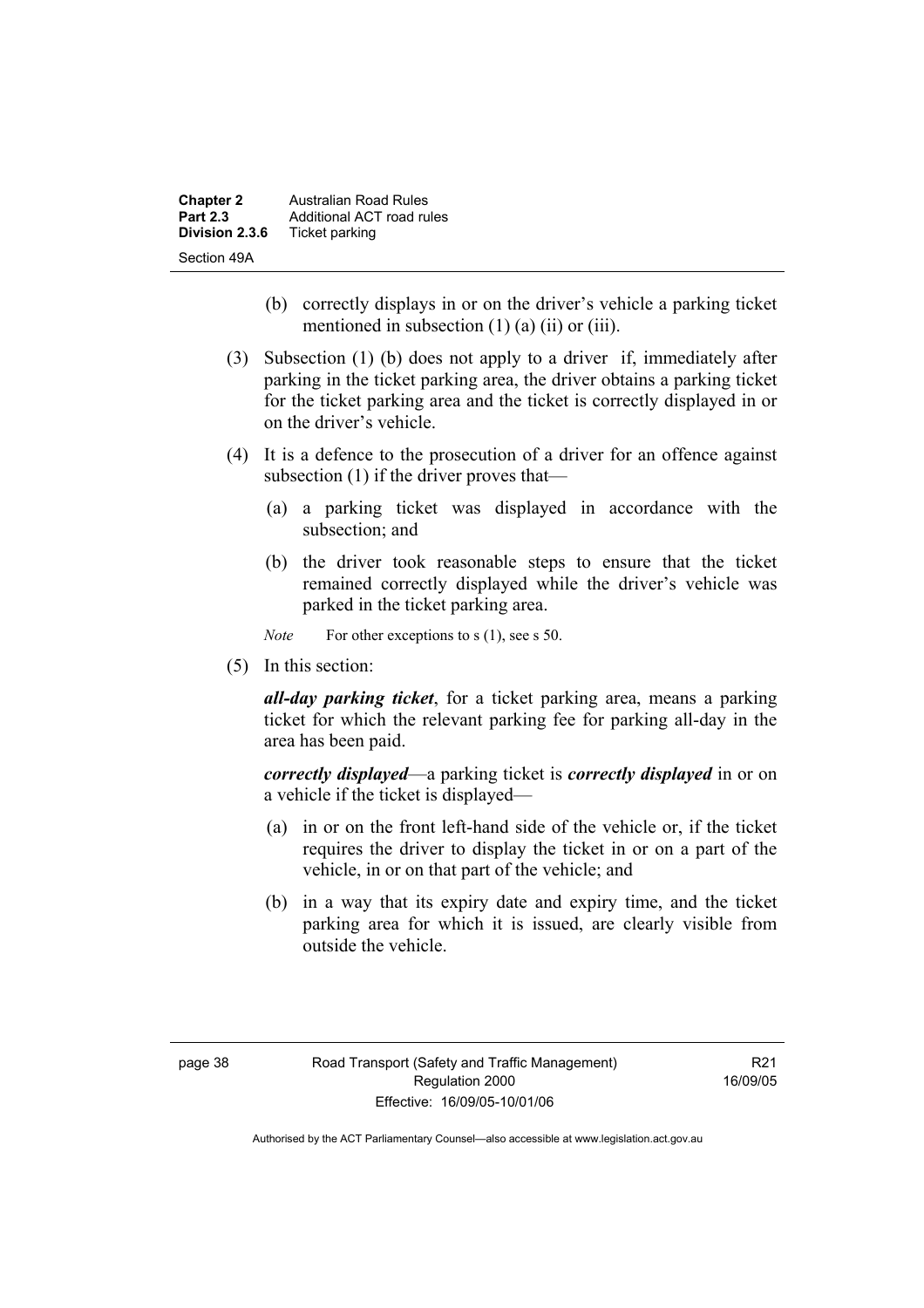| <b>Chapter 2</b> | <b>Australian Road Rules</b> |
|------------------|------------------------------|
| <b>Part 2.3</b>  | Additional ACT road rules    |
| Division 2.3.6   | Ticket parking               |
| Section 49A      |                              |

- (b) correctly displays in or on the driver's vehicle a parking ticket mentioned in subsection  $(1)$   $(a)$   $(ii)$  or  $(iii)$ .
- (3) Subsection (1) (b) does not apply to a driver if, immediately after parking in the ticket parking area, the driver obtains a parking ticket for the ticket parking area and the ticket is correctly displayed in or on the driver's vehicle.
- (4) It is a defence to the prosecution of a driver for an offence against subsection (1) if the driver proves that—
	- (a) a parking ticket was displayed in accordance with the subsection; and
	- (b) the driver took reasonable steps to ensure that the ticket remained correctly displayed while the driver's vehicle was parked in the ticket parking area.

*Note* For other exceptions to s (1), see s 50.

(5) In this section:

*all-day parking ticket*, for a ticket parking area, means a parking ticket for which the relevant parking fee for parking all-day in the area has been paid.

*correctly displayed*—a parking ticket is *correctly displayed* in or on a vehicle if the ticket is displayed—

- (a) in or on the front left-hand side of the vehicle or, if the ticket requires the driver to display the ticket in or on a part of the vehicle, in or on that part of the vehicle; and
- (b) in a way that its expiry date and expiry time, and the ticket parking area for which it is issued, are clearly visible from outside the vehicle.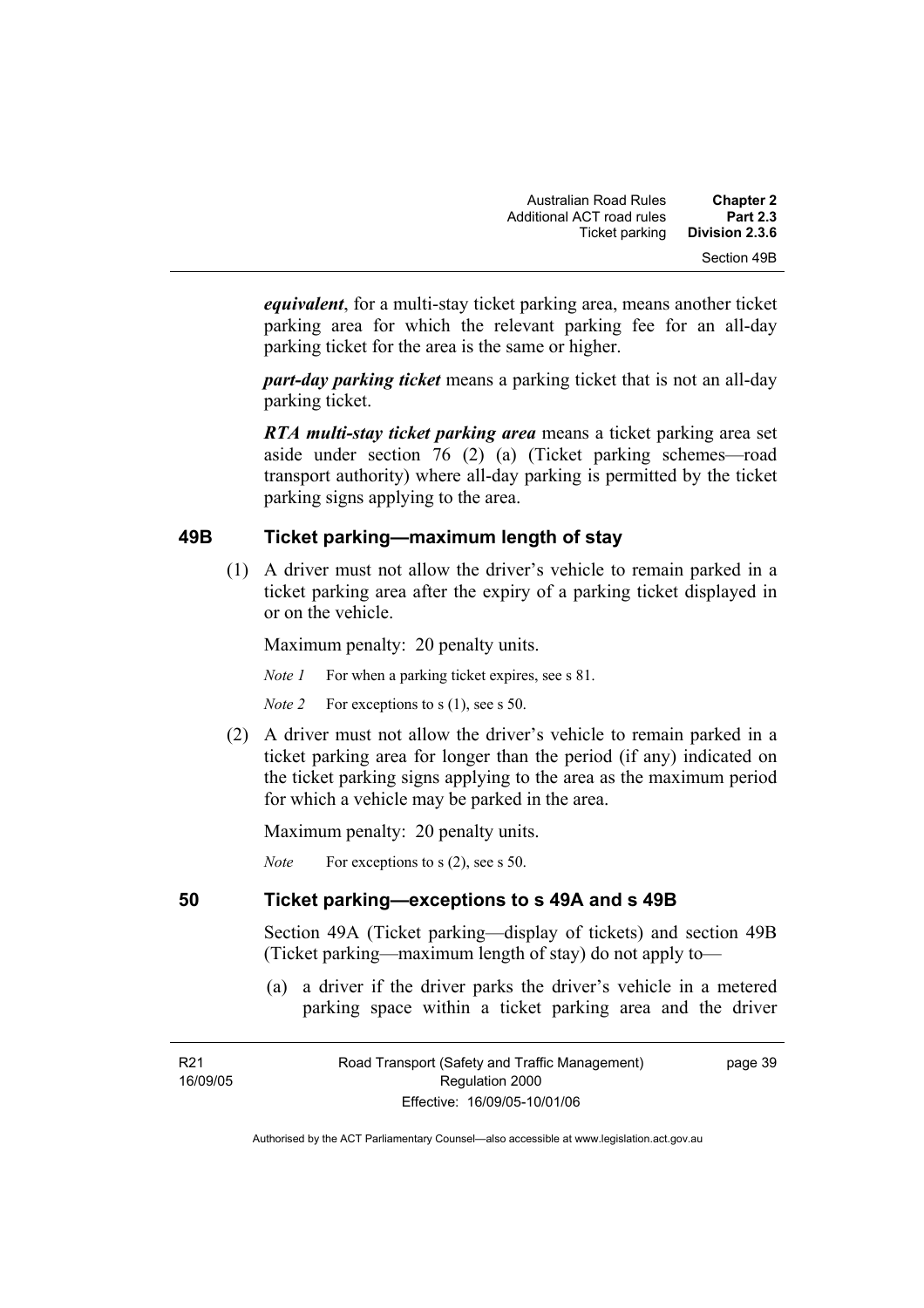*equivalent*, for a multi-stay ticket parking area, means another ticket parking area for which the relevant parking fee for an all-day parking ticket for the area is the same or higher.

*part-day parking ticket* means a parking ticket that is not an all-day parking ticket.

*RTA multi-stay ticket parking area* means a ticket parking area set aside under section 76 (2) (a) (Ticket parking schemes—road transport authority) where all-day parking is permitted by the ticket parking signs applying to the area.

### **49B Ticket parking—maximum length of stay**

 (1) A driver must not allow the driver's vehicle to remain parked in a ticket parking area after the expiry of a parking ticket displayed in or on the vehicle.

Maximum penalty: 20 penalty units.

*Note 1* For when a parking ticket expires, see s 81.

*Note 2* For exceptions to s (1), see s 50.

 (2) A driver must not allow the driver's vehicle to remain parked in a ticket parking area for longer than the period (if any) indicated on the ticket parking signs applying to the area as the maximum period for which a vehicle may be parked in the area.

Maximum penalty: 20 penalty units.

*Note* For exceptions to s (2), see s 50.

### **50 Ticket parking—exceptions to s 49A and s 49B**

Section 49A (Ticket parking—display of tickets) and section 49B (Ticket parking—maximum length of stay) do not apply to—

 (a) a driver if the driver parks the driver's vehicle in a metered parking space within a ticket parking area and the driver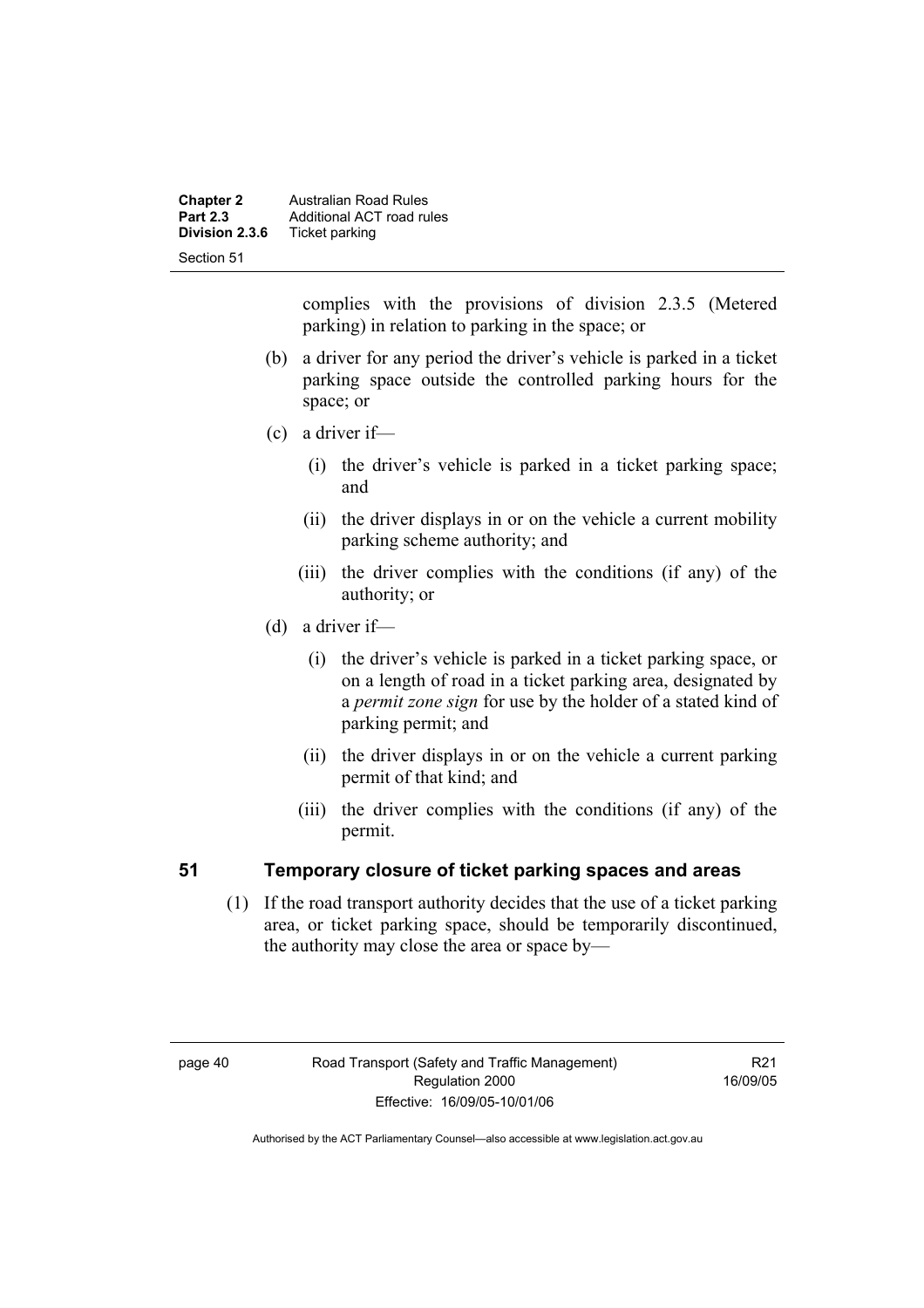| <b>Chapter 2</b><br><b>Part 2.3</b> | <b>Australian Road Rules</b><br>Additional ACT road rules |
|-------------------------------------|-----------------------------------------------------------|
| Division 2.3.6                      | Ticket parking                                            |
| Section 51                          |                                                           |

complies with the provisions of division 2.3.5 (Metered parking) in relation to parking in the space; or

- (b) a driver for any period the driver's vehicle is parked in a ticket parking space outside the controlled parking hours for the space; or
- (c) a driver if—
	- (i) the driver's vehicle is parked in a ticket parking space; and
	- (ii) the driver displays in or on the vehicle a current mobility parking scheme authority; and
	- (iii) the driver complies with the conditions (if any) of the authority; or
- (d) a driver if—
	- (i) the driver's vehicle is parked in a ticket parking space, or on a length of road in a ticket parking area, designated by a *permit zone sign* for use by the holder of a stated kind of parking permit; and
	- (ii) the driver displays in or on the vehicle a current parking permit of that kind; and
	- (iii) the driver complies with the conditions (if any) of the permit.

### **51 Temporary closure of ticket parking spaces and areas**

 (1) If the road transport authority decides that the use of a ticket parking area, or ticket parking space, should be temporarily discontinued, the authority may close the area or space by—

R21 16/09/05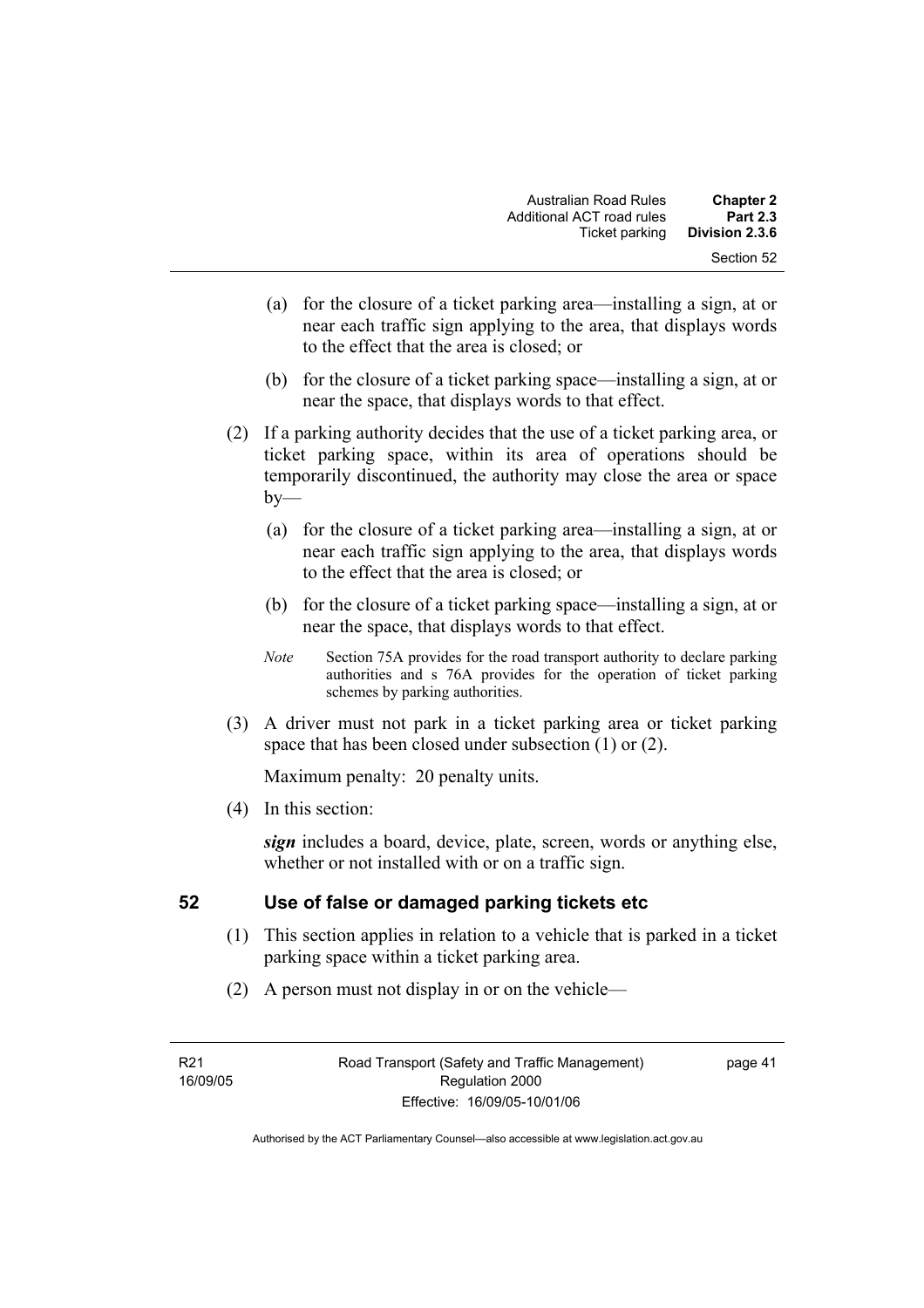- (a) for the closure of a ticket parking area—installing a sign, at or near each traffic sign applying to the area, that displays words to the effect that the area is closed; or
- (b) for the closure of a ticket parking space—installing a sign, at or near the space, that displays words to that effect.
- (2) If a parking authority decides that the use of a ticket parking area, or ticket parking space, within its area of operations should be temporarily discontinued, the authority may close the area or space  $by-$ 
	- (a) for the closure of a ticket parking area—installing a sign, at or near each traffic sign applying to the area, that displays words to the effect that the area is closed; or
	- (b) for the closure of a ticket parking space—installing a sign, at or near the space, that displays words to that effect.
	- *Note* Section 75A provides for the road transport authority to declare parking authorities and s 76A provides for the operation of ticket parking schemes by parking authorities.
- (3) A driver must not park in a ticket parking area or ticket parking space that has been closed under subsection (1) or (2).

(4) In this section:

*sign* includes a board, device, plate, screen, words or anything else, whether or not installed with or on a traffic sign.

## **52 Use of false or damaged parking tickets etc**

- (1) This section applies in relation to a vehicle that is parked in a ticket parking space within a ticket parking area.
- (2) A person must not display in or on the vehicle—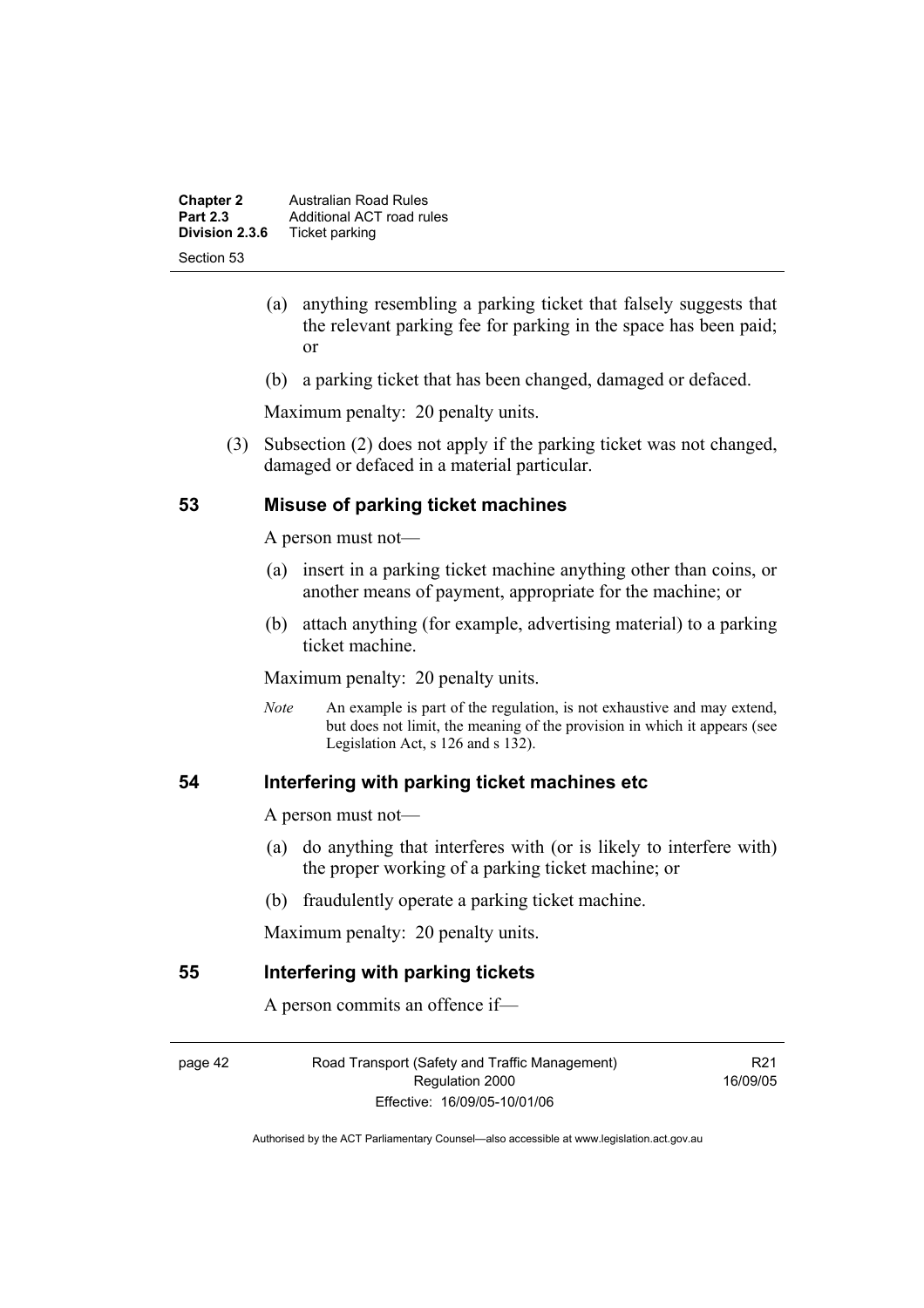| <b>Chapter 2</b><br><b>Part 2.3</b> | <b>Australian Road Rules</b><br>Additional ACT road rules |
|-------------------------------------|-----------------------------------------------------------|
| Division 2.3.6                      | Ticket parking                                            |
| Section 53                          |                                                           |

- (a) anything resembling a parking ticket that falsely suggests that the relevant parking fee for parking in the space has been paid; or
- (b) a parking ticket that has been changed, damaged or defaced.

 (3) Subsection (2) does not apply if the parking ticket was not changed, damaged or defaced in a material particular.

### **53 Misuse of parking ticket machines**

A person must not—

- (a) insert in a parking ticket machine anything other than coins, or another means of payment, appropriate for the machine; or
- (b) attach anything (for example, advertising material) to a parking ticket machine.

Maximum penalty: 20 penalty units.

*Note* An example is part of the regulation, is not exhaustive and may extend, but does not limit, the meaning of the provision in which it appears (see Legislation Act, s 126 and s 132).

### **54 Interfering with parking ticket machines etc**

A person must not—

- (a) do anything that interferes with (or is likely to interfere with) the proper working of a parking ticket machine; or
- (b) fraudulently operate a parking ticket machine.

Maximum penalty: 20 penalty units.

### **55 Interfering with parking tickets**

A person commits an offence if—

page 42 Road Transport (Safety and Traffic Management) Regulation 2000 Effective: 16/09/05-10/01/06

R21 16/09/05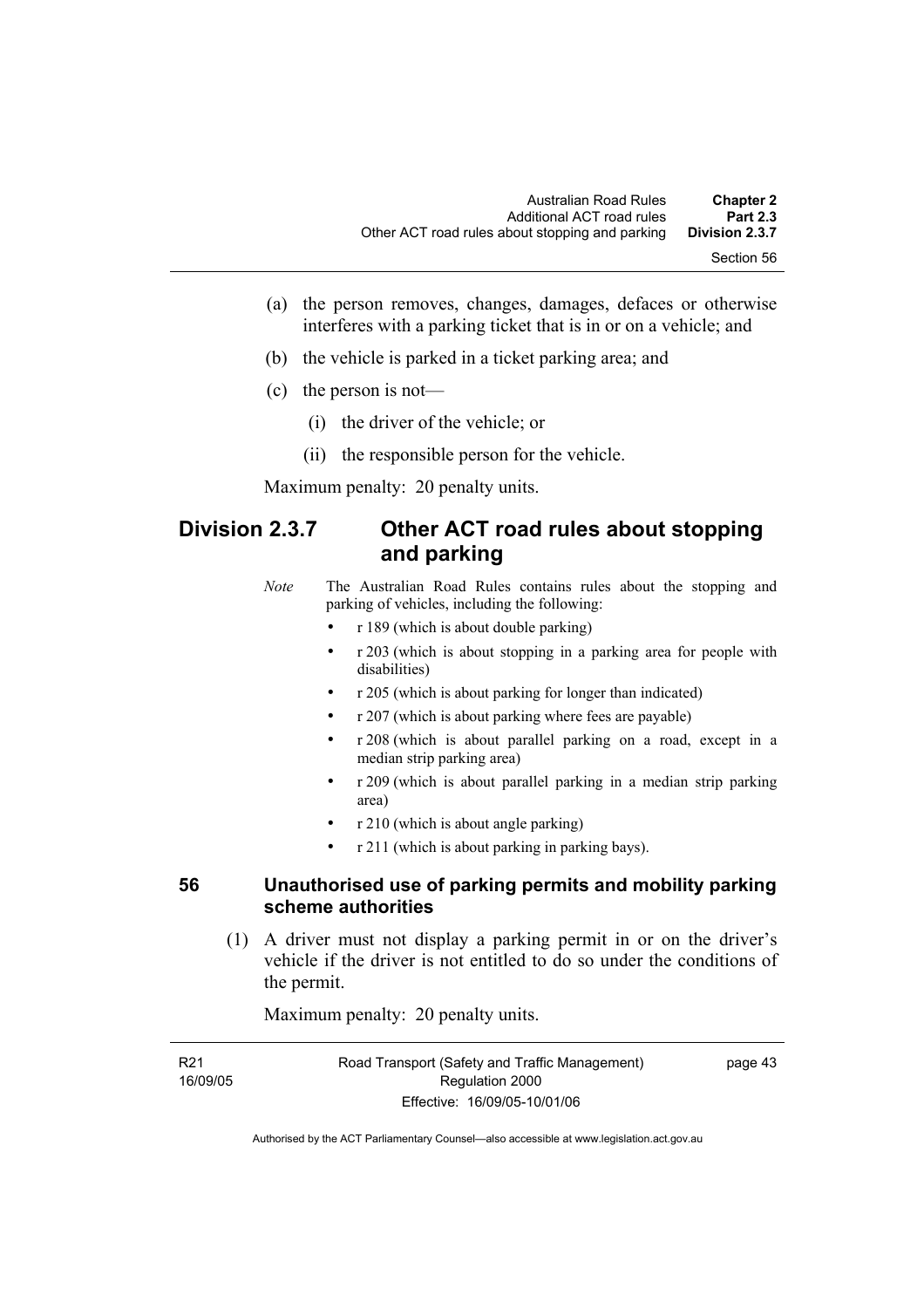- (a) the person removes, changes, damages, defaces or otherwise interferes with a parking ticket that is in or on a vehicle; and
- (b) the vehicle is parked in a ticket parking area; and
- (c) the person is not—
	- (i) the driver of the vehicle; or
	- (ii) the responsible person for the vehicle.

# **Division 2.3.7 Other ACT road rules about stopping and parking**

*Note* The Australian Road Rules contains rules about the stopping and parking of vehicles, including the following:

- r 189 (which is about double parking)
- r 203 (which is about stopping in a parking area for people with disabilities)
- r 205 (which is about parking for longer than indicated)
- r 207 (which is about parking where fees are payable)
- r 208 (which is about parallel parking on a road, except in a median strip parking area)
- r 209 (which is about parallel parking in a median strip parking area)
- r 210 (which is about angle parking)
- r 211 (which is about parking in parking bays).

### **56 Unauthorised use of parking permits and mobility parking scheme authorities**

 (1) A driver must not display a parking permit in or on the driver's vehicle if the driver is not entitled to do so under the conditions of the permit.

Maximum penalty: 20 penalty units.

| R21      | Road Transport (Safety and Traffic Management) | page 43 |
|----------|------------------------------------------------|---------|
| 16/09/05 | Regulation 2000                                |         |
|          | Effective: 16/09/05-10/01/06                   |         |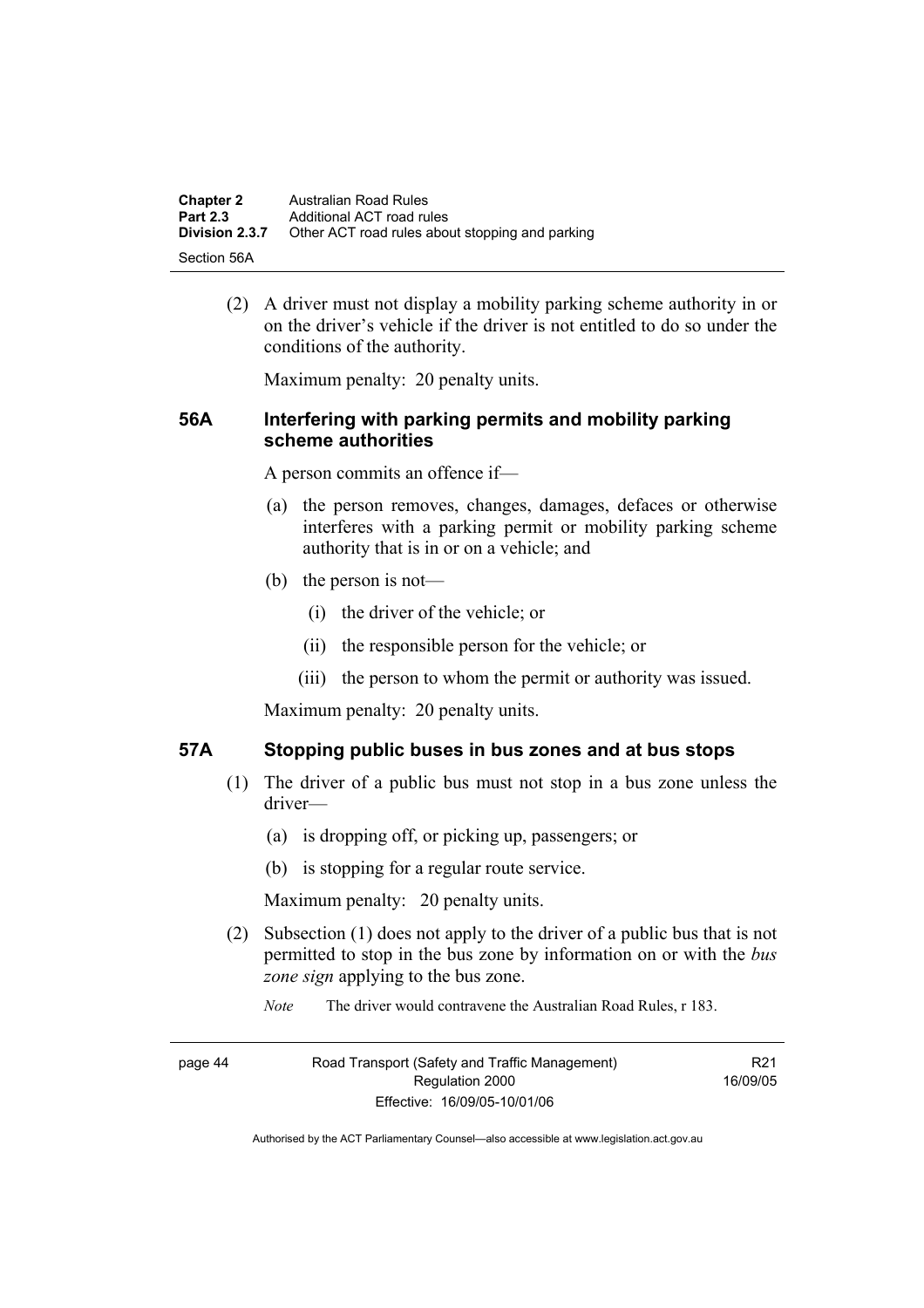| <b>Chapter 2</b> | Australian Road Rules                           |
|------------------|-------------------------------------------------|
| <b>Part 2.3</b>  | Additional ACT road rules                       |
| Division 2.3.7   | Other ACT road rules about stopping and parking |
| -Section 56A     |                                                 |

 (2) A driver must not display a mobility parking scheme authority in or on the driver's vehicle if the driver is not entitled to do so under the conditions of the authority.

Maximum penalty: 20 penalty units.

### **56A Interfering with parking permits and mobility parking scheme authorities**

A person commits an offence if—

- (a) the person removes, changes, damages, defaces or otherwise interferes with a parking permit or mobility parking scheme authority that is in or on a vehicle; and
- (b) the person is not—
	- (i) the driver of the vehicle; or
	- (ii) the responsible person for the vehicle; or
	- (iii) the person to whom the permit or authority was issued.

Maximum penalty: 20 penalty units.

### **57A Stopping public buses in bus zones and at bus stops**

- (1) The driver of a public bus must not stop in a bus zone unless the driver—
	- (a) is dropping off, or picking up, passengers; or
	- (b) is stopping for a regular route service.

Maximum penalty: 20 penalty units.

- (2) Subsection (1) does not apply to the driver of a public bus that is not permitted to stop in the bus zone by information on or with the *bus zone sign* applying to the bus zone.
	- *Note* The driver would contravene the Australian Road Rules, r 183.

page 44 Road Transport (Safety and Traffic Management) Regulation 2000 Effective: 16/09/05-10/01/06

R21 16/09/05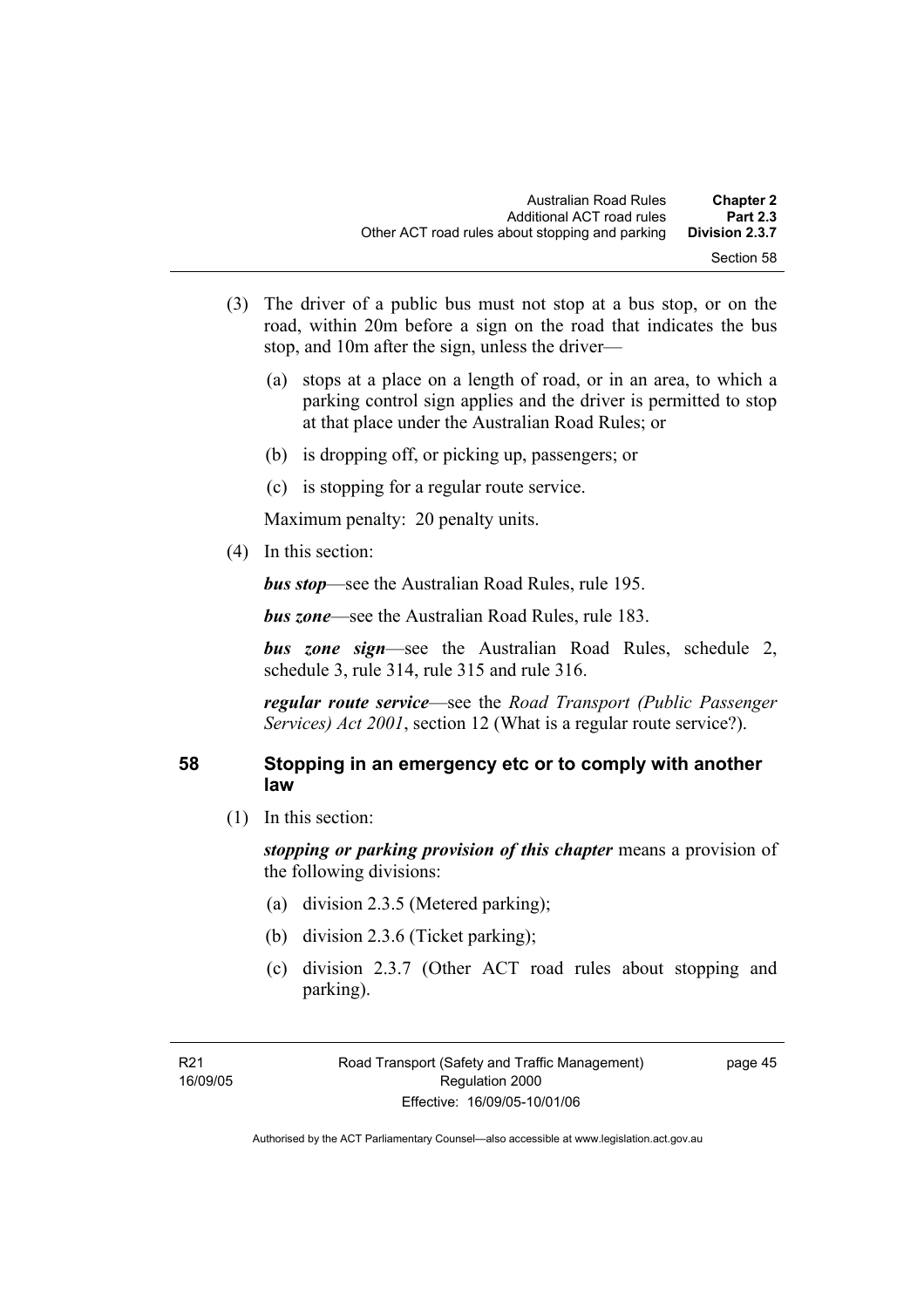- (3) The driver of a public bus must not stop at a bus stop, or on the road, within 20m before a sign on the road that indicates the bus stop, and 10m after the sign, unless the driver—
	- (a) stops at a place on a length of road, or in an area, to which a parking control sign applies and the driver is permitted to stop at that place under the Australian Road Rules; or
	- (b) is dropping off, or picking up, passengers; or
	- (c) is stopping for a regular route service.

(4) In this section:

*bus stop*—see the Australian Road Rules, rule 195.

*bus zone*—see the Australian Road Rules, rule 183.

*bus zone sign*—see the Australian Road Rules, schedule 2, schedule 3, rule 314, rule 315 and rule 316.

*regular route service*—see the *Road Transport (Public Passenger Services) Act 2001*, section 12 (What is a regular route service?).

### **58 Stopping in an emergency etc or to comply with another law**

(1) In this section:

*stopping or parking provision of this chapter* means a provision of the following divisions:

- (a) division 2.3.5 (Metered parking);
- (b) division 2.3.6 (Ticket parking);
- (c) division 2.3.7 (Other ACT road rules about stopping and parking).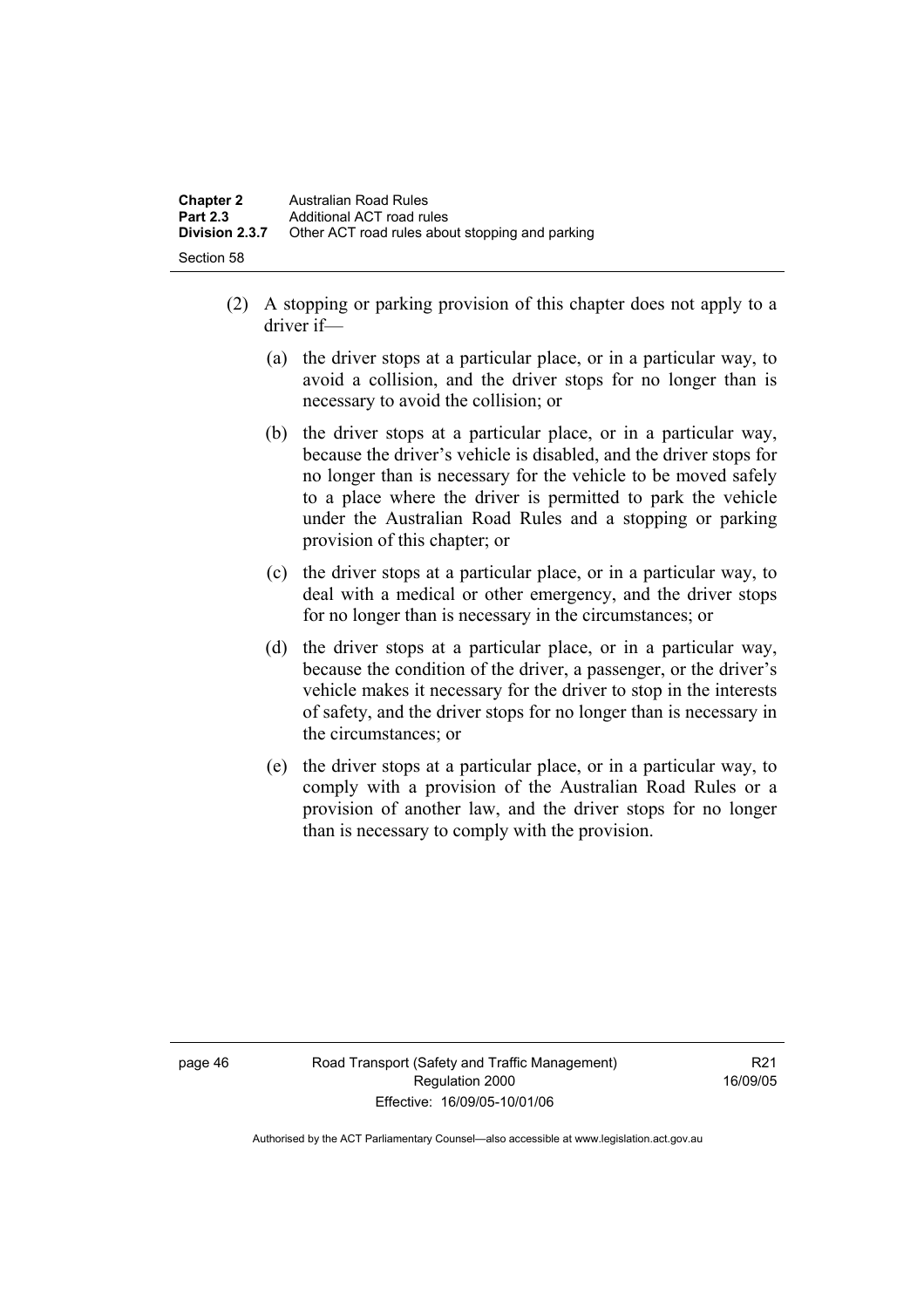- (2) A stopping or parking provision of this chapter does not apply to a driver if—
	- (a) the driver stops at a particular place, or in a particular way, to avoid a collision, and the driver stops for no longer than is necessary to avoid the collision; or
	- (b) the driver stops at a particular place, or in a particular way, because the driver's vehicle is disabled, and the driver stops for no longer than is necessary for the vehicle to be moved safely to a place where the driver is permitted to park the vehicle under the Australian Road Rules and a stopping or parking provision of this chapter; or
	- (c) the driver stops at a particular place, or in a particular way, to deal with a medical or other emergency, and the driver stops for no longer than is necessary in the circumstances; or
	- (d) the driver stops at a particular place, or in a particular way, because the condition of the driver, a passenger, or the driver's vehicle makes it necessary for the driver to stop in the interests of safety, and the driver stops for no longer than is necessary in the circumstances; or
	- (e) the driver stops at a particular place, or in a particular way, to comply with a provision of the Australian Road Rules or a provision of another law, and the driver stops for no longer than is necessary to comply with the provision.

page 46 Road Transport (Safety and Traffic Management) Regulation 2000 Effective: 16/09/05-10/01/06

R<sub>21</sub> 16/09/05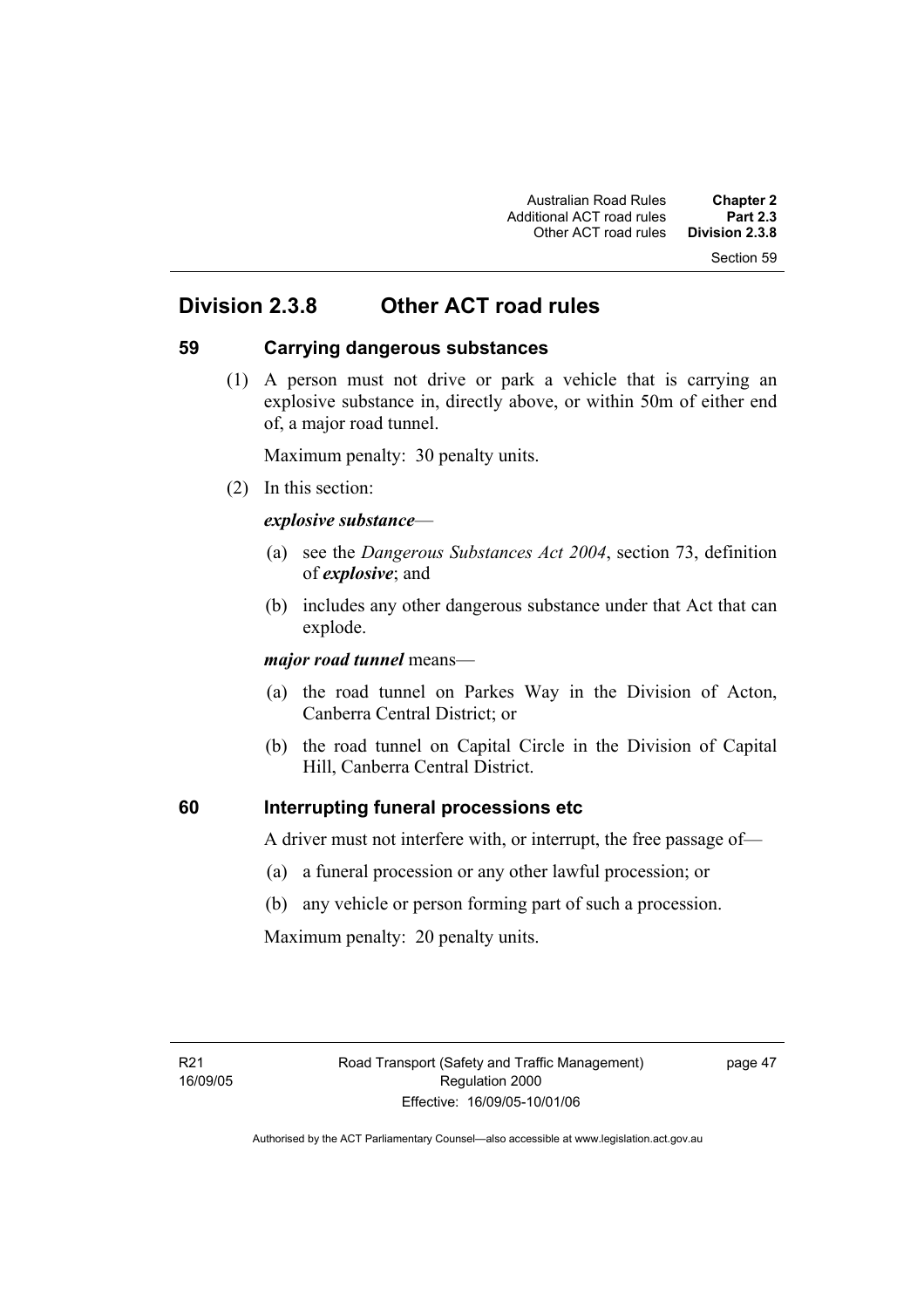Section 59

# **Division 2.3.8 Other ACT road rules**

### **59 Carrying dangerous substances**

 (1) A person must not drive or park a vehicle that is carrying an explosive substance in, directly above, or within 50m of either end of, a major road tunnel.

Maximum penalty: 30 penalty units.

(2) In this section:

### *explosive substance*—

- (a) see the *Dangerous Substances Act 2004*, section 73, definition of *explosive*; and
- (b) includes any other dangerous substance under that Act that can explode.

*major road tunnel* means—

- (a) the road tunnel on Parkes Way in the Division of Acton, Canberra Central District; or
- (b) the road tunnel on Capital Circle in the Division of Capital Hill, Canberra Central District.

### **60 Interrupting funeral processions etc**

A driver must not interfere with, or interrupt, the free passage of—

- (a) a funeral procession or any other lawful procession; or
- (b) any vehicle or person forming part of such a procession.

Maximum penalty: 20 penalty units.

page 47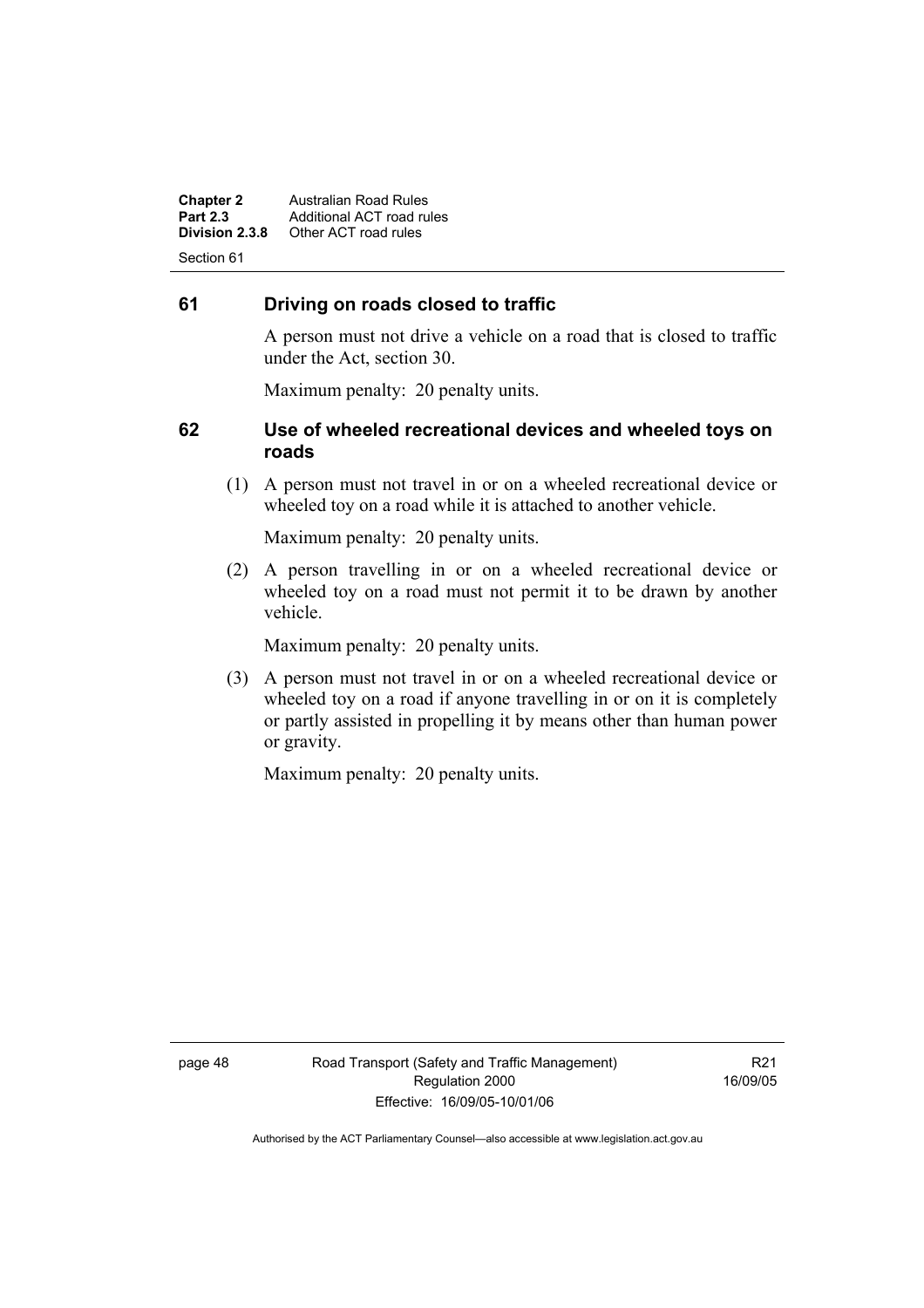**Chapter 2 Australian Road Rules**<br>**Part 2.3 Additional ACT road rules Part 2.3 Additional ACT road rules**<br>**Division 2.3.8** Other ACT road rules **Division 2.3.8** Other ACT road rules Section 61

### **61 Driving on roads closed to traffic**

A person must not drive a vehicle on a road that is closed to traffic under the Act, section 30.

Maximum penalty: 20 penalty units.

### **62 Use of wheeled recreational devices and wheeled toys on roads**

 (1) A person must not travel in or on a wheeled recreational device or wheeled toy on a road while it is attached to another vehicle.

Maximum penalty: 20 penalty units.

 (2) A person travelling in or on a wheeled recreational device or wheeled toy on a road must not permit it to be drawn by another vehicle.

Maximum penalty: 20 penalty units.

 (3) A person must not travel in or on a wheeled recreational device or wheeled toy on a road if anyone travelling in or on it is completely or partly assisted in propelling it by means other than human power or gravity.

Maximum penalty: 20 penalty units.

R21 16/09/05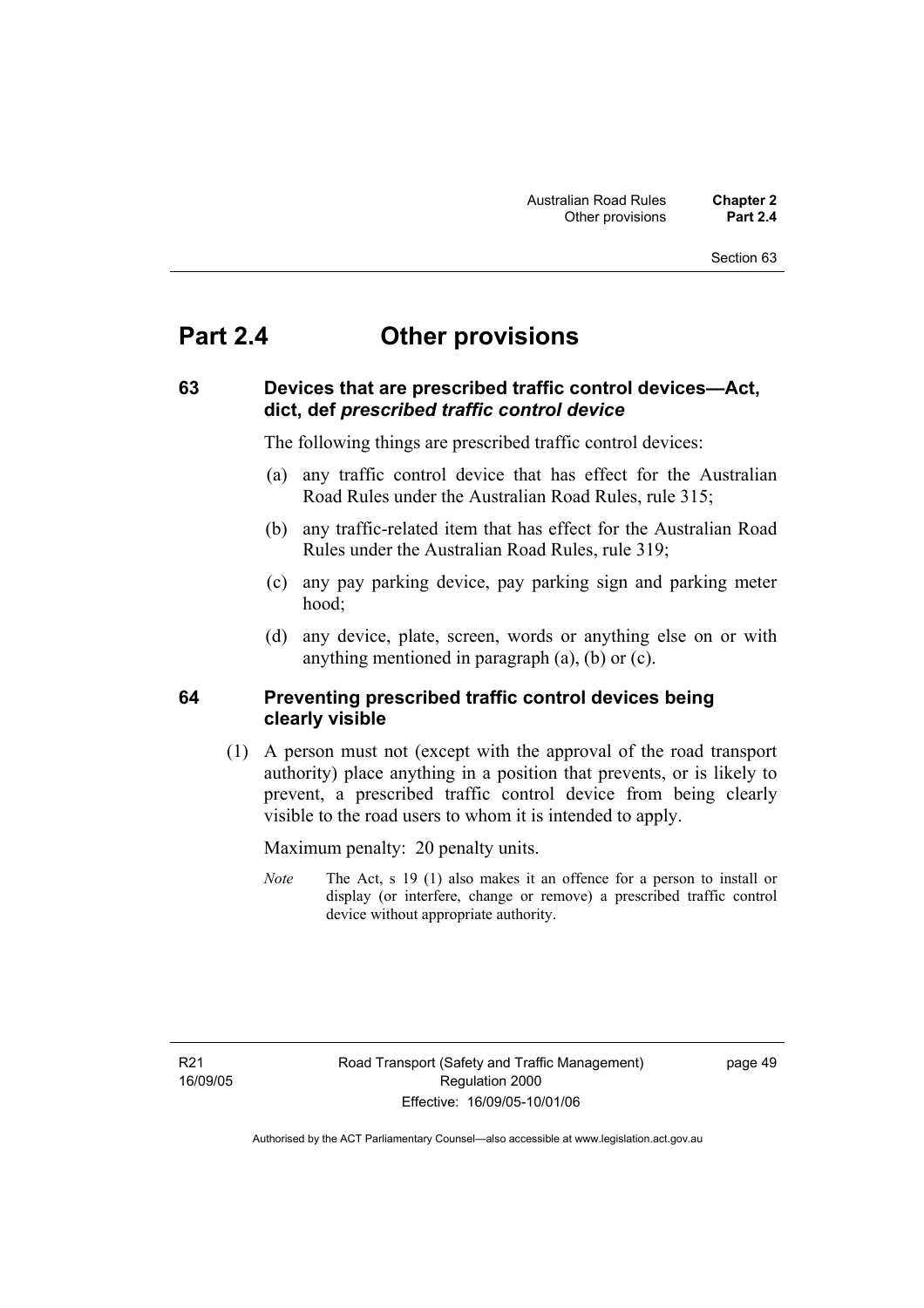#### Section 63

# **Part 2.4 Other provisions**

### **63 Devices that are prescribed traffic control devices—Act, dict, def** *prescribed traffic control device*

The following things are prescribed traffic control devices:

- (a) any traffic control device that has effect for the Australian Road Rules under the Australian Road Rules, rule 315;
- (b) any traffic-related item that has effect for the Australian Road Rules under the Australian Road Rules, rule 319;
- (c) any pay parking device, pay parking sign and parking meter hood;
- (d) any device, plate, screen, words or anything else on or with anything mentioned in paragraph (a), (b) or (c).

### **64 Preventing prescribed traffic control devices being clearly visible**

 (1) A person must not (except with the approval of the road transport authority) place anything in a position that prevents, or is likely to prevent, a prescribed traffic control device from being clearly visible to the road users to whom it is intended to apply.

Maximum penalty: 20 penalty units.

*Note* The Act, s 19 (1) also makes it an offence for a person to install or display (or interfere, change or remove) a prescribed traffic control device without appropriate authority.

page 49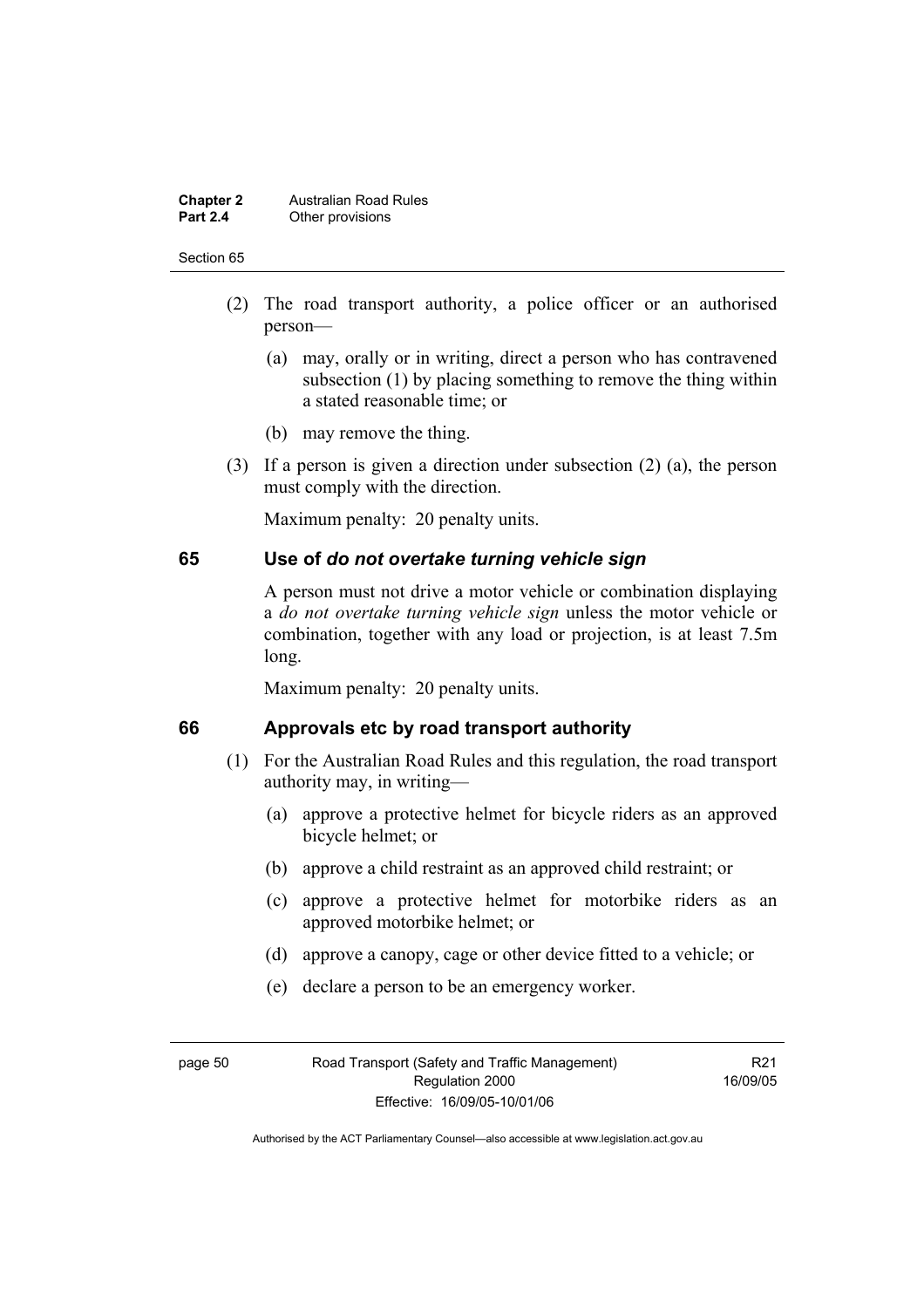#### **Chapter 2 Australian Road Rules**<br>**Part 2.4 Other provisions Other provisions**

#### Section 65

- (2) The road transport authority, a police officer or an authorised person—
	- (a) may, orally or in writing, direct a person who has contravened subsection (1) by placing something to remove the thing within a stated reasonable time; or
	- (b) may remove the thing.
- (3) If a person is given a direction under subsection (2) (a), the person must comply with the direction.

Maximum penalty: 20 penalty units.

### **65 Use of** *do not overtake turning vehicle sign*

A person must not drive a motor vehicle or combination displaying a *do not overtake turning vehicle sign* unless the motor vehicle or combination, together with any load or projection, is at least 7.5m long.

Maximum penalty: 20 penalty units.

### **66 Approvals etc by road transport authority**

- (1) For the Australian Road Rules and this regulation, the road transport authority may, in writing—
	- (a) approve a protective helmet for bicycle riders as an approved bicycle helmet; or
	- (b) approve a child restraint as an approved child restraint; or
	- (c) approve a protective helmet for motorbike riders as an approved motorbike helmet; or
	- (d) approve a canopy, cage or other device fitted to a vehicle; or
	- (e) declare a person to be an emergency worker.

R21 16/09/05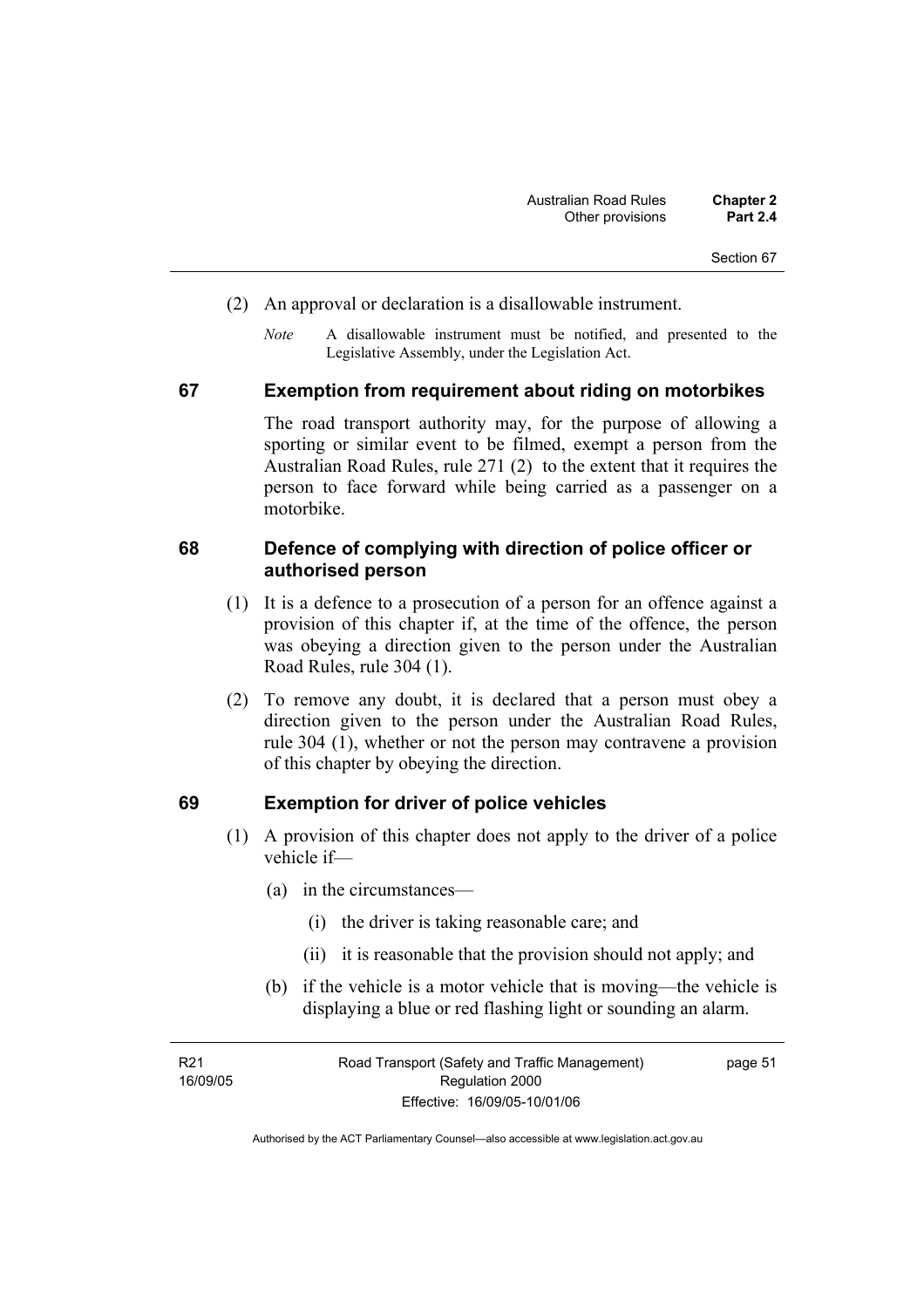- (2) An approval or declaration is a disallowable instrument.
	- *Note* A disallowable instrument must be notified, and presented to the Legislative Assembly, under the Legislation Act.

#### **67 Exemption from requirement about riding on motorbikes**

The road transport authority may, for the purpose of allowing a sporting or similar event to be filmed, exempt a person from the Australian Road Rules, rule 271 (2) to the extent that it requires the person to face forward while being carried as a passenger on a motorbike.

### **68 Defence of complying with direction of police officer or authorised person**

- (1) It is a defence to a prosecution of a person for an offence against a provision of this chapter if, at the time of the offence, the person was obeying a direction given to the person under the Australian Road Rules, rule 304 (1).
- (2) To remove any doubt, it is declared that a person must obey a direction given to the person under the Australian Road Rules, rule 304 (1), whether or not the person may contravene a provision of this chapter by obeying the direction.

#### **69 Exemption for driver of police vehicles**

- (1) A provision of this chapter does not apply to the driver of a police vehicle if—
	- (a) in the circumstances—
		- (i) the driver is taking reasonable care; and
		- (ii) it is reasonable that the provision should not apply; and
	- (b) if the vehicle is a motor vehicle that is moving—the vehicle is displaying a blue or red flashing light or sounding an alarm.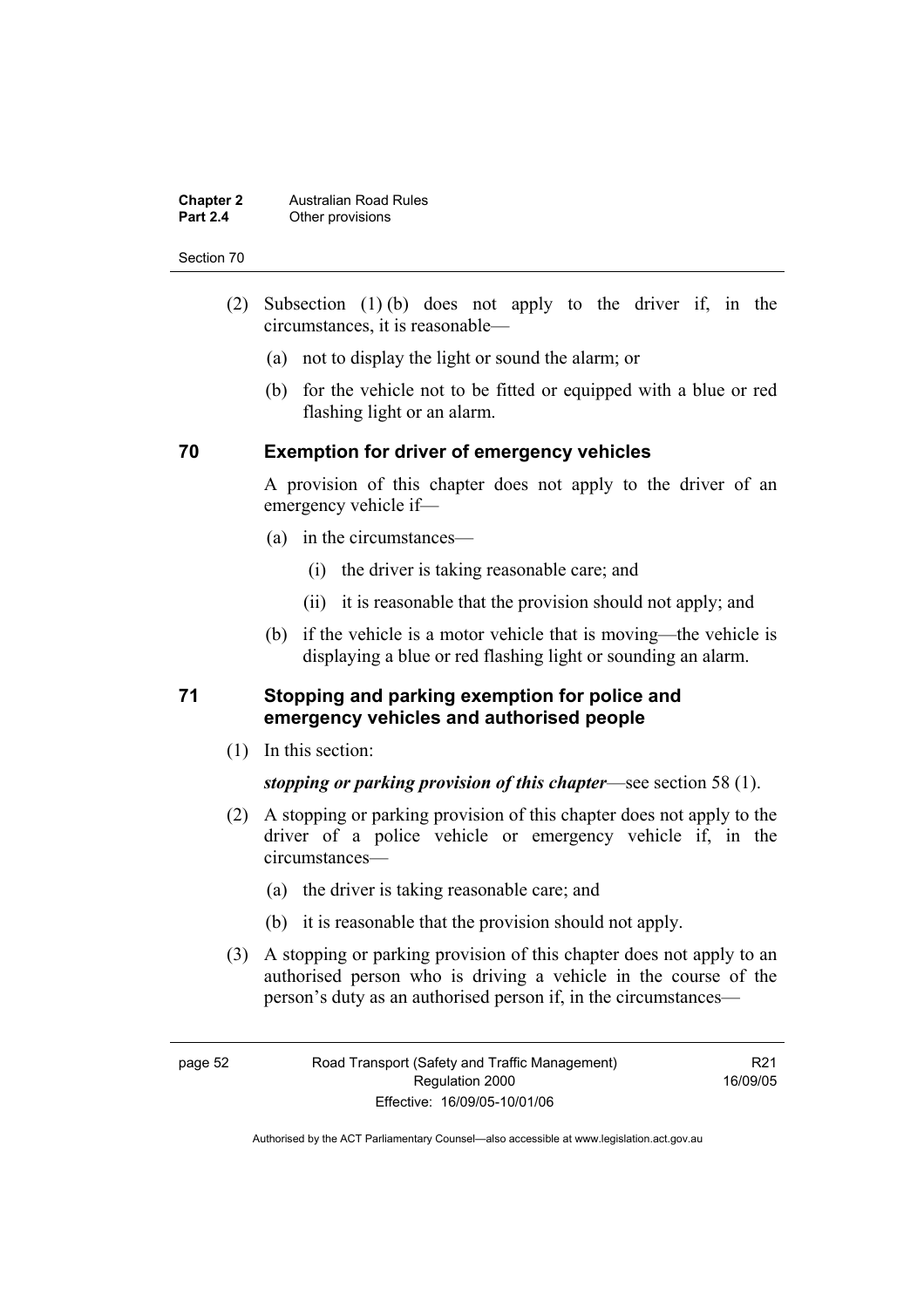#### **Chapter 2 Australian Road Rules**<br>**Part 2.4 Other provisions Other provisions**

#### Section 70

- (2) Subsection (1) (b) does not apply to the driver if, in the circumstances, it is reasonable—
	- (a) not to display the light or sound the alarm; or
	- (b) for the vehicle not to be fitted or equipped with a blue or red flashing light or an alarm.

### **70 Exemption for driver of emergency vehicles**

A provision of this chapter does not apply to the driver of an emergency vehicle if—

- (a) in the circumstances—
	- (i) the driver is taking reasonable care; and
	- (ii) it is reasonable that the provision should not apply; and
- (b) if the vehicle is a motor vehicle that is moving—the vehicle is displaying a blue or red flashing light or sounding an alarm.

### **71 Stopping and parking exemption for police and emergency vehicles and authorised people**

(1) In this section:

*stopping or parking provision of this chapter*—see section 58 (1).

- (2) A stopping or parking provision of this chapter does not apply to the driver of a police vehicle or emergency vehicle if, in the circumstances—
	- (a) the driver is taking reasonable care; and
	- (b) it is reasonable that the provision should not apply.
- (3) A stopping or parking provision of this chapter does not apply to an authorised person who is driving a vehicle in the course of the person's duty as an authorised person if, in the circumstances—

R21 16/09/05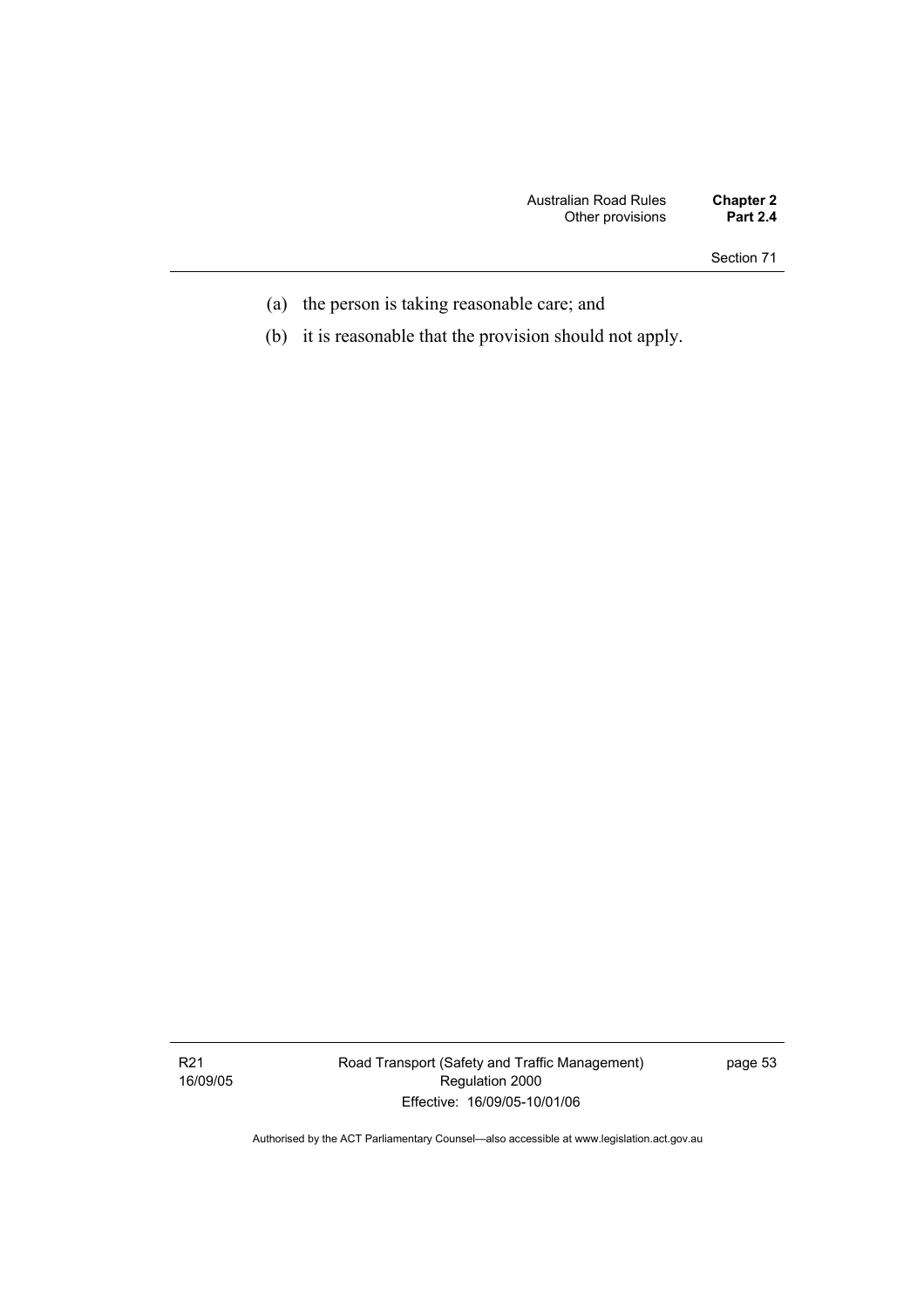Section 71

- (a) the person is taking reasonable care; and
- (b) it is reasonable that the provision should not apply.

Road Transport (Safety and Traffic Management) Regulation 2000 Effective: 16/09/05-10/01/06

page 53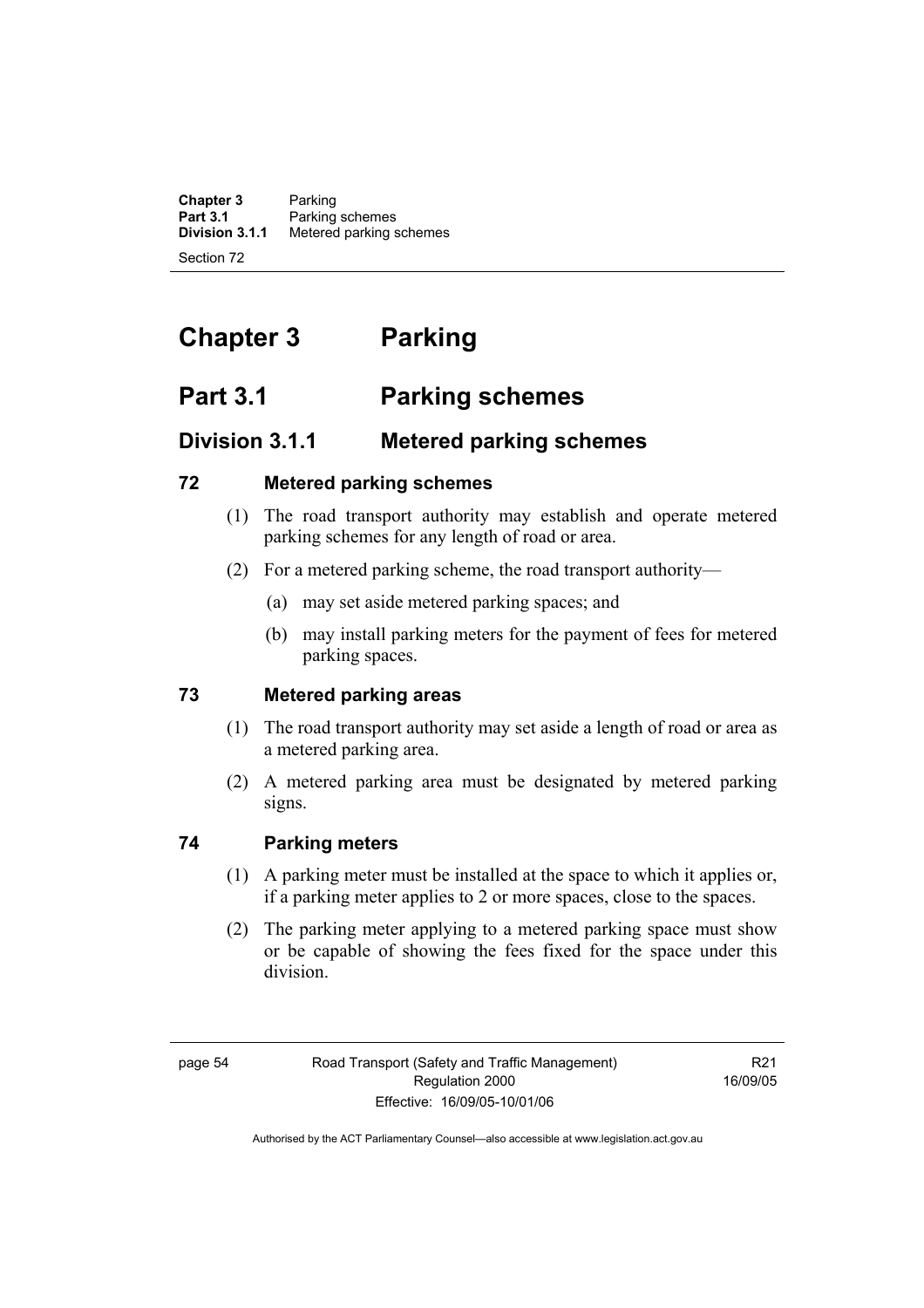**Chapter 3** Parking<br>**Part 3.1** Parking **Part 3.1** Parking schemes<br>**Division 3.1.1** Metered parking s **Division 3.1.1** Metered parking schemes Section 72

# **Chapter 3 Parking**

# **Part 3.1 Parking schemes**

# **Division 3.1.1 Metered parking schemes**

### **72 Metered parking schemes**

- (1) The road transport authority may establish and operate metered parking schemes for any length of road or area.
- (2) For a metered parking scheme, the road transport authority—
	- (a) may set aside metered parking spaces; and
	- (b) may install parking meters for the payment of fees for metered parking spaces.

### **73 Metered parking areas**

- (1) The road transport authority may set aside a length of road or area as a metered parking area.
- (2) A metered parking area must be designated by metered parking signs.

## **74 Parking meters**

- (1) A parking meter must be installed at the space to which it applies or, if a parking meter applies to 2 or more spaces, close to the spaces.
- (2) The parking meter applying to a metered parking space must show or be capable of showing the fees fixed for the space under this division.

R21 16/09/05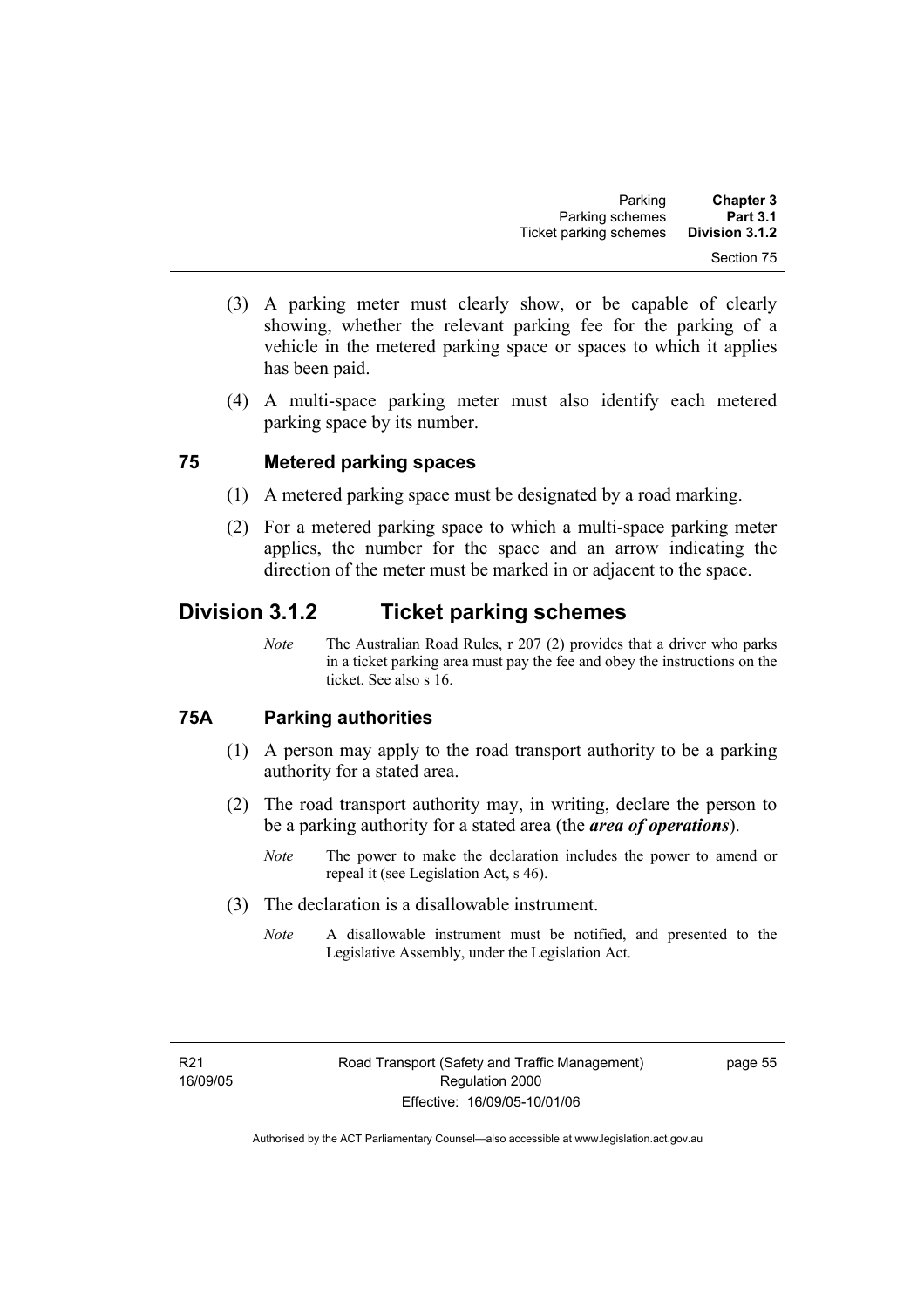- (3) A parking meter must clearly show, or be capable of clearly showing, whether the relevant parking fee for the parking of a vehicle in the metered parking space or spaces to which it applies has been paid.
- (4) A multi-space parking meter must also identify each metered parking space by its number.

### **75 Metered parking spaces**

- (1) A metered parking space must be designated by a road marking.
- (2) For a metered parking space to which a multi-space parking meter applies, the number for the space and an arrow indicating the direction of the meter must be marked in or adjacent to the space.

# **Division 3.1.2 Ticket parking schemes**

*Note* The Australian Road Rules, r 207 (2) provides that a driver who parks in a ticket parking area must pay the fee and obey the instructions on the ticket. See also s 16.

### **75A Parking authorities**

- (1) A person may apply to the road transport authority to be a parking authority for a stated area.
- (2) The road transport authority may, in writing, declare the person to be a parking authority for a stated area (the *area of operations*).
	- *Note* The power to make the declaration includes the power to amend or repeal it (see Legislation Act, s 46).
- (3) The declaration is a disallowable instrument.
	- *Note* A disallowable instrument must be notified, and presented to the Legislative Assembly, under the Legislation Act.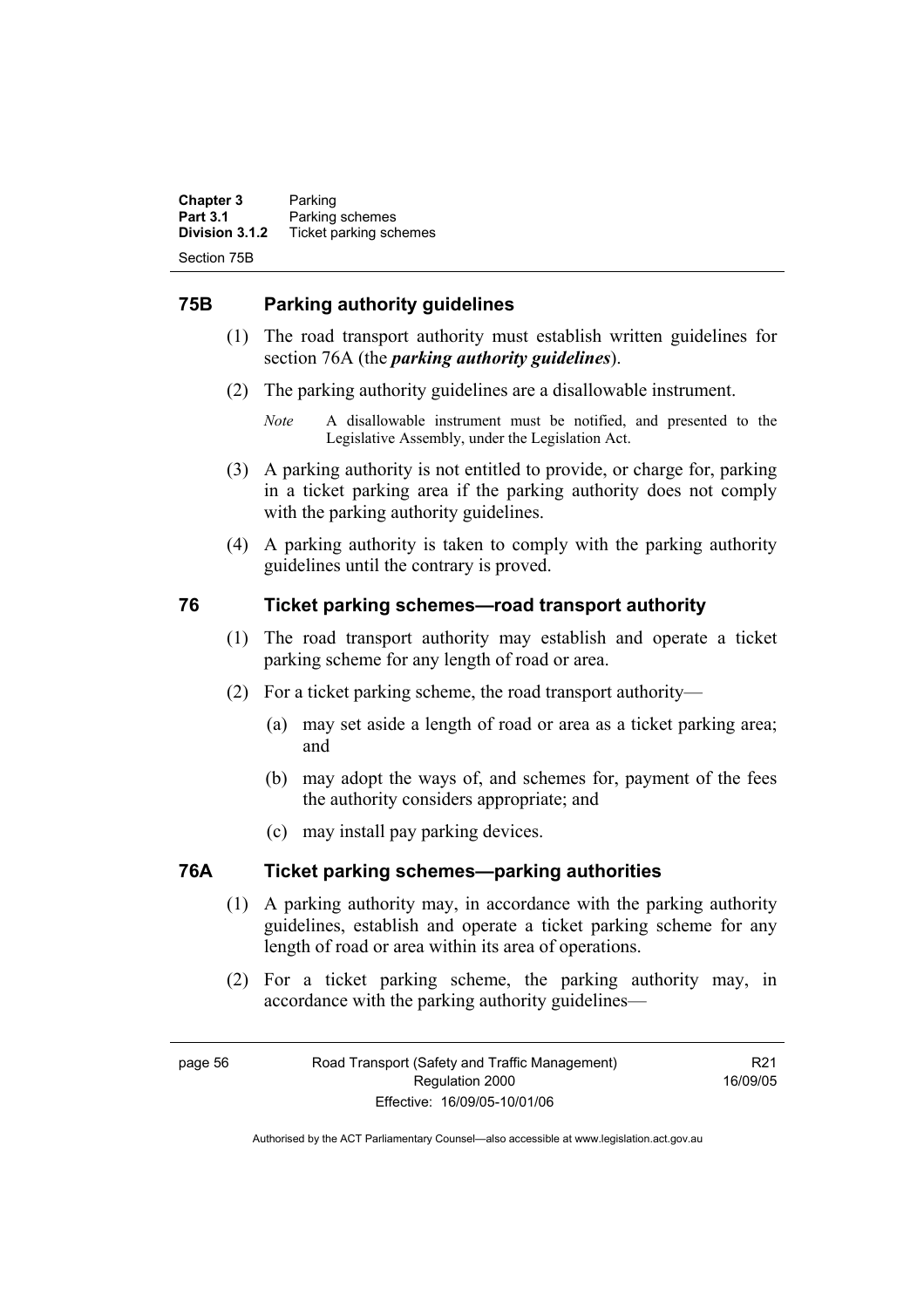**Chapter 3** Parking<br>**Part 3.1** Parking **Part 3.1 Parking schemes**<br>**Division 3.1.2** Ticket parking sch **Division 3.1.2** Ticket parking schemes Section 75B

### **75B Parking authority guidelines**

- (1) The road transport authority must establish written guidelines for section 76A (the *parking authority guidelines*).
- (2) The parking authority guidelines are a disallowable instrument.
	- *Note* A disallowable instrument must be notified, and presented to the Legislative Assembly, under the Legislation Act.
- (3) A parking authority is not entitled to provide, or charge for, parking in a ticket parking area if the parking authority does not comply with the parking authority guidelines.
- (4) A parking authority is taken to comply with the parking authority guidelines until the contrary is proved.

### **76 Ticket parking schemes—road transport authority**

- (1) The road transport authority may establish and operate a ticket parking scheme for any length of road or area.
- (2) For a ticket parking scheme, the road transport authority—
	- (a) may set aside a length of road or area as a ticket parking area; and
	- (b) may adopt the ways of, and schemes for, payment of the fees the authority considers appropriate; and
	- (c) may install pay parking devices.

### **76A Ticket parking schemes—parking authorities**

- (1) A parking authority may, in accordance with the parking authority guidelines, establish and operate a ticket parking scheme for any length of road or area within its area of operations.
- (2) For a ticket parking scheme, the parking authority may, in accordance with the parking authority guidelines—

R21 16/09/05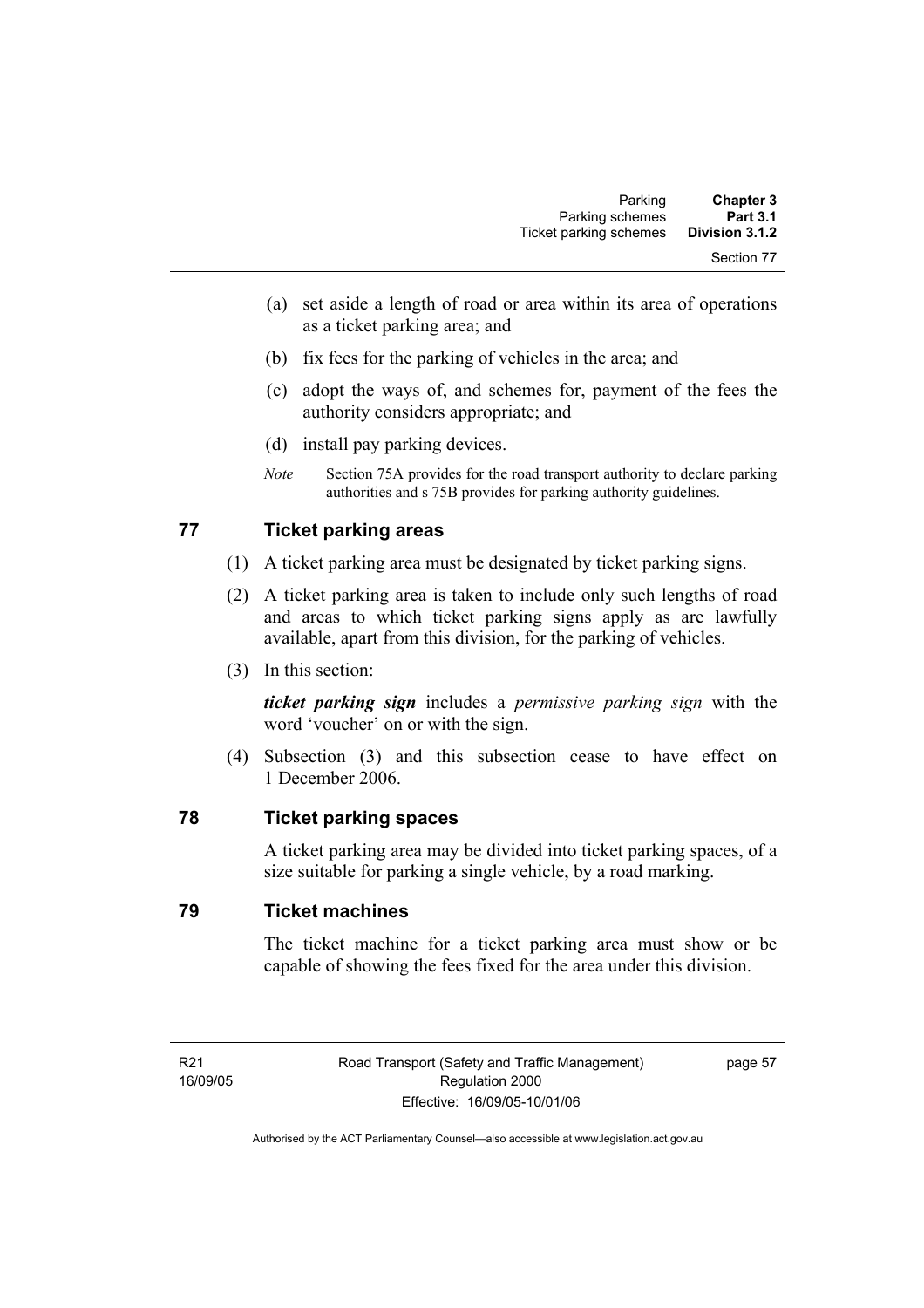- (a) set aside a length of road or area within its area of operations as a ticket parking area; and
- (b) fix fees for the parking of vehicles in the area; and
- (c) adopt the ways of, and schemes for, payment of the fees the authority considers appropriate; and
- (d) install pay parking devices.
- *Note* Section 75A provides for the road transport authority to declare parking authorities and s 75B provides for parking authority guidelines.

### **77 Ticket parking areas**

- (1) A ticket parking area must be designated by ticket parking signs.
- (2) A ticket parking area is taken to include only such lengths of road and areas to which ticket parking signs apply as are lawfully available, apart from this division, for the parking of vehicles.
- (3) In this section:

*ticket parking sign* includes a *permissive parking sign* with the word 'voucher' on or with the sign.

 (4) Subsection (3) and this subsection cease to have effect on 1 December 2006.

### **78 Ticket parking spaces**

A ticket parking area may be divided into ticket parking spaces, of a size suitable for parking a single vehicle, by a road marking.

### **79 Ticket machines**

The ticket machine for a ticket parking area must show or be capable of showing the fees fixed for the area under this division.

page 57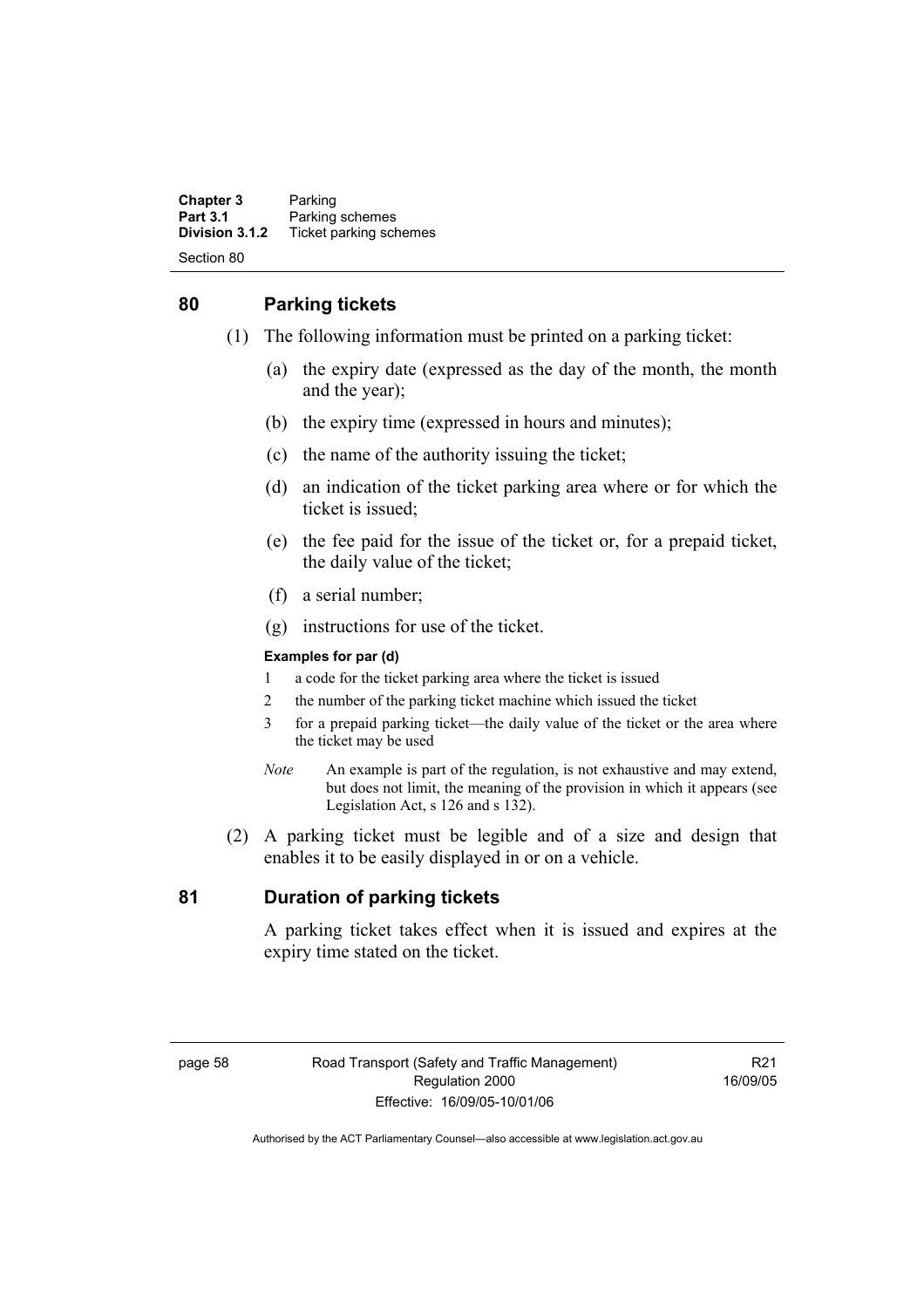**Chapter 3** Parking<br>**Part 3.1** Parking **Part 3.1 Parking schemes**<br>**Division 3.1.2** Ticket parking sch **Division 3.1.2** Ticket parking schemes Section 80

### **80 Parking tickets**

- (1) The following information must be printed on a parking ticket:
	- (a) the expiry date (expressed as the day of the month, the month and the year);
	- (b) the expiry time (expressed in hours and minutes);
	- (c) the name of the authority issuing the ticket;
	- (d) an indication of the ticket parking area where or for which the ticket is issued;
	- (e) the fee paid for the issue of the ticket or, for a prepaid ticket, the daily value of the ticket;
	- (f) a serial number;
	- (g) instructions for use of the ticket.

#### **Examples for par (d)**

- 1 a code for the ticket parking area where the ticket is issued
- 2 the number of the parking ticket machine which issued the ticket
- 3 for a prepaid parking ticket—the daily value of the ticket or the area where the ticket may be used
- *Note* An example is part of the regulation, is not exhaustive and may extend, but does not limit, the meaning of the provision in which it appears (see Legislation Act, s 126 and s 132).
- (2) A parking ticket must be legible and of a size and design that enables it to be easily displayed in or on a vehicle.

### **81 Duration of parking tickets**

A parking ticket takes effect when it is issued and expires at the expiry time stated on the ticket.

R21 16/09/05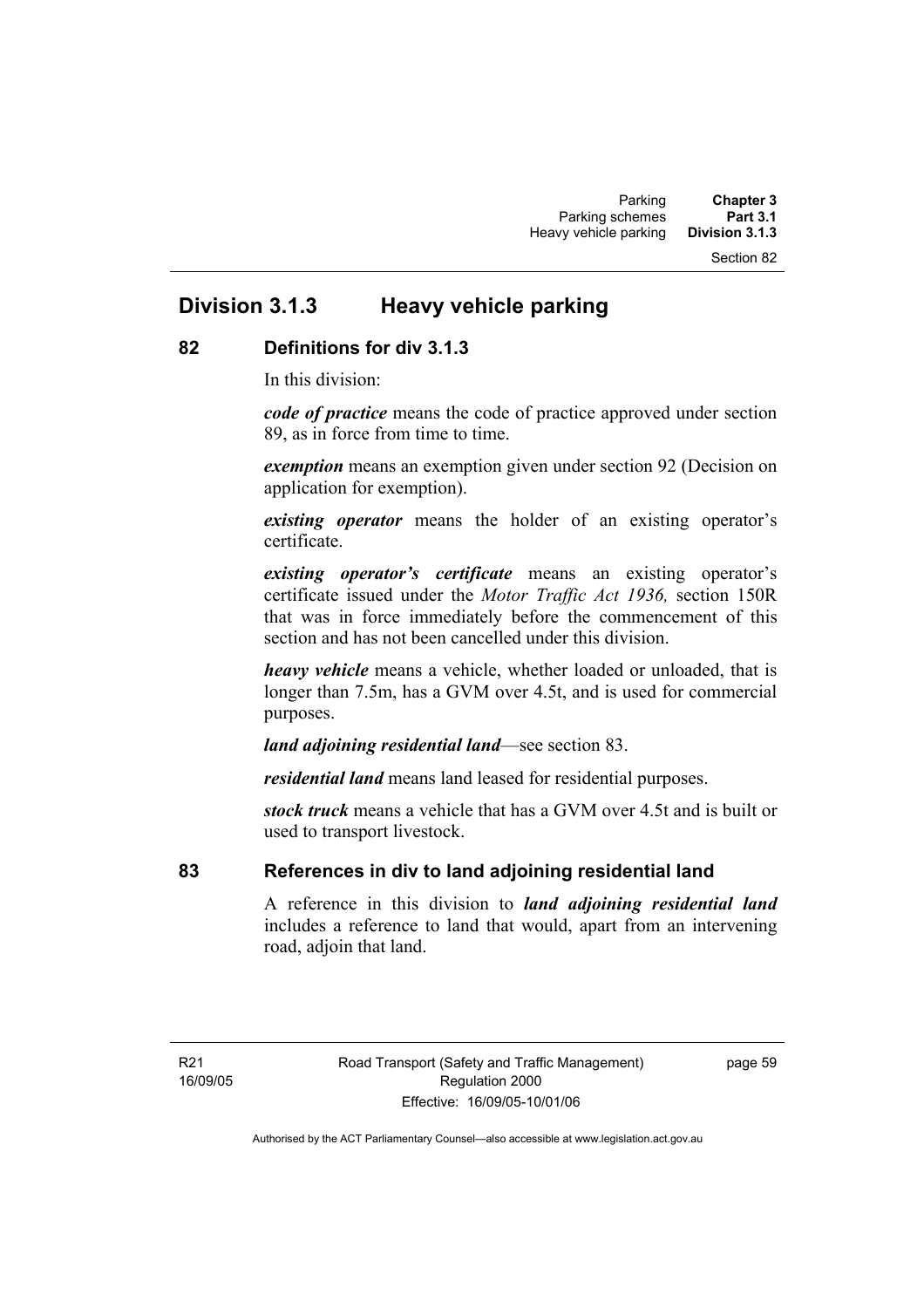#### Section 82

# **Division 3.1.3 Heavy vehicle parking**

### **82 Definitions for div 3.1.3**

In this division:

*code of practice* means the code of practice approved under section 89, as in force from time to time.

*exemption* means an exemption given under section 92 (Decision on application for exemption).

*existing operator* means the holder of an existing operator's certificate.

*existing operator's certificate* means an existing operator's certificate issued under the *Motor Traffic Act 1936,* section 150R that was in force immediately before the commencement of this section and has not been cancelled under this division.

*heavy vehicle* means a vehicle, whether loaded or unloaded, that is longer than 7.5m, has a GVM over 4.5t, and is used for commercial purposes.

*land adjoining residential land*—see section 83.

*residential land* means land leased for residential purposes.

*stock truck* means a vehicle that has a GVM over 4.5t and is built or used to transport livestock.

### **83 References in div to land adjoining residential land**

A reference in this division to *land adjoining residential land* includes a reference to land that would, apart from an intervening road, adjoin that land.

R21 16/09/05 page 59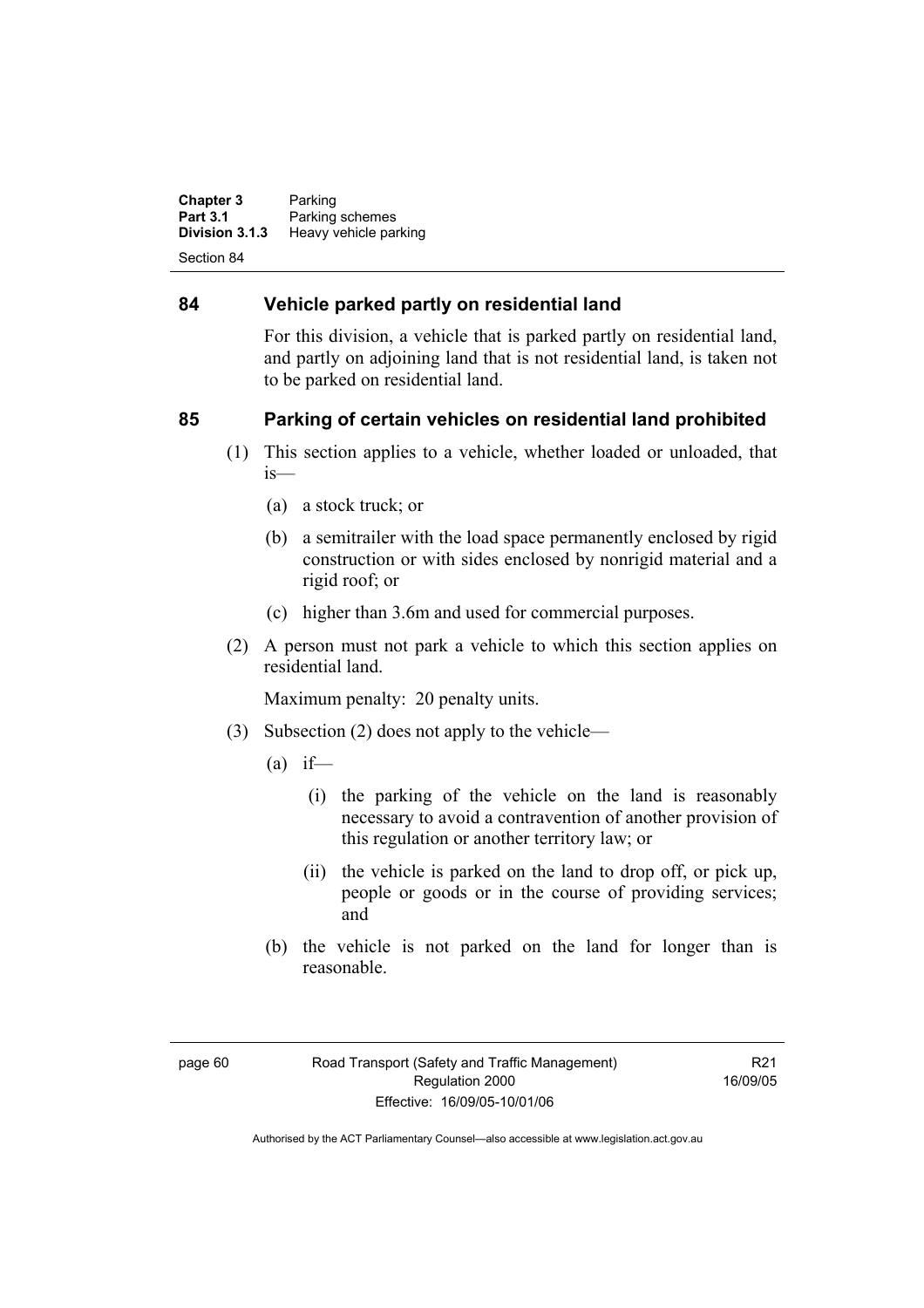**Chapter 3** Parking<br>**Part 3.1** Parking **Part 3.1** Parking schemes<br>**Division 3.1.3** Heavy vehicle part **Heavy vehicle parking** Section 84

### **84 Vehicle parked partly on residential land**

For this division, a vehicle that is parked partly on residential land, and partly on adjoining land that is not residential land, is taken not to be parked on residential land.

### **85 Parking of certain vehicles on residential land prohibited**

- (1) This section applies to a vehicle, whether loaded or unloaded, that is—
	- (a) a stock truck; or
	- (b) a semitrailer with the load space permanently enclosed by rigid construction or with sides enclosed by nonrigid material and a rigid roof; or
	- (c) higher than 3.6m and used for commercial purposes.
- (2) A person must not park a vehicle to which this section applies on residential land.

Maximum penalty: 20 penalty units.

- (3) Subsection (2) does not apply to the vehicle—
	- $(a)$  if—
		- (i) the parking of the vehicle on the land is reasonably necessary to avoid a contravention of another provision of this regulation or another territory law; or
		- (ii) the vehicle is parked on the land to drop off, or pick up, people or goods or in the course of providing services; and
	- (b) the vehicle is not parked on the land for longer than is reasonable.

R21 16/09/05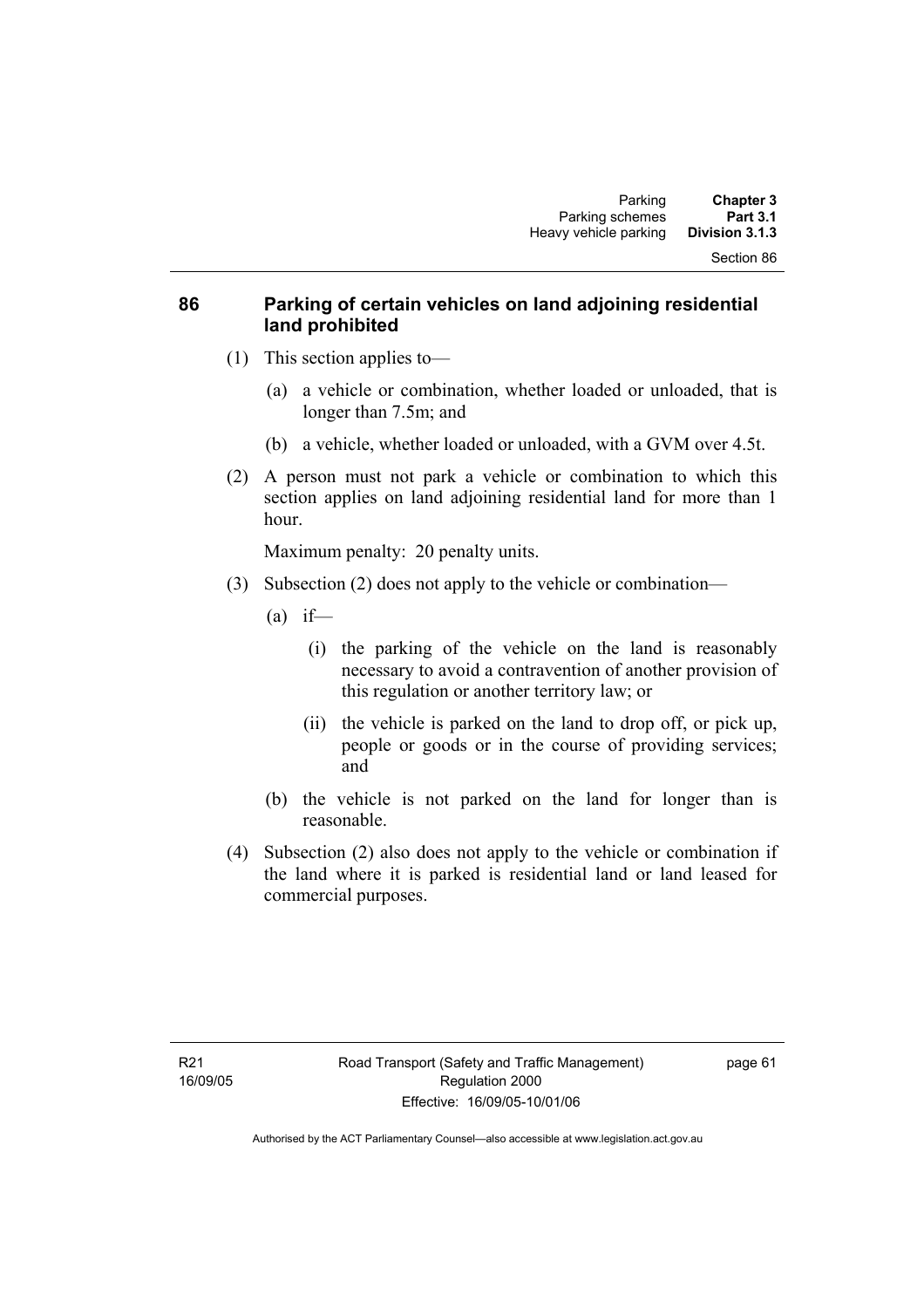### **86 Parking of certain vehicles on land adjoining residential land prohibited**

- (1) This section applies to—
	- (a) a vehicle or combination, whether loaded or unloaded, that is longer than 7.5m; and
	- (b) a vehicle, whether loaded or unloaded, with a GVM over 4.5t.
- (2) A person must not park a vehicle or combination to which this section applies on land adjoining residential land for more than 1 hour.

Maximum penalty: 20 penalty units.

- (3) Subsection (2) does not apply to the vehicle or combination—
	- $(a)$  if—
		- (i) the parking of the vehicle on the land is reasonably necessary to avoid a contravention of another provision of this regulation or another territory law; or
		- (ii) the vehicle is parked on the land to drop off, or pick up, people or goods or in the course of providing services; and
	- (b) the vehicle is not parked on the land for longer than is reasonable.
- (4) Subsection (2) also does not apply to the vehicle or combination if the land where it is parked is residential land or land leased for commercial purposes.

page 61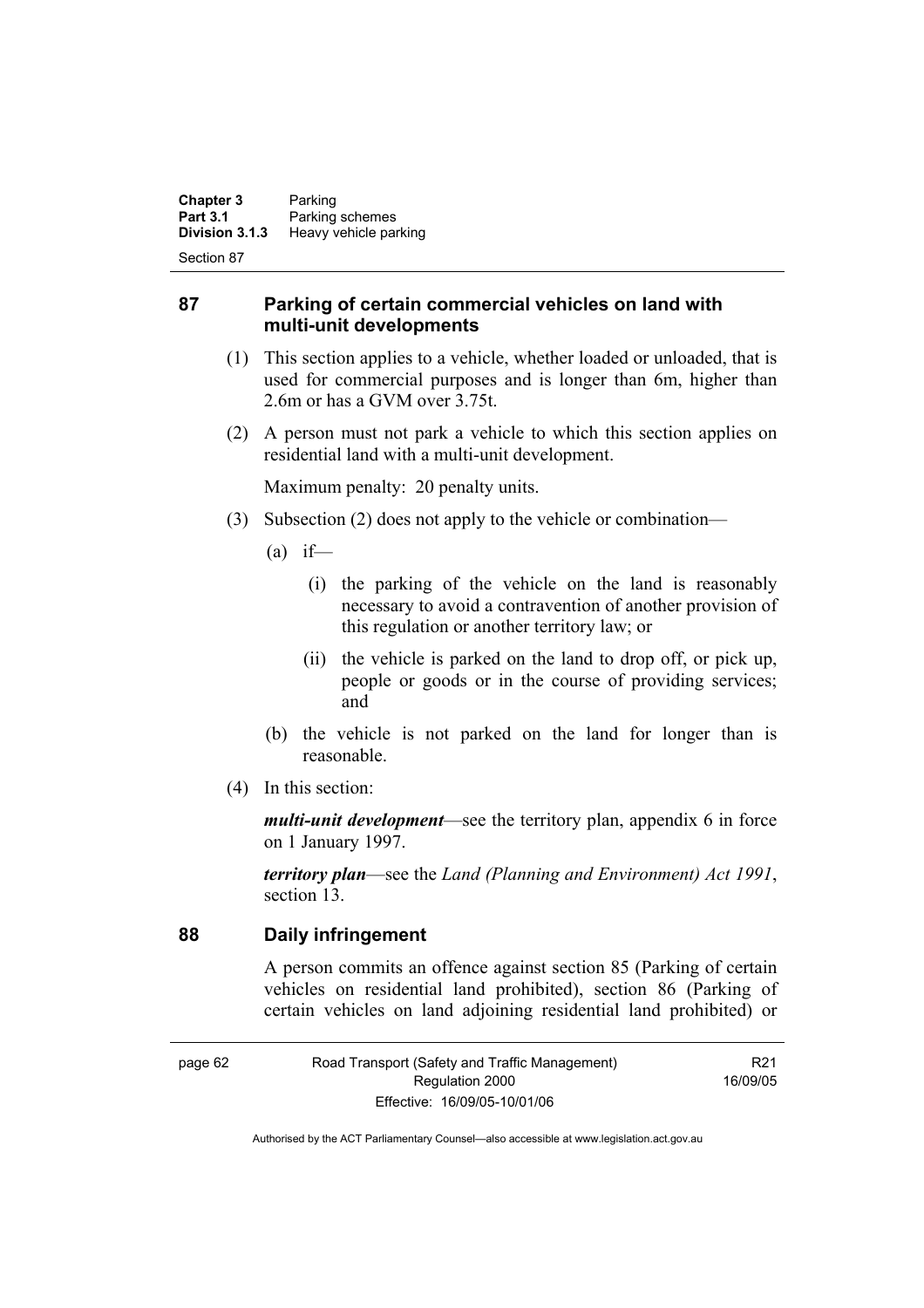**Chapter 3** Parking<br>**Part 3.1** Parking **Part 3.1 Parking schemes**<br>**Division 3.1.3 Heavy vehicle part Division 3.1.3** Heavy vehicle parking

Section 87

### **87 Parking of certain commercial vehicles on land with multi-unit developments**

- (1) This section applies to a vehicle, whether loaded or unloaded, that is used for commercial purposes and is longer than 6m, higher than 2.6m or has a GVM over 3.75t.
- (2) A person must not park a vehicle to which this section applies on residential land with a multi-unit development.

Maximum penalty: 20 penalty units.

- (3) Subsection (2) does not apply to the vehicle or combination—
	- $(a)$  if—
		- (i) the parking of the vehicle on the land is reasonably necessary to avoid a contravention of another provision of this regulation or another territory law; or
		- (ii) the vehicle is parked on the land to drop off, or pick up, people or goods or in the course of providing services; and
	- (b) the vehicle is not parked on the land for longer than is reasonable.
- (4) In this section:

*multi-unit development*—see the territory plan, appendix 6 in force on 1 January 1997.

*territory plan*—see the *Land (Planning and Environment) Act 1991*, section 13.

**88 Daily infringement** 

A person commits an offence against section 85 (Parking of certain vehicles on residential land prohibited), section 86 (Parking of certain vehicles on land adjoining residential land prohibited) or

R21 16/09/05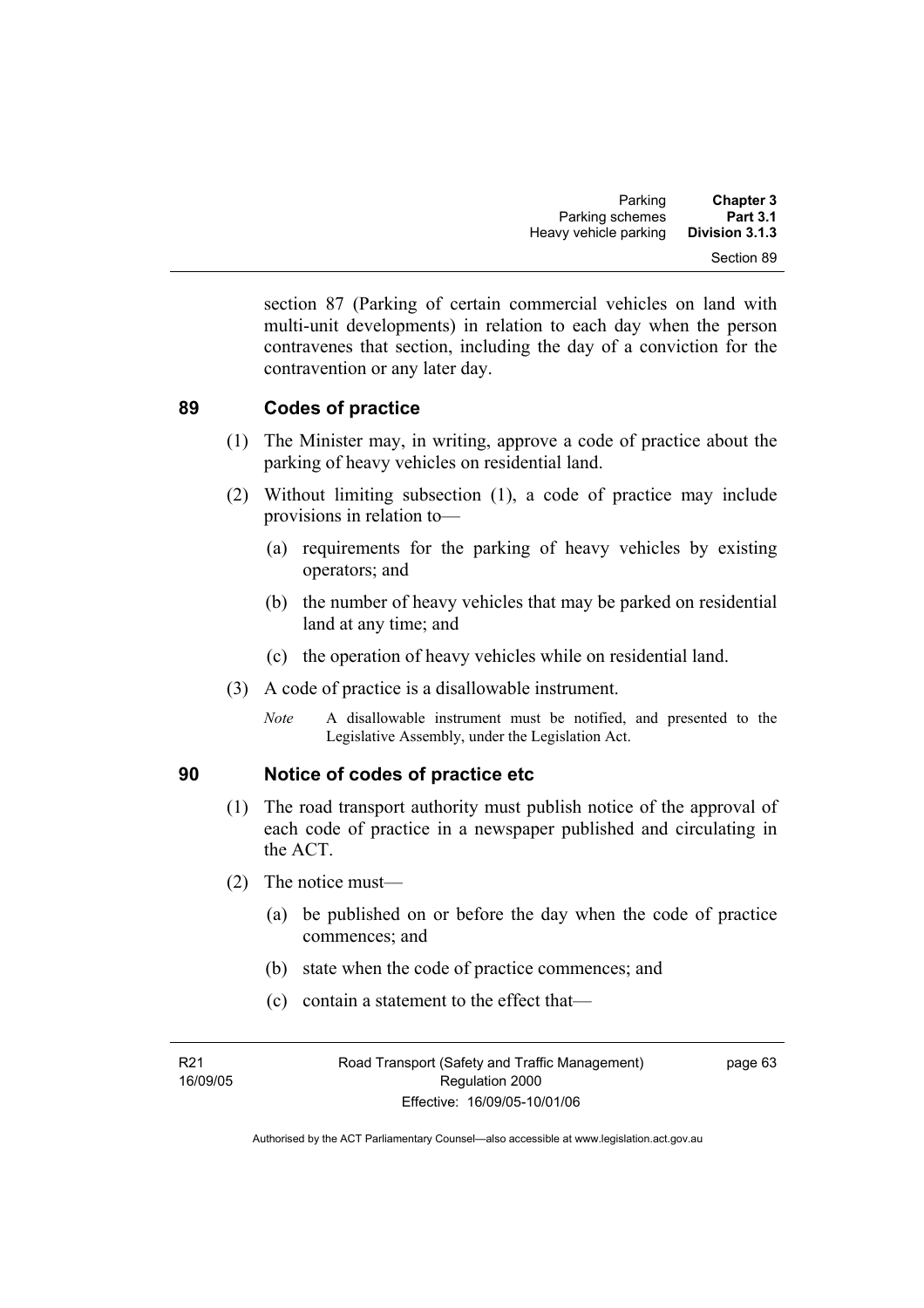section 87 (Parking of certain commercial vehicles on land with multi-unit developments) in relation to each day when the person contravenes that section, including the day of a conviction for the contravention or any later day.

### **89 Codes of practice**

- (1) The Minister may, in writing, approve a code of practice about the parking of heavy vehicles on residential land.
- (2) Without limiting subsection (1), a code of practice may include provisions in relation to—
	- (a) requirements for the parking of heavy vehicles by existing operators; and
	- (b) the number of heavy vehicles that may be parked on residential land at any time; and
	- (c) the operation of heavy vehicles while on residential land.
- (3) A code of practice is a disallowable instrument.
	- *Note* A disallowable instrument must be notified, and presented to the Legislative Assembly, under the Legislation Act.

### **90 Notice of codes of practice etc**

- (1) The road transport authority must publish notice of the approval of each code of practice in a newspaper published and circulating in the ACT.
- (2) The notice must—
	- (a) be published on or before the day when the code of practice commences; and
	- (b) state when the code of practice commences; and
	- (c) contain a statement to the effect that—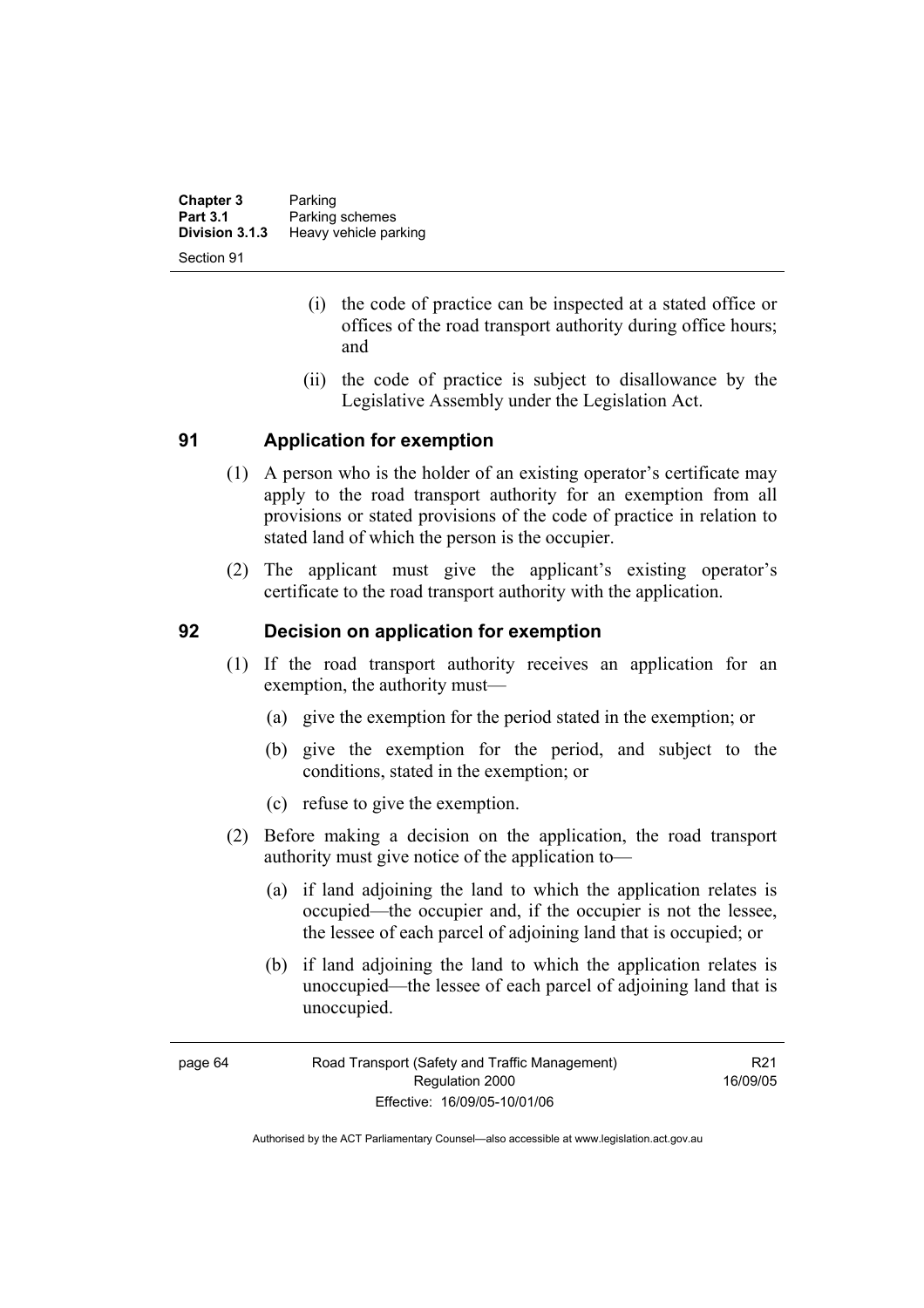| <b>Chapter 3</b> | Parking               |
|------------------|-----------------------|
| <b>Part 3.1</b>  | Parking schemes       |
| Division 3.1.3   | Heavy vehicle parking |
| Section 91       |                       |

- (i) the code of practice can be inspected at a stated office or offices of the road transport authority during office hours; and
- (ii) the code of practice is subject to disallowance by the Legislative Assembly under the Legislation Act.

### **91 Application for exemption**

- (1) A person who is the holder of an existing operator's certificate may apply to the road transport authority for an exemption from all provisions or stated provisions of the code of practice in relation to stated land of which the person is the occupier.
- (2) The applicant must give the applicant's existing operator's certificate to the road transport authority with the application.

### **92 Decision on application for exemption**

- (1) If the road transport authority receives an application for an exemption, the authority must—
	- (a) give the exemption for the period stated in the exemption; or
	- (b) give the exemption for the period, and subject to the conditions, stated in the exemption; or
	- (c) refuse to give the exemption.
- (2) Before making a decision on the application, the road transport authority must give notice of the application to—
	- (a) if land adjoining the land to which the application relates is occupied—the occupier and, if the occupier is not the lessee, the lessee of each parcel of adjoining land that is occupied; or
	- (b) if land adjoining the land to which the application relates is unoccupied—the lessee of each parcel of adjoining land that is unoccupied.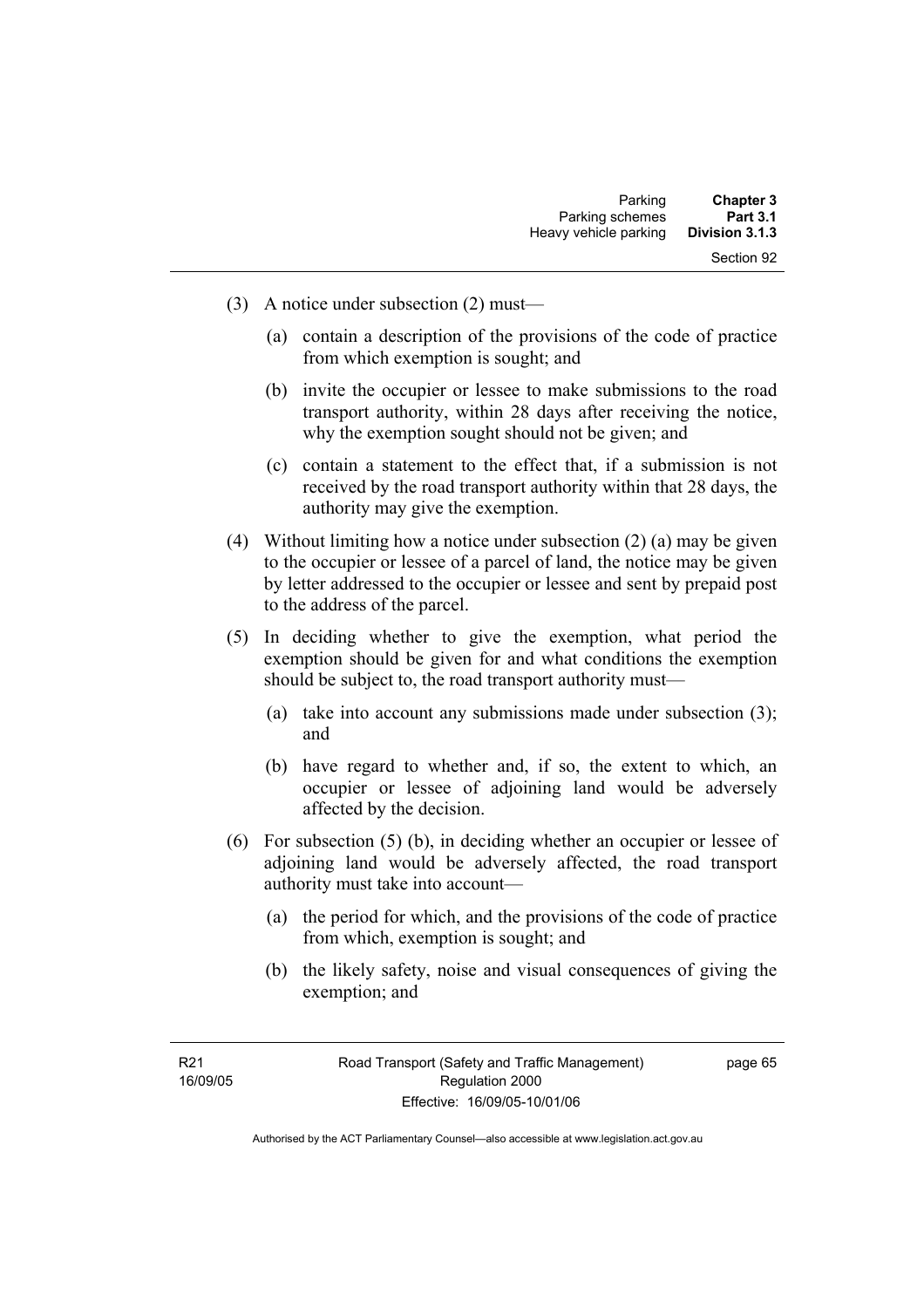- (3) A notice under subsection (2) must—
	- (a) contain a description of the provisions of the code of practice from which exemption is sought; and
	- (b) invite the occupier or lessee to make submissions to the road transport authority, within 28 days after receiving the notice, why the exemption sought should not be given; and
	- (c) contain a statement to the effect that, if a submission is not received by the road transport authority within that 28 days, the authority may give the exemption.
- (4) Without limiting how a notice under subsection (2) (a) may be given to the occupier or lessee of a parcel of land, the notice may be given by letter addressed to the occupier or lessee and sent by prepaid post to the address of the parcel.
- (5) In deciding whether to give the exemption, what period the exemption should be given for and what conditions the exemption should be subject to, the road transport authority must—
	- (a) take into account any submissions made under subsection (3); and
	- (b) have regard to whether and, if so, the extent to which, an occupier or lessee of adjoining land would be adversely affected by the decision.
- (6) For subsection (5) (b), in deciding whether an occupier or lessee of adjoining land would be adversely affected, the road transport authority must take into account—
	- (a) the period for which, and the provisions of the code of practice from which, exemption is sought; and
	- (b) the likely safety, noise and visual consequences of giving the exemption; and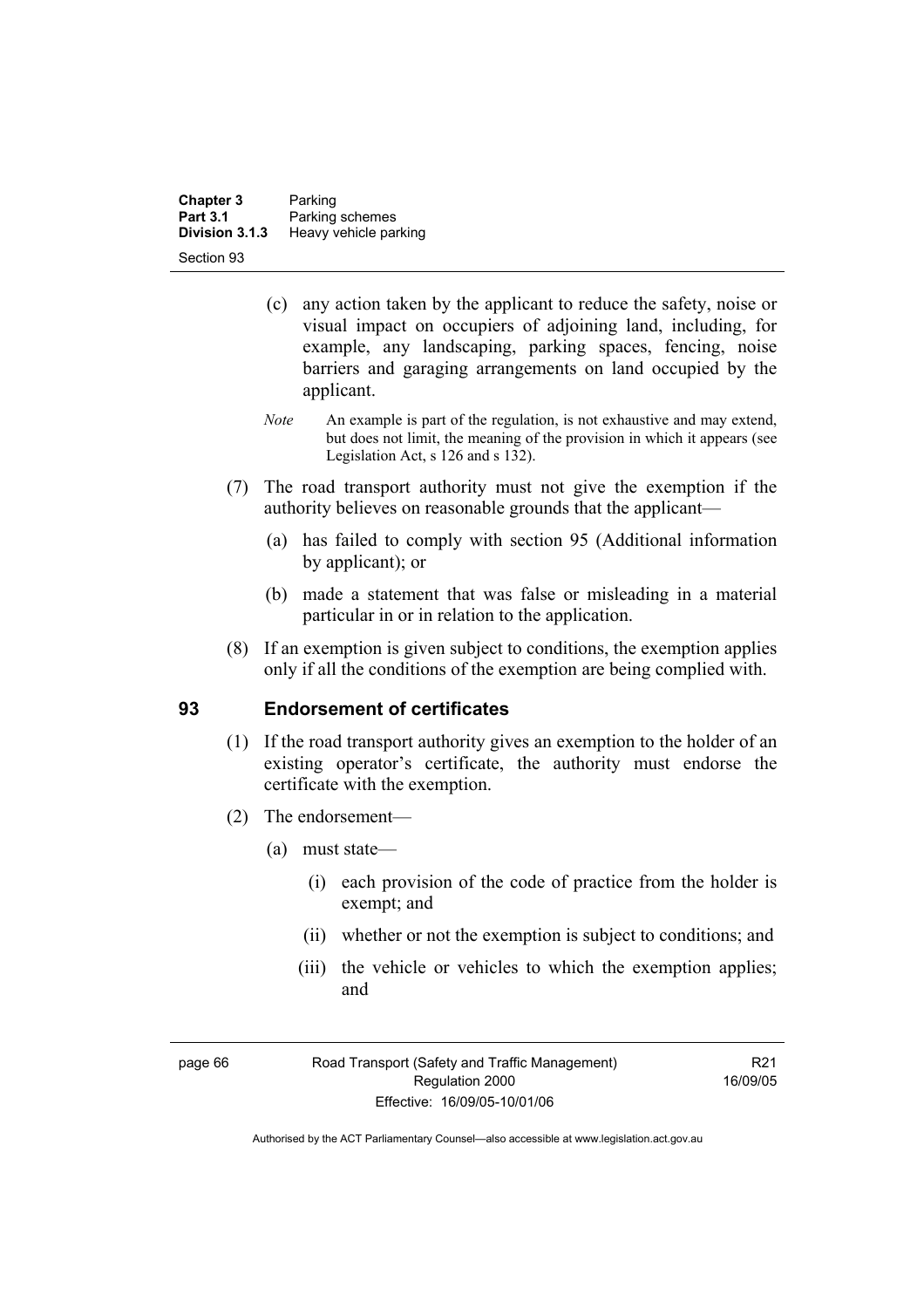| <b>Chapter 3</b><br><b>Part 3.1</b> | Parking                                  |
|-------------------------------------|------------------------------------------|
| Division 3.1.3                      | Parking schemes<br>Heavy vehicle parking |
| Section 93                          |                                          |

- (c) any action taken by the applicant to reduce the safety, noise or visual impact on occupiers of adjoining land, including, for example, any landscaping, parking spaces, fencing, noise barriers and garaging arrangements on land occupied by the applicant.
- *Note* An example is part of the regulation, is not exhaustive and may extend, but does not limit, the meaning of the provision in which it appears (see Legislation Act, s 126 and s 132).
- (7) The road transport authority must not give the exemption if the authority believes on reasonable grounds that the applicant—
	- (a) has failed to comply with section 95 (Additional information by applicant); or
	- (b) made a statement that was false or misleading in a material particular in or in relation to the application.
- (8) If an exemption is given subject to conditions, the exemption applies only if all the conditions of the exemption are being complied with.

### **93 Endorsement of certificates**

- (1) If the road transport authority gives an exemption to the holder of an existing operator's certificate, the authority must endorse the certificate with the exemption.
- (2) The endorsement—
	- (a) must state—
		- (i) each provision of the code of practice from the holder is exempt; and
		- (ii) whether or not the exemption is subject to conditions; and
		- (iii) the vehicle or vehicles to which the exemption applies; and

page 66 Road Transport (Safety and Traffic Management) Regulation 2000 Effective: 16/09/05-10/01/06

R21 16/09/05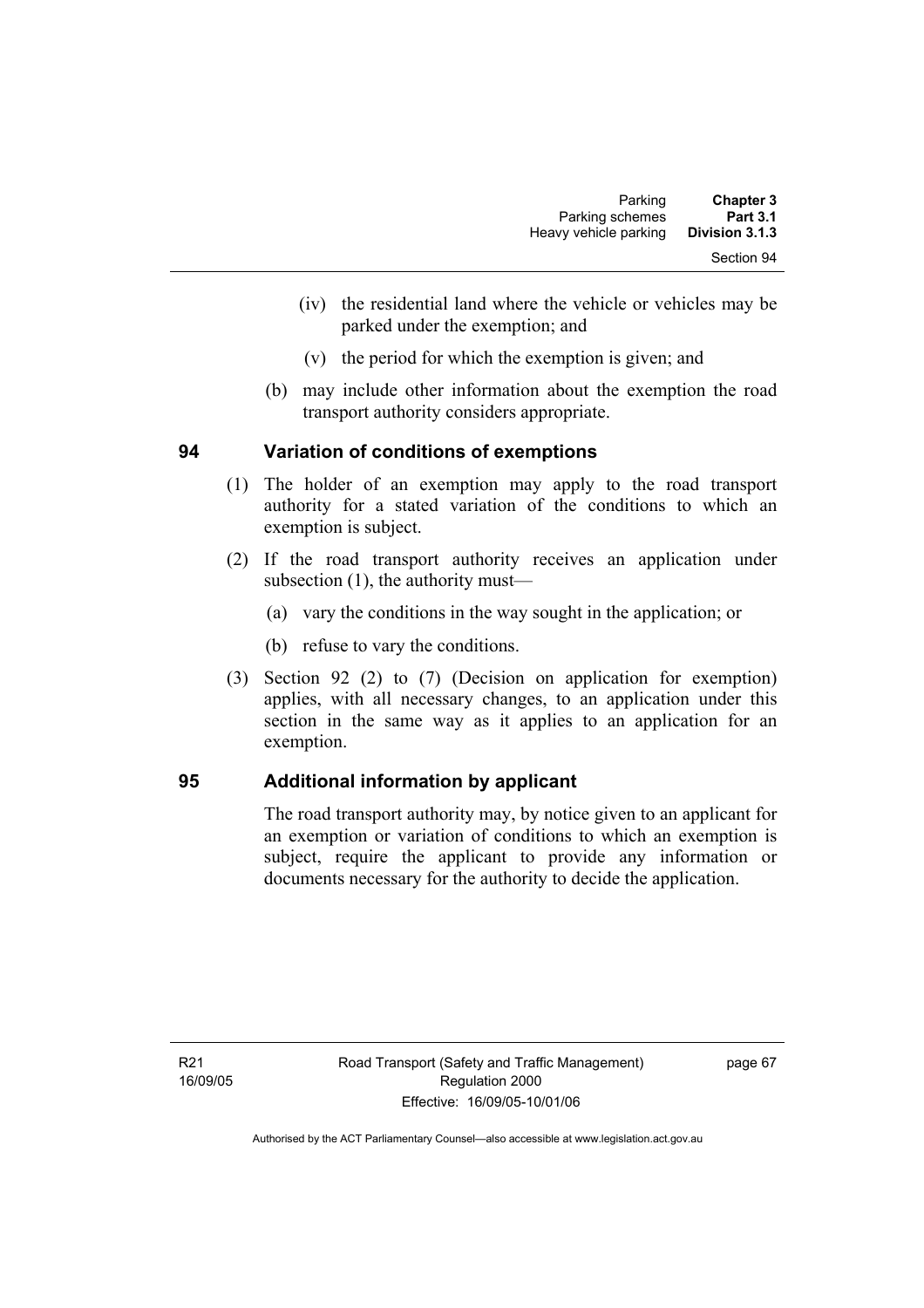| <b>Chapter 3</b> | Parking               |
|------------------|-----------------------|
| <b>Part 3.1</b>  | Parking schemes       |
| Division 3.1.3   | Heavy vehicle parking |
| Section 94       |                       |

- (iv) the residential land where the vehicle or vehicles may be parked under the exemption; and
- (v) the period for which the exemption is given; and
- (b) may include other information about the exemption the road transport authority considers appropriate.

### **94 Variation of conditions of exemptions**

- (1) The holder of an exemption may apply to the road transport authority for a stated variation of the conditions to which an exemption is subject.
- (2) If the road transport authority receives an application under subsection (1), the authority must—
	- (a) vary the conditions in the way sought in the application; or
	- (b) refuse to vary the conditions.
- (3) Section 92 (2) to (7) (Decision on application for exemption) applies, with all necessary changes, to an application under this section in the same way as it applies to an application for an exemption.

### **95 Additional information by applicant**

The road transport authority may, by notice given to an applicant for an exemption or variation of conditions to which an exemption is subject, require the applicant to provide any information or documents necessary for the authority to decide the application.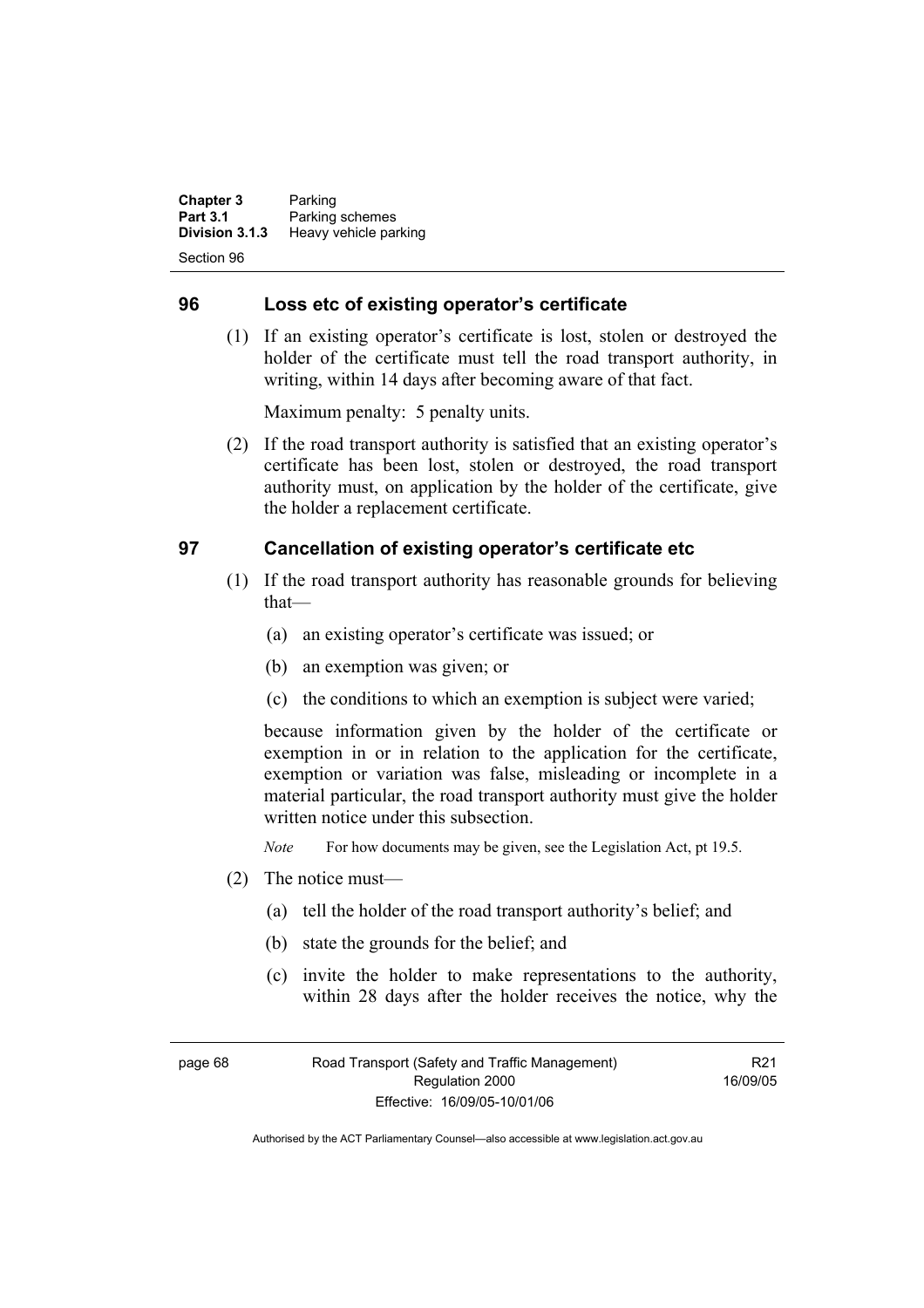**Chapter 3** Parking **Part 3.1 Parking schemes**<br>**Division 3.1.3 Heavy vehicle part Division 3.1.3** Heavy vehicle parking Section 96

### **96 Loss etc of existing operator's certificate**

 (1) If an existing operator's certificate is lost, stolen or destroyed the holder of the certificate must tell the road transport authority, in writing, within 14 days after becoming aware of that fact.

Maximum penalty: 5 penalty units.

 (2) If the road transport authority is satisfied that an existing operator's certificate has been lost, stolen or destroyed, the road transport authority must, on application by the holder of the certificate, give the holder a replacement certificate.

### **97 Cancellation of existing operator's certificate etc**

- (1) If the road transport authority has reasonable grounds for believing that—
	- (a) an existing operator's certificate was issued; or
	- (b) an exemption was given; or
	- (c) the conditions to which an exemption is subject were varied;

because information given by the holder of the certificate or exemption in or in relation to the application for the certificate, exemption or variation was false, misleading or incomplete in a material particular, the road transport authority must give the holder written notice under this subsection.

*Note* For how documents may be given, see the Legislation Act, pt 19.5.

- (2) The notice must—
	- (a) tell the holder of the road transport authority's belief; and
	- (b) state the grounds for the belief; and
	- (c) invite the holder to make representations to the authority, within 28 days after the holder receives the notice, why the

page 68 Road Transport (Safety and Traffic Management) Regulation 2000 Effective: 16/09/05-10/01/06

R21 16/09/05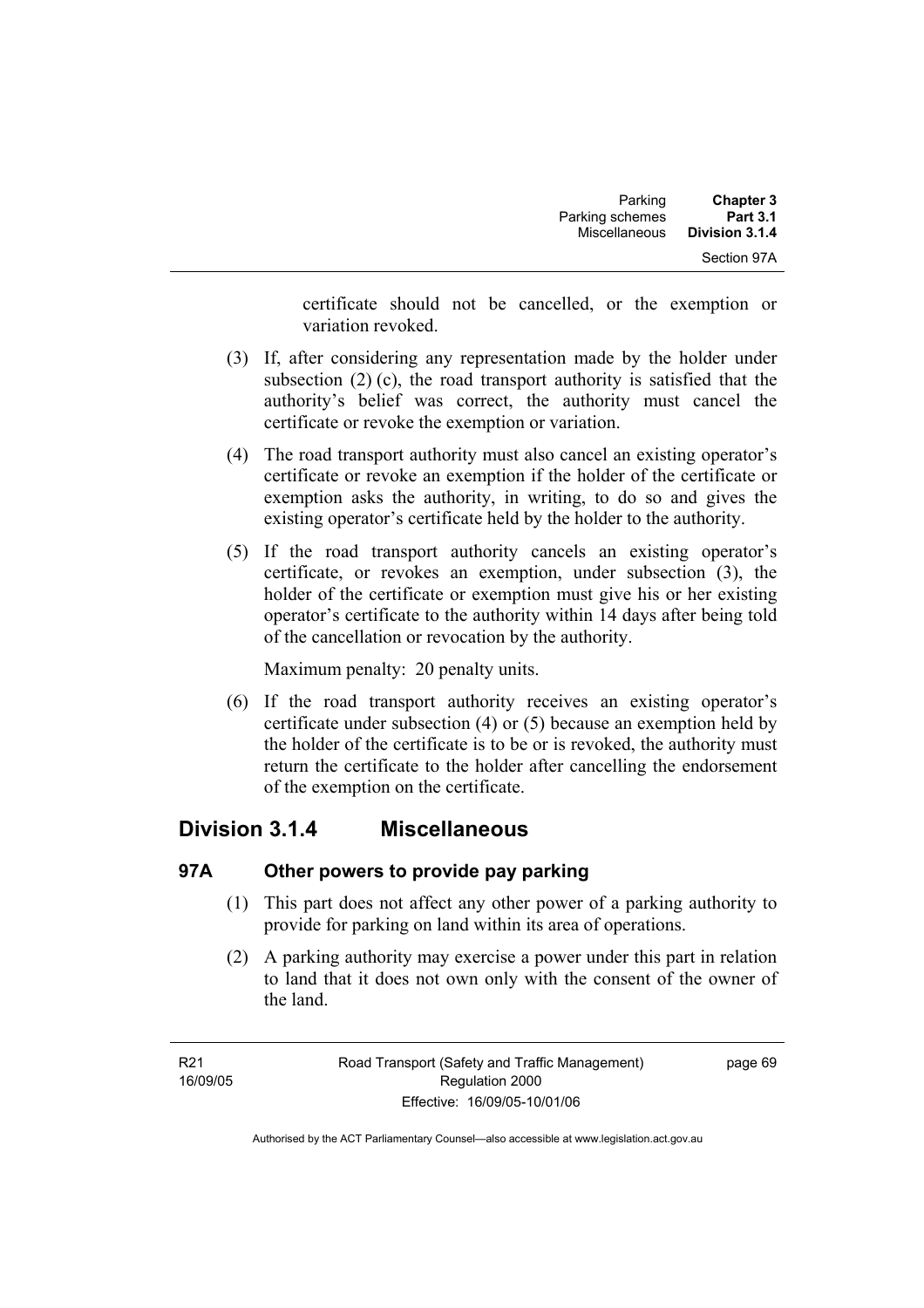certificate should not be cancelled, or the exemption or variation revoked.

- (3) If, after considering any representation made by the holder under subsection (2) (c), the road transport authority is satisfied that the authority's belief was correct, the authority must cancel the certificate or revoke the exemption or variation.
- (4) The road transport authority must also cancel an existing operator's certificate or revoke an exemption if the holder of the certificate or exemption asks the authority, in writing, to do so and gives the existing operator's certificate held by the holder to the authority.
- (5) If the road transport authority cancels an existing operator's certificate, or revokes an exemption, under subsection (3), the holder of the certificate or exemption must give his or her existing operator's certificate to the authority within 14 days after being told of the cancellation or revocation by the authority.

Maximum penalty: 20 penalty units.

 (6) If the road transport authority receives an existing operator's certificate under subsection (4) or (5) because an exemption held by the holder of the certificate is to be or is revoked, the authority must return the certificate to the holder after cancelling the endorsement of the exemption on the certificate.

## **Division 3.1.4 Miscellaneous**

### **97A Other powers to provide pay parking**

- (1) This part does not affect any other power of a parking authority to provide for parking on land within its area of operations.
- (2) A parking authority may exercise a power under this part in relation to land that it does not own only with the consent of the owner of the land.

page 69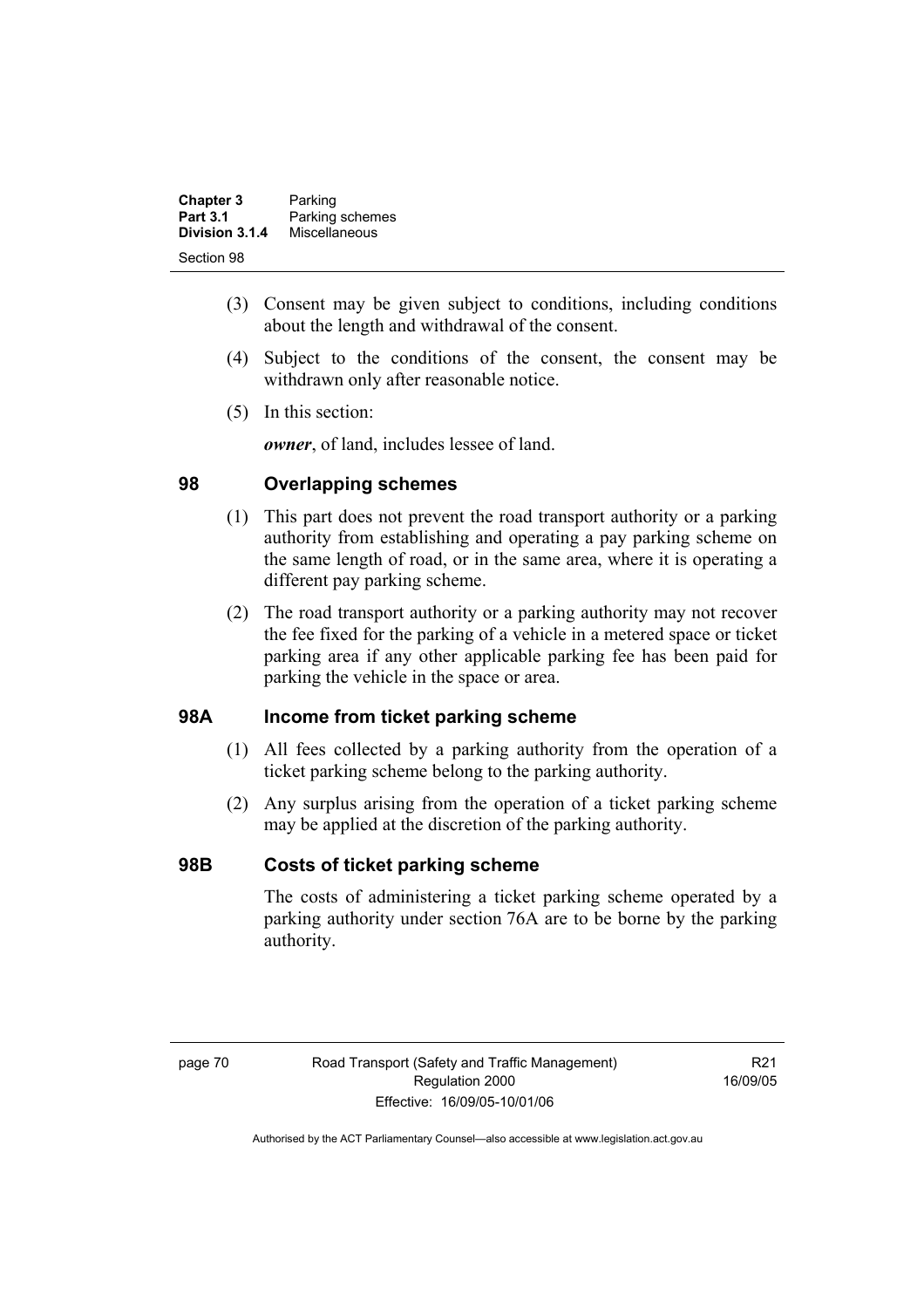| <b>Chapter 3</b> | Parking         |
|------------------|-----------------|
| <b>Part 3.1</b>  | Parking schemes |
| Division 3.1.4   | Miscellaneous   |
| Section 98       |                 |

- (3) Consent may be given subject to conditions, including conditions about the length and withdrawal of the consent.
- (4) Subject to the conditions of the consent, the consent may be withdrawn only after reasonable notice.
- (5) In this section:

*owner*, of land, includes lessee of land.

### **98 Overlapping schemes**

- (1) This part does not prevent the road transport authority or a parking authority from establishing and operating a pay parking scheme on the same length of road, or in the same area, where it is operating a different pay parking scheme.
- (2) The road transport authority or a parking authority may not recover the fee fixed for the parking of a vehicle in a metered space or ticket parking area if any other applicable parking fee has been paid for parking the vehicle in the space or area.

### **98A Income from ticket parking scheme**

- (1) All fees collected by a parking authority from the operation of a ticket parking scheme belong to the parking authority.
- (2) Any surplus arising from the operation of a ticket parking scheme may be applied at the discretion of the parking authority.

### **98B Costs of ticket parking scheme**

The costs of administering a ticket parking scheme operated by a parking authority under section 76A are to be borne by the parking authority.

R21 16/09/05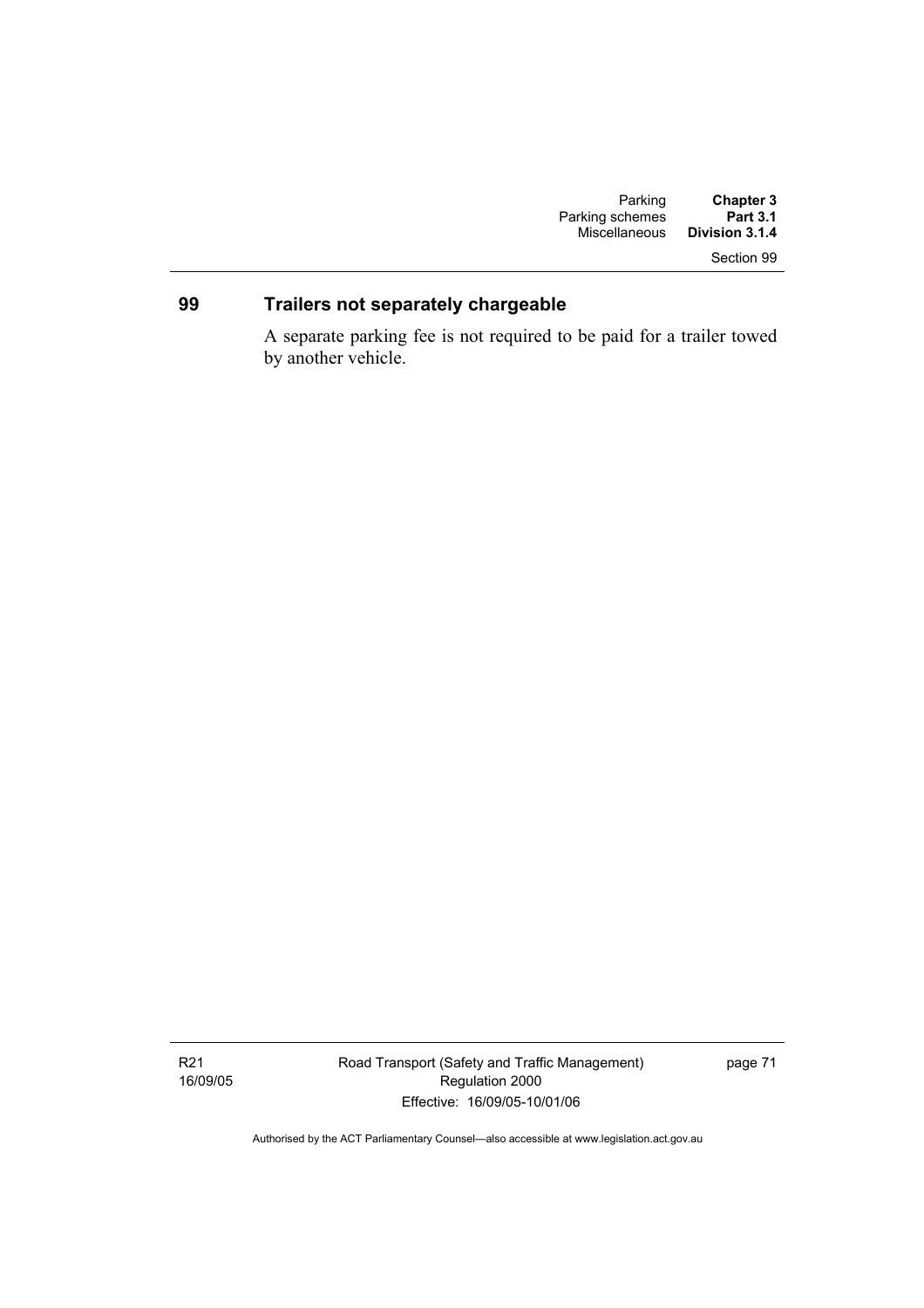### Section 99

### **99 Trailers not separately chargeable**

A separate parking fee is not required to be paid for a trailer towed by another vehicle.

R21 16/09/05 Road Transport (Safety and Traffic Management) Regulation 2000 Effective: 16/09/05-10/01/06

page 71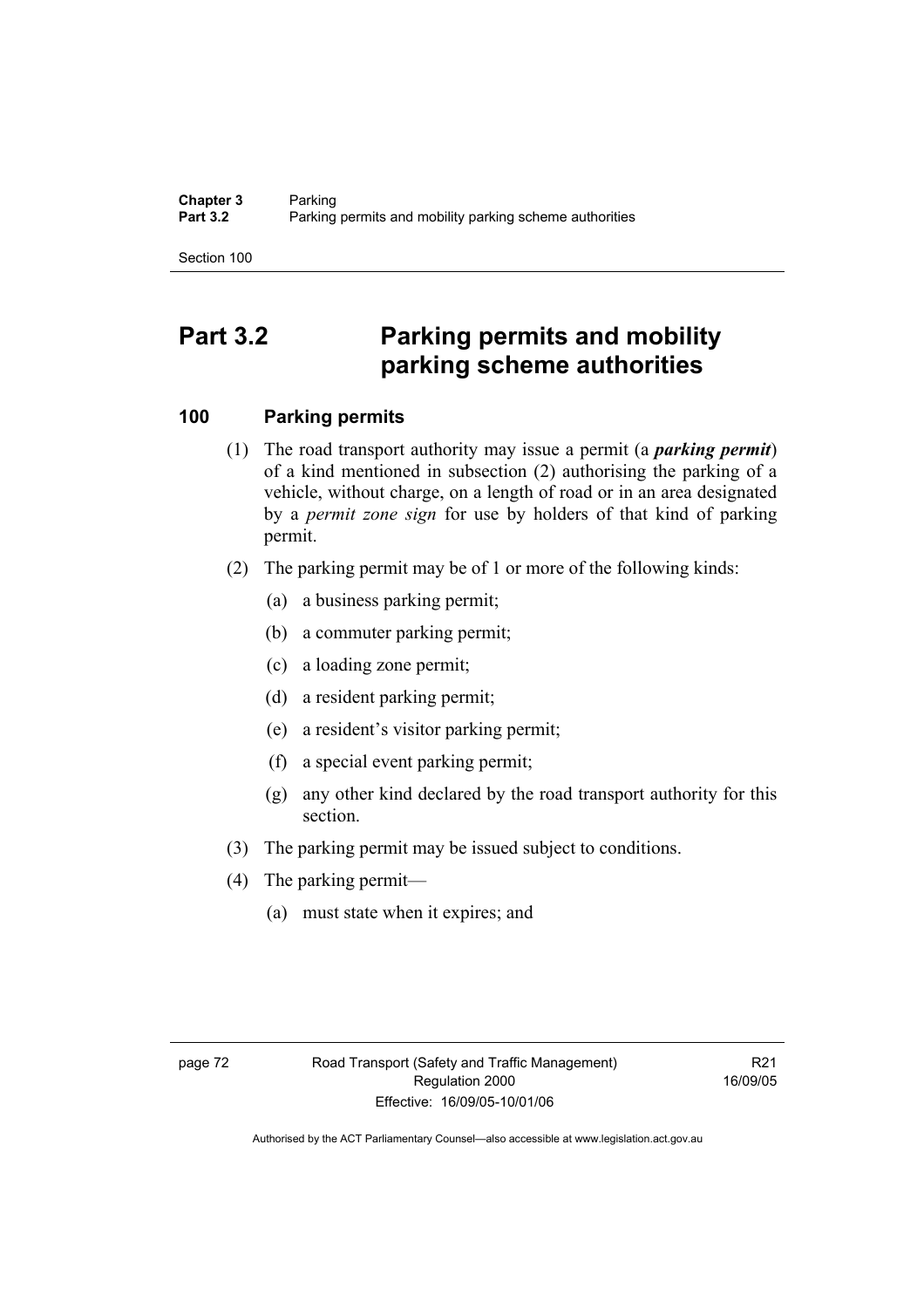Section 100

# **Part 3.2 Parking permits and mobility parking scheme authorities**

### **100 Parking permits**

- (1) The road transport authority may issue a permit (a *parking permit*) of a kind mentioned in subsection (2) authorising the parking of a vehicle, without charge, on a length of road or in an area designated by a *permit zone sign* for use by holders of that kind of parking permit.
- (2) The parking permit may be of 1 or more of the following kinds:
	- (a) a business parking permit;
	- (b) a commuter parking permit;
	- (c) a loading zone permit;
	- (d) a resident parking permit;
	- (e) a resident's visitor parking permit;
	- (f) a special event parking permit;
	- (g) any other kind declared by the road transport authority for this section.
- (3) The parking permit may be issued subject to conditions.
- (4) The parking permit—
	- (a) must state when it expires; and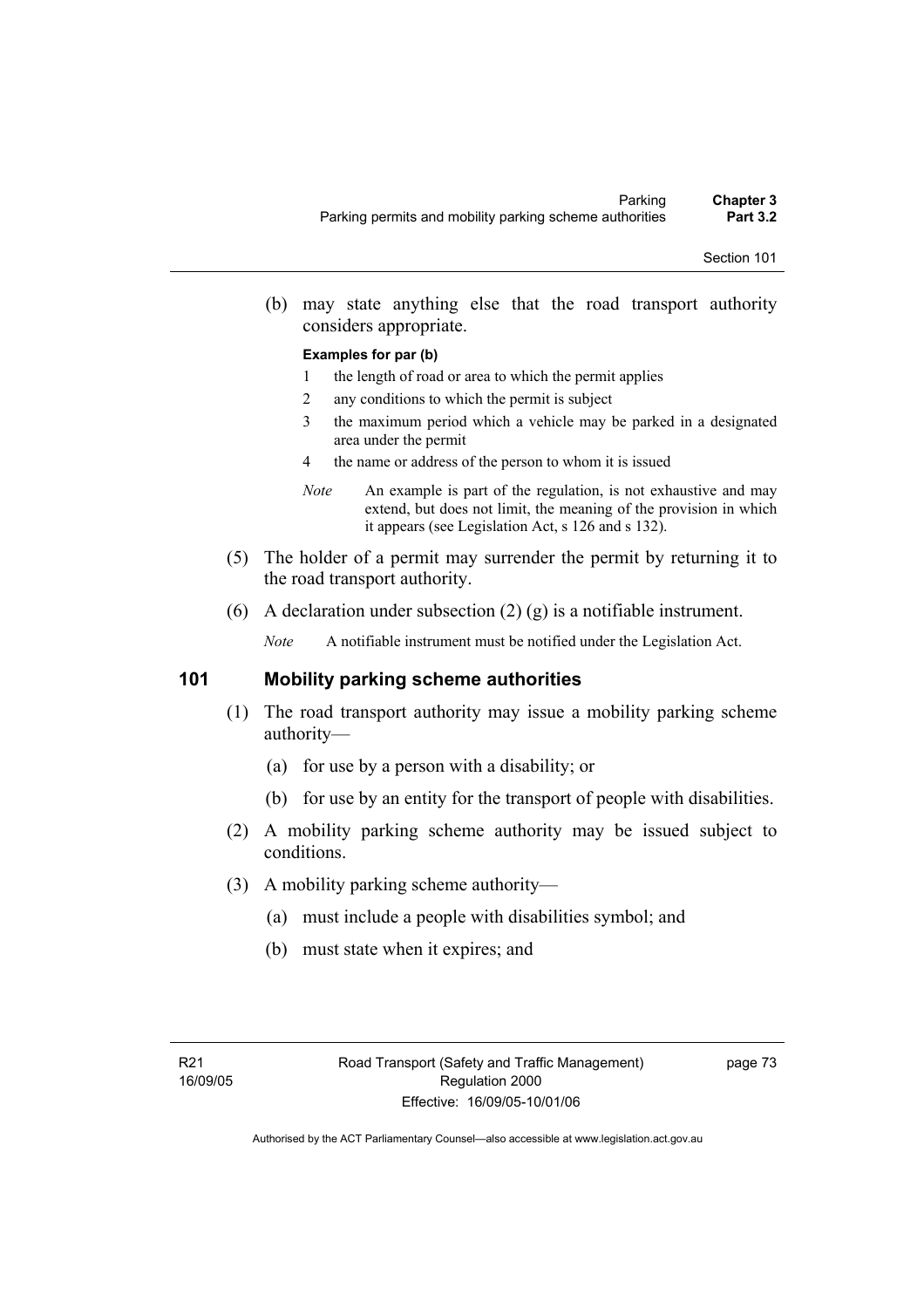(b) may state anything else that the road transport authority considers appropriate.

#### **Examples for par (b)**

- 1 the length of road or area to which the permit applies
- 2 any conditions to which the permit is subject
- 3 the maximum period which a vehicle may be parked in a designated area under the permit
- 4 the name or address of the person to whom it is issued
- *Note* An example is part of the regulation, is not exhaustive and may extend, but does not limit, the meaning of the provision in which it appears (see Legislation Act, s 126 and s 132).
- (5) The holder of a permit may surrender the permit by returning it to the road transport authority.
- (6) A declaration under subsection (2) (g) is a notifiable instrument.

*Note* A notifiable instrument must be notified under the Legislation Act.

### **101 Mobility parking scheme authorities**

- (1) The road transport authority may issue a mobility parking scheme authority—
	- (a) for use by a person with a disability; or
	- (b) for use by an entity for the transport of people with disabilities.
- (2) A mobility parking scheme authority may be issued subject to conditions.
- (3) A mobility parking scheme authority—
	- (a) must include a people with disabilities symbol; and
	- (b) must state when it expires; and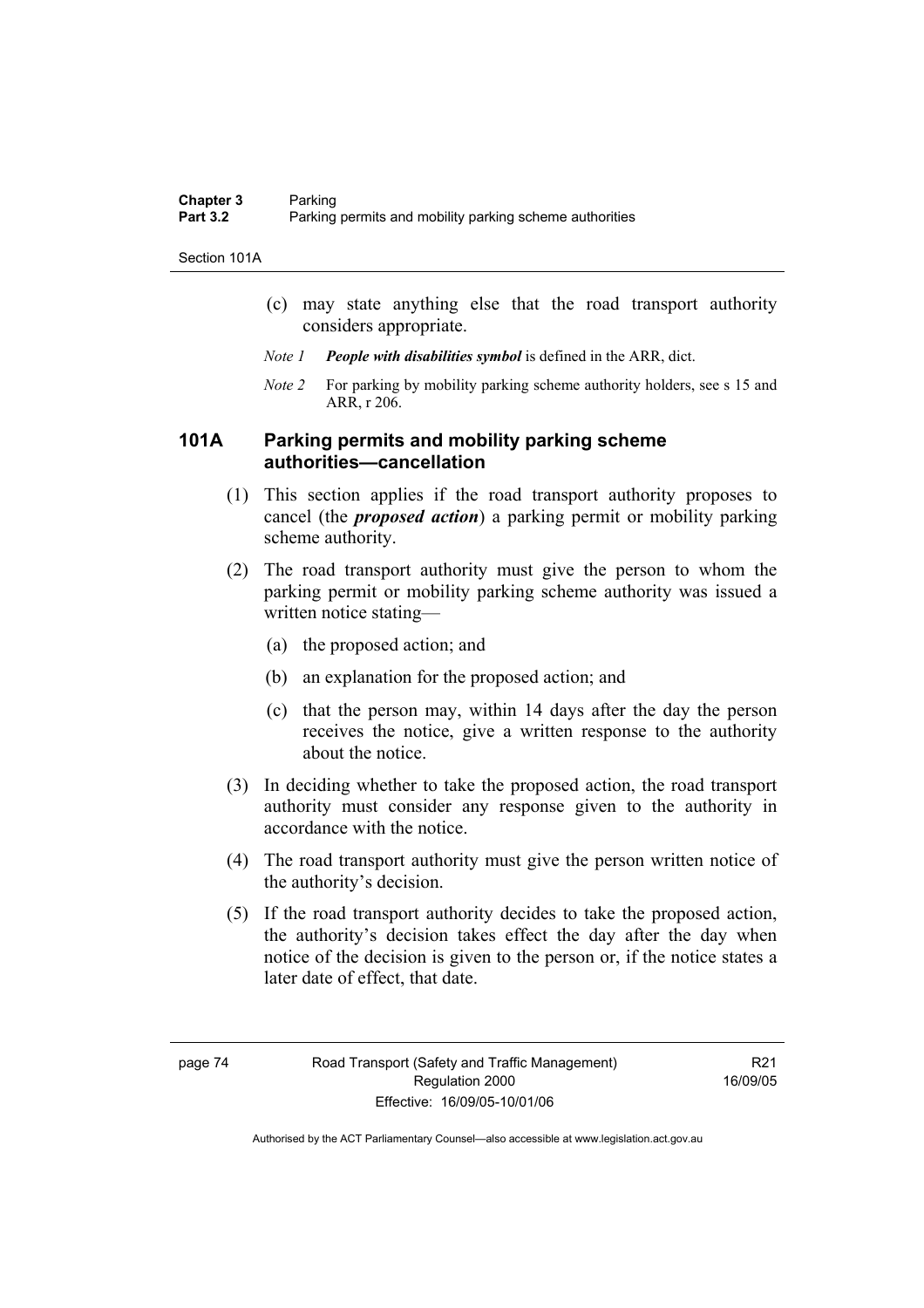Section 101A

- (c) may state anything else that the road transport authority considers appropriate.
- *Note 1 People with disabilities symbol* is defined in the ARR, dict.
- *Note 2* For parking by mobility parking scheme authority holders, see s 15 and ARR, r 206.

### **101A Parking permits and mobility parking scheme authorities—cancellation**

- (1) This section applies if the road transport authority proposes to cancel (the *proposed action*) a parking permit or mobility parking scheme authority.
- (2) The road transport authority must give the person to whom the parking permit or mobility parking scheme authority was issued a written notice stating—
	- (a) the proposed action; and
	- (b) an explanation for the proposed action; and
	- (c) that the person may, within 14 days after the day the person receives the notice, give a written response to the authority about the notice.
- (3) In deciding whether to take the proposed action, the road transport authority must consider any response given to the authority in accordance with the notice.
- (4) The road transport authority must give the person written notice of the authority's decision.
- (5) If the road transport authority decides to take the proposed action, the authority's decision takes effect the day after the day when notice of the decision is given to the person or, if the notice states a later date of effect, that date.

R21 16/09/05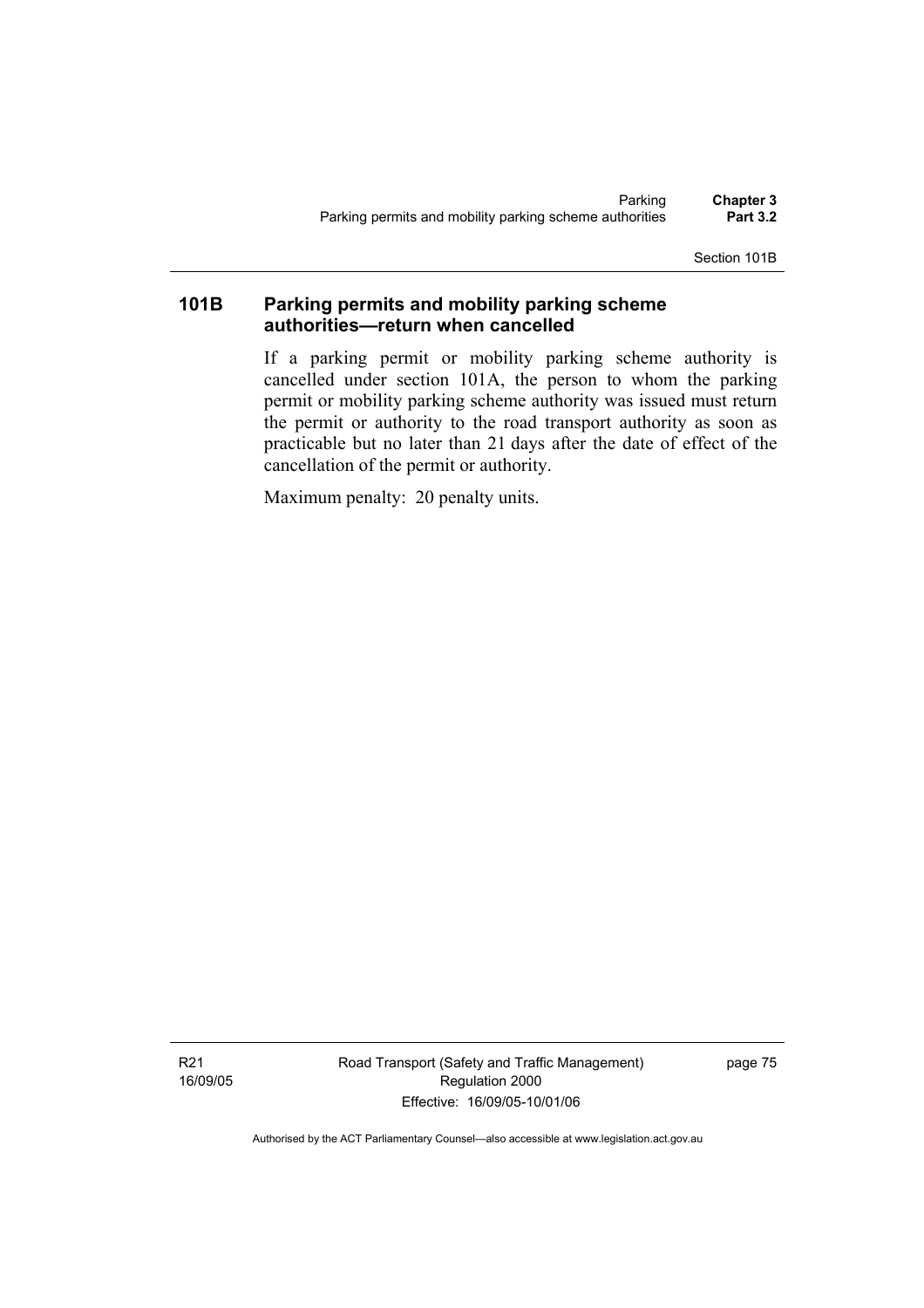Section 101B

### **101B Parking permits and mobility parking scheme authorities—return when cancelled**

If a parking permit or mobility parking scheme authority is cancelled under section 101A, the person to whom the parking permit or mobility parking scheme authority was issued must return the permit or authority to the road transport authority as soon as practicable but no later than 21 days after the date of effect of the cancellation of the permit or authority.

Maximum penalty: 20 penalty units.

R21 16/09/05 Road Transport (Safety and Traffic Management) Regulation 2000 Effective: 16/09/05-10/01/06

page 75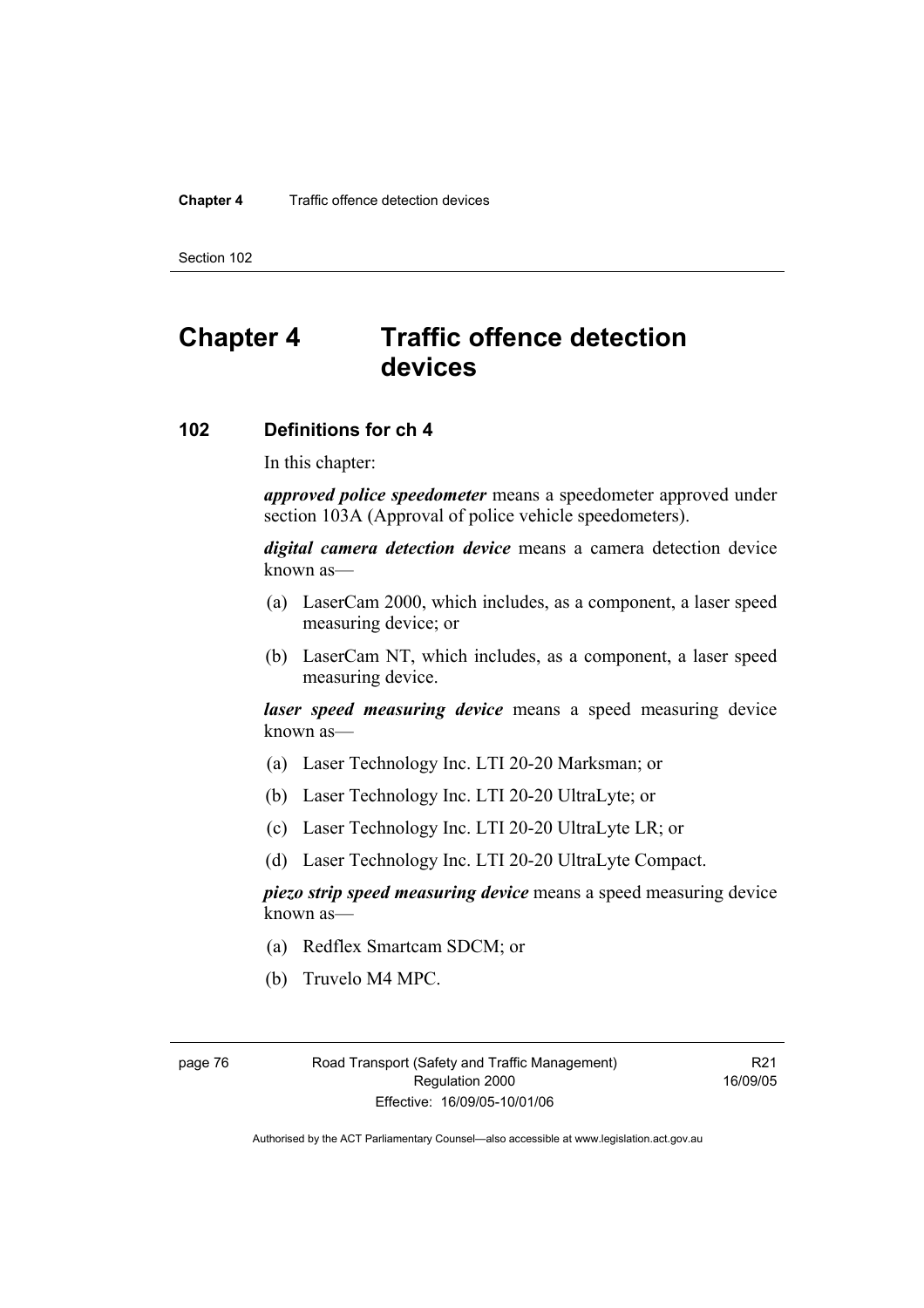### **Chapter 4** Traffic offence detection devices

Section 102

# **Chapter 4 Traffic offence detection devices**

### **102 Definitions for ch 4**

In this chapter:

*approved police speedometer* means a speedometer approved under section 103A (Approval of police vehicle speedometers).

*digital camera detection device* means a camera detection device known as—

- (a) LaserCam 2000, which includes, as a component, a laser speed measuring device; or
- (b) LaserCam NT, which includes, as a component, a laser speed measuring device.

*laser speed measuring device* means a speed measuring device known as—

- (a) Laser Technology Inc. LTI 20-20 Marksman; or
- (b) Laser Technology Inc. LTI 20-20 UltraLyte; or
- (c) Laser Technology Inc. LTI 20-20 UltraLyte LR; or
- (d) Laser Technology Inc. LTI 20-20 UltraLyte Compact.

*piezo strip speed measuring device* means a speed measuring device known as—

- (a) Redflex Smartcam SDCM; or
- (b) Truvelo M4 MPC.

page 76 Road Transport (Safety and Traffic Management) Regulation 2000 Effective: 16/09/05-10/01/06

R21 16/09/05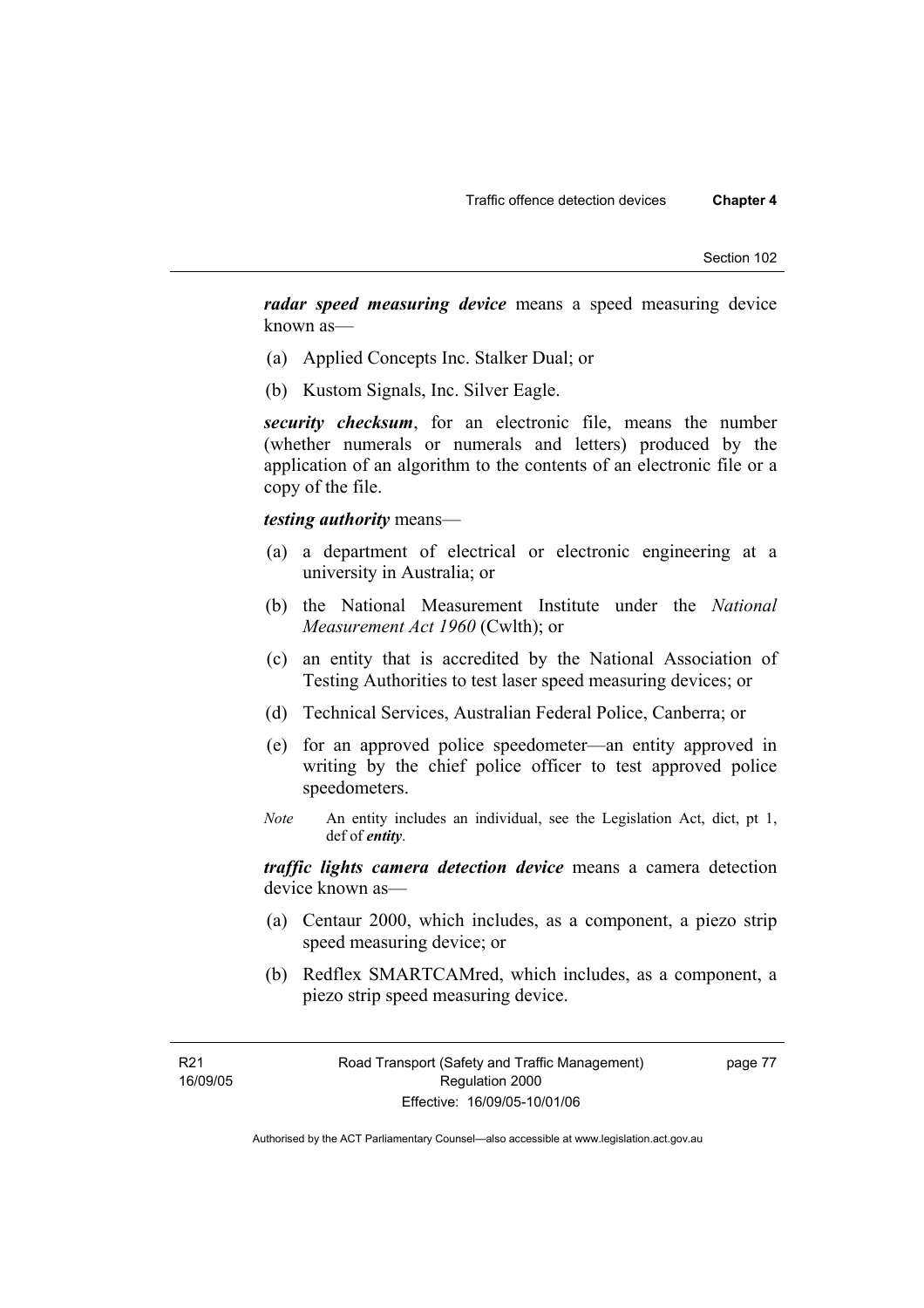*radar speed measuring device* means a speed measuring device known as—

- (a) Applied Concepts Inc. Stalker Dual; or
- (b) Kustom Signals, Inc. Silver Eagle.

*security checksum*, for an electronic file, means the number (whether numerals or numerals and letters) produced by the application of an algorithm to the contents of an electronic file or a copy of the file.

### *testing authority* means—

- (a) a department of electrical or electronic engineering at a university in Australia; or
- (b) the National Measurement Institute under the *National Measurement Act 1960* (Cwlth); or
- (c) an entity that is accredited by the National Association of Testing Authorities to test laser speed measuring devices; or
- (d) Technical Services, Australian Federal Police, Canberra; or
- (e) for an approved police speedometer—an entity approved in writing by the chief police officer to test approved police speedometers.
- *Note* An entity includes an individual, see the Legislation Act, dict, pt 1, def of *entity*.

*traffic lights camera detection device* means a camera detection device known as—

- (a) Centaur 2000, which includes, as a component, a piezo strip speed measuring device; or
- (b) Redflex SMARTCAMred, which includes, as a component, a piezo strip speed measuring device.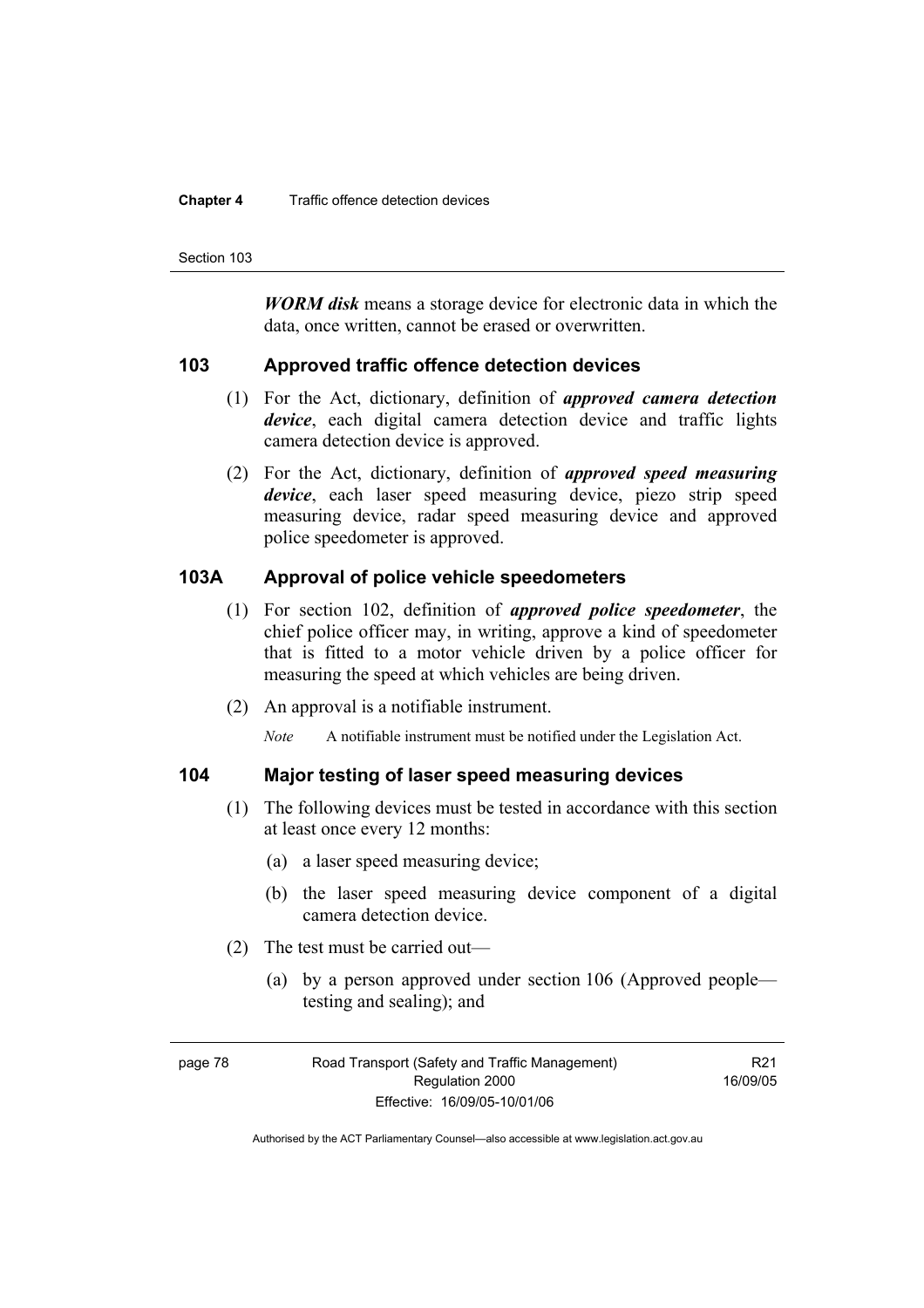#### **Chapter 4** Traffic offence detection devices

Section 103

*WORM disk* means a storage device for electronic data in which the data, once written, cannot be erased or overwritten.

### **103 Approved traffic offence detection devices**

- (1) For the Act, dictionary, definition of *approved camera detection device*, each digital camera detection device and traffic lights camera detection device is approved.
- (2) For the Act, dictionary, definition of *approved speed measuring device*, each laser speed measuring device, piezo strip speed measuring device, radar speed measuring device and approved police speedometer is approved.

### **103A Approval of police vehicle speedometers**

- (1) For section 102, definition of *approved police speedometer*, the chief police officer may, in writing, approve a kind of speedometer that is fitted to a motor vehicle driven by a police officer for measuring the speed at which vehicles are being driven.
- (2) An approval is a notifiable instrument.

*Note* A notifiable instrument must be notified under the Legislation Act.

### **104 Major testing of laser speed measuring devices**

- (1) The following devices must be tested in accordance with this section at least once every 12 months:
	- (a) a laser speed measuring device;
	- (b) the laser speed measuring device component of a digital camera detection device.
- (2) The test must be carried out—
	- (a) by a person approved under section 106 (Approved people testing and sealing); and

page 78 Road Transport (Safety and Traffic Management) Regulation 2000 Effective: 16/09/05-10/01/06

R21 16/09/05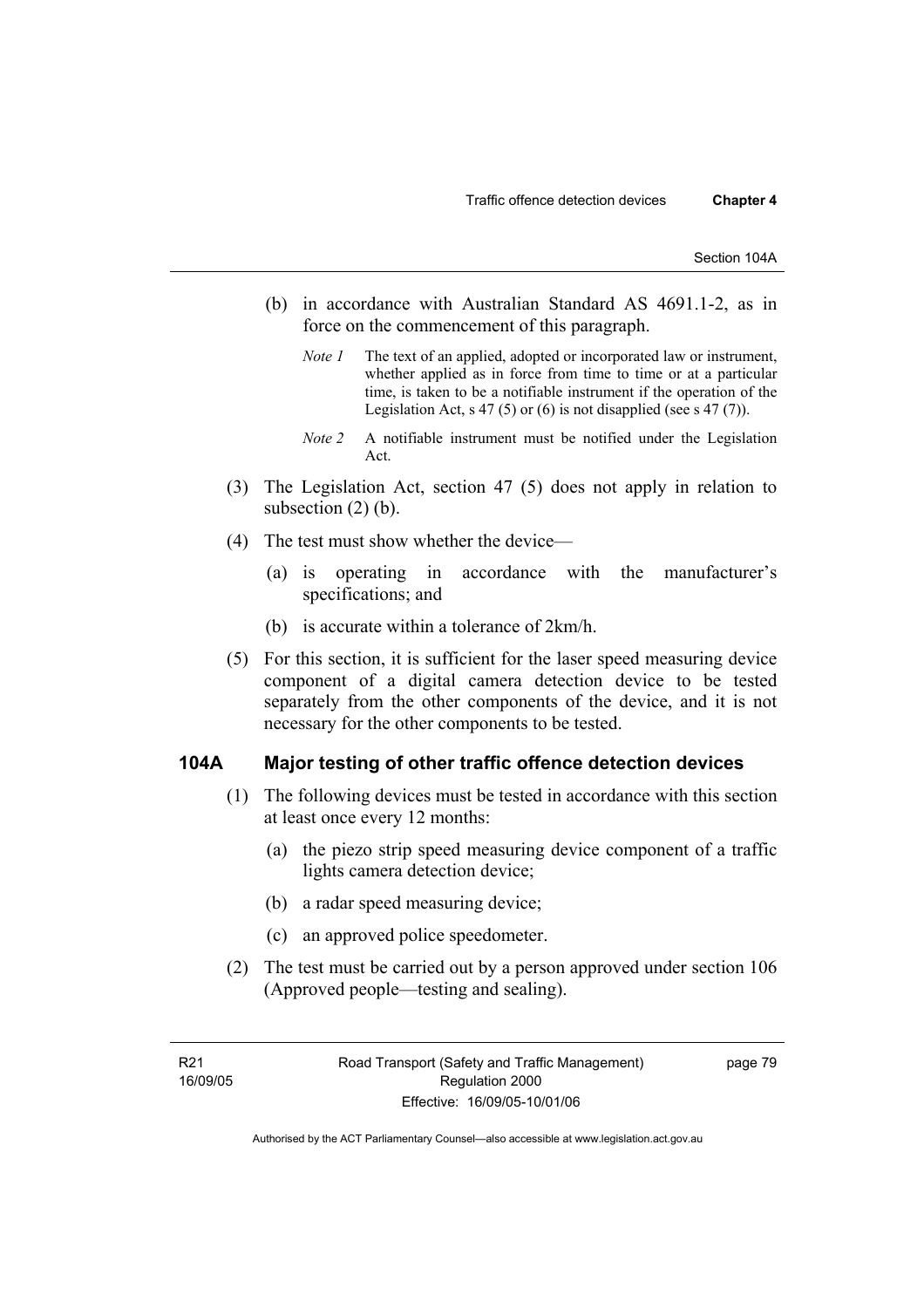- (b) in accordance with Australian Standard AS 4691.1-2, as in force on the commencement of this paragraph.
	- *Note 1* The text of an applied, adopted or incorporated law or instrument, whether applied as in force from time to time or at a particular time, is taken to be a notifiable instrument if the operation of the Legislation Act, s 47 (5) or (6) is not disapplied (see s 47 (7)).
	- *Note 2* A notifiable instrument must be notified under the Legislation Act.
- (3) The Legislation Act, section 47 (5) does not apply in relation to subsection  $(2)$  (b).
- (4) The test must show whether the device—
	- (a) is operating in accordance with the manufacturer's specifications; and
	- (b) is accurate within a tolerance of 2km/h.
- (5) For this section, it is sufficient for the laser speed measuring device component of a digital camera detection device to be tested separately from the other components of the device, and it is not necessary for the other components to be tested.

### **104A Major testing of other traffic offence detection devices**

- (1) The following devices must be tested in accordance with this section at least once every 12 months:
	- (a) the piezo strip speed measuring device component of a traffic lights camera detection device;
	- (b) a radar speed measuring device;
	- (c) an approved police speedometer.
- (2) The test must be carried out by a person approved under section 106 (Approved people—testing and sealing).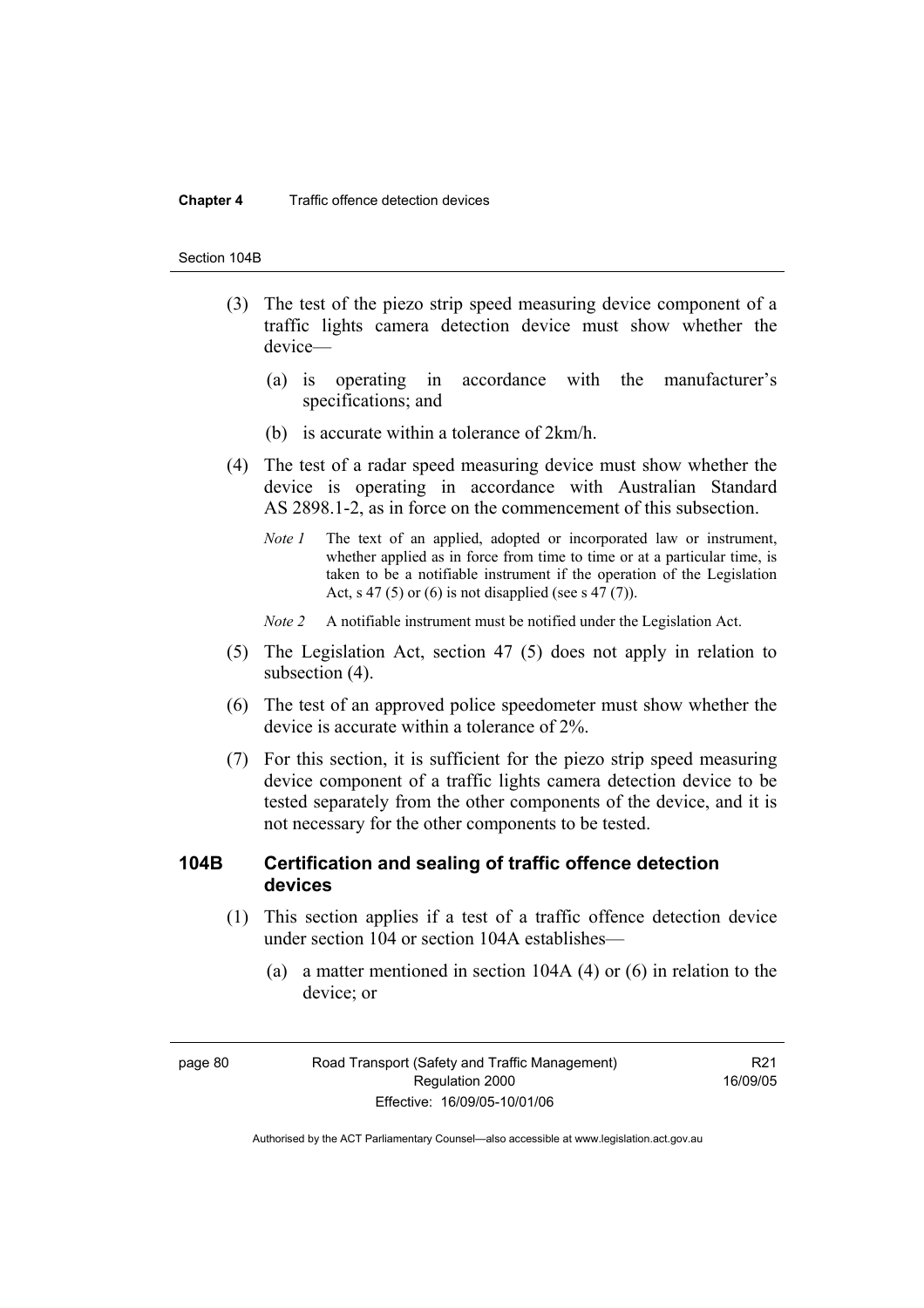#### **Chapter 4** Traffic offence detection devices

#### Section 104B

- (3) The test of the piezo strip speed measuring device component of a traffic lights camera detection device must show whether the device—
	- (a) is operating in accordance with the manufacturer's specifications; and
	- (b) is accurate within a tolerance of 2km/h.
- (4) The test of a radar speed measuring device must show whether the device is operating in accordance with Australian Standard AS 2898.1-2, as in force on the commencement of this subsection.
	- *Note 1* The text of an applied, adopted or incorporated law or instrument, whether applied as in force from time to time or at a particular time, is taken to be a notifiable instrument if the operation of the Legislation Act, s 47 (5) or (6) is not disapplied (see s 47 (7)).
	- *Note 2* A notifiable instrument must be notified under the Legislation Act.
- (5) The Legislation Act, section 47 (5) does not apply in relation to subsection (4).
- (6) The test of an approved police speedometer must show whether the device is accurate within a tolerance of 2%.
- (7) For this section, it is sufficient for the piezo strip speed measuring device component of a traffic lights camera detection device to be tested separately from the other components of the device, and it is not necessary for the other components to be tested.

### **104B Certification and sealing of traffic offence detection devices**

- (1) This section applies if a test of a traffic offence detection device under section 104 or section 104A establishes—
	- (a) a matter mentioned in section 104A (4) or (6) in relation to the device; or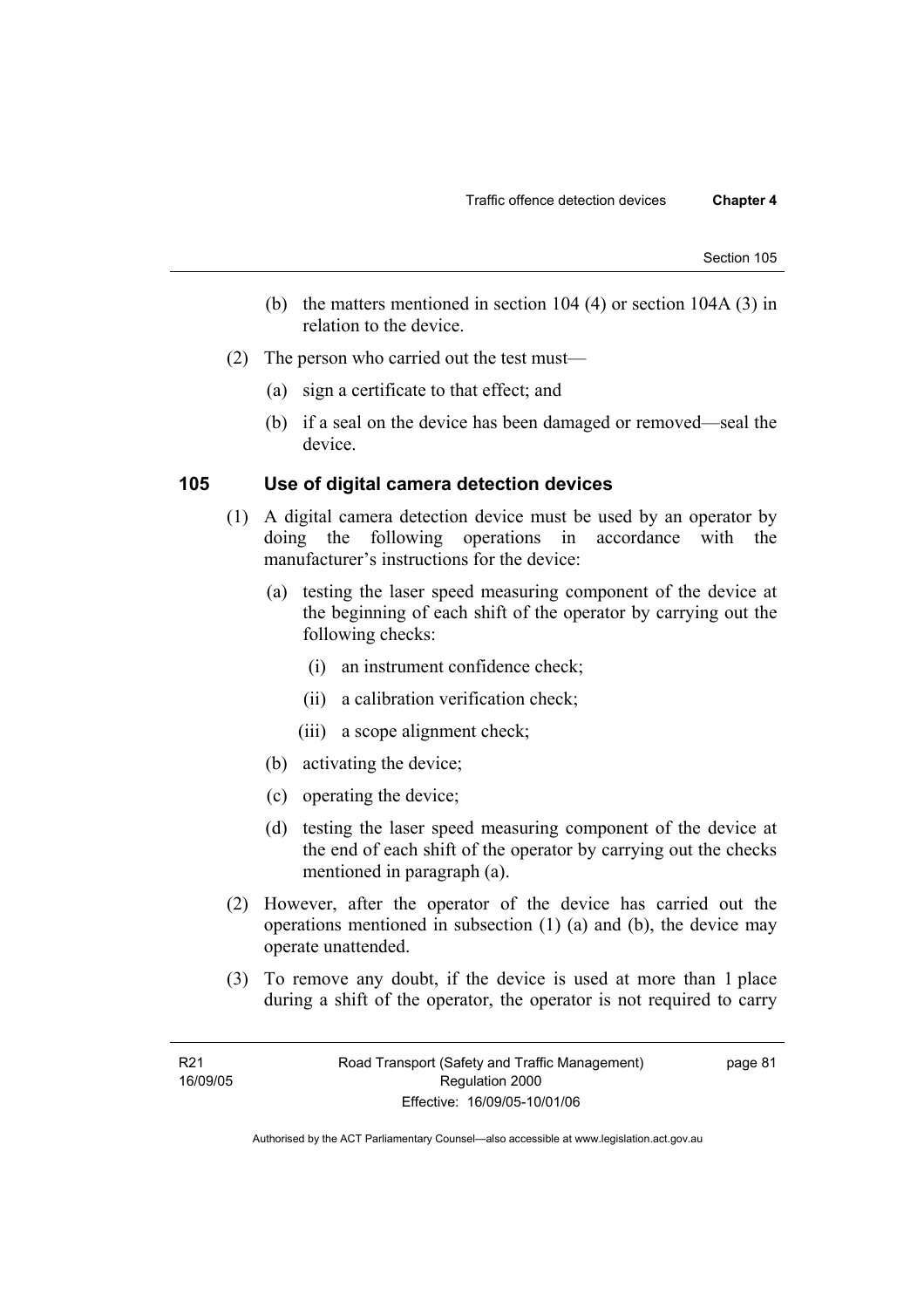- (b) the matters mentioned in section 104 (4) or section 104A (3) in relation to the device.
- (2) The person who carried out the test must—
	- (a) sign a certificate to that effect; and
	- (b) if a seal on the device has been damaged or removed—seal the device.

### **105 Use of digital camera detection devices**

- (1) A digital camera detection device must be used by an operator by doing the following operations in accordance with the manufacturer's instructions for the device:
	- (a) testing the laser speed measuring component of the device at the beginning of each shift of the operator by carrying out the following checks:
		- (i) an instrument confidence check;
		- (ii) a calibration verification check;
		- (iii) a scope alignment check;
	- (b) activating the device;
	- (c) operating the device;
	- (d) testing the laser speed measuring component of the device at the end of each shift of the operator by carrying out the checks mentioned in paragraph (a).
- (2) However, after the operator of the device has carried out the operations mentioned in subsection (1) (a) and (b), the device may operate unattended.
- (3) To remove any doubt, if the device is used at more than 1 place during a shift of the operator, the operator is not required to carry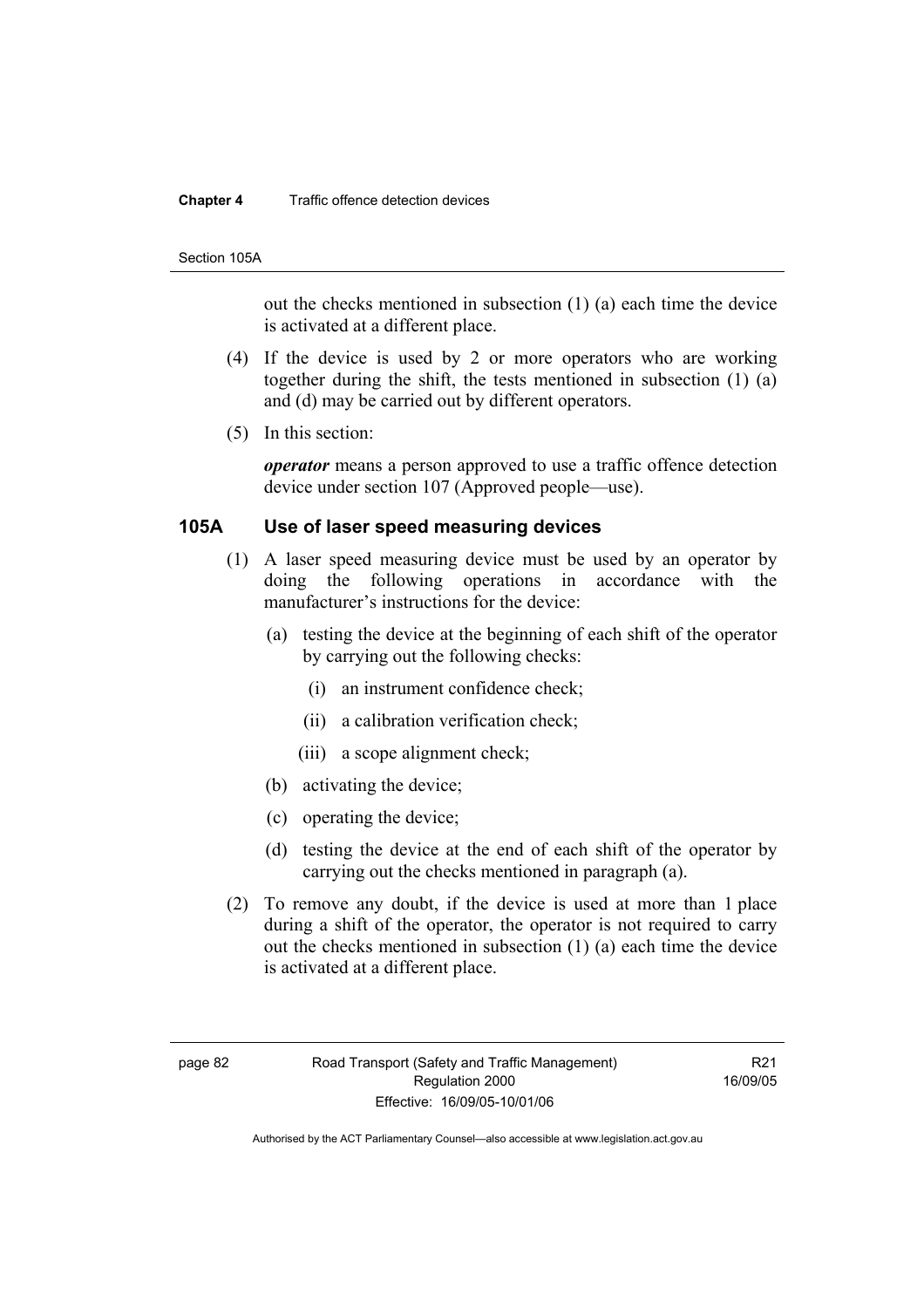#### **Chapter 4** Traffic offence detection devices

#### Section 105A

out the checks mentioned in subsection (1) (a) each time the device is activated at a different place.

- (4) If the device is used by 2 or more operators who are working together during the shift, the tests mentioned in subsection (1) (a) and (d) may be carried out by different operators.
- (5) In this section:

*operator* means a person approved to use a traffic offence detection device under section 107 (Approved people—use).

### **105A Use of laser speed measuring devices**

- (1) A laser speed measuring device must be used by an operator by doing the following operations in accordance with the manufacturer's instructions for the device:
	- (a) testing the device at the beginning of each shift of the operator by carrying out the following checks:
		- (i) an instrument confidence check;
		- (ii) a calibration verification check;
		- (iii) a scope alignment check;
	- (b) activating the device;
	- (c) operating the device;
	- (d) testing the device at the end of each shift of the operator by carrying out the checks mentioned in paragraph (a).
- (2) To remove any doubt, if the device is used at more than 1 place during a shift of the operator, the operator is not required to carry out the checks mentioned in subsection (1) (a) each time the device is activated at a different place.

R21 16/09/05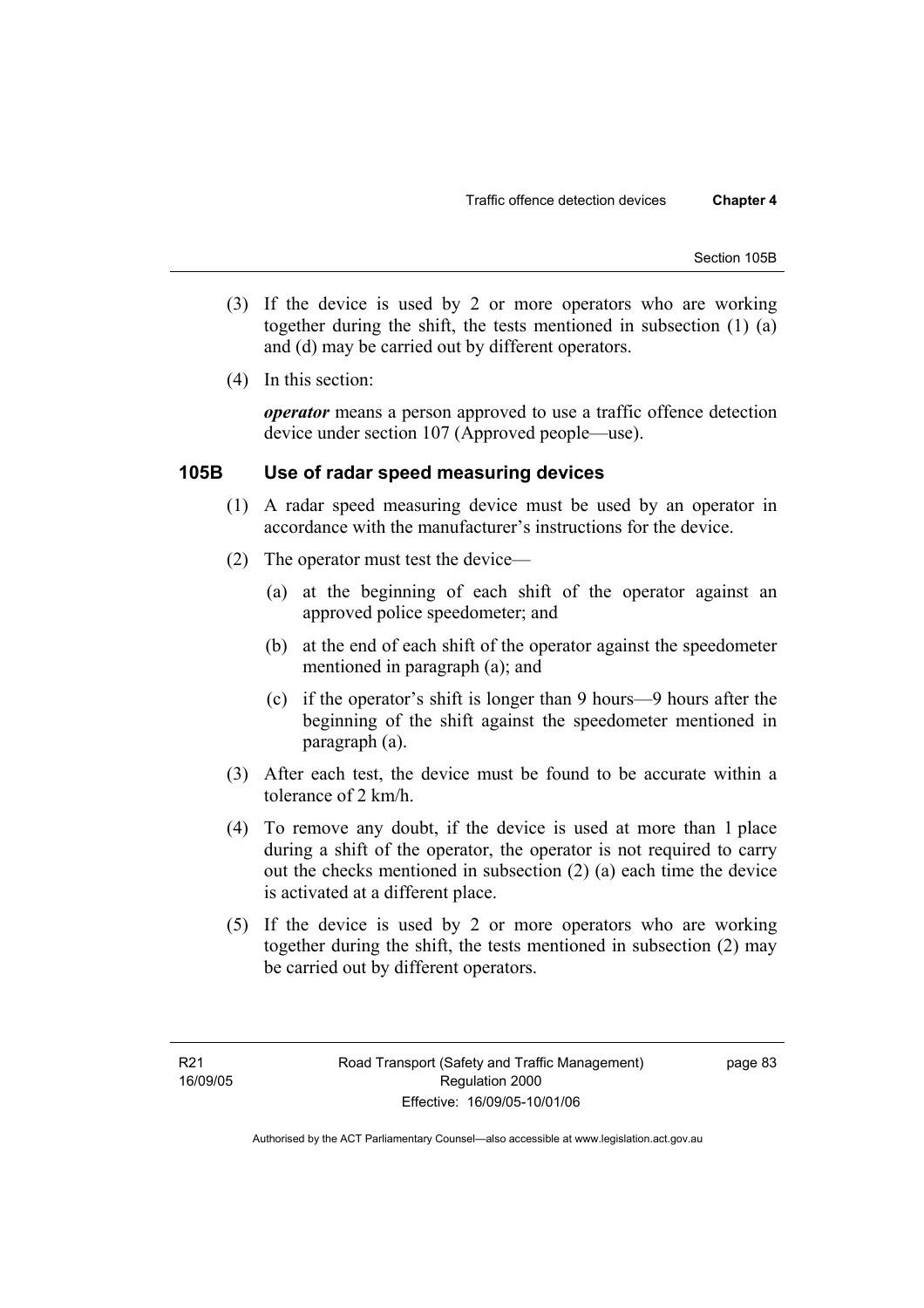- (3) If the device is used by 2 or more operators who are working together during the shift, the tests mentioned in subsection (1) (a) and (d) may be carried out by different operators.
- (4) In this section:

*operator* means a person approved to use a traffic offence detection device under section 107 (Approved people—use).

### **105B Use of radar speed measuring devices**

- (1) A radar speed measuring device must be used by an operator in accordance with the manufacturer's instructions for the device.
- (2) The operator must test the device—
	- (a) at the beginning of each shift of the operator against an approved police speedometer; and
	- (b) at the end of each shift of the operator against the speedometer mentioned in paragraph (a); and
	- (c) if the operator's shift is longer than 9 hours—9 hours after the beginning of the shift against the speedometer mentioned in paragraph (a).
- (3) After each test, the device must be found to be accurate within a tolerance of 2 km/h.
- (4) To remove any doubt, if the device is used at more than 1 place during a shift of the operator, the operator is not required to carry out the checks mentioned in subsection (2) (a) each time the device is activated at a different place.
- (5) If the device is used by 2 or more operators who are working together during the shift, the tests mentioned in subsection (2) may be carried out by different operators.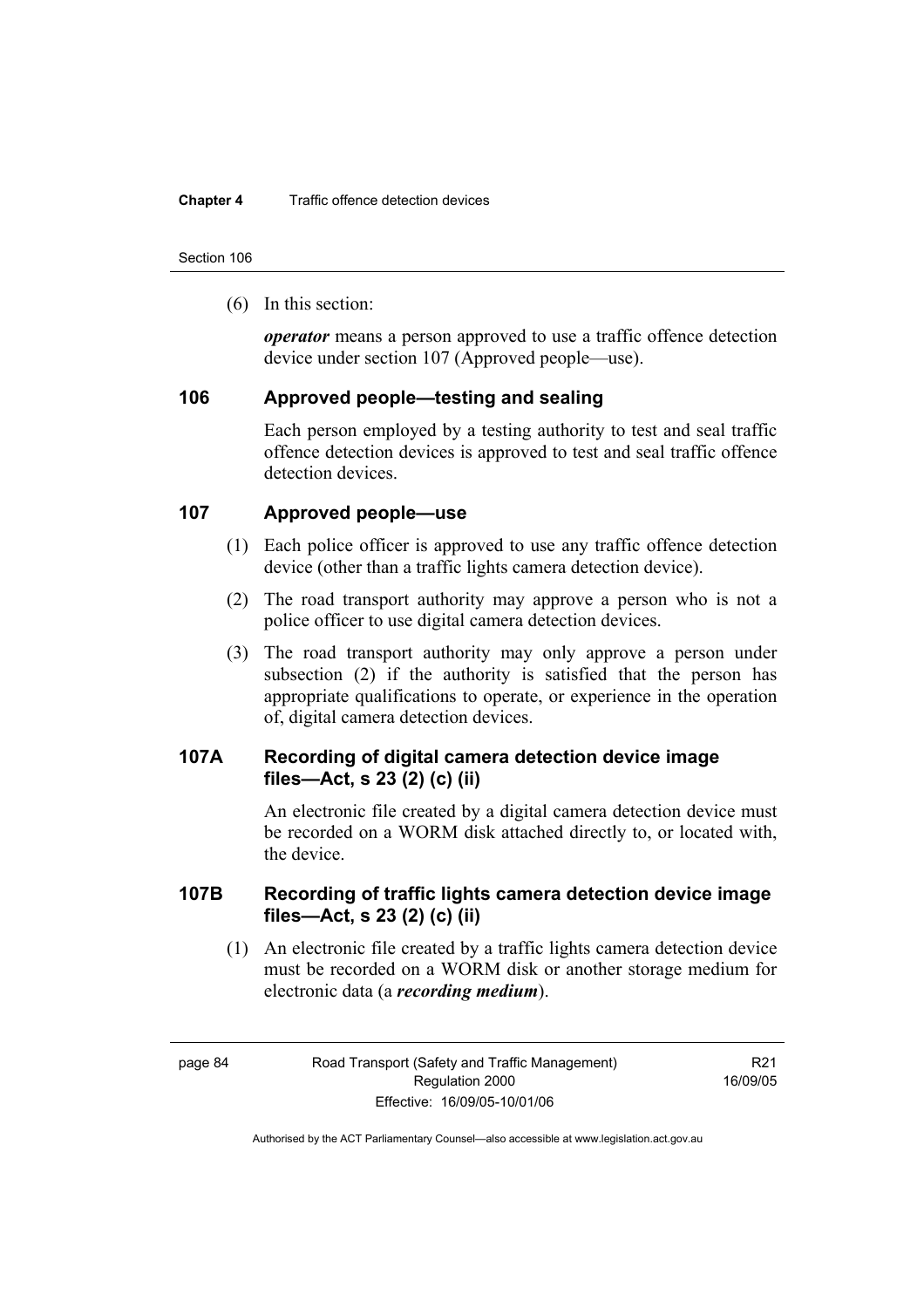Section 106

(6) In this section:

*operator* means a person approved to use a traffic offence detection device under section 107 (Approved people—use).

### **106 Approved people—testing and sealing**

Each person employed by a testing authority to test and seal traffic offence detection devices is approved to test and seal traffic offence detection devices.

### **107 Approved people—use**

- (1) Each police officer is approved to use any traffic offence detection device (other than a traffic lights camera detection device).
- (2) The road transport authority may approve a person who is not a police officer to use digital camera detection devices.
- (3) The road transport authority may only approve a person under subsection (2) if the authority is satisfied that the person has appropriate qualifications to operate, or experience in the operation of, digital camera detection devices.

### **107A Recording of digital camera detection device image files—Act, s 23 (2) (c) (ii)**

An electronic file created by a digital camera detection device must be recorded on a WORM disk attached directly to, or located with, the device.

### **107B Recording of traffic lights camera detection device image files—Act, s 23 (2) (c) (ii)**

 (1) An electronic file created by a traffic lights camera detection device must be recorded on a WORM disk or another storage medium for electronic data (a *recording medium*).

R21 16/09/05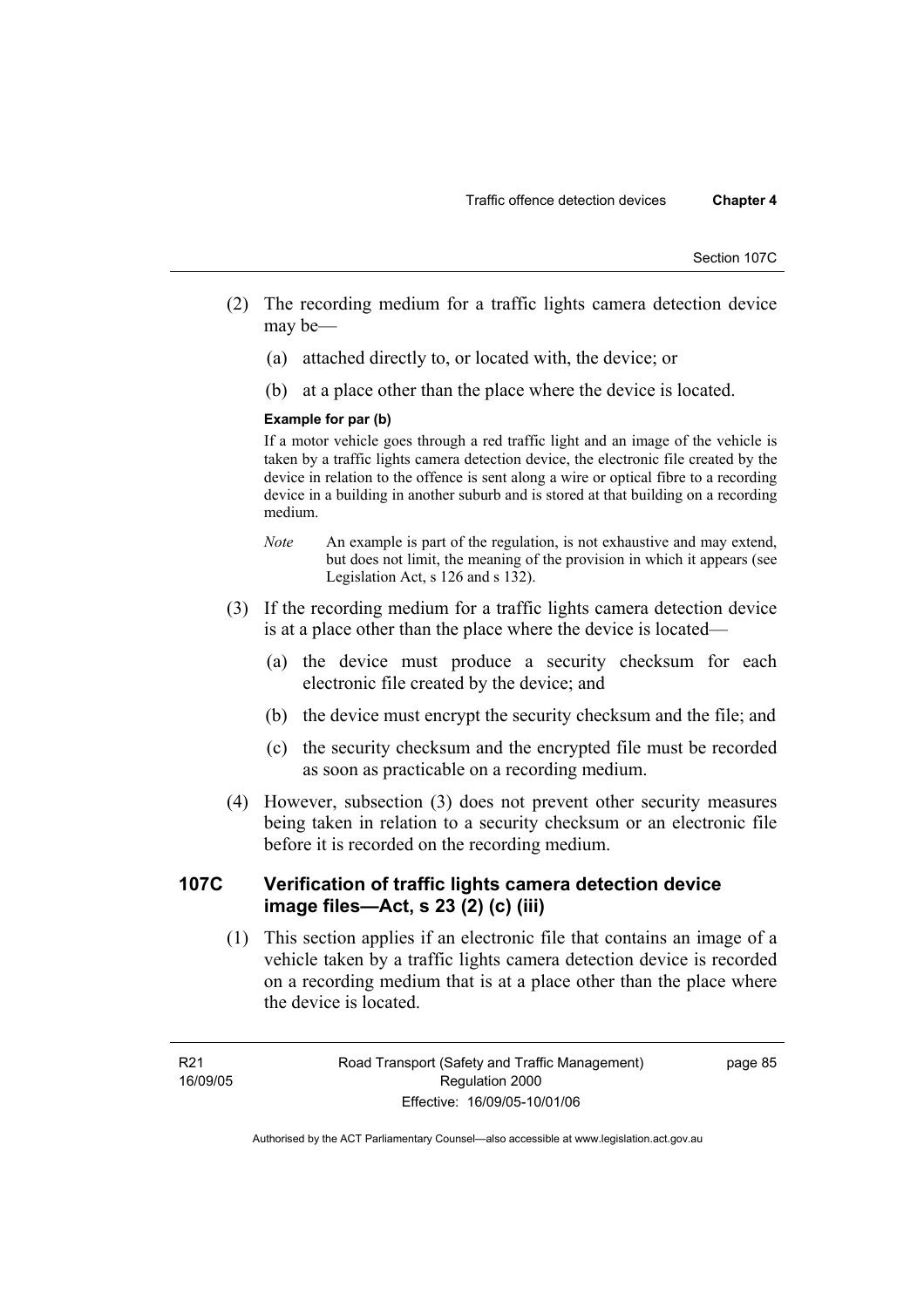- (2) The recording medium for a traffic lights camera detection device may be—
	- (a) attached directly to, or located with, the device; or
	- (b) at a place other than the place where the device is located.

### **Example for par (b)**

If a motor vehicle goes through a red traffic light and an image of the vehicle is taken by a traffic lights camera detection device, the electronic file created by the device in relation to the offence is sent along a wire or optical fibre to a recording device in a building in another suburb and is stored at that building on a recording medium.

- *Note* An example is part of the regulation, is not exhaustive and may extend, but does not limit, the meaning of the provision in which it appears (see Legislation Act, s 126 and s 132).
- (3) If the recording medium for a traffic lights camera detection device is at a place other than the place where the device is located—
	- (a) the device must produce a security checksum for each electronic file created by the device; and
	- (b) the device must encrypt the security checksum and the file; and
	- (c) the security checksum and the encrypted file must be recorded as soon as practicable on a recording medium.
- (4) However, subsection (3) does not prevent other security measures being taken in relation to a security checksum or an electronic file before it is recorded on the recording medium.

### **107C Verification of traffic lights camera detection device image files—Act, s 23 (2) (c) (iii)**

 (1) This section applies if an electronic file that contains an image of a vehicle taken by a traffic lights camera detection device is recorded on a recording medium that is at a place other than the place where the device is located.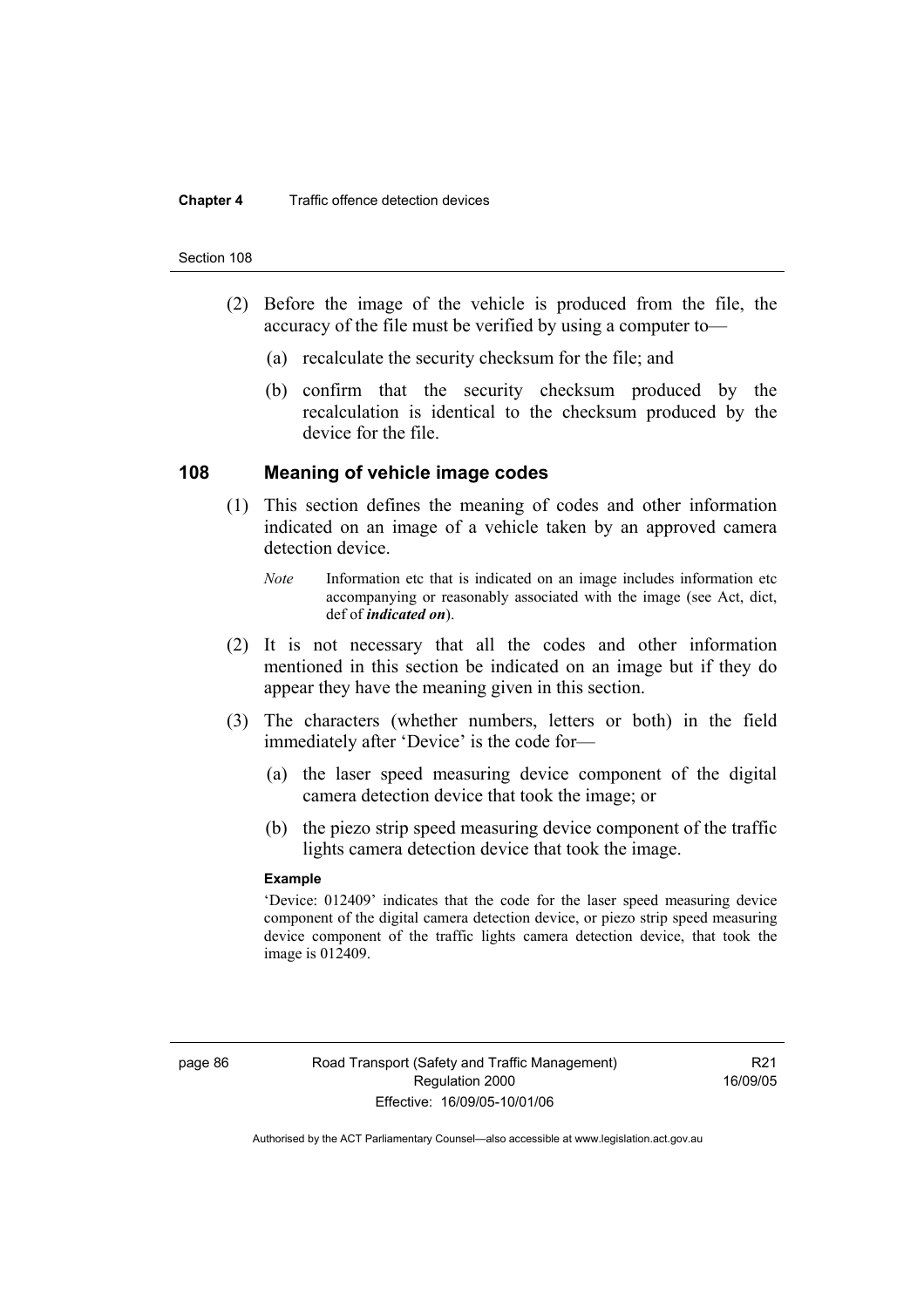#### Section 108

- (2) Before the image of the vehicle is produced from the file, the accuracy of the file must be verified by using a computer to—
	- (a) recalculate the security checksum for the file; and
	- (b) confirm that the security checksum produced by the recalculation is identical to the checksum produced by the device for the file.

### **108 Meaning of vehicle image codes**

- (1) This section defines the meaning of codes and other information indicated on an image of a vehicle taken by an approved camera detection device.
	- *Note* Information etc that is indicated on an image includes information etc accompanying or reasonably associated with the image (see Act, dict, def of *indicated on*).
- (2) It is not necessary that all the codes and other information mentioned in this section be indicated on an image but if they do appear they have the meaning given in this section.
- (3) The characters (whether numbers, letters or both) in the field immediately after 'Device' is the code for—
	- (a) the laser speed measuring device component of the digital camera detection device that took the image; or
	- (b) the piezo strip speed measuring device component of the traffic lights camera detection device that took the image.

#### **Example**

'Device: 012409' indicates that the code for the laser speed measuring device component of the digital camera detection device, or piezo strip speed measuring device component of the traffic lights camera detection device, that took the image is 012409.

R21 16/09/05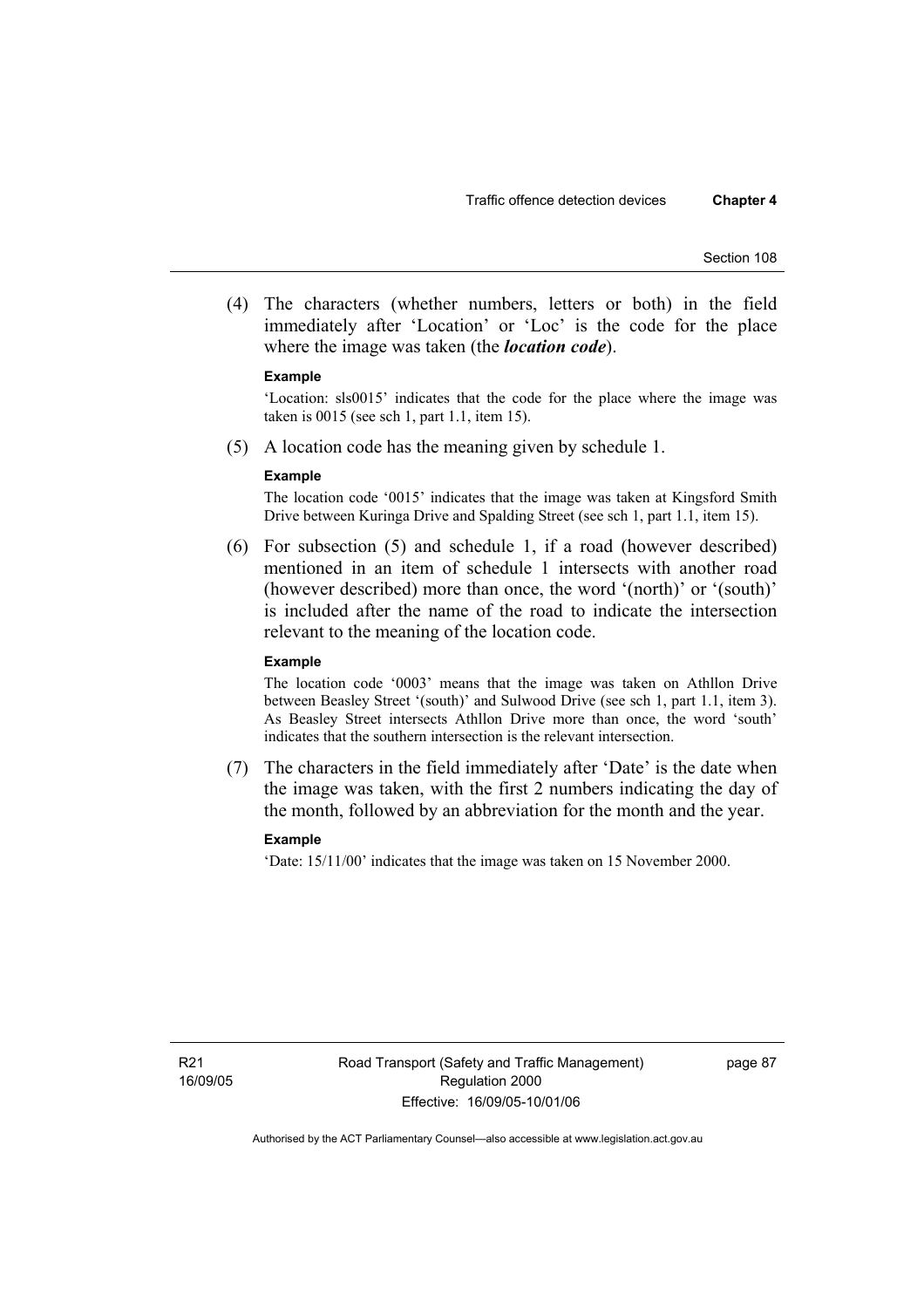(4) The characters (whether numbers, letters or both) in the field immediately after 'Location' or 'Loc' is the code for the place where the image was taken (the *location code*).

#### **Example**

'Location: sls0015' indicates that the code for the place where the image was taken is 0015 (see sch 1, part 1.1, item 15).

(5) A location code has the meaning given by schedule 1.

#### **Example**

The location code '0015' indicates that the image was taken at Kingsford Smith Drive between Kuringa Drive and Spalding Street (see sch 1, part 1.1, item 15).

 (6) For subsection (5) and schedule 1, if a road (however described) mentioned in an item of schedule 1 intersects with another road (however described) more than once, the word '(north)' or '(south)' is included after the name of the road to indicate the intersection relevant to the meaning of the location code.

#### **Example**

The location code '0003' means that the image was taken on Athllon Drive between Beasley Street '(south)' and Sulwood Drive (see sch 1, part 1.1, item 3). As Beasley Street intersects Athllon Drive more than once, the word 'south' indicates that the southern intersection is the relevant intersection.

 (7) The characters in the field immediately after 'Date' is the date when the image was taken, with the first 2 numbers indicating the day of the month, followed by an abbreviation for the month and the year.

### **Example**

'Date: 15/11/00' indicates that the image was taken on 15 November 2000.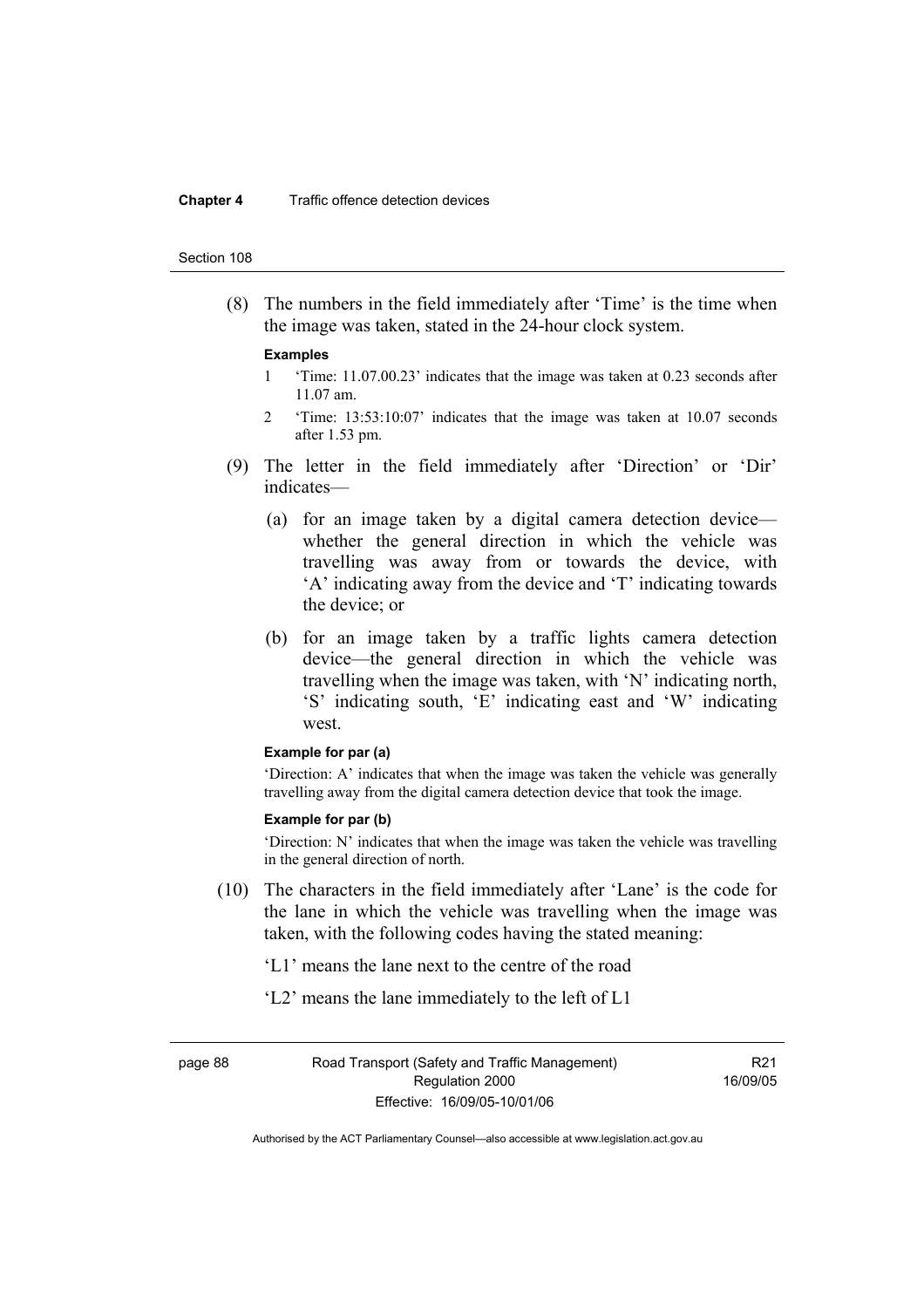#### **Chapter 4** Traffic offence detection devices

#### Section 108

 (8) The numbers in the field immediately after 'Time' is the time when the image was taken, stated in the 24-hour clock system.

#### **Examples**

- 1 'Time: 11.07.00.23' indicates that the image was taken at 0.23 seconds after 11.07 am.
- 2 'Time: 13:53:10:07' indicates that the image was taken at 10.07 seconds after 1.53 pm.
- (9) The letter in the field immediately after 'Direction' or 'Dir' indicates—
	- (a) for an image taken by a digital camera detection device whether the general direction in which the vehicle was travelling was away from or towards the device, with 'A' indicating away from the device and 'T' indicating towards the device; or
	- (b) for an image taken by a traffic lights camera detection device—the general direction in which the vehicle was travelling when the image was taken, with 'N' indicating north, 'S' indicating south, 'E' indicating east and 'W' indicating west.

#### **Example for par (a)**

'Direction: A' indicates that when the image was taken the vehicle was generally travelling away from the digital camera detection device that took the image.

#### **Example for par (b)**

'Direction: N' indicates that when the image was taken the vehicle was travelling in the general direction of north.

- (10) The characters in the field immediately after 'Lane' is the code for the lane in which the vehicle was travelling when the image was taken, with the following codes having the stated meaning:
	- 'L1' means the lane next to the centre of the road
	- 'L2' means the lane immediately to the left of L1

page 88 Road Transport (Safety and Traffic Management) Regulation 2000 Effective: 16/09/05-10/01/06

R21 16/09/05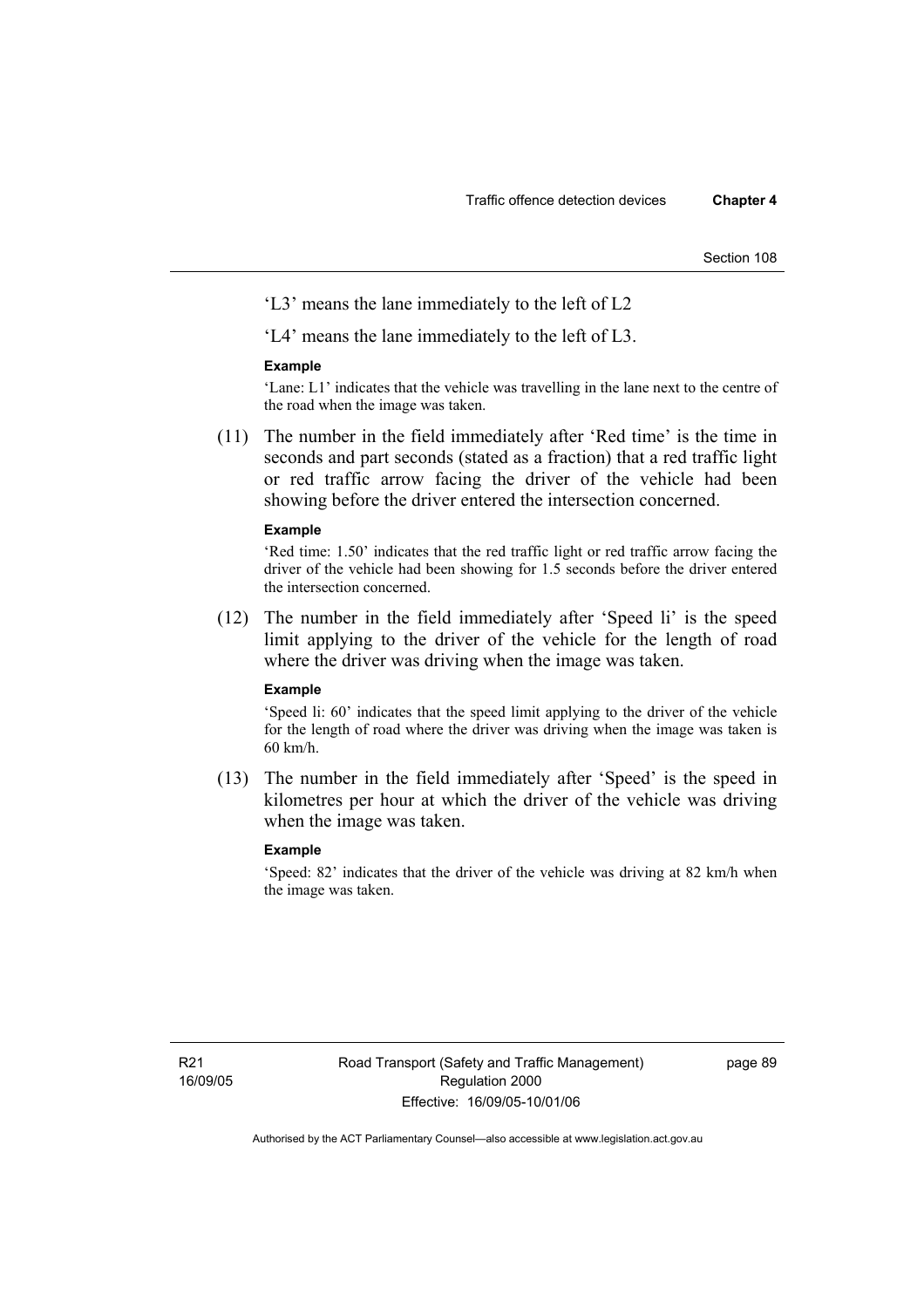Section 108

'L3' means the lane immediately to the left of L2

'L4' means the lane immediately to the left of L3.

#### **Example**

'Lane: L1' indicates that the vehicle was travelling in the lane next to the centre of the road when the image was taken.

 (11) The number in the field immediately after 'Red time' is the time in seconds and part seconds (stated as a fraction) that a red traffic light or red traffic arrow facing the driver of the vehicle had been showing before the driver entered the intersection concerned.

#### **Example**

'Red time: 1.50' indicates that the red traffic light or red traffic arrow facing the driver of the vehicle had been showing for 1.5 seconds before the driver entered the intersection concerned.

 (12) The number in the field immediately after 'Speed li' is the speed limit applying to the driver of the vehicle for the length of road where the driver was driving when the image was taken.

#### **Example**

'Speed li: 60' indicates that the speed limit applying to the driver of the vehicle for the length of road where the driver was driving when the image was taken is 60 km/h.

 (13) The number in the field immediately after 'Speed' is the speed in kilometres per hour at which the driver of the vehicle was driving when the image was taken.

#### **Example**

'Speed: 82' indicates that the driver of the vehicle was driving at 82 km/h when the image was taken.

page 89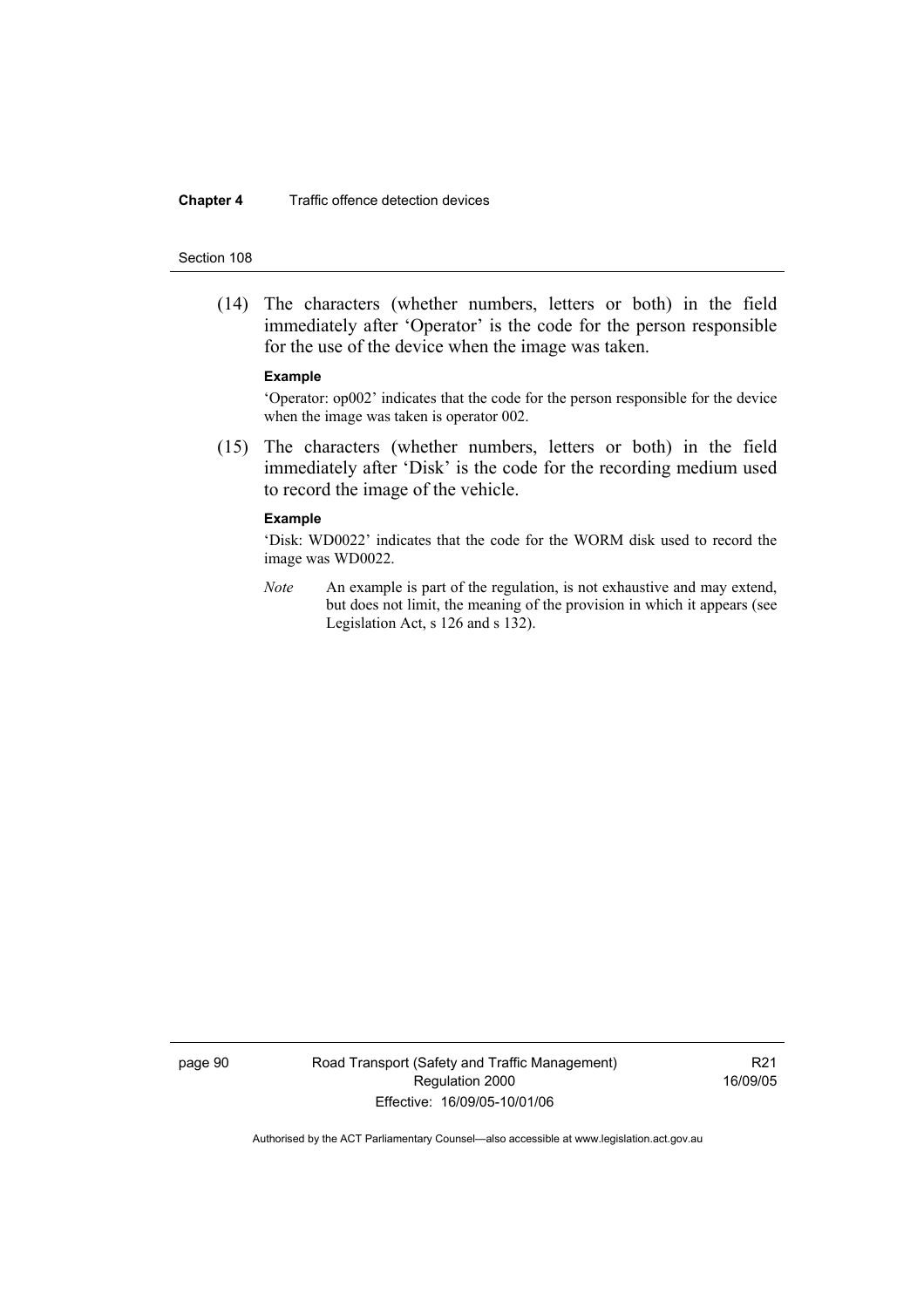#### **Chapter 4** Traffic offence detection devices

#### Section 108

 (14) The characters (whether numbers, letters or both) in the field immediately after 'Operator' is the code for the person responsible for the use of the device when the image was taken.

#### **Example**

'Operator: op002' indicates that the code for the person responsible for the device when the image was taken is operator 002.

 (15) The characters (whether numbers, letters or both) in the field immediately after 'Disk' is the code for the recording medium used to record the image of the vehicle.

#### **Example**

'Disk: WD0022' indicates that the code for the WORM disk used to record the image was WD0022.

*Note* An example is part of the regulation, is not exhaustive and may extend, but does not limit, the meaning of the provision in which it appears (see Legislation Act, s 126 and s 132).

page 90 Road Transport (Safety and Traffic Management) Regulation 2000 Effective: 16/09/05-10/01/06

R21 16/09/05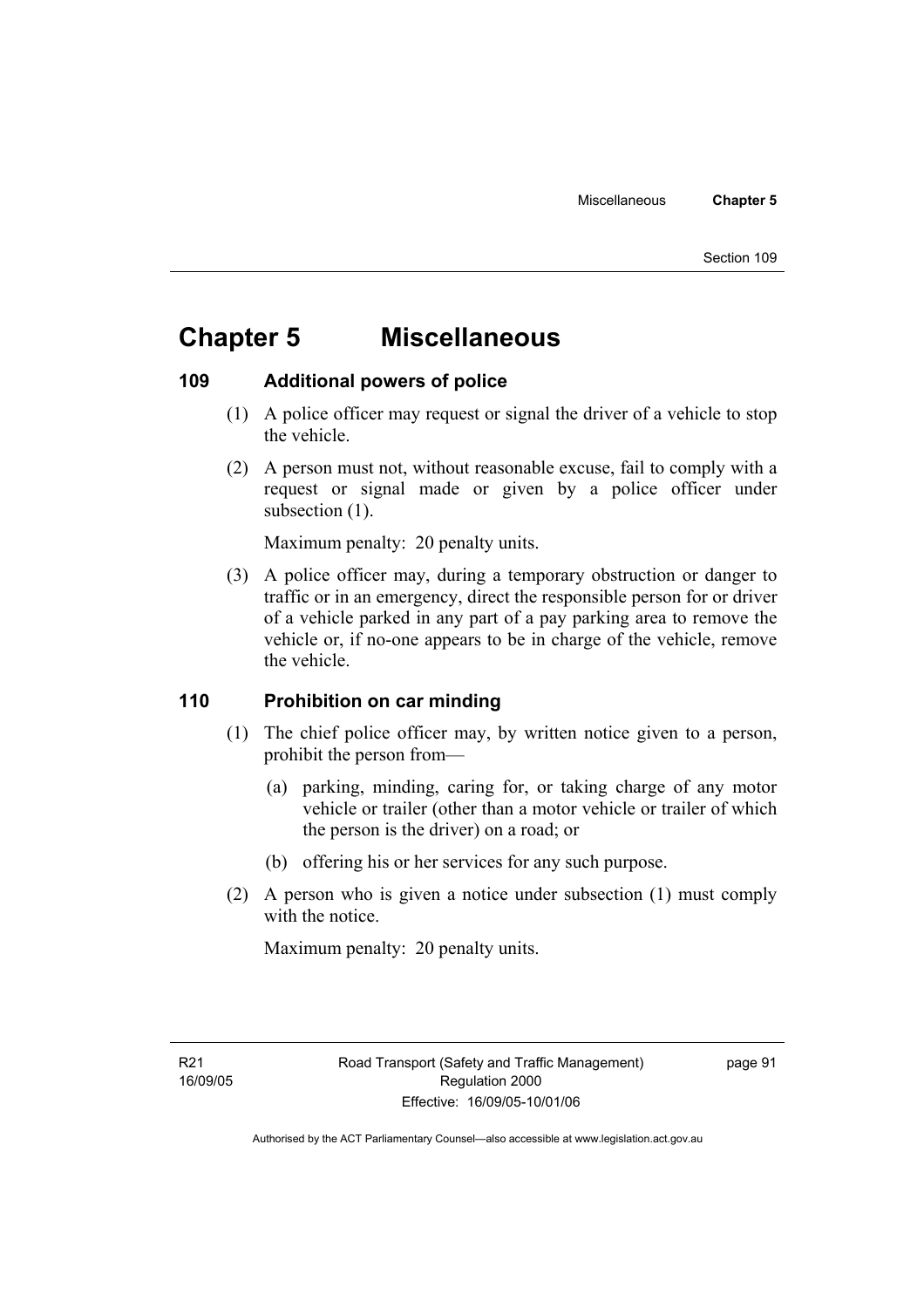# **Chapter 5 Miscellaneous**

### **109 Additional powers of police**

- (1) A police officer may request or signal the driver of a vehicle to stop the vehicle.
- (2) A person must not, without reasonable excuse, fail to comply with a request or signal made or given by a police officer under subsection  $(1)$ .

Maximum penalty: 20 penalty units.

 (3) A police officer may, during a temporary obstruction or danger to traffic or in an emergency, direct the responsible person for or driver of a vehicle parked in any part of a pay parking area to remove the vehicle or, if no-one appears to be in charge of the vehicle, remove the vehicle.

### **110 Prohibition on car minding**

- (1) The chief police officer may, by written notice given to a person, prohibit the person from—
	- (a) parking, minding, caring for, or taking charge of any motor vehicle or trailer (other than a motor vehicle or trailer of which the person is the driver) on a road; or
	- (b) offering his or her services for any such purpose.
- (2) A person who is given a notice under subsection (1) must comply with the notice.

Maximum penalty: 20 penalty units.

page 91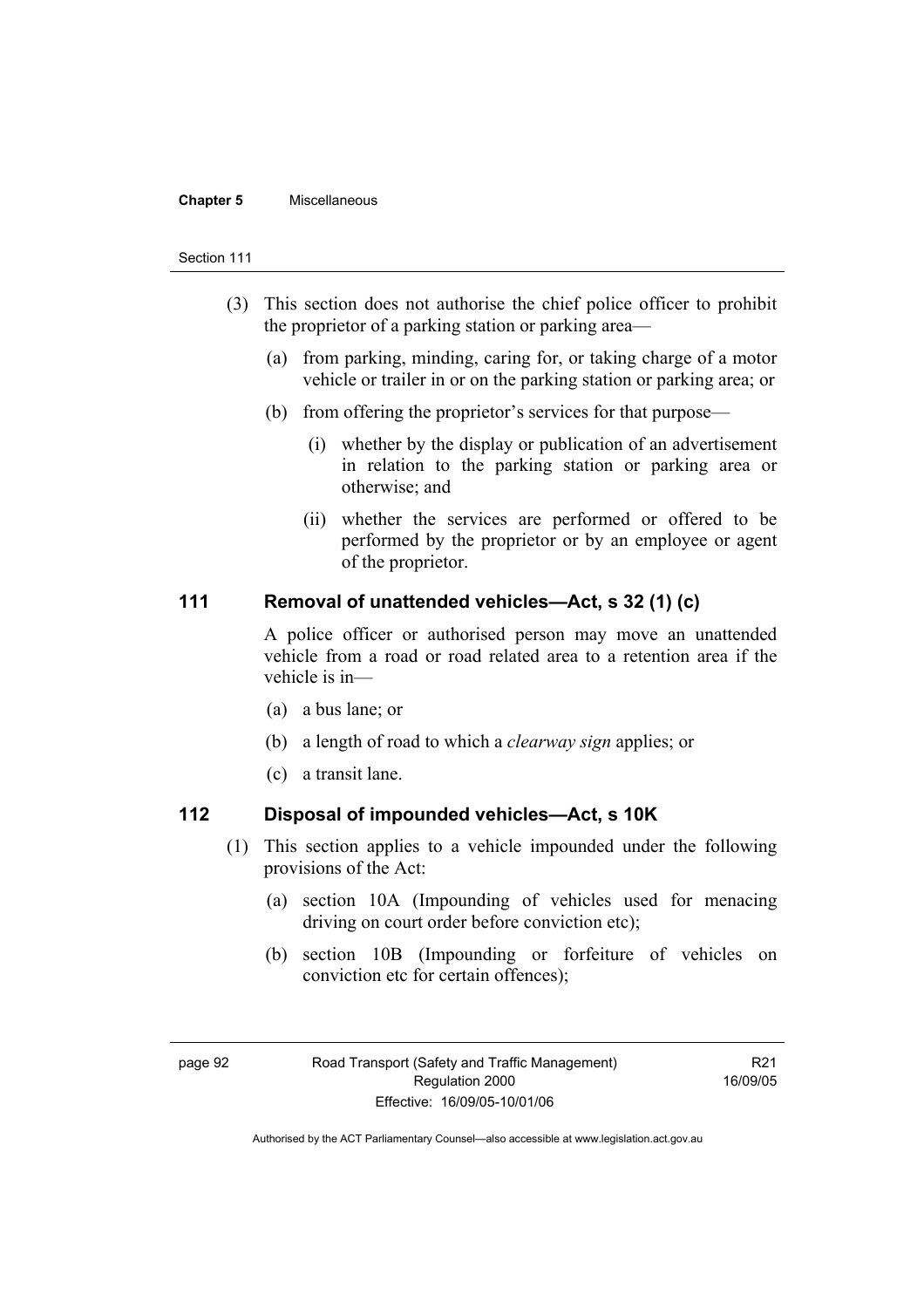#### **Chapter 5** Miscellaneous

#### Section 111

- (3) This section does not authorise the chief police officer to prohibit the proprietor of a parking station or parking area—
	- (a) from parking, minding, caring for, or taking charge of a motor vehicle or trailer in or on the parking station or parking area; or
	- (b) from offering the proprietor's services for that purpose—
		- (i) whether by the display or publication of an advertisement in relation to the parking station or parking area or otherwise; and
		- (ii) whether the services are performed or offered to be performed by the proprietor or by an employee or agent of the proprietor.

### **111 Removal of unattended vehicles—Act, s 32 (1) (c)**

A police officer or authorised person may move an unattended vehicle from a road or road related area to a retention area if the vehicle is in—

- (a) a bus lane; or
- (b) a length of road to which a *clearway sign* applies; or
- (c) a transit lane.

### **112 Disposal of impounded vehicles—Act, s 10K**

- (1) This section applies to a vehicle impounded under the following provisions of the Act:
	- (a) section 10A (Impounding of vehicles used for menacing driving on court order before conviction etc);
	- (b) section 10B (Impounding or forfeiture of vehicles on conviction etc for certain offences);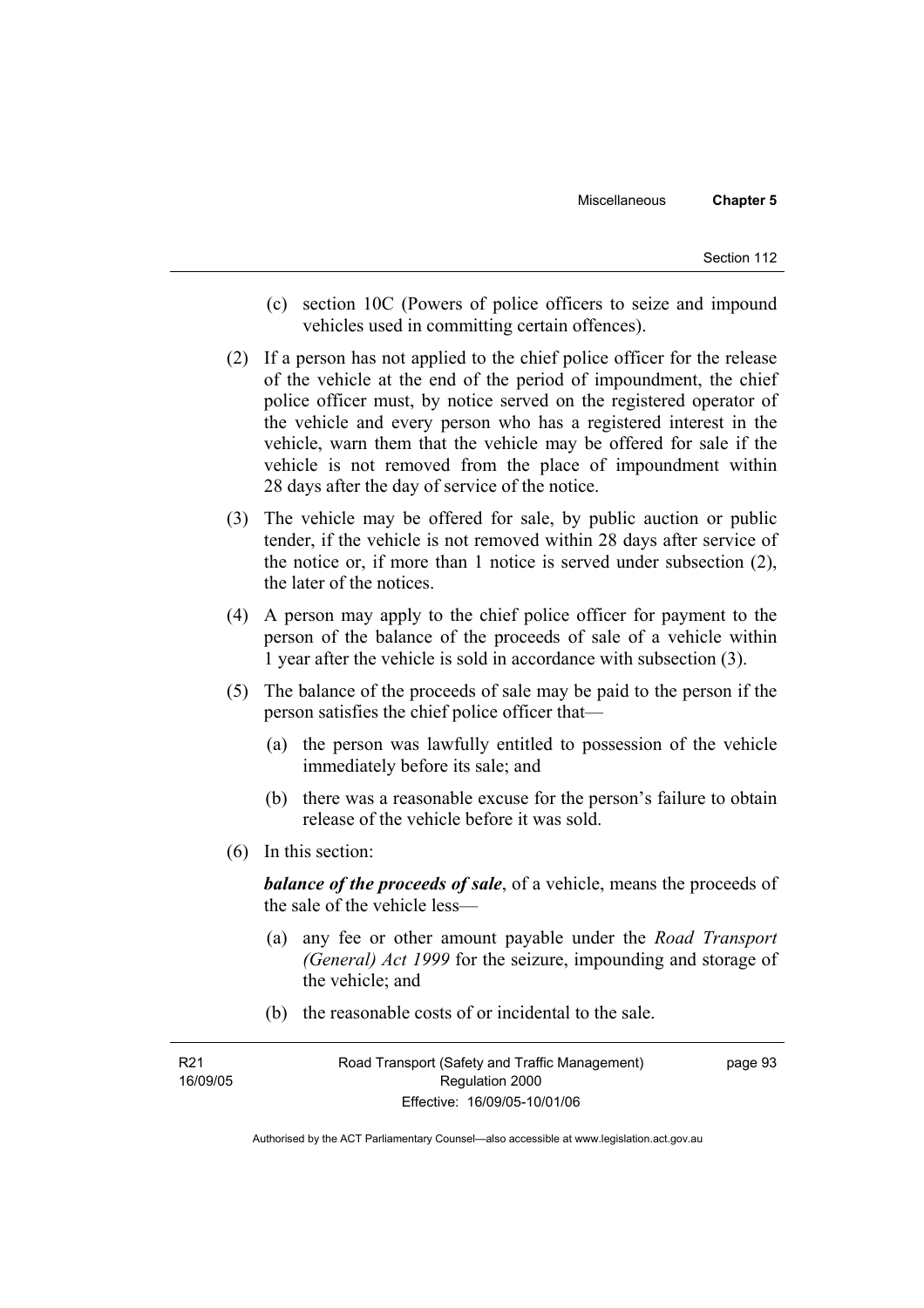- (c) section 10C (Powers of police officers to seize and impound vehicles used in committing certain offences).
- (2) If a person has not applied to the chief police officer for the release of the vehicle at the end of the period of impoundment, the chief police officer must, by notice served on the registered operator of the vehicle and every person who has a registered interest in the vehicle, warn them that the vehicle may be offered for sale if the vehicle is not removed from the place of impoundment within 28 days after the day of service of the notice.
- (3) The vehicle may be offered for sale, by public auction or public tender, if the vehicle is not removed within 28 days after service of the notice or, if more than 1 notice is served under subsection (2), the later of the notices.
- (4) A person may apply to the chief police officer for payment to the person of the balance of the proceeds of sale of a vehicle within 1 year after the vehicle is sold in accordance with subsection (3).
- (5) The balance of the proceeds of sale may be paid to the person if the person satisfies the chief police officer that—
	- (a) the person was lawfully entitled to possession of the vehicle immediately before its sale; and
	- (b) there was a reasonable excuse for the person's failure to obtain release of the vehicle before it was sold.
- (6) In this section:

*balance of the proceeds of sale*, of a vehicle, means the proceeds of the sale of the vehicle less—

- (a) any fee or other amount payable under the *Road Transport (General) Act 1999* for the seizure, impounding and storage of the vehicle; and
- (b) the reasonable costs of or incidental to the sale.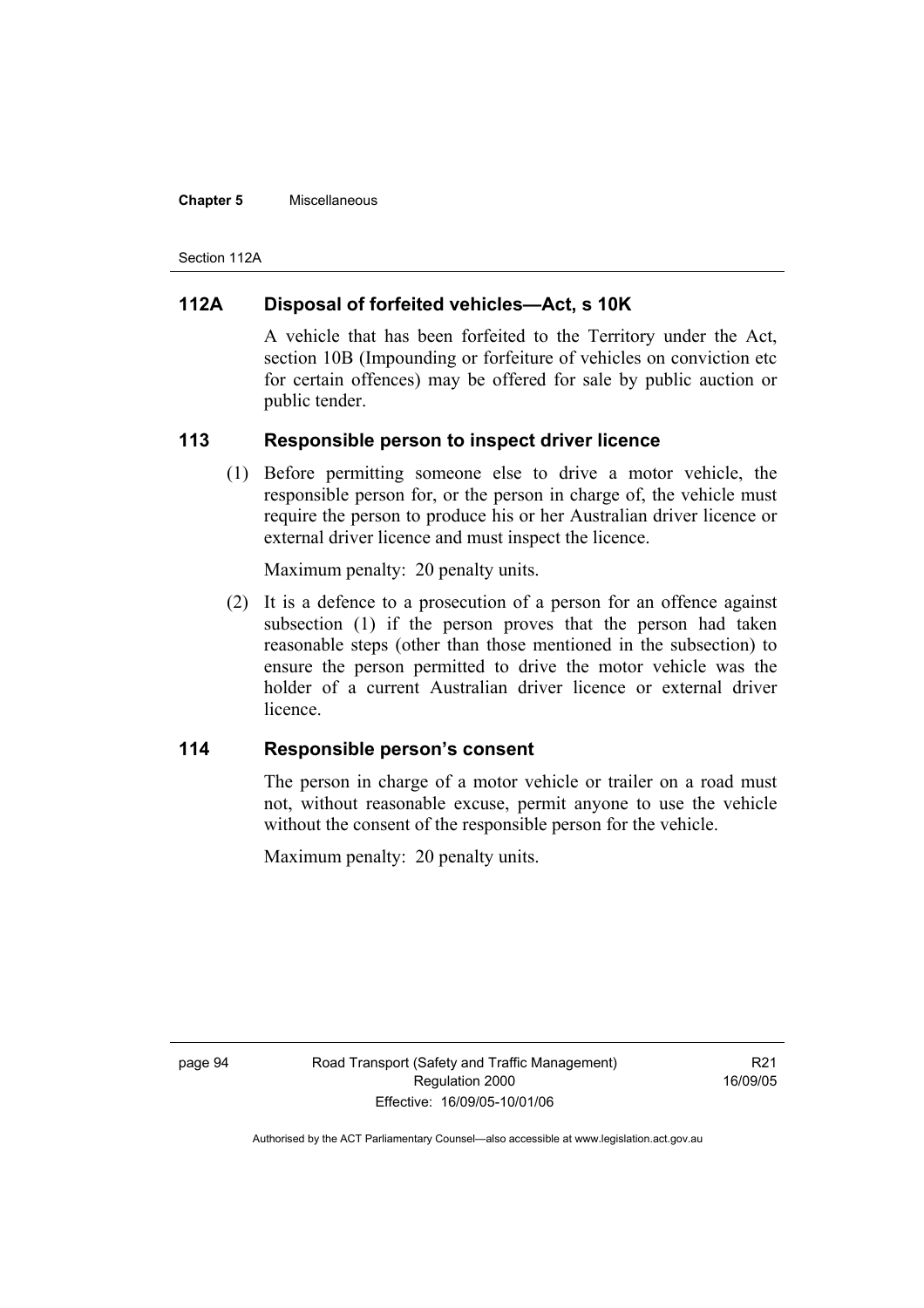#### **Chapter 5** Miscellaneous

Section 112A

### **112A Disposal of forfeited vehicles—Act, s 10K**

A vehicle that has been forfeited to the Territory under the Act, section 10B (Impounding or forfeiture of vehicles on conviction etc for certain offences) may be offered for sale by public auction or public tender.

### **113 Responsible person to inspect driver licence**

 (1) Before permitting someone else to drive a motor vehicle, the responsible person for, or the person in charge of, the vehicle must require the person to produce his or her Australian driver licence or external driver licence and must inspect the licence.

Maximum penalty: 20 penalty units.

 (2) It is a defence to a prosecution of a person for an offence against subsection (1) if the person proves that the person had taken reasonable steps (other than those mentioned in the subsection) to ensure the person permitted to drive the motor vehicle was the holder of a current Australian driver licence or external driver licence.

### **114 Responsible person's consent**

The person in charge of a motor vehicle or trailer on a road must not, without reasonable excuse, permit anyone to use the vehicle without the consent of the responsible person for the vehicle.

Maximum penalty: 20 penalty units.

page 94 Road Transport (Safety and Traffic Management) Regulation 2000 Effective: 16/09/05-10/01/06

R21 16/09/05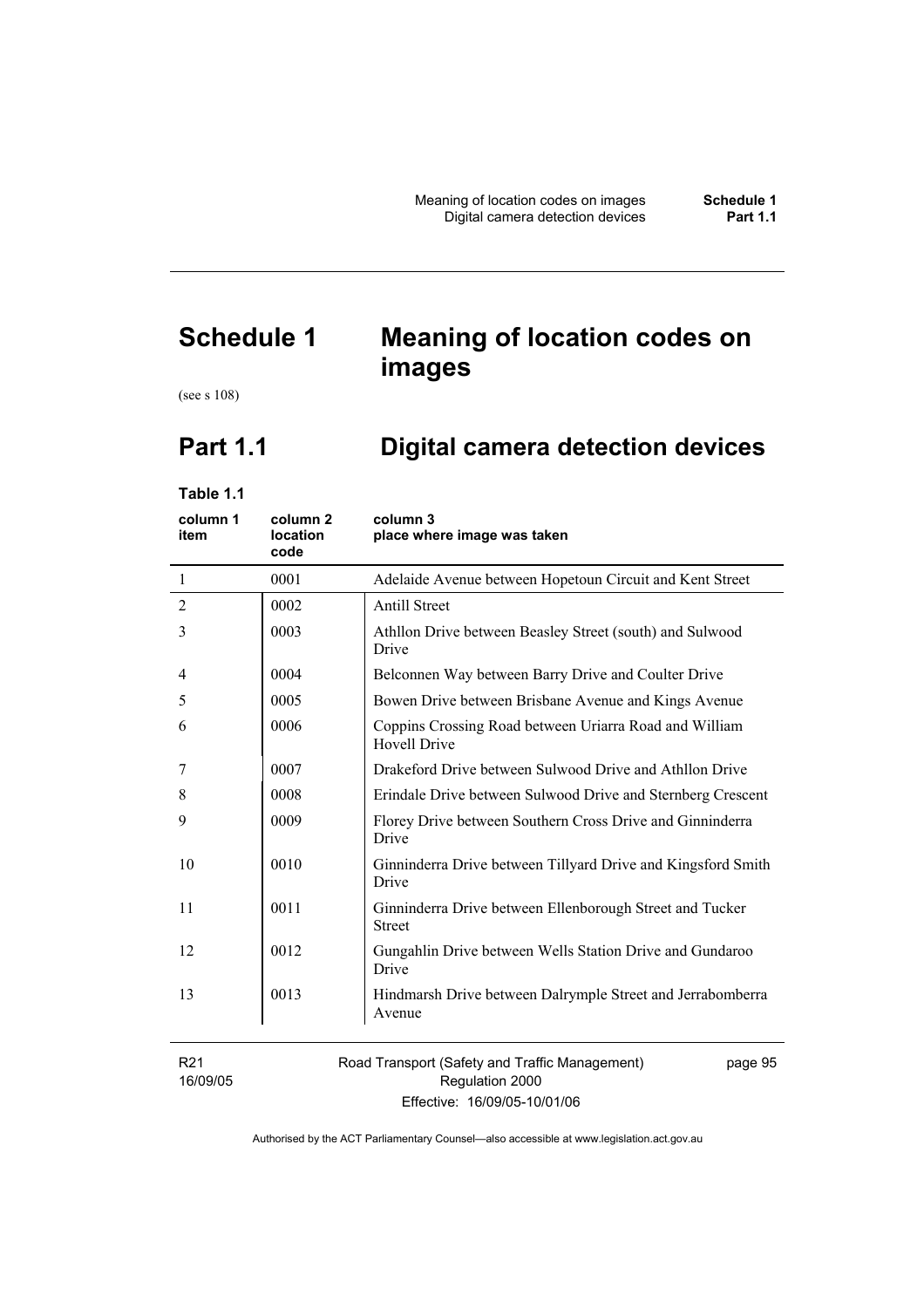# **Schedule 1 Meaning of location codes on images**

(see s 108)

# **Part 1.1 Digital camera detection devices**

**Table 1.1** 

| column 1<br>item            | column <sub>2</sub><br><b>location</b><br>code | column 3<br>place where image was taken                                       |
|-----------------------------|------------------------------------------------|-------------------------------------------------------------------------------|
| -1                          | 0001                                           | Adelaide Avenue between Hopetoun Circuit and Kent Street                      |
| $\overline{2}$              | 0002                                           | <b>Antill Street</b>                                                          |
| 3                           | 0003                                           | Athllon Drive between Beasley Street (south) and Sulwood<br>Drive             |
| 4                           | 0004                                           | Belconnen Way between Barry Drive and Coulter Drive                           |
| 5                           | 0005                                           | Bowen Drive between Brisbane Avenue and Kings Avenue                          |
| 6                           | 0006                                           | Coppins Crossing Road between Uriarra Road and William<br><b>Hovell Drive</b> |
| 7                           | 0007                                           | Drakeford Drive between Sulwood Drive and Athllon Drive                       |
| 8                           | 0008                                           | Erindale Drive between Sulwood Drive and Sternberg Crescent                   |
| 9                           | 0009                                           | Florey Drive between Southern Cross Drive and Ginninderra<br>Drive            |
| 10                          | 0010                                           | Ginninderra Drive between Tillyard Drive and Kingsford Smith<br>Drive         |
| 11                          | 0011                                           | Ginninderra Drive between Ellenborough Street and Tucker<br><b>Street</b>     |
| 12                          | 0012                                           | Gungahlin Drive between Wells Station Drive and Gundaroo<br>Drive             |
| 13                          | 0013                                           | Hindmarsh Drive between Dalrymple Street and Jerrabomberra<br>Avenue          |
| R <sub>21</sub><br>16/09/05 |                                                | Road Transport (Safety and Traffic Management)<br>page 95<br>Regulation 2000  |

Effective: 16/09/05-10/01/06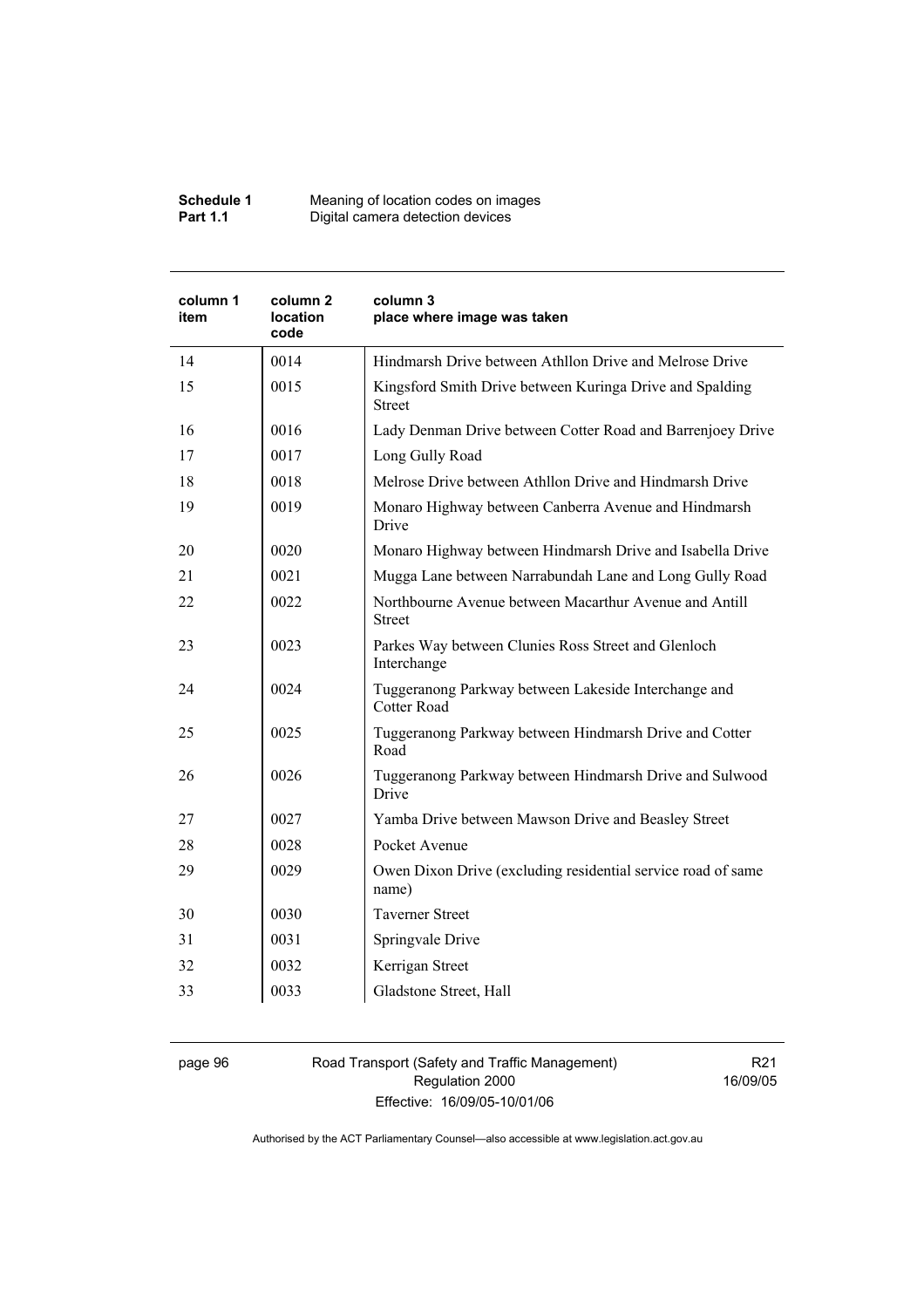| Schedule 1      | Meaning of location codes on images |
|-----------------|-------------------------------------|
| <b>Part 1.1</b> | Digital camera detection devices    |

| column 1<br>item | column <sub>2</sub><br><b>location</b><br>code | column 3<br>place where image was taken                                    |
|------------------|------------------------------------------------|----------------------------------------------------------------------------|
| 14               | 0014                                           | Hindmarsh Drive between Athllon Drive and Melrose Drive                    |
| 15               | 0015                                           | Kingsford Smith Drive between Kuringa Drive and Spalding<br><b>Street</b>  |
| 16               | 0016                                           | Lady Denman Drive between Cotter Road and Barrenjoey Drive                 |
| 17               | 0017                                           | Long Gully Road                                                            |
| 18               | 0018                                           | Melrose Drive between Athllon Drive and Hindmarsh Drive                    |
| 19               | 0019                                           | Monaro Highway between Canberra Avenue and Hindmarsh<br>Drive              |
| 20               | 0020                                           | Monaro Highway between Hindmarsh Drive and Isabella Drive                  |
| 21               | 0021                                           | Mugga Lane between Narrabundah Lane and Long Gully Road                    |
| 22               | 0022                                           | Northbourne Avenue between Macarthur Avenue and Antill<br><b>Street</b>    |
| 23               | 0023                                           | Parkes Way between Clunies Ross Street and Glenloch<br>Interchange         |
| 24               | 0024                                           | Tuggeranong Parkway between Lakeside Interchange and<br><b>Cotter Road</b> |
| 25               | 0025                                           | Tuggeranong Parkway between Hindmarsh Drive and Cotter<br>Road             |
| 26               | 0026                                           | Tuggeranong Parkway between Hindmarsh Drive and Sulwood<br>Drive           |
| 27               | 0027                                           | Yamba Drive between Mawson Drive and Beasley Street                        |
| 28               | 0028                                           | Pocket Avenue                                                              |
| 29               | 0029                                           | Owen Dixon Drive (excluding residential service road of same<br>name)      |
| 30               | 0030                                           | <b>Taverner Street</b>                                                     |
| 31               | 0031                                           | Springvale Drive                                                           |
| 32               | 0032                                           | Kerrigan Street                                                            |
| 33               | 0033                                           | Gladstone Street, Hall                                                     |

page 96 Road Transport (Safety and Traffic Management) Regulation 2000 Effective: 16/09/05-10/01/06

R21 16/09/05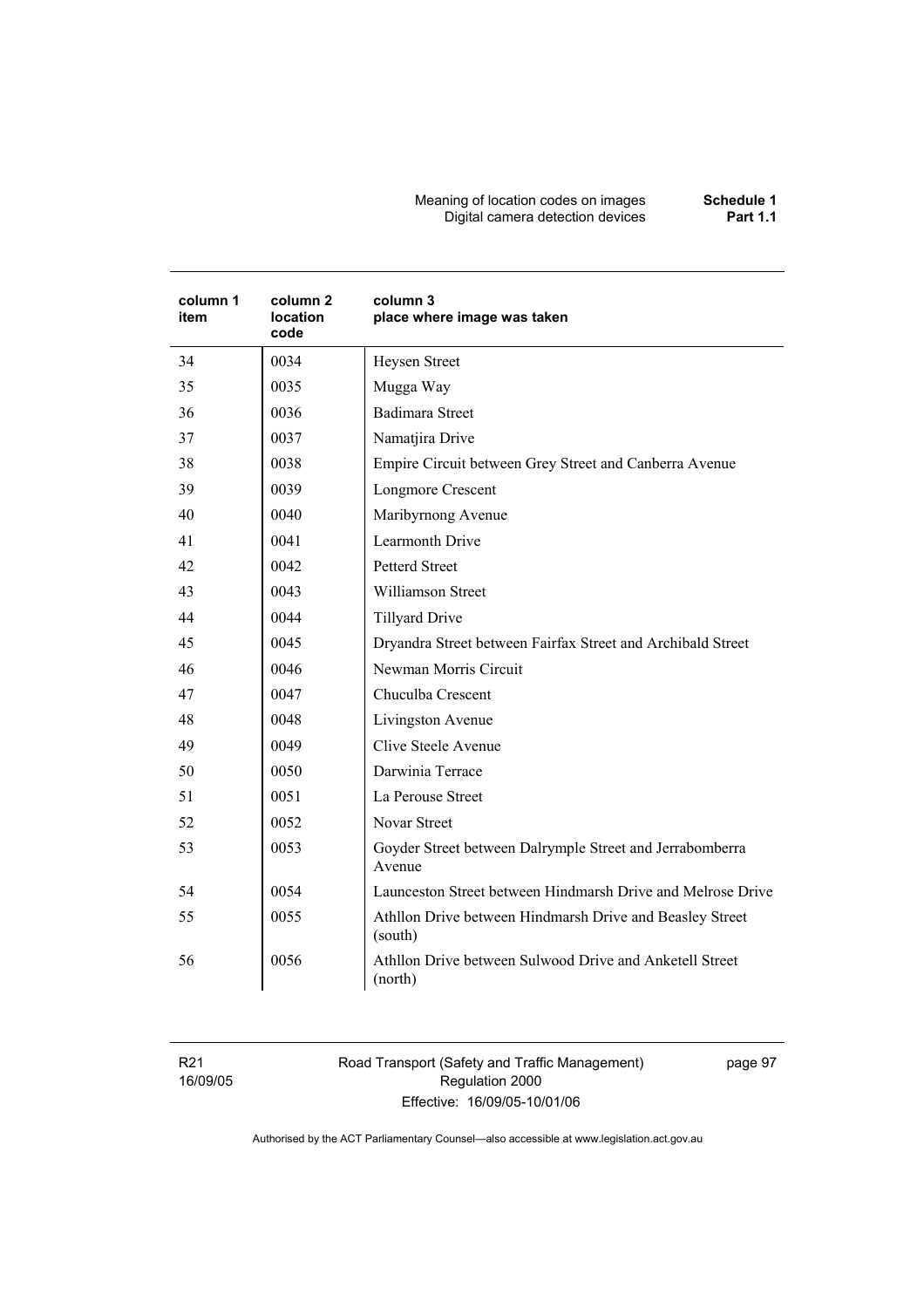#### Meaning of location codes on images **Schedule 1**  Digital camera detection devices **Part 1.1**

| column 1<br>item | column <sub>2</sub><br>location<br>code | column 3<br>place where image was taken                             |
|------------------|-----------------------------------------|---------------------------------------------------------------------|
| 34               | 0034                                    | Heysen Street                                                       |
| 35               | 0035                                    | Mugga Way                                                           |
| 36               | 0036                                    | <b>Badimara Street</b>                                              |
| 37               | 0037                                    | Namatjira Drive                                                     |
| 38               | 0038                                    | Empire Circuit between Grey Street and Canberra Avenue              |
| 39               | 0039                                    | Longmore Crescent                                                   |
| 40               | 0040                                    | Maribyrnong Avenue                                                  |
| 41               | 0041                                    | Learmonth Drive                                                     |
| 42               | 0042                                    | <b>Petterd Street</b>                                               |
| 43               | 0043                                    | <b>Williamson Street</b>                                            |
| 44               | 0044                                    | <b>Tillyard Drive</b>                                               |
| 45               | 0045                                    | Dryandra Street between Fairfax Street and Archibald Street         |
| 46               | 0046                                    | Newman Morris Circuit                                               |
| 47               | 0047                                    | Chuculba Crescent                                                   |
| 48               | 0048                                    | Livingston Avenue                                                   |
| 49               | 0049                                    | Clive Steele Avenue                                                 |
| 50               | 0050                                    | Darwinia Terrace                                                    |
| 51               | 0051                                    | La Perouse Street                                                   |
| 52               | 0052                                    | <b>Novar Street</b>                                                 |
| 53               | 0053                                    | Goyder Street between Dalrymple Street and Jerrabomberra<br>Avenue  |
| 54               | 0054                                    | Launceston Street between Hindmarsh Drive and Melrose Drive         |
| 55               | 0055                                    | Athllon Drive between Hindmarsh Drive and Beasley Street<br>(south) |
| 56               | 0056                                    | Athllon Drive between Sulwood Drive and Anketell Street<br>(north)  |

R21 16/09/05 Road Transport (Safety and Traffic Management) Regulation 2000 Effective: 16/09/05-10/01/06

page 97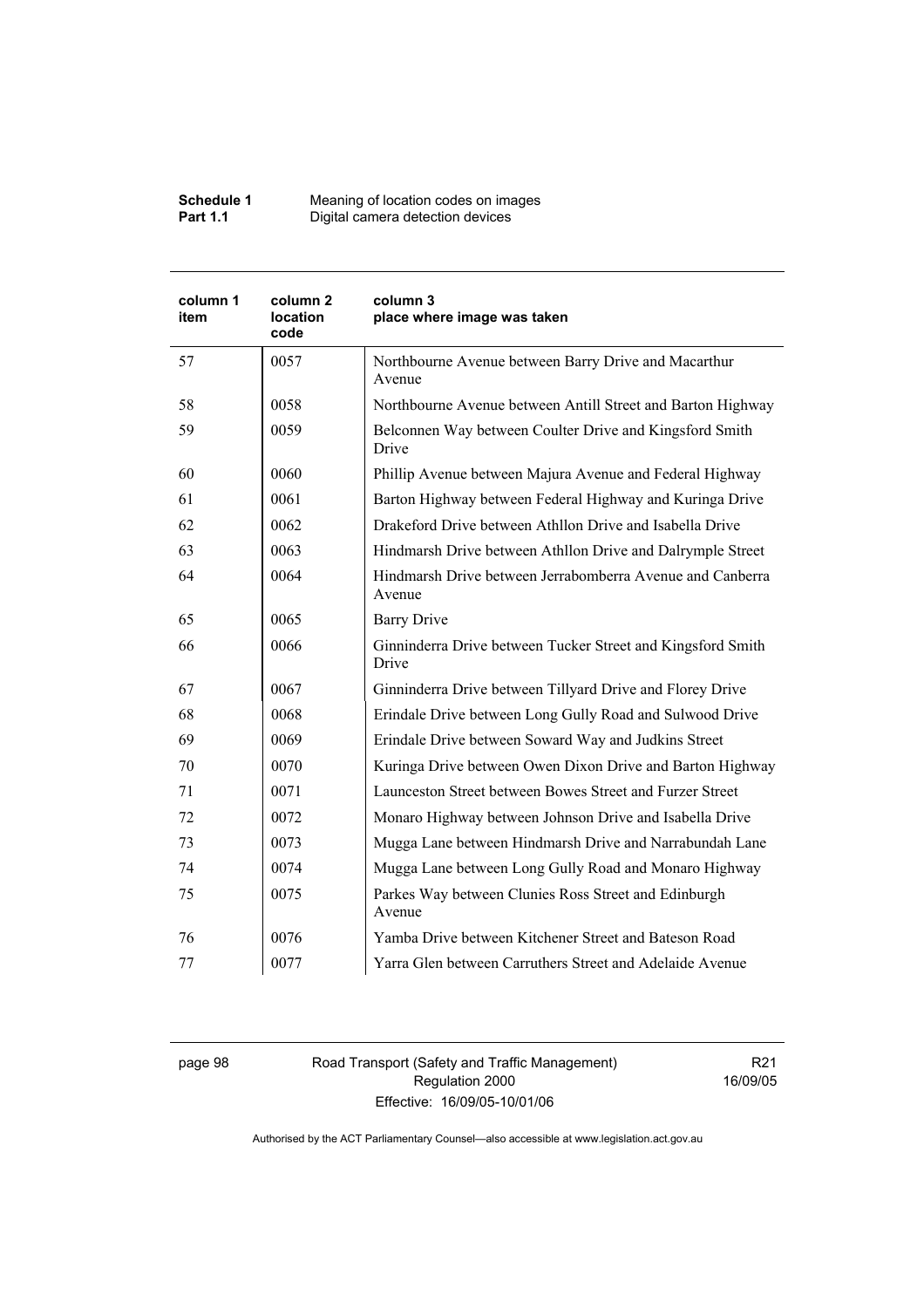| Schedule 1      | Meaning of location codes on images |
|-----------------|-------------------------------------|
| <b>Part 1.1</b> | Digital camera detection devices    |

| column 1<br>item | column <sub>2</sub><br>location<br>code | column 3<br>place where image was taken                              |
|------------------|-----------------------------------------|----------------------------------------------------------------------|
| 57               | 0057                                    | Northbourne Avenue between Barry Drive and Macarthur<br>Avenue       |
| 58               | 0058                                    | Northbourne Avenue between Antill Street and Barton Highway          |
| 59               | 0059                                    | Belconnen Way between Coulter Drive and Kingsford Smith<br>Drive     |
| 60               | 0060                                    | Phillip Avenue between Majura Avenue and Federal Highway             |
| 61               | 0061                                    | Barton Highway between Federal Highway and Kuringa Drive             |
| 62               | 0062                                    | Drakeford Drive between Athllon Drive and Isabella Drive             |
| 63               | 0063                                    | Hindmarsh Drive between Athllon Drive and Dalrymple Street           |
| 64               | 0064                                    | Hindmarsh Drive between Jerrabomberra Avenue and Canberra<br>Avenue  |
| 65               | 0065                                    | <b>Barry Drive</b>                                                   |
| 66               | 0066                                    | Ginninderra Drive between Tucker Street and Kingsford Smith<br>Drive |
| 67               | 0067                                    | Ginninderra Drive between Tillyard Drive and Florey Drive            |
| 68               | 0068                                    | Erindale Drive between Long Gully Road and Sulwood Drive             |
| 69               | 0069                                    | Erindale Drive between Soward Way and Judkins Street                 |
| 70               | 0070                                    | Kuringa Drive between Owen Dixon Drive and Barton Highway            |
| 71               | 0071                                    | Launceston Street between Bowes Street and Furzer Street             |
| 72               | 0072                                    | Monaro Highway between Johnson Drive and Isabella Drive              |
| 73               | 0073                                    | Mugga Lane between Hindmarsh Drive and Narrabundah Lane              |
| 74               | 0074                                    | Mugga Lane between Long Gully Road and Monaro Highway                |
| 75               | 0075                                    | Parkes Way between Clunies Ross Street and Edinburgh<br>Avenue       |
| 76               | 0076                                    | Yamba Drive between Kitchener Street and Bateson Road                |
| 77               | 0077                                    | Yarra Glen between Carruthers Street and Adelaide Avenue             |

page 98 Road Transport (Safety and Traffic Management) Regulation 2000 Effective: 16/09/05-10/01/06

R21 16/09/05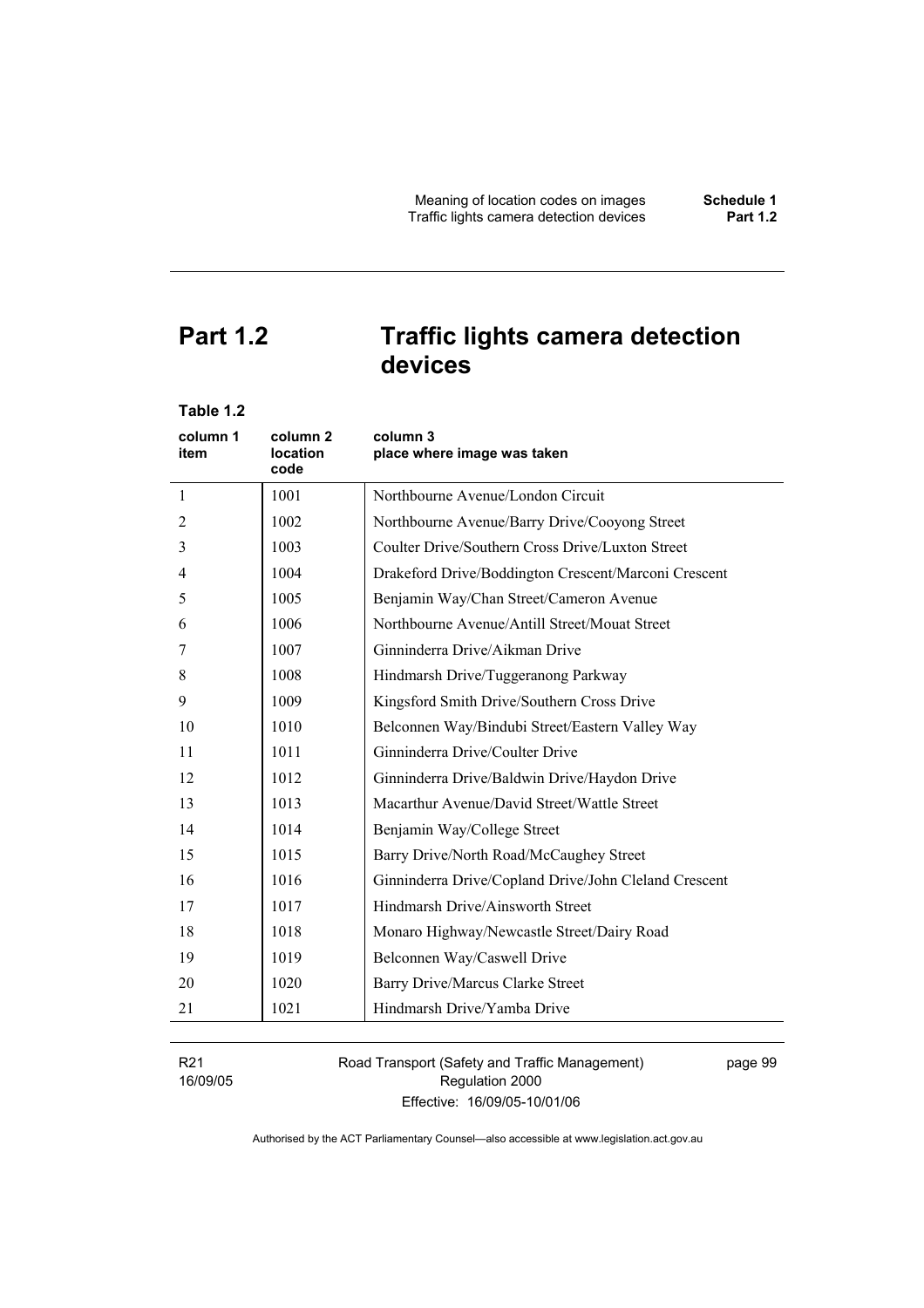# **Part 1.2 Traffic lights camera detection devices**

| Table 1.2        |                                         |                                                       |
|------------------|-----------------------------------------|-------------------------------------------------------|
| column 1<br>item | column <sub>2</sub><br>location<br>code | column 3<br>place where image was taken               |
| $\mathbf{1}$     | 1001                                    | Northbourne Avenue/London Circuit                     |
| 2                | 1002                                    | Northbourne Avenue/Barry Drive/Cooyong Street         |
| 3                | 1003                                    | Coulter Drive/Southern Cross Drive/Luxton Street      |
| $\overline{4}$   | 1004                                    | Drakeford Drive/Boddington Crescent/Marconi Crescent  |
| 5                | 1005                                    | Benjamin Way/Chan Street/Cameron Avenue               |
| 6                | 1006                                    | Northbourne Avenue/Antill Street/Mouat Street         |
| 7                | 1007                                    | Ginninderra Drive/Aikman Drive                        |
| 8                | 1008                                    | Hindmarsh Drive/Tuggeranong Parkway                   |
| 9                | 1009                                    | Kingsford Smith Drive/Southern Cross Drive            |
| 10               | 1010                                    | Belconnen Way/Bindubi Street/Eastern Valley Way       |
| 11               | 1011                                    | Ginninderra Drive/Coulter Drive                       |
| 12               | 1012                                    | Ginninderra Drive/Baldwin Drive/Haydon Drive          |
| 13               | 1013                                    | Macarthur Avenue/David Street/Wattle Street           |
| 14               | 1014                                    | Benjamin Way/College Street                           |
| 15               | 1015                                    | Barry Drive/North Road/McCaughey Street               |
| 16               | 1016                                    | Ginninderra Drive/Copland Drive/John Cleland Crescent |
| 17               | 1017                                    | Hindmarsh Drive/Ainsworth Street                      |
| 18               | 1018                                    | Monaro Highway/Newcastle Street/Dairy Road            |
| 19               | 1019                                    | Belconnen Way/Caswell Drive                           |
| 20               | 1020                                    | Barry Drive/Marcus Clarke Street                      |
| 21               | 1021                                    | Hindmarsh Drive/Yamba Drive                           |
|                  |                                         |                                                       |

R21 16/09/05 Road Transport (Safety and Traffic Management) Regulation 2000 Effective: 16/09/05-10/01/06

page 99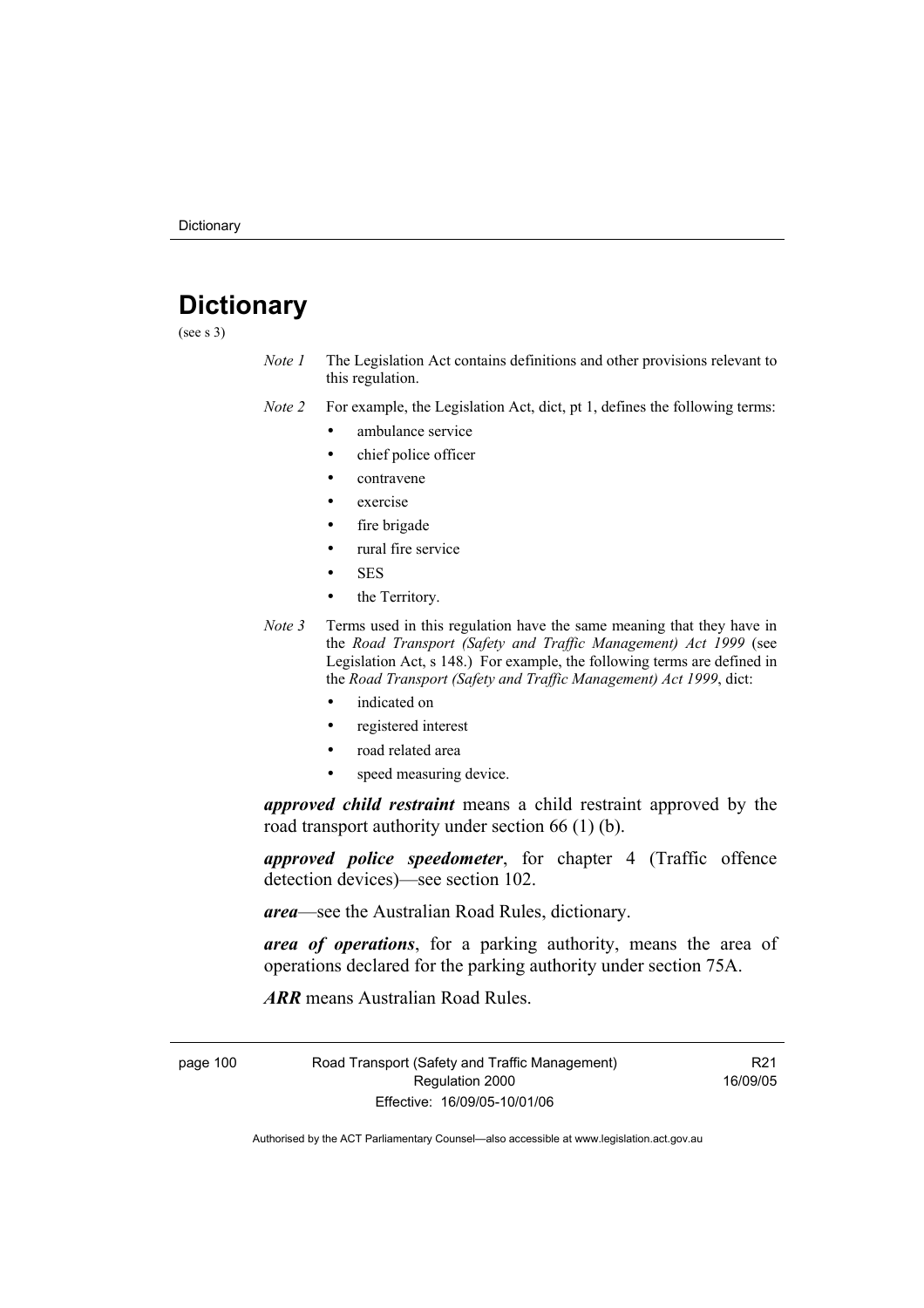# **Dictionary**

(see s 3)

*Note 1* The Legislation Act contains definitions and other provisions relevant to this regulation.

*Note 2* For example, the Legislation Act, dict, pt 1, defines the following terms:

- ambulance service
	- chief police officer
	- contravene
	- exercise
	- fire brigade
	- rural fire service
	- SES
- the Territory.
- *Note 3* Terms used in this regulation have the same meaning that they have in the *Road Transport (Safety and Traffic Management) Act 1999* (see Legislation Act, s 148.) For example, the following terms are defined in the *Road Transport (Safety and Traffic Management) Act 1999*, dict:
	- indicated on
	- registered interest
	- road related area
	- speed measuring device.

*approved child restraint* means a child restraint approved by the road transport authority under section 66 (1) (b).

*approved police speedometer*, for chapter 4 (Traffic offence detection devices)—see section 102.

*area*—see the Australian Road Rules, dictionary.

*area of operations*, for a parking authority, means the area of operations declared for the parking authority under section 75A.

*ARR* means Australian Road Rules.

page 100 Road Transport (Safety and Traffic Management) Regulation 2000 Effective: 16/09/05-10/01/06

R21 16/09/05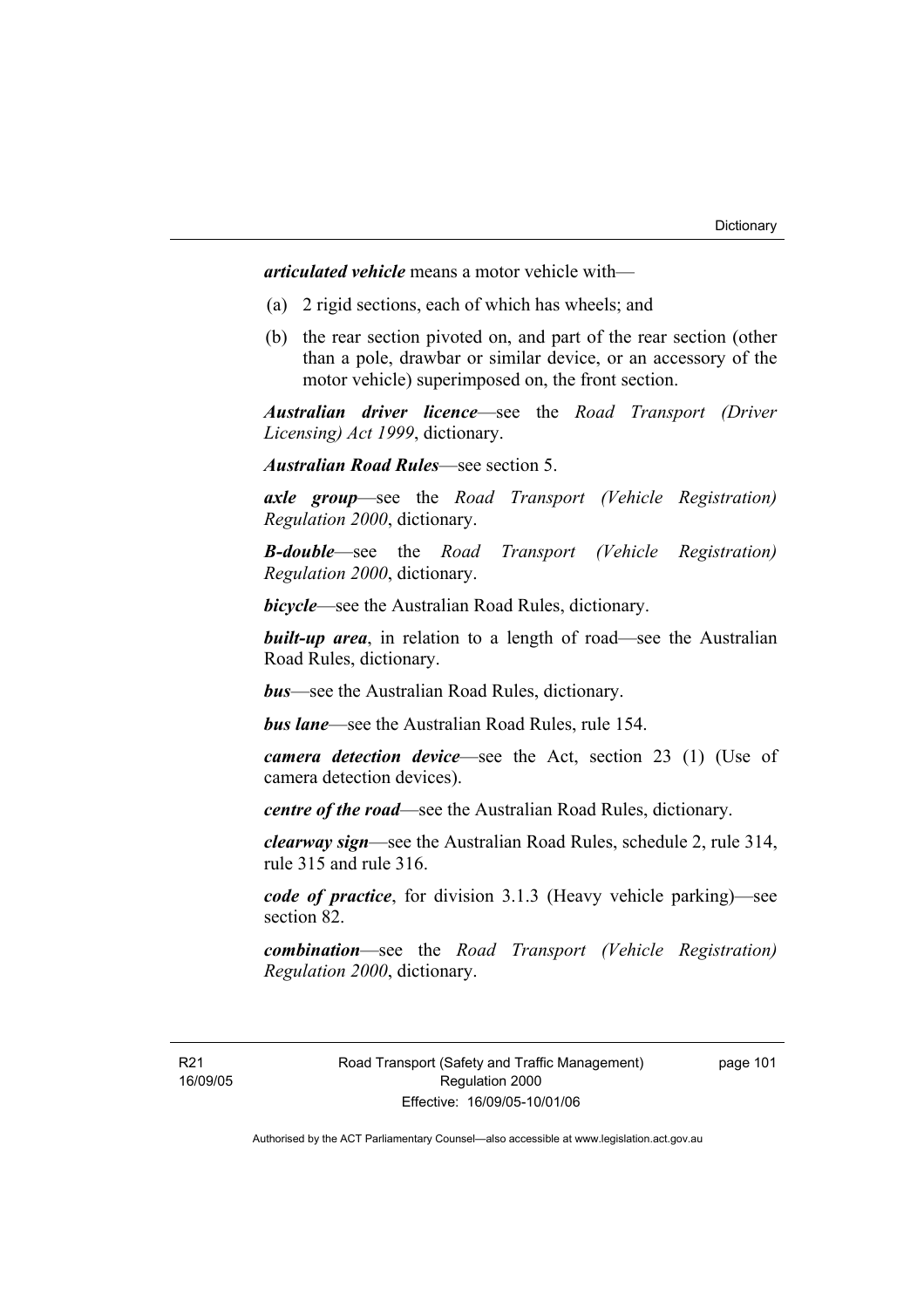*articulated vehicle* means a motor vehicle with—

- (a) 2 rigid sections, each of which has wheels; and
- (b) the rear section pivoted on, and part of the rear section (other than a pole, drawbar or similar device, or an accessory of the motor vehicle) superimposed on, the front section.

*Australian driver licence*—see the *Road Transport (Driver Licensing) Act 1999*, dictionary.

*Australian Road Rules*—see section 5.

*axle group*—see the *Road Transport (Vehicle Registration) Regulation 2000*, dictionary.

*B-double*—see the *Road Transport (Vehicle Registration) Regulation 2000*, dictionary.

*bicycle*—see the Australian Road Rules, dictionary.

**built-up area**, in relation to a length of road—see the Australian Road Rules, dictionary.

*bus*—see the Australian Road Rules, dictionary.

*bus lane*—see the Australian Road Rules, rule 154.

*camera detection device*—see the Act, section 23 (1) (Use of camera detection devices).

*centre of the road*—see the Australian Road Rules, dictionary.

*clearway sign*—see the Australian Road Rules, schedule 2, rule 314, rule 315 and rule 316.

*code of practice*, for division 3.1.3 (Heavy vehicle parking)—see section 82.

*combination*—see the *Road Transport (Vehicle Registration) Regulation 2000*, dictionary.

R21 16/09/05 page 101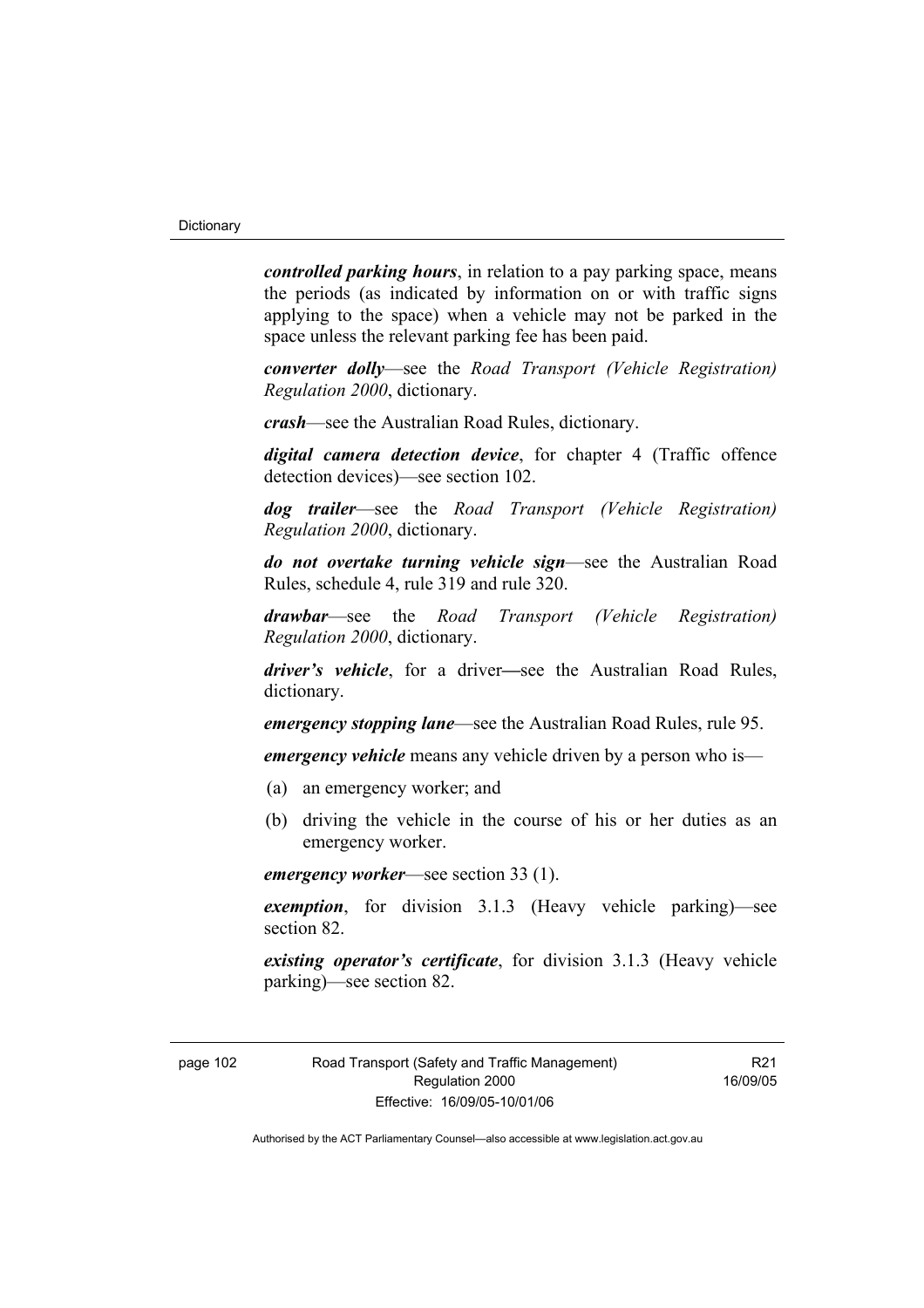*controlled parking hours*, in relation to a pay parking space, means the periods (as indicated by information on or with traffic signs applying to the space) when a vehicle may not be parked in the space unless the relevant parking fee has been paid.

*converter dolly*—see the *Road Transport (Vehicle Registration) Regulation 2000*, dictionary.

*crash*—see the Australian Road Rules, dictionary.

*digital camera detection device*, for chapter 4 (Traffic offence detection devices)—see section 102.

*dog trailer*—see the *Road Transport (Vehicle Registration) Regulation 2000*, dictionary.

*do not overtake turning vehicle sign*—see the Australian Road Rules, schedule 4, rule 319 and rule 320.

*drawbar*—see the *Road Transport (Vehicle Registration) Regulation 2000*, dictionary.

*driver's vehicle*, for a driver*—*see the Australian Road Rules, dictionary.

*emergency stopping lane*—see the Australian Road Rules, rule 95.

*emergency vehicle* means any vehicle driven by a person who is—

- (a) an emergency worker; and
- (b) driving the vehicle in the course of his or her duties as an emergency worker.

*emergency worker*—see section 33 (1).

*exemption*, for division 3.1.3 (Heavy vehicle parking)—see section 82.

*existing operator's certificate*, for division 3.1.3 (Heavy vehicle parking)—see section 82.

R21 16/09/05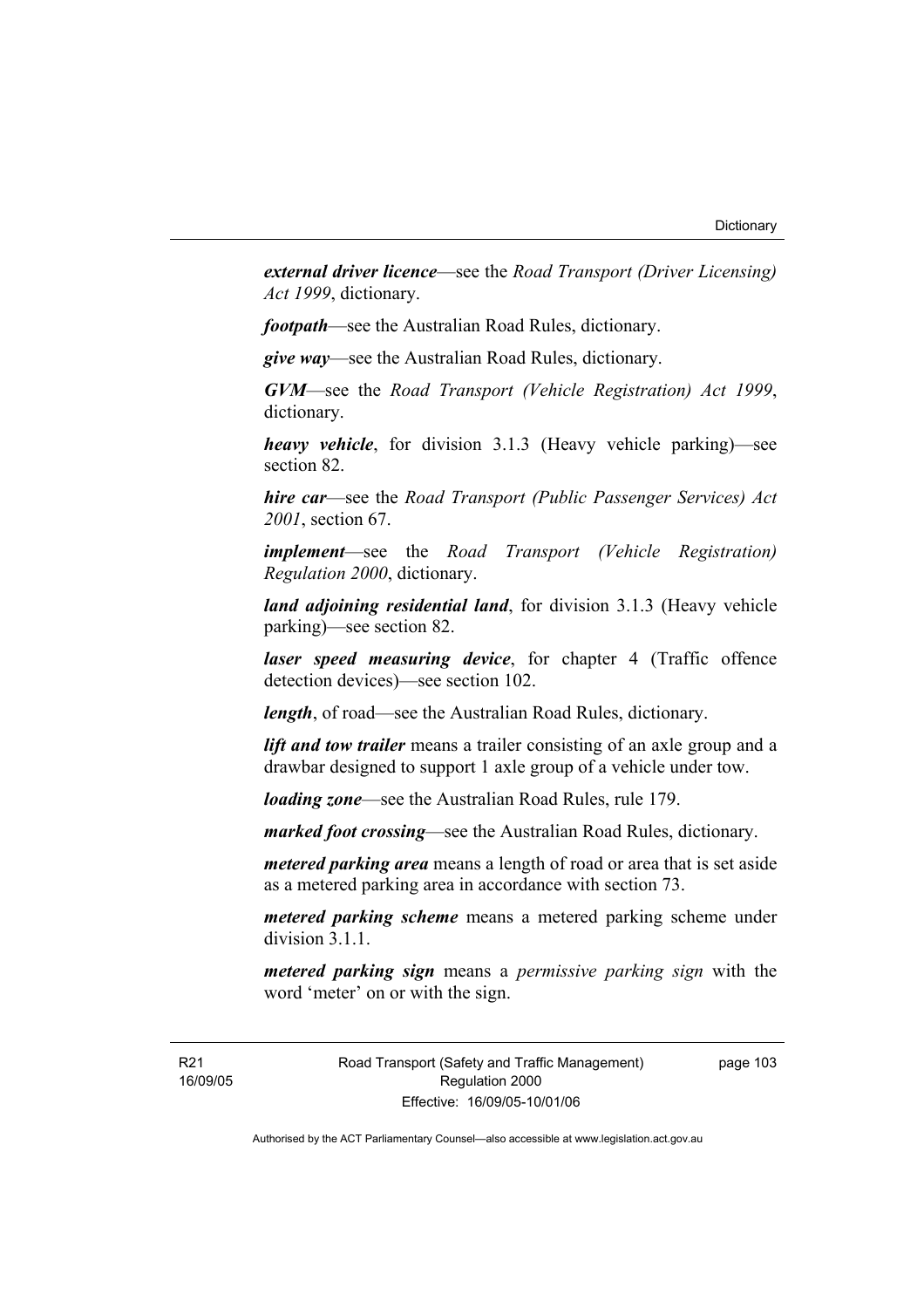*external driver licence*—see the *Road Transport (Driver Licensing) Act 1999*, dictionary.

*footpath*—see the Australian Road Rules, dictionary.

*give way*—see the Australian Road Rules, dictionary.

*GVM*—see the *Road Transport (Vehicle Registration) Act 1999*, dictionary.

*heavy vehicle*, for division 3.1.3 (Heavy vehicle parking)—see section 82.

*hire car*—see the *Road Transport (Public Passenger Services) Act 2001*, section 67.

*implement*—see the *Road Transport (Vehicle Registration) Regulation 2000*, dictionary.

*land adjoining residential land*, for division 3.1.3 (Heavy vehicle parking)—see section 82.

*laser speed measuring device*, for chapter 4 (Traffic offence detection devices)—see section 102.

*length*, of road—see the Australian Road Rules, dictionary.

*lift and tow trailer* means a trailer consisting of an axle group and a drawbar designed to support 1 axle group of a vehicle under tow.

*loading zone*—see the Australian Road Rules, rule 179.

*marked foot crossing*—see the Australian Road Rules, dictionary.

*metered parking area* means a length of road or area that is set aside as a metered parking area in accordance with section 73.

*metered parking scheme* means a metered parking scheme under division 3.1.1

*metered parking sign* means a *permissive parking sign* with the word 'meter' on or with the sign.

R21 16/09/05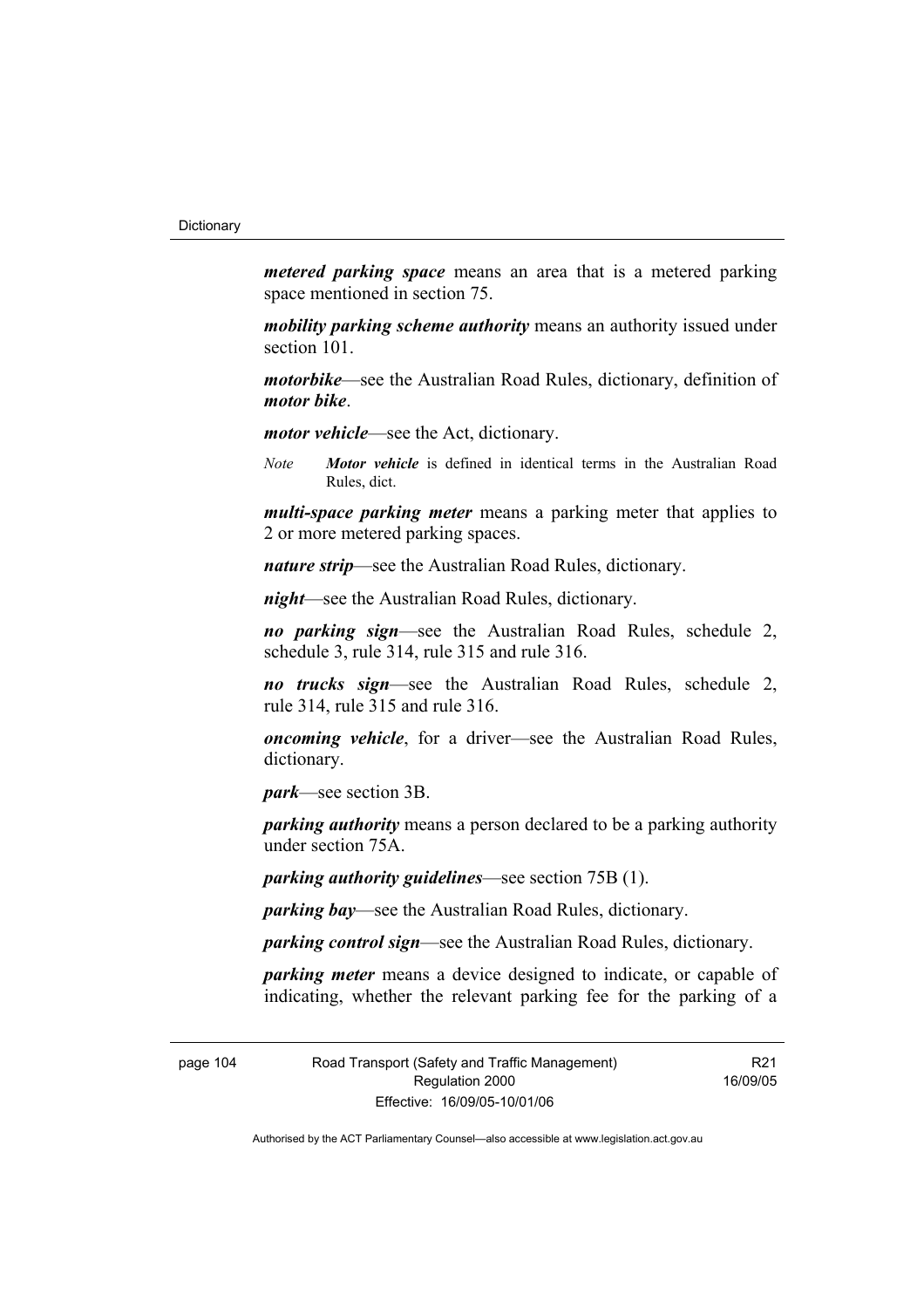*metered parking space* means an area that is a metered parking space mentioned in section 75.

*mobility parking scheme authority* means an authority issued under section 101.

*motorbike*—see the Australian Road Rules, dictionary, definition of *motor bike*.

*motor vehicle*—see the Act, dictionary.

*Note Motor vehicle* is defined in identical terms in the Australian Road Rules, dict.

*multi-space parking meter* means a parking meter that applies to 2 or more metered parking spaces.

*nature strip*—see the Australian Road Rules, dictionary.

*night*—see the Australian Road Rules, dictionary.

*no parking sign*—see the Australian Road Rules, schedule 2, schedule 3, rule 314, rule 315 and rule 316.

*no trucks sign*—see the Australian Road Rules, schedule 2, rule 314, rule 315 and rule 316.

*oncoming vehicle*, for a driver—see the Australian Road Rules, dictionary.

*park*—see section 3B.

*parking authority* means a person declared to be a parking authority under section 75A.

*parking authority guidelines*—see section 75B (1).

*parking bay*—see the Australian Road Rules, dictionary.

*parking control sign*—see the Australian Road Rules, dictionary.

*parking meter* means a device designed to indicate, or capable of indicating, whether the relevant parking fee for the parking of a

page 104 Road Transport (Safety and Traffic Management) Regulation 2000 Effective: 16/09/05-10/01/06

R21 16/09/05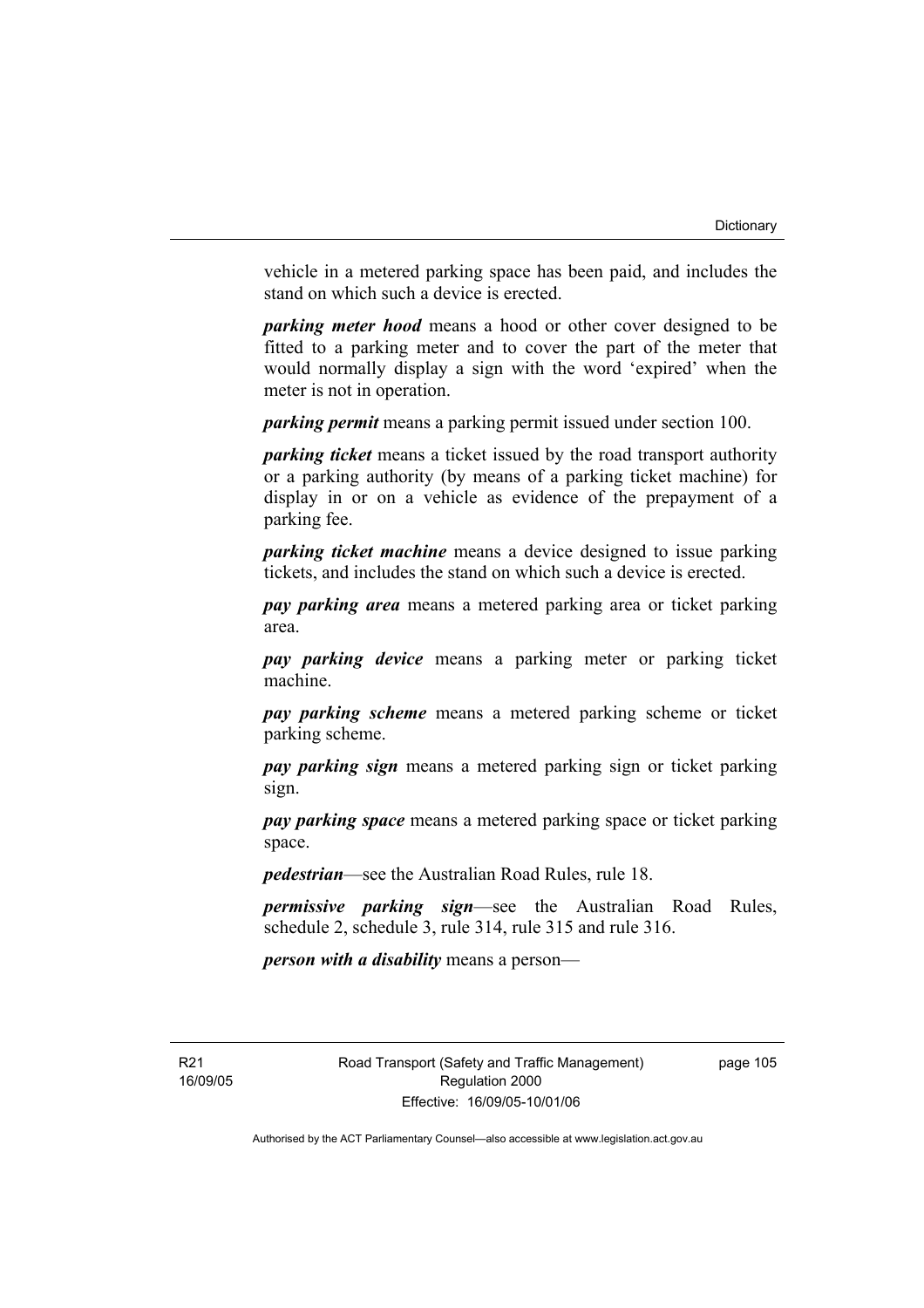vehicle in a metered parking space has been paid, and includes the stand on which such a device is erected.

*parking meter hood* means a hood or other cover designed to be fitted to a parking meter and to cover the part of the meter that would normally display a sign with the word 'expired' when the meter is not in operation.

*parking permit* means a parking permit issued under section 100.

*parking ticket* means a ticket issued by the road transport authority or a parking authority (by means of a parking ticket machine) for display in or on a vehicle as evidence of the prepayment of a parking fee.

*parking ticket machine* means a device designed to issue parking tickets, and includes the stand on which such a device is erected.

*pay parking area* means a metered parking area or ticket parking area.

*pay parking device* means a parking meter or parking ticket machine.

*pay parking scheme* means a metered parking scheme or ticket parking scheme.

*pay parking sign* means a metered parking sign or ticket parking sign.

*pay parking space* means a metered parking space or ticket parking space.

*pedestrian*—see the Australian Road Rules, rule 18.

*permissive parking sign*—see the Australian Road Rules, schedule 2, schedule 3, rule 314, rule 315 and rule 316.

*person with a disability* means a person—

R21 16/09/05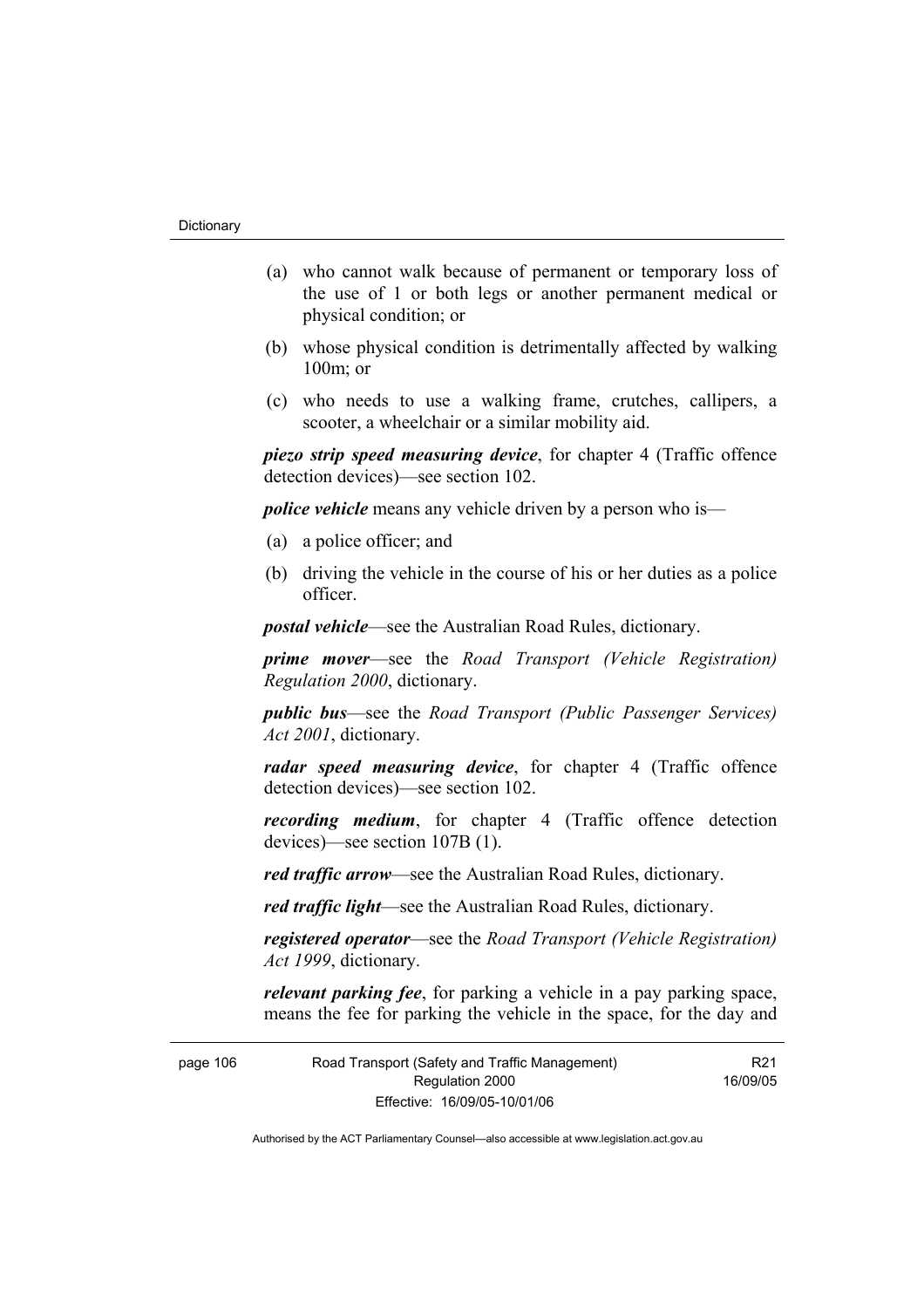- (a) who cannot walk because of permanent or temporary loss of the use of 1 or both legs or another permanent medical or physical condition; or
- (b) whose physical condition is detrimentally affected by walking 100m; or
- (c) who needs to use a walking frame, crutches, callipers, a scooter, a wheelchair or a similar mobility aid.

*piezo strip speed measuring device*, for chapter 4 (Traffic offence detection devices)—see section 102.

*police vehicle* means any vehicle driven by a person who is—

- (a) a police officer; and
- (b) driving the vehicle in the course of his or her duties as a police officer.

*postal vehicle*—see the Australian Road Rules, dictionary.

*prime mover*—see the *Road Transport (Vehicle Registration) Regulation 2000*, dictionary.

*public bus*—see the *Road Transport (Public Passenger Services) Act 2001*, dictionary.

*radar speed measuring device*, for chapter 4 (Traffic offence detection devices)—see section 102.

*recording medium*, for chapter 4 (Traffic offence detection devices)—see section 107B (1).

*red traffic arrow*—see the Australian Road Rules, dictionary.

*red traffic light*—see the Australian Road Rules, dictionary.

*registered operator*—see the *Road Transport (Vehicle Registration) Act 1999*, dictionary.

*relevant parking fee*, for parking a vehicle in a pay parking space, means the fee for parking the vehicle in the space, for the day and

page 106 Road Transport (Safety and Traffic Management) Regulation 2000 Effective: 16/09/05-10/01/06

R21 16/09/05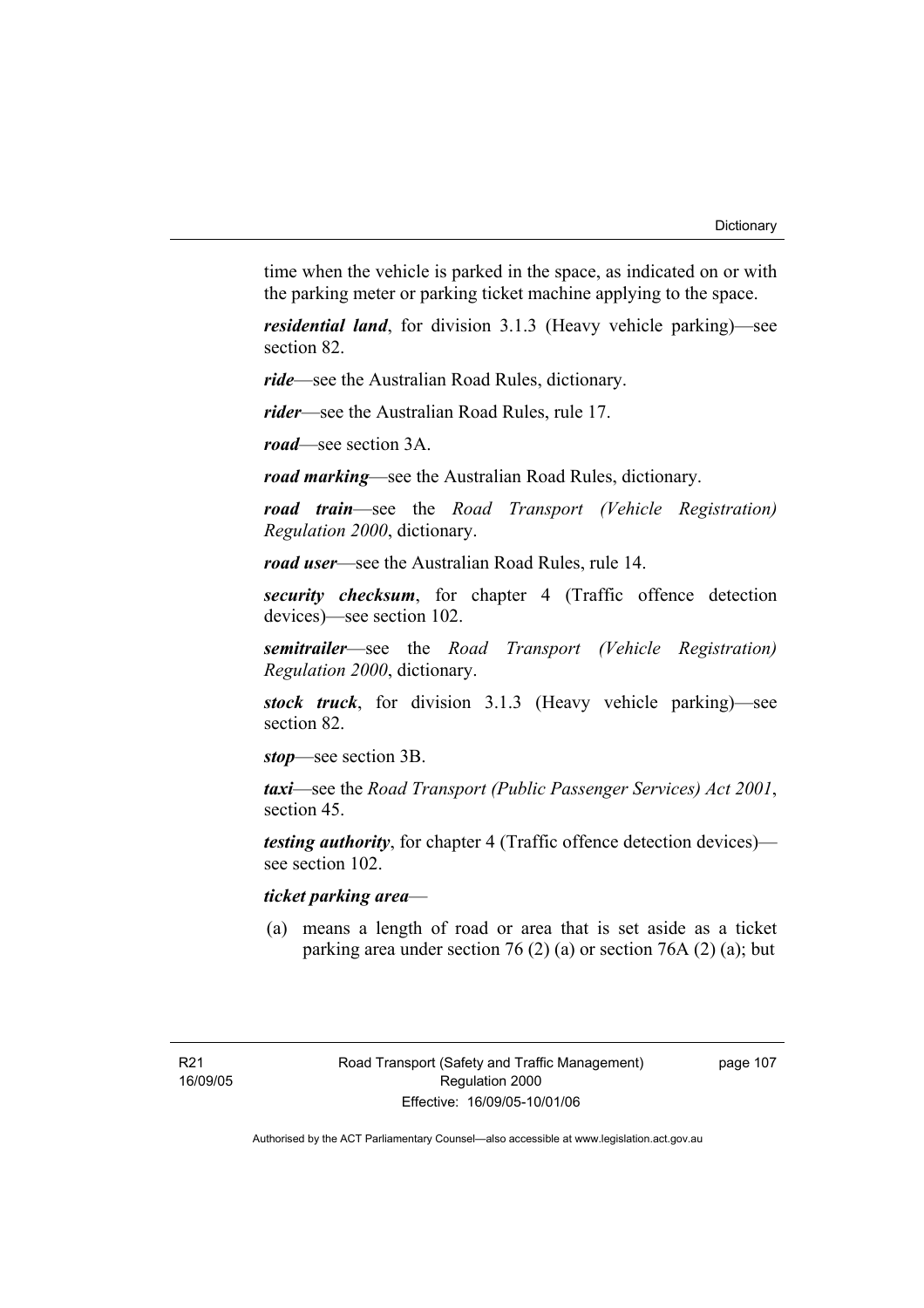time when the vehicle is parked in the space, as indicated on or with the parking meter or parking ticket machine applying to the space.

*residential land*, for division 3.1.3 (Heavy vehicle parking)—see section 82.

*ride*—see the Australian Road Rules, dictionary.

*rider*—see the Australian Road Rules, rule 17.

*road*—see section 3A.

*road marking*—see the Australian Road Rules, dictionary.

*road train*—see the *Road Transport (Vehicle Registration) Regulation 2000*, dictionary.

*road user*—see the Australian Road Rules, rule 14.

*security checksum*, for chapter 4 (Traffic offence detection devices)—see section 102.

*semitrailer*—see the *Road Transport (Vehicle Registration) Regulation 2000*, dictionary.

*stock truck*, for division 3.1.3 (Heavy vehicle parking)—see section 82.

*stop*—see section 3B.

*taxi*—see the *Road Transport (Public Passenger Services) Act 2001*, section 45.

*testing authority*, for chapter 4 (Traffic offence detection devices) see section 102.

# *ticket parking area*—

 (a) means a length of road or area that is set aside as a ticket parking area under section 76 (2) (a) or section 76A (2) (a); but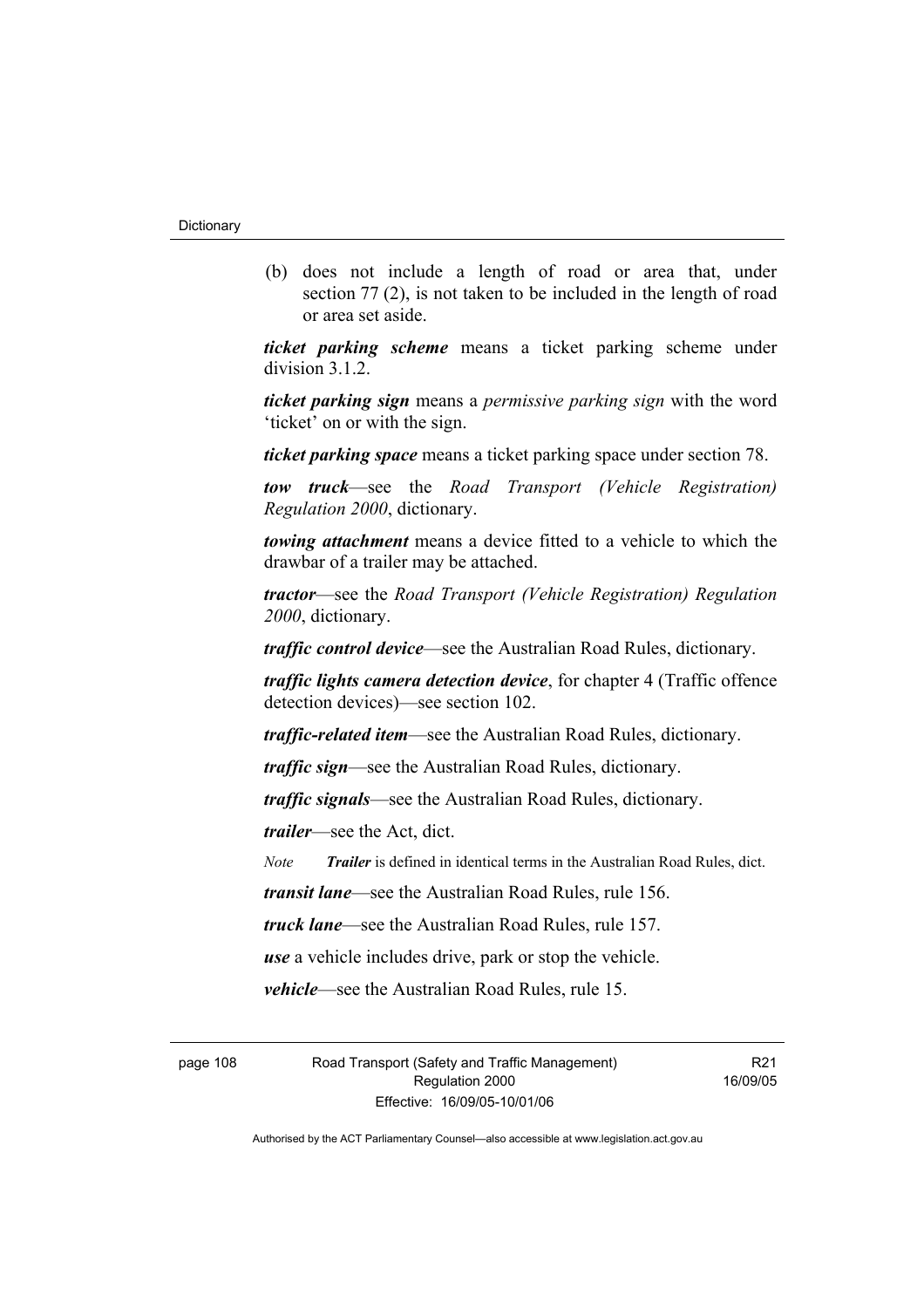(b) does not include a length of road or area that, under section 77 (2), is not taken to be included in the length of road or area set aside.

*ticket parking scheme* means a ticket parking scheme under division 3.1.2.

*ticket parking sign* means a *permissive parking sign* with the word 'ticket' on or with the sign.

*ticket parking space* means a ticket parking space under section 78.

*tow truck*—see the *Road Transport (Vehicle Registration) Regulation 2000*, dictionary.

*towing attachment* means a device fitted to a vehicle to which the drawbar of a trailer may be attached.

*tractor*—see the *Road Transport (Vehicle Registration) Regulation 2000*, dictionary.

*traffic control device*—see the Australian Road Rules, dictionary.

*traffic lights camera detection device*, for chapter 4 (Traffic offence detection devices)—see section 102.

*traffic-related item*—see the Australian Road Rules, dictionary.

*traffic sign*—see the Australian Road Rules, dictionary.

*traffic signals*—see the Australian Road Rules, dictionary.

*trailer*—see the Act, dict.

*Note Trailer* is defined in identical terms in the Australian Road Rules, dict.

*transit lane*—see the Australian Road Rules, rule 156.

*truck lane*—see the Australian Road Rules, rule 157.

*use* a vehicle includes drive, park or stop the vehicle.

*vehicle*—see the Australian Road Rules, rule 15.

page 108 Road Transport (Safety and Traffic Management) Regulation 2000 Effective: 16/09/05-10/01/06

R<sub>21</sub> 16/09/05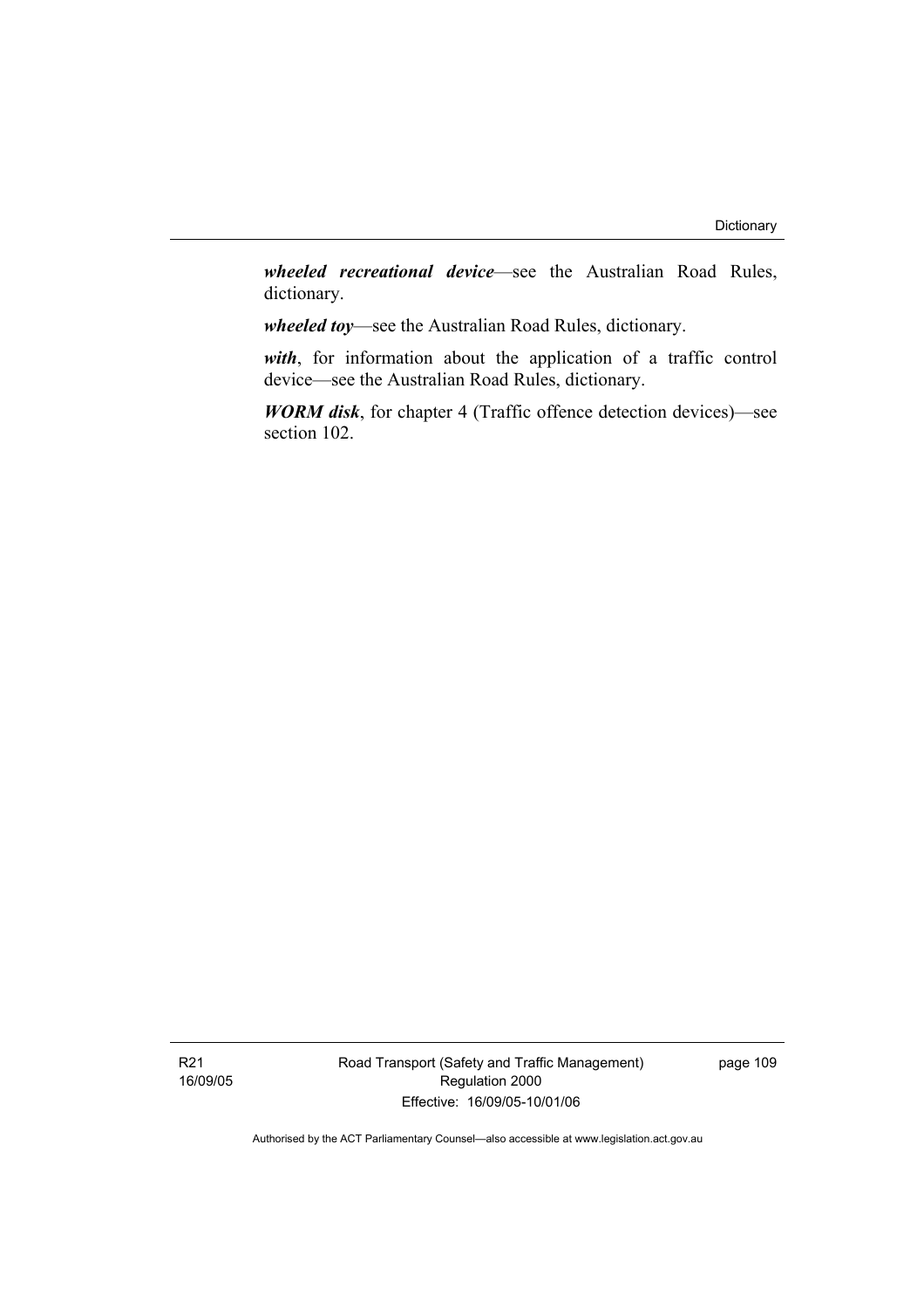*wheeled recreational device*—see the Australian Road Rules, dictionary.

*wheeled toy*—see the Australian Road Rules, dictionary.

*with*, for information about the application of a traffic control device—see the Australian Road Rules, dictionary.

*WORM disk*, for chapter 4 (Traffic offence detection devices)—see section 102.

Road Transport (Safety and Traffic Management) Regulation 2000 Effective: 16/09/05-10/01/06

page 109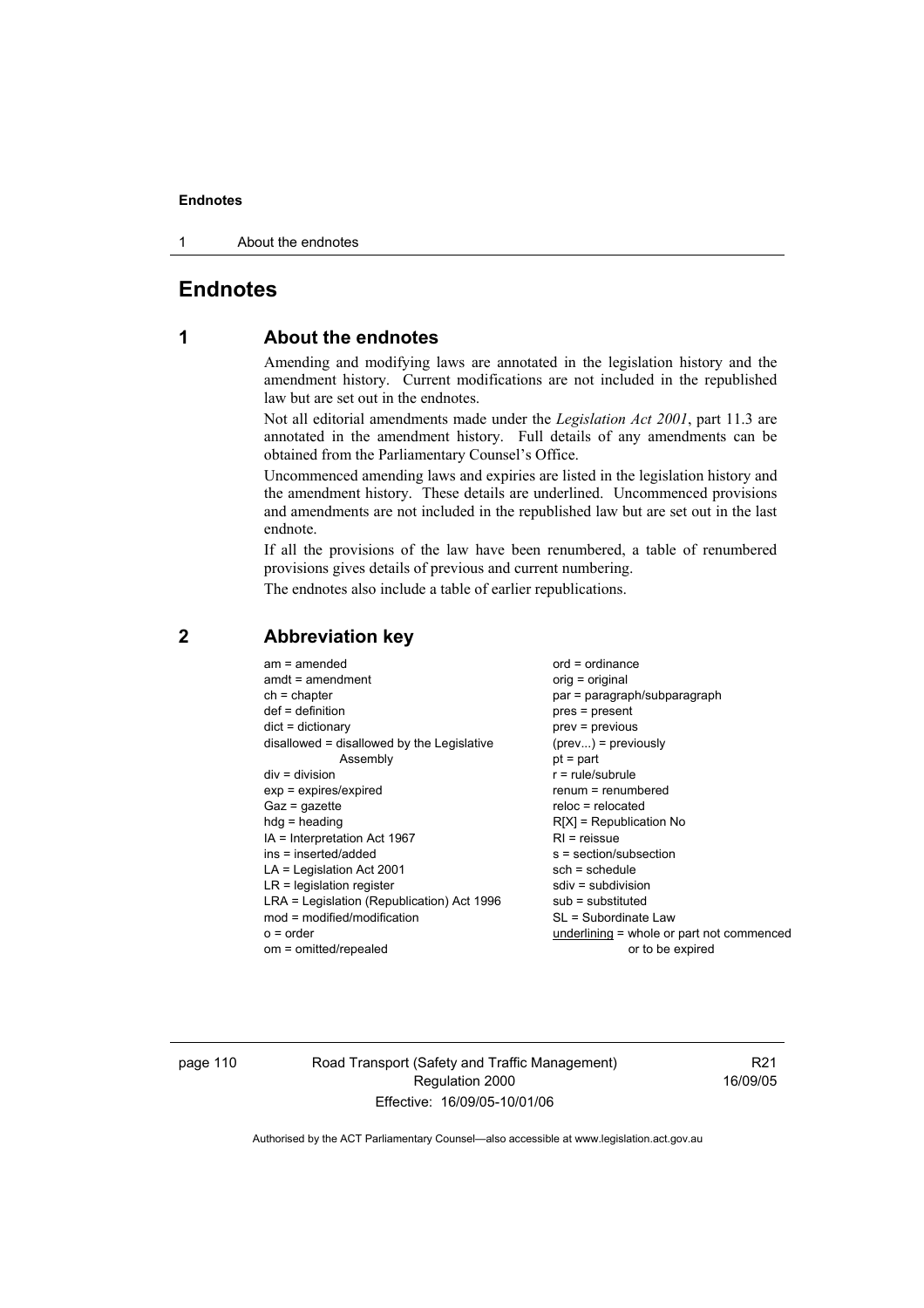1 About the endnotes

# **Endnotes**

# **1 About the endnotes**

Amending and modifying laws are annotated in the legislation history and the amendment history. Current modifications are not included in the republished law but are set out in the endnotes.

Not all editorial amendments made under the *Legislation Act 2001*, part 11.3 are annotated in the amendment history. Full details of any amendments can be obtained from the Parliamentary Counsel's Office.

Uncommenced amending laws and expiries are listed in the legislation history and the amendment history. These details are underlined. Uncommenced provisions and amendments are not included in the republished law but are set out in the last endnote.

If all the provisions of the law have been renumbered, a table of renumbered provisions gives details of previous and current numbering.

The endnotes also include a table of earlier republications.

| $am = amended$                             | $ord = ordinance$                           |
|--------------------------------------------|---------------------------------------------|
| $amdt = amendment$                         | $orig = original$                           |
| $ch = chapter$                             | par = paragraph/subparagraph                |
| $def = definition$                         | $pres = present$                            |
| $dict = dictionary$                        | $prev = previous$                           |
| disallowed = disallowed by the Legislative | $(\text{prev}) = \text{previously}$         |
| Assembly                                   | $pt = part$                                 |
| $div = division$                           | $r = rule/subrule$                          |
| $exp = expires/expired$                    | renum = renumbered                          |
| $Gaz = gazette$                            | $reloc = relocated$                         |
| $hdg =$ heading                            | $R[X]$ = Republication No                   |
| $IA = Interpretation Act 1967$             | $RI = reissue$                              |
| ins = inserted/added                       | $s = section/subsection$                    |
| $LA =$ Legislation Act 2001                | $sch = schedule$                            |
| $LR =$ legislation register                | sdiv = subdivision                          |
| LRA = Legislation (Republication) Act 1996 | $sub =$ substituted                         |
| $mod = modified/modification$              | SL = Subordinate Law                        |
| $o = order$                                | $underlining = whole or part not commenced$ |
| om = omitted/repealed                      | or to be expired                            |
|                                            |                                             |

# **2 Abbreviation key**

page 110 Road Transport (Safety and Traffic Management) Regulation 2000 Effective: 16/09/05-10/01/06

R21 16/09/05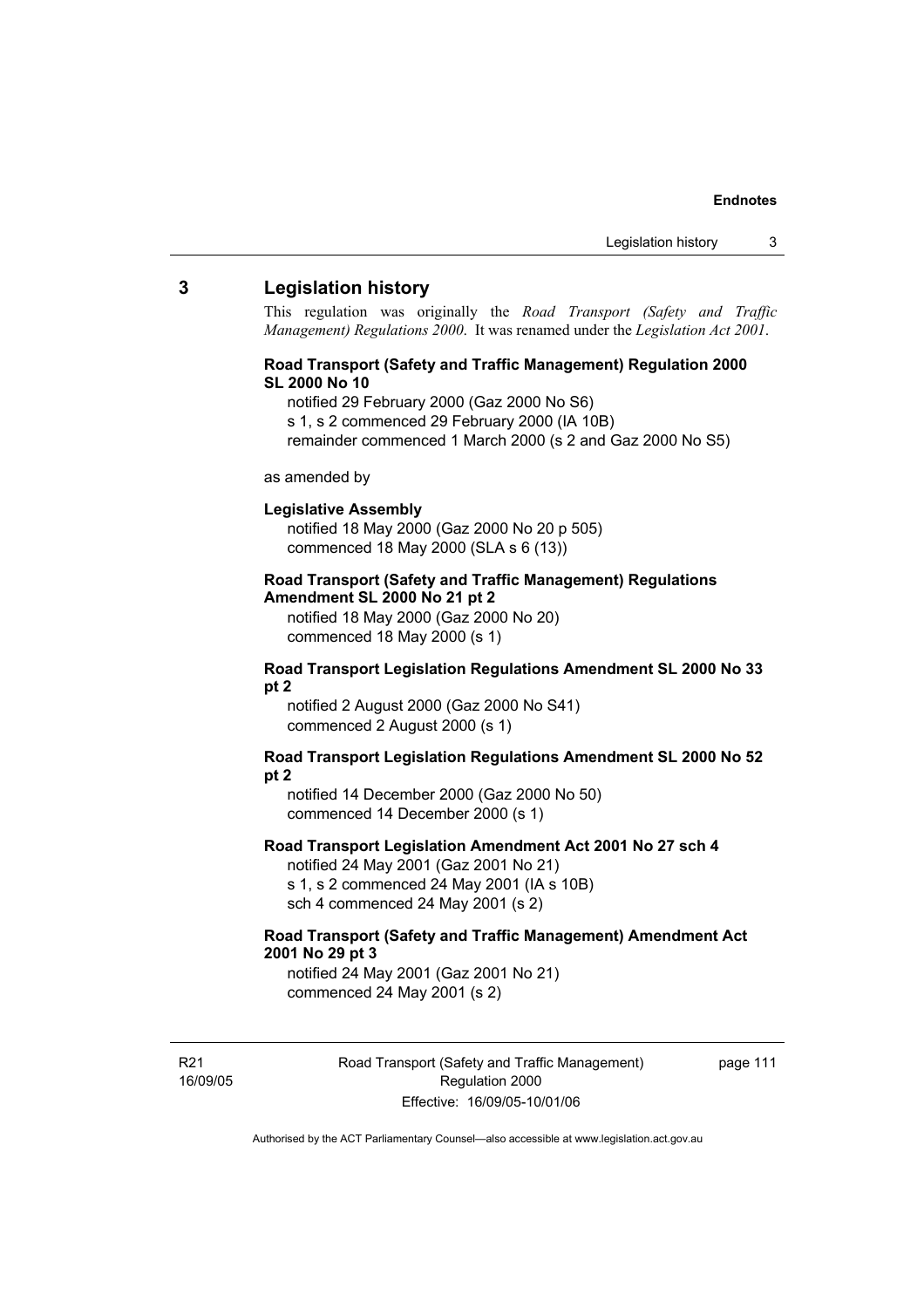#### **3 Legislation history**

This regulation was originally the *Road Transport (Safety and Traffic Management) Regulations 2000*. It was renamed under the *Legislation Act 2001*.

#### **Road Transport (Safety and Traffic Management) Regulation 2000 SL 2000 No 10**

- notified 29 February 2000 (Gaz 2000 No S6)
- s 1, s 2 commenced 29 February 2000 (IA 10B)
- remainder commenced 1 March 2000 (s 2 and Gaz 2000 No S5)

#### as amended by

#### **Legislative Assembly**

notified 18 May 2000 (Gaz 2000 No 20 p 505) commenced 18 May 2000 (SLA s 6 (13))

#### **Road Transport (Safety and Traffic Management) Regulations Amendment SL 2000 No 21 pt 2**

notified 18 May 2000 (Gaz 2000 No 20) commenced 18 May 2000 (s 1)

#### **Road Transport Legislation Regulations Amendment SL 2000 No 33 pt 2**

notified 2 August 2000 (Gaz 2000 No S41) commenced 2 August 2000 (s 1)

#### **Road Transport Legislation Regulations Amendment SL 2000 No 52 pt 2**

notified 14 December 2000 (Gaz 2000 No 50) commenced 14 December 2000 (s 1)

#### **Road Transport Legislation Amendment Act 2001 No 27 sch 4**

notified 24 May 2001 (Gaz 2001 No 21) s 1, s 2 commenced 24 May 2001 (IA s 10B) sch 4 commenced 24 May 2001 (s 2)

#### **Road Transport (Safety and Traffic Management) Amendment Act 2001 No 29 pt 3**

notified 24 May 2001 (Gaz 2001 No 21) commenced 24 May 2001 (s 2)

R21 16/09/05 Road Transport (Safety and Traffic Management) Regulation 2000 Effective: 16/09/05-10/01/06

page 111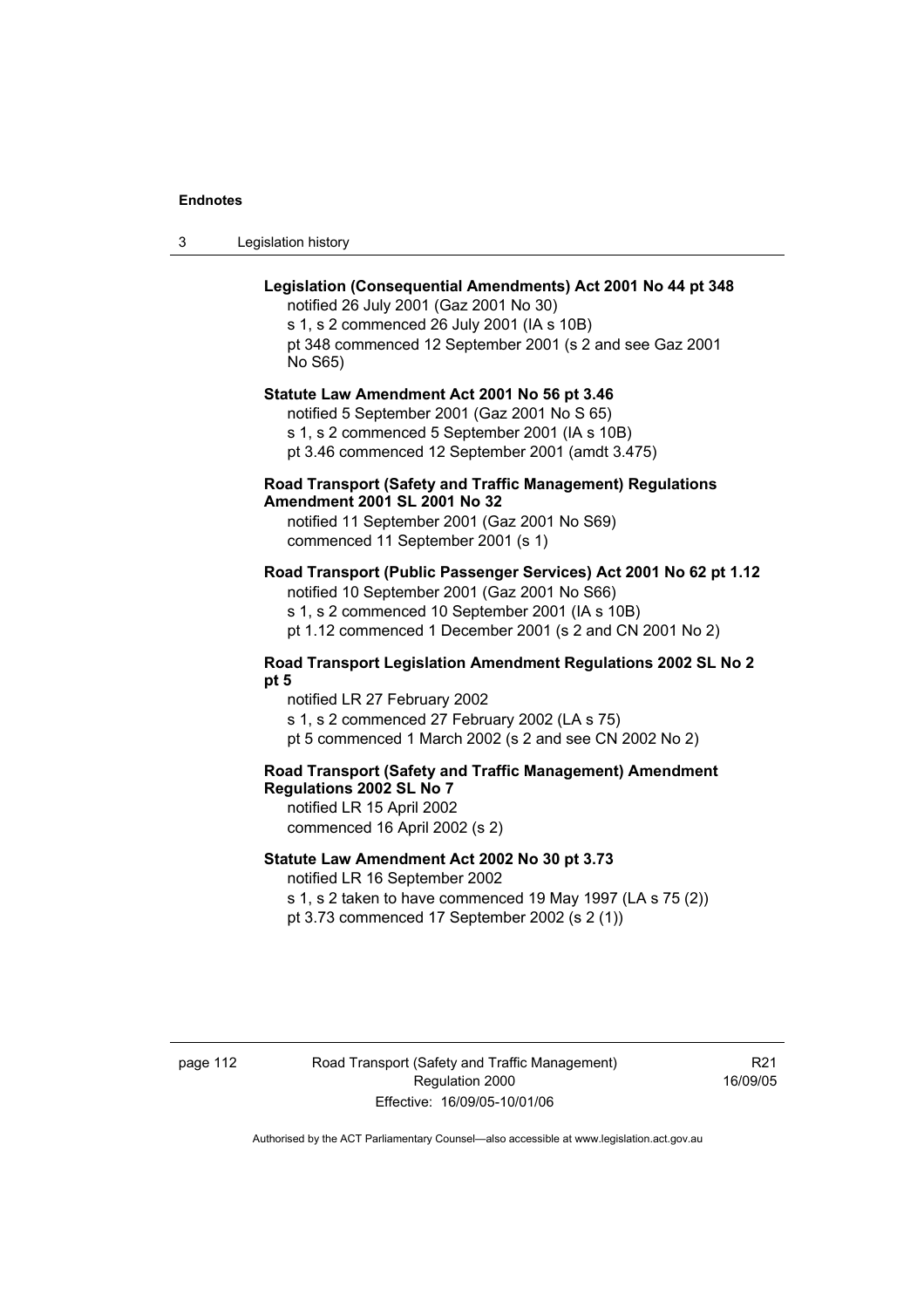| -3 | Legislation history |  |
|----|---------------------|--|
|----|---------------------|--|

#### **Legislation (Consequential Amendments) Act 2001 No 44 pt 348**

notified 26 July 2001 (Gaz 2001 No 30) s 1, s 2 commenced 26 July 2001 (IA s 10B) pt 348 commenced 12 September 2001 (s 2 and see Gaz 2001 No S65)

#### **Statute Law Amendment Act 2001 No 56 pt 3.46**

notified 5 September 2001 (Gaz 2001 No S 65) s 1, s 2 commenced 5 September 2001 (IA s 10B) pt 3.46 commenced 12 September 2001 (amdt 3.475)

#### **Road Transport (Safety and Traffic Management) Regulations Amendment 2001 SL 2001 No 32**

notified 11 September 2001 (Gaz 2001 No S69) commenced 11 September 2001 (s 1)

#### **Road Transport (Public Passenger Services) Act 2001 No 62 pt 1.12**

notified 10 September 2001 (Gaz 2001 No S66) s 1, s 2 commenced 10 September 2001 (IA s 10B)

pt 1.12 commenced 1 December 2001 (s 2 and CN 2001 No 2)

#### **Road Transport Legislation Amendment Regulations 2002 SL No 2 pt 5**

notified LR 27 February 2002 s 1, s 2 commenced 27 February 2002 (LA s 75) pt 5 commenced 1 March 2002 (s 2 and see CN 2002 No 2)

# **Road Transport (Safety and Traffic Management) Amendment Regulations 2002 SL No 7**

notified LR 15 April 2002 commenced 16 April 2002 (s 2)

#### **Statute Law Amendment Act 2002 No 30 pt 3.73**

notified LR 16 September 2002

s 1, s 2 taken to have commenced 19 May 1997 (LA s 75 (2)) pt 3.73 commenced 17 September 2002 (s 2 (1))

page 112 Road Transport (Safety and Traffic Management) Regulation 2000 Effective: 16/09/05-10/01/06

R<sub>21</sub> 16/09/05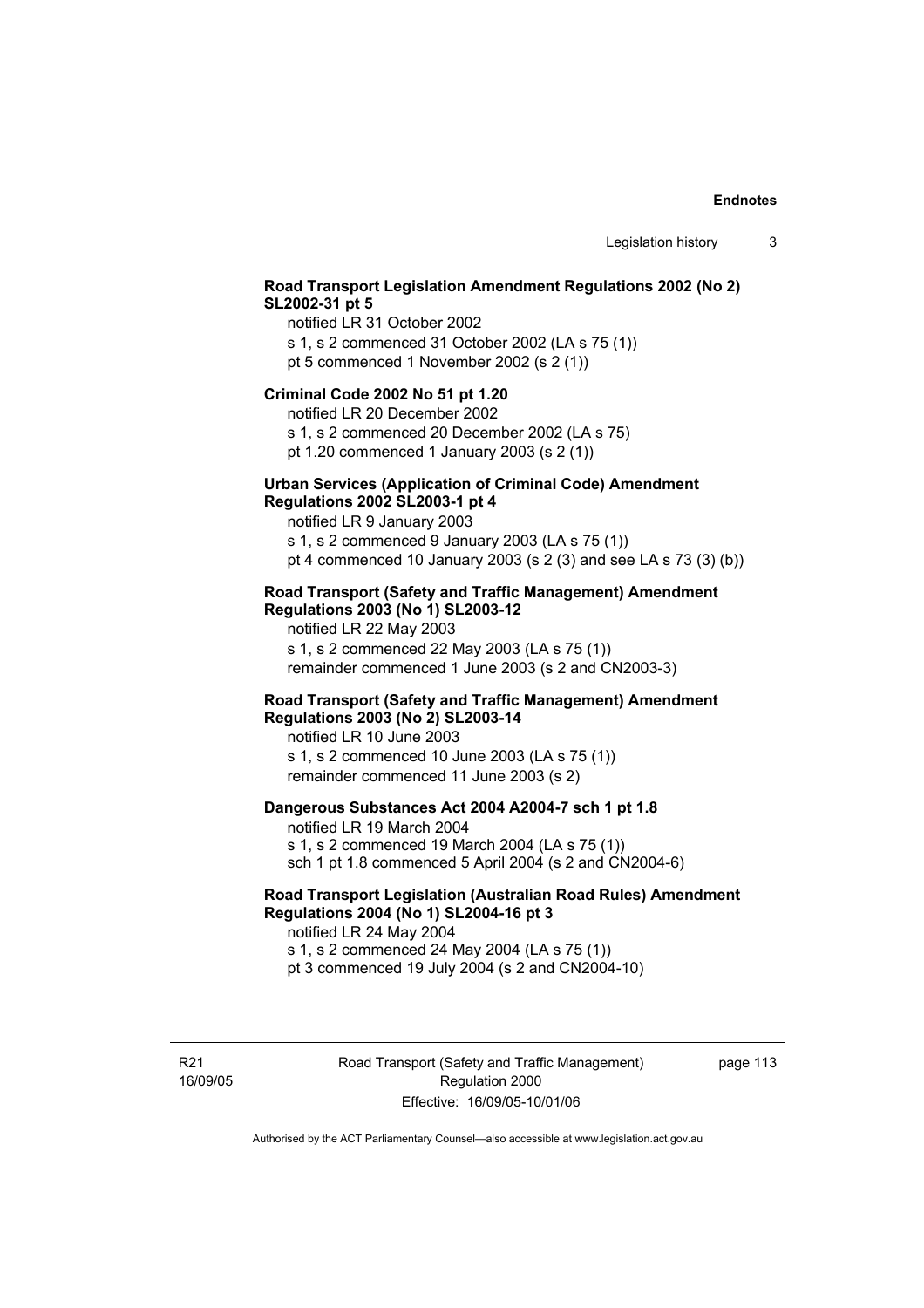## **Road Transport Legislation Amendment Regulations 2002 (No 2) SL2002-31 pt 5**

notified LR 31 October 2002 s 1, s 2 commenced 31 October 2002 (LA s 75 (1)) pt 5 commenced 1 November 2002 (s 2 (1))

#### **Criminal Code 2002 No 51 pt 1.20**

notified LR 20 December 2002

s 1, s 2 commenced 20 December 2002 (LA s 75) pt 1.20 commenced 1 January 2003 (s 2 (1))

#### **Urban Services (Application of Criminal Code) Amendment Regulations 2002 SL2003-1 pt 4**

notified LR 9 January 2003

s 1, s 2 commenced 9 January 2003 (LA s 75 (1)) pt 4 commenced 10 January 2003 (s 2 (3) and see LA s 73 (3) (b))

#### **Road Transport (Safety and Traffic Management) Amendment Regulations 2003 (No 1) SL2003-12**

notified LR 22 May 2003 s 1, s 2 commenced 22 May 2003 (LA s 75 (1)) remainder commenced 1 June 2003 (s 2 and CN2003-3)

#### **Road Transport (Safety and Traffic Management) Amendment Regulations 2003 (No 2) SL2003-14**

notified LR 10 June 2003 s 1, s 2 commenced 10 June 2003 (LA s 75 (1)) remainder commenced 11 June 2003 (s 2)

#### **Dangerous Substances Act 2004 A2004-7 sch 1 pt 1.8**

notified LR 19 March 2004 s 1, s 2 commenced 19 March 2004 (LA s 75 (1)) sch 1 pt 1.8 commenced 5 April 2004 (s 2 and CN2004-6)

### **Road Transport Legislation (Australian Road Rules) Amendment Regulations 2004 (No 1) SL2004-16 pt 3**

notified LR 24 May 2004 s 1, s 2 commenced 24 May 2004 (LA s 75 (1)) pt 3 commenced 19 July 2004 (s 2 and CN2004-10)

R21 16/09/05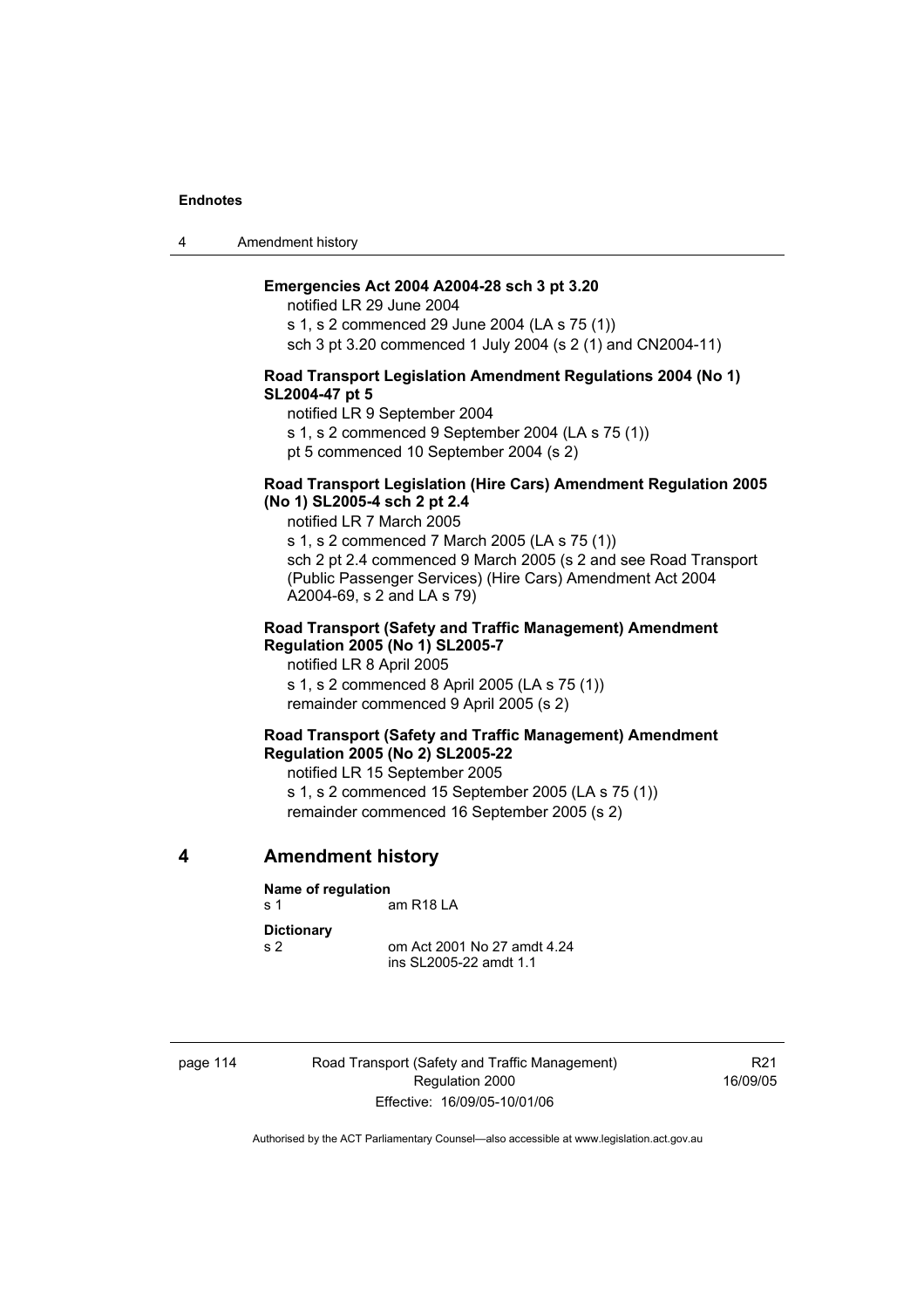4 Amendment history

#### **Emergencies Act 2004 A2004-28 sch 3 pt 3.20**

notified LR 29 June 2004 s 1, s 2 commenced 29 June 2004 (LA s 75 (1)) sch 3 pt 3.20 commenced 1 July 2004 (s 2 (1) and CN2004-11)

#### **Road Transport Legislation Amendment Regulations 2004 (No 1) SL2004-47 pt 5**

notified LR 9 September 2004

s 1, s 2 commenced 9 September 2004 (LA s 75 (1))

pt 5 commenced 10 September 2004 (s 2)

#### **Road Transport Legislation (Hire Cars) Amendment Regulation 2005 (No 1) SL2005-4 sch 2 pt 2.4**

notified LR 7 March 2005

s 1, s 2 commenced 7 March 2005 (LA s 75 (1)) sch 2 pt 2.4 commenced 9 March 2005 (s 2 and see Road Transport (Public Passenger Services) (Hire Cars) Amendment Act 2004 A2004-69, s 2 and LA s 79)

#### **Road Transport (Safety and Traffic Management) Amendment Regulation 2005 (No 1) SL2005-7**

notified LR 8 April 2005 s 1, s 2 commenced 8 April 2005 (LA s 75 (1)) remainder commenced 9 April 2005 (s 2)

#### **Road Transport (Safety and Traffic Management) Amendment Regulation 2005 (No 2) SL2005-22**

notified LR 15 September 2005

s 1, s 2 commenced 15 September 2005 (LA s 75 (1)) remainder commenced 16 September 2005 (s 2)

**4 Amendment history** 

# **Name of regulation**

s 1 am R18 LA

**Dictionary** 

s 2 om Act 2001 No 27 amdt 4.24 ins SL2005-22 amdt 1.1

page 114 Road Transport (Safety and Traffic Management) Regulation 2000 Effective: 16/09/05-10/01/06

R21 16/09/05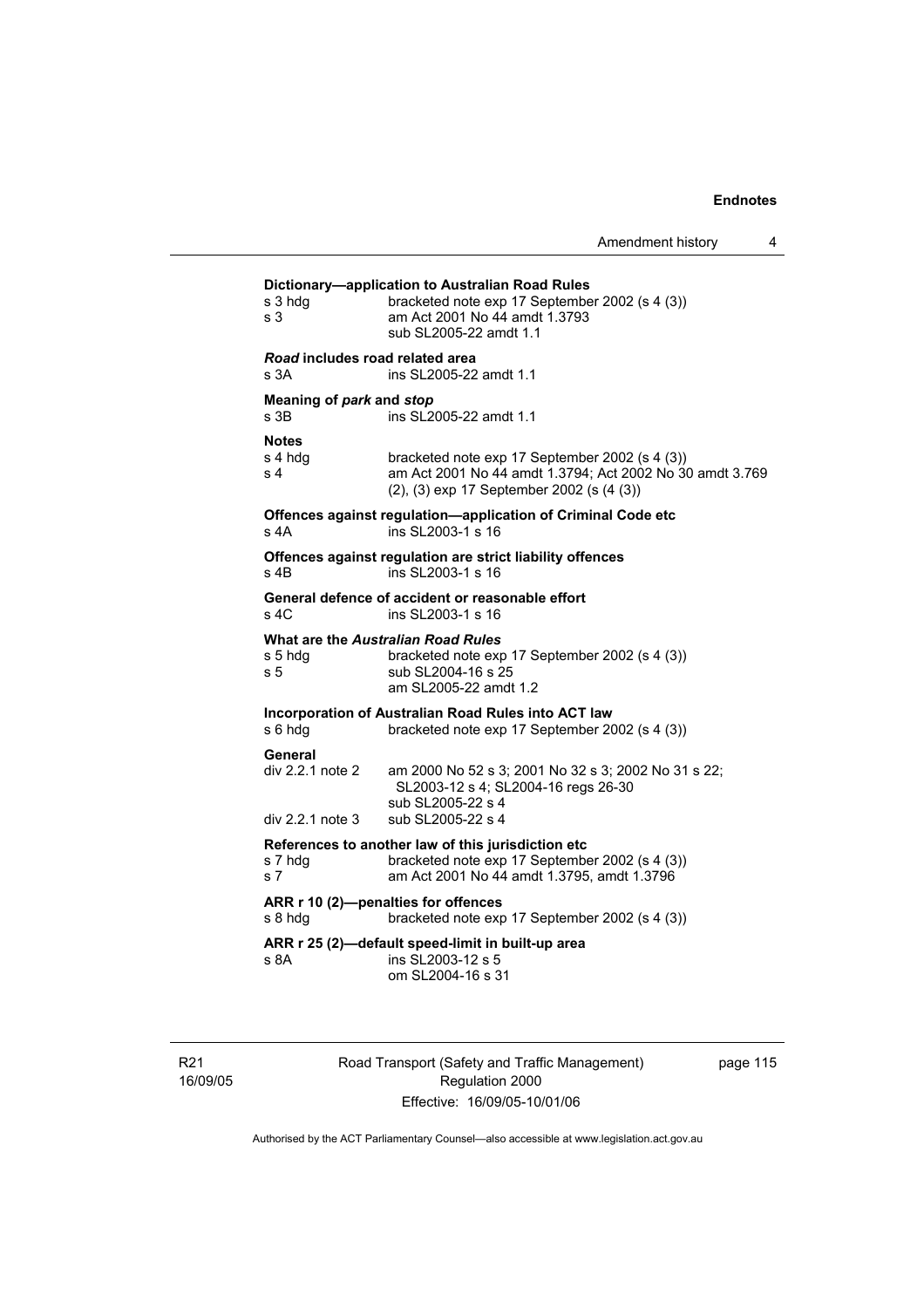| s 3 hdg<br>s 3                                    | bracketed note exp 17 September 2002 (s 4 (3))<br>am Act 2001 No 44 amdt 1.3793<br>sub SL2005-22 amdt 1.1                                               |
|---------------------------------------------------|---------------------------------------------------------------------------------------------------------------------------------------------------------|
| Road includes road related area<br>s 3A           | ins SL2005-22 amdt 1.1                                                                                                                                  |
| Meaning of park and stop<br>s 3B                  | ins SL2005-22 amdt 1.1                                                                                                                                  |
| <b>Notes</b><br>s 4 hdg<br>s <sub>4</sub>         | bracketed note exp 17 September 2002 (s 4 (3))<br>am Act 2001 No 44 amdt 1.3794; Act 2002 No 30 amdt 3.769<br>(2), (3) exp 17 September 2002 (s (4 (3)) |
| s 4A                                              | Offences against regulation-application of Criminal Code etc<br>ins SL2003-1 s 16                                                                       |
| $s$ 4 $B$                                         | Offences against regulation are strict liability offences<br>ins SL2003-1 s 16                                                                          |
| s 4C                                              | General defence of accident or reasonable effort<br>ins SL2003-1 s 16                                                                                   |
| s 5 hdg<br>s 5                                    | What are the Australian Road Rules<br>bracketed note exp 17 September 2002 (s 4 (3))<br>sub SL2004-16 s 25<br>am SL2005-22 amdt 1.2                     |
| s 6 hdg                                           | Incorporation of Australian Road Rules into ACT law<br>bracketed note exp 17 September 2002 (s 4 (3))                                                   |
| General<br>div 2.2.1 note 2<br>$div 2.2.1$ note 3 | am 2000 No 52 s 3; 2001 No 32 s 3; 2002 No 31 s 22;<br>SL2003-12 s 4; SL2004-16 regs 26-30<br>sub SL2005-22 s 4<br>sub SL2005-22 s 4                    |
| s 7 hdg<br>s 7                                    | References to another law of this jurisdiction etc<br>bracketed note exp 17 September 2002 (s 4 (3))<br>am Act 2001 No 44 amdt 1.3795, amdt 1.3796      |
| s 8 hdg                                           | ARR r 10 (2)-penalties for offences<br>bracketed note exp 17 September 2002 (s 4 (3))                                                                   |
| s 8A                                              | ARR r 25 (2)-default speed-limit in built-up area<br>ins SL2003-12 s 5<br>om SL2004-16 s 31                                                             |

R21 16/09/05 Road Transport (Safety and Traffic Management) Regulation 2000 Effective: 16/09/05-10/01/06

page 115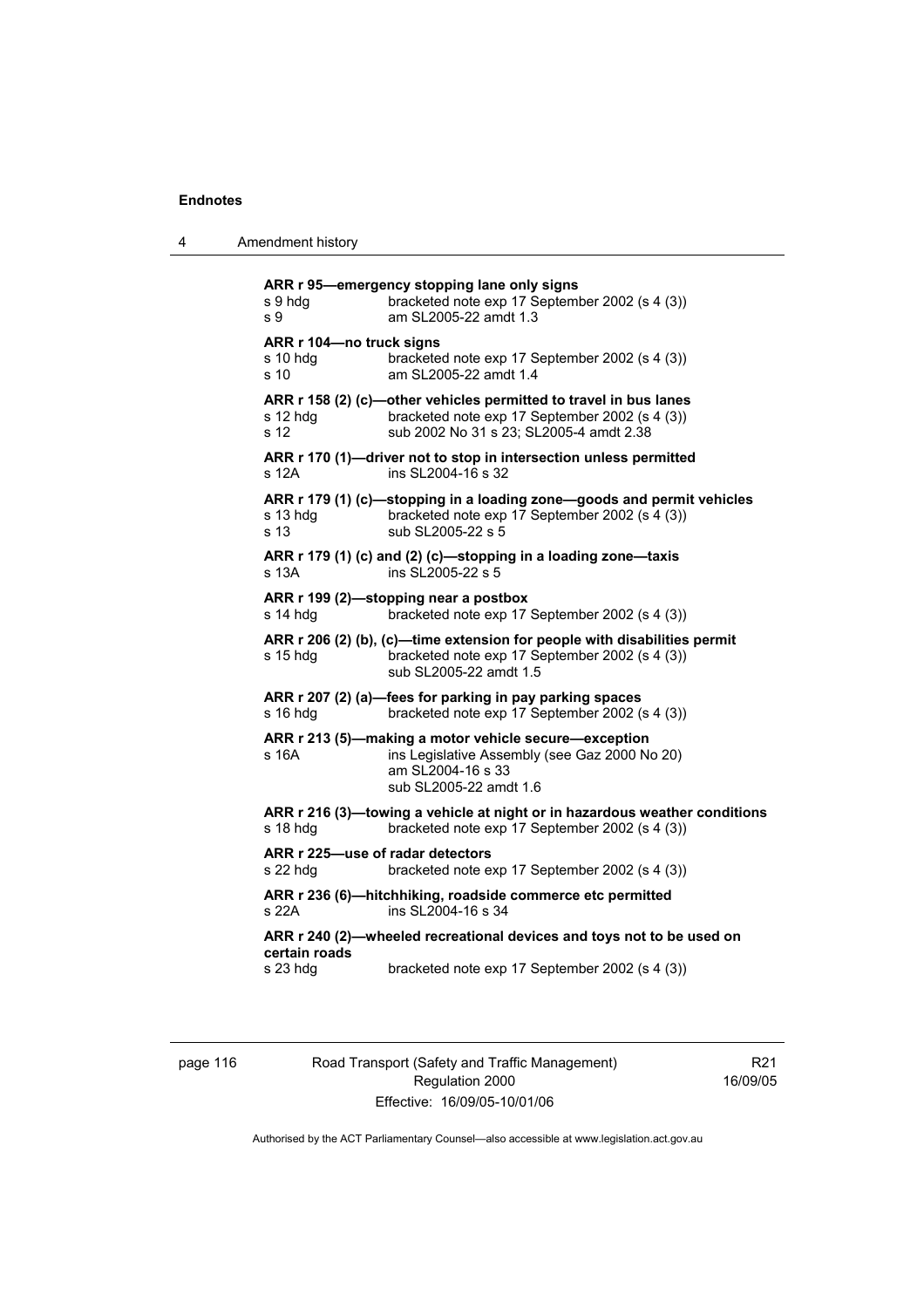4 Amendment history

| s 9 hdg<br>s 9                               | ARR r 95-emergency stopping lane only signs<br>bracketed note exp 17 September 2002 (s 4 (3))<br>am SL2005-22 amdt 1.3                                         |
|----------------------------------------------|----------------------------------------------------------------------------------------------------------------------------------------------------------------|
| ARR r 104-no truck signs<br>s 10 hdg<br>s 10 | bracketed note exp 17 September 2002 (s 4 (3))<br>am SL2005-22 amdt 1.4                                                                                        |
| s 12 hdg<br>s 12                             | ARR r 158 (2) (c)-other vehicles permitted to travel in bus lanes<br>bracketed note exp 17 September 2002 (s 4 (3))<br>sub 2002 No 31 s 23: SL2005-4 amdt 2.38 |
| s 12A                                        | ARR r 170 (1)-driver not to stop in intersection unless permitted<br>ins SL2004-16 s 32                                                                        |
| s 13 hdg<br>s 13                             | ARR r 179 (1) (c)-stopping in a loading zone-goods and permit vehicles<br>bracketed note exp 17 September 2002 (s 4 (3))<br>sub SL2005-22 s 5                  |
| s 13A                                        | ARR r 179 (1) (c) and (2) (c)—stopping in a loading zone—taxis<br>ins SL2005-22 s 5                                                                            |
| s 14 hdg                                     | ARR r 199 (2)-stopping near a postbox<br>bracketed note exp 17 September 2002 (s 4 (3))                                                                        |
| s 15 hdg                                     | ARR r 206 (2) (b), (c)-time extension for people with disabilities permit<br>bracketed note exp 17 September 2002 (s 4 (3))<br>sub SL2005-22 amdt 1.5          |
| s 16 hdg                                     | ARR r 207 (2) (a)-fees for parking in pay parking spaces<br>bracketed note exp 17 September 2002 (s 4 (3))                                                     |
| s 16A                                        | ARR r 213 (5)-making a motor vehicle secure-exception<br>ins Legislative Assembly (see Gaz 2000 No 20)<br>am SL2004-16 s 33<br>sub SL2005-22 amdt 1.6          |
| s 18 hdg                                     | ARR r 216 (3)-towing a vehicle at night or in hazardous weather conditions<br>bracketed note exp 17 September 2002 (s 4 (3))                                   |
| ARR r 225-use of radar detectors<br>s 22 hdg | bracketed note exp 17 September 2002 (s 4 (3))                                                                                                                 |
| s 22A                                        | ARR r 236 (6)-hitchhiking, roadside commerce etc permitted<br>ins SL2004-16 s 34                                                                               |
| certain roads                                | ARR r 240 (2)-wheeled recreational devices and toys not to be used on                                                                                          |
| s 23 hdg                                     | bracketed note exp 17 September 2002 (s 4 (3))                                                                                                                 |

page 116 Road Transport (Safety and Traffic Management) Regulation 2000 Effective: 16/09/05-10/01/06

R21 16/09/05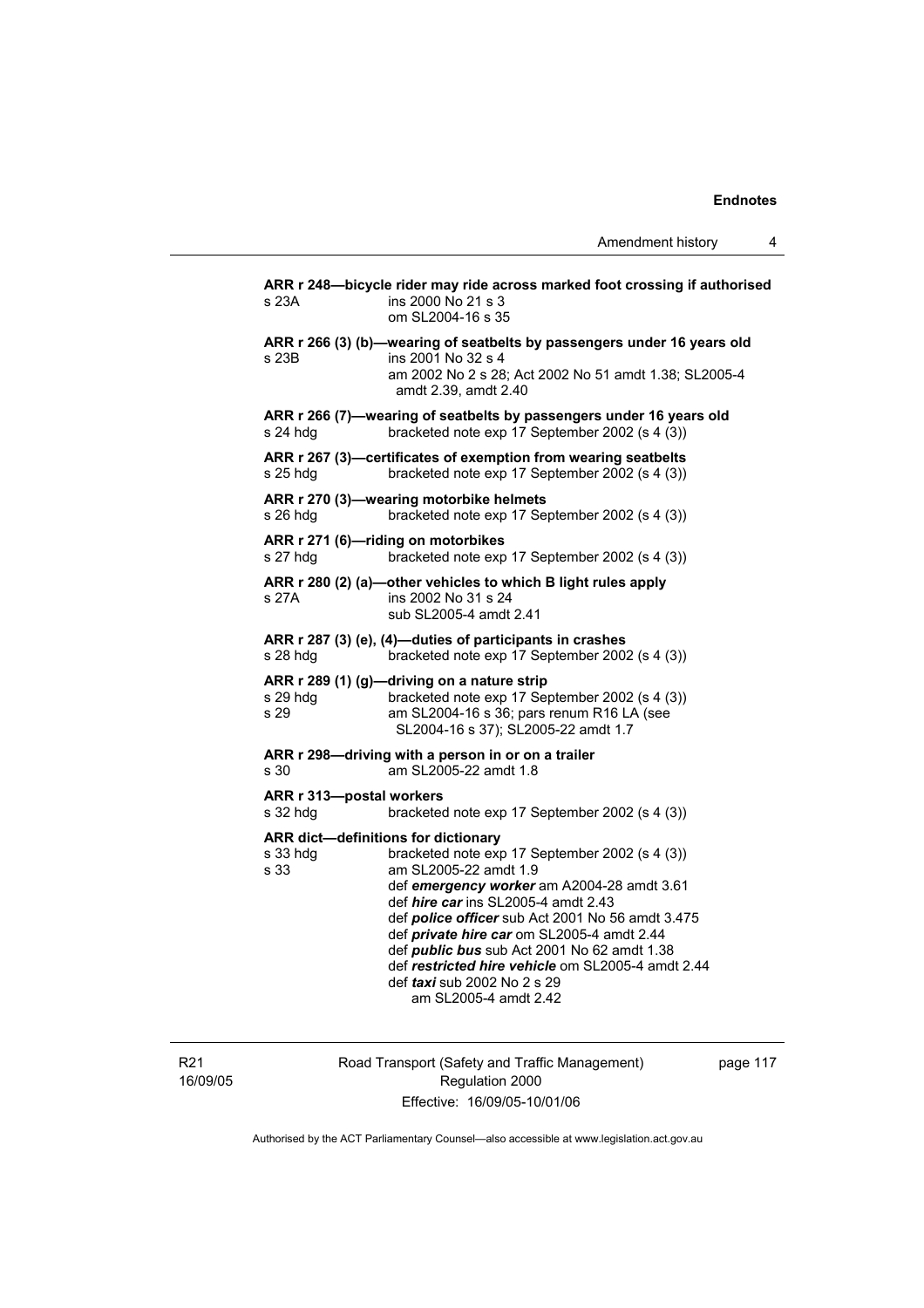| ARR r 248-bicycle rider may ride across marked foot crossing if authorised<br>ins 2000 No 21 s 3<br>s 23A<br>om SL2004-16 s 35<br>ARR r 266 (3) (b)-wearing of seatbelts by passengers under 16 years old<br>ins 2001 No 32 s 4<br>s 23B<br>am 2002 No 2 s 28; Act 2002 No 51 amdt 1.38; SL2005-4<br>amdt 2.39, amdt 2.40<br>ARR r 266 (7)-wearing of seatbelts by passengers under 16 years old<br>bracketed note exp 17 September 2002 (s 4 (3))<br>s 24 hdg<br>ARR r 267 (3)-certificates of exemption from wearing seatbelts<br>bracketed note exp 17 September 2002 (s 4 (3))<br>s 25 hdq<br>ARR r 270 (3)-wearing motorbike helmets<br>bracketed note exp 17 September 2002 (s 4 (3))<br>s 26 hdg<br>ARR r 271 (6)-riding on motorbikes<br>s 27 hdg<br>bracketed note exp 17 September 2002 (s 4 (3))<br>ARR r 280 (2) (a)—other vehicles to which B light rules apply<br>ins 2002 No 31 s 24<br>s 27A<br>sub SL2005-4 amdt 2.41<br>ARR r 287 (3) (e), (4)-duties of participants in crashes<br>s 28 hdg<br>bracketed note exp 17 September 2002 (s 4 (3))<br>ARR r 289 (1) (g)-driving on a nature strip<br>bracketed note exp 17 September 2002 (s 4 (3))<br>s 29 hdg<br>s 29<br>am SL2004-16 s 36; pars renum R16 LA (see<br>SL2004-16 s 37); SL2005-22 amdt 1.7<br>ARR r 298-driving with a person in or on a trailer<br>am SL2005-22 amdt 1.8<br>s 30<br>ARR r 313-postal workers<br>s 32 hdg<br>bracketed note exp 17 September 2002 (s 4 (3))<br>ARR dict-definitions for dictionary<br>bracketed note exp 17 September 2002 (s 4 (3))<br>s 33 hdg<br>am SL2005-22 amdt 1.9<br>s 33<br>def emergency worker am A2004-28 amdt 3.61<br>def hire car ins SL2005-4 amdt 2.43<br>def police officer sub Act 2001 No 56 amdt 3.475<br>def private hire car om SL2005-4 amdt 2.44<br>def <i>public bus</i> sub Act 2001 No 62 amdt 1.38<br>def restricted hire vehicle om SL2005-4 amdt 2.44<br>def <i>taxi</i> sub 2002 No 2 s 29<br>am SL2005-4 amdt 2.42 |  |  |
|-------------------------------------------------------------------------------------------------------------------------------------------------------------------------------------------------------------------------------------------------------------------------------------------------------------------------------------------------------------------------------------------------------------------------------------------------------------------------------------------------------------------------------------------------------------------------------------------------------------------------------------------------------------------------------------------------------------------------------------------------------------------------------------------------------------------------------------------------------------------------------------------------------------------------------------------------------------------------------------------------------------------------------------------------------------------------------------------------------------------------------------------------------------------------------------------------------------------------------------------------------------------------------------------------------------------------------------------------------------------------------------------------------------------------------------------------------------------------------------------------------------------------------------------------------------------------------------------------------------------------------------------------------------------------------------------------------------------------------------------------------------------------------------------------------------------------------------------------------------------------------------------------------------------------------------------------------------------|--|--|
|                                                                                                                                                                                                                                                                                                                                                                                                                                                                                                                                                                                                                                                                                                                                                                                                                                                                                                                                                                                                                                                                                                                                                                                                                                                                                                                                                                                                                                                                                                                                                                                                                                                                                                                                                                                                                                                                                                                                                                   |  |  |
|                                                                                                                                                                                                                                                                                                                                                                                                                                                                                                                                                                                                                                                                                                                                                                                                                                                                                                                                                                                                                                                                                                                                                                                                                                                                                                                                                                                                                                                                                                                                                                                                                                                                                                                                                                                                                                                                                                                                                                   |  |  |
|                                                                                                                                                                                                                                                                                                                                                                                                                                                                                                                                                                                                                                                                                                                                                                                                                                                                                                                                                                                                                                                                                                                                                                                                                                                                                                                                                                                                                                                                                                                                                                                                                                                                                                                                                                                                                                                                                                                                                                   |  |  |
|                                                                                                                                                                                                                                                                                                                                                                                                                                                                                                                                                                                                                                                                                                                                                                                                                                                                                                                                                                                                                                                                                                                                                                                                                                                                                                                                                                                                                                                                                                                                                                                                                                                                                                                                                                                                                                                                                                                                                                   |  |  |
|                                                                                                                                                                                                                                                                                                                                                                                                                                                                                                                                                                                                                                                                                                                                                                                                                                                                                                                                                                                                                                                                                                                                                                                                                                                                                                                                                                                                                                                                                                                                                                                                                                                                                                                                                                                                                                                                                                                                                                   |  |  |
|                                                                                                                                                                                                                                                                                                                                                                                                                                                                                                                                                                                                                                                                                                                                                                                                                                                                                                                                                                                                                                                                                                                                                                                                                                                                                                                                                                                                                                                                                                                                                                                                                                                                                                                                                                                                                                                                                                                                                                   |  |  |
|                                                                                                                                                                                                                                                                                                                                                                                                                                                                                                                                                                                                                                                                                                                                                                                                                                                                                                                                                                                                                                                                                                                                                                                                                                                                                                                                                                                                                                                                                                                                                                                                                                                                                                                                                                                                                                                                                                                                                                   |  |  |
|                                                                                                                                                                                                                                                                                                                                                                                                                                                                                                                                                                                                                                                                                                                                                                                                                                                                                                                                                                                                                                                                                                                                                                                                                                                                                                                                                                                                                                                                                                                                                                                                                                                                                                                                                                                                                                                                                                                                                                   |  |  |
|                                                                                                                                                                                                                                                                                                                                                                                                                                                                                                                                                                                                                                                                                                                                                                                                                                                                                                                                                                                                                                                                                                                                                                                                                                                                                                                                                                                                                                                                                                                                                                                                                                                                                                                                                                                                                                                                                                                                                                   |  |  |
|                                                                                                                                                                                                                                                                                                                                                                                                                                                                                                                                                                                                                                                                                                                                                                                                                                                                                                                                                                                                                                                                                                                                                                                                                                                                                                                                                                                                                                                                                                                                                                                                                                                                                                                                                                                                                                                                                                                                                                   |  |  |
|                                                                                                                                                                                                                                                                                                                                                                                                                                                                                                                                                                                                                                                                                                                                                                                                                                                                                                                                                                                                                                                                                                                                                                                                                                                                                                                                                                                                                                                                                                                                                                                                                                                                                                                                                                                                                                                                                                                                                                   |  |  |
|                                                                                                                                                                                                                                                                                                                                                                                                                                                                                                                                                                                                                                                                                                                                                                                                                                                                                                                                                                                                                                                                                                                                                                                                                                                                                                                                                                                                                                                                                                                                                                                                                                                                                                                                                                                                                                                                                                                                                                   |  |  |

R21 16/09/05 Road Transport (Safety and Traffic Management) Regulation 2000 Effective: 16/09/05-10/01/06

page 117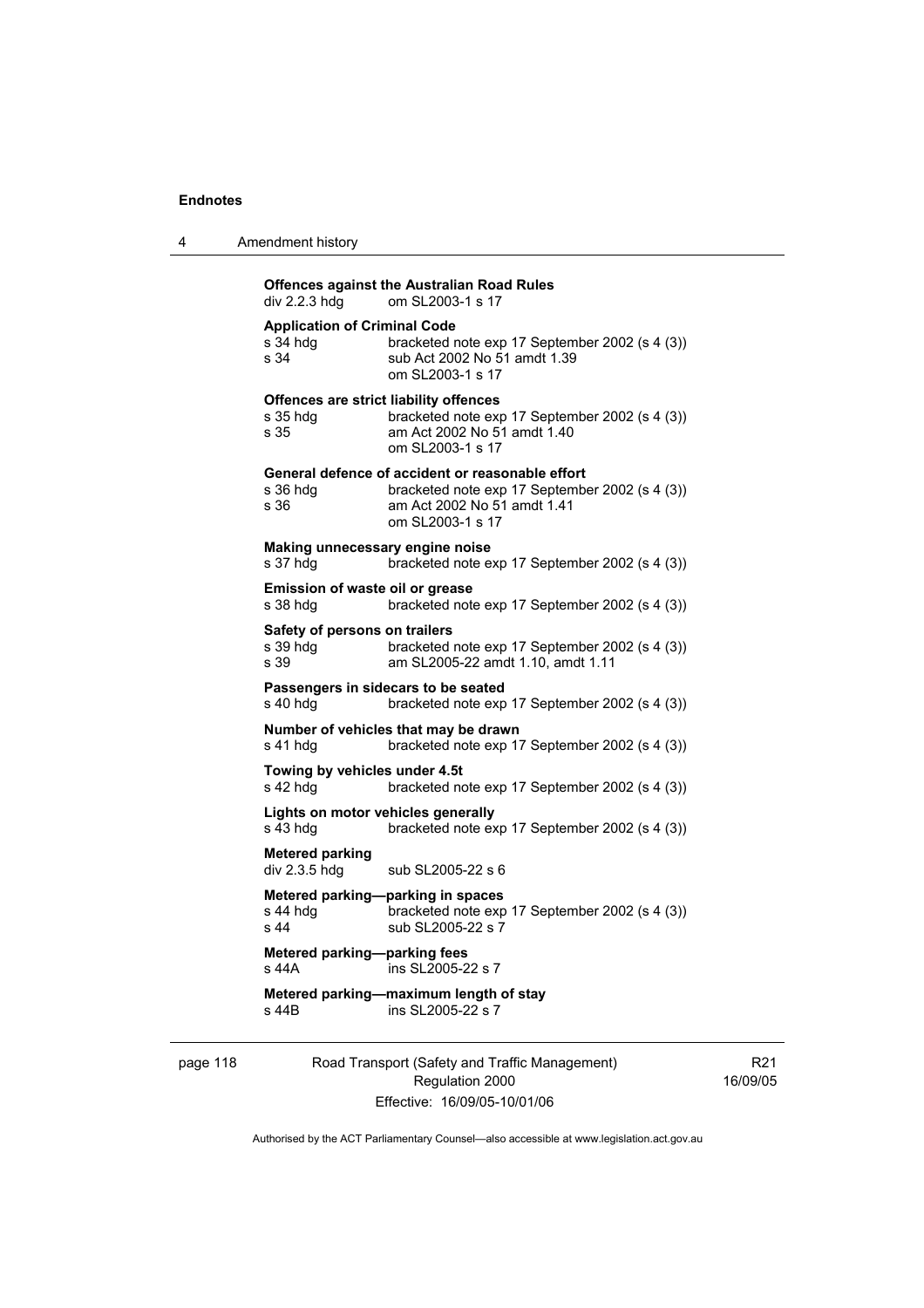| 4 | Amendment history |
|---|-------------------|
|---|-------------------|

# **Offences against the Australian Road Rules**<br>div 2.2.3 hdg om SL2003-1 s 17 om SL2003-1 s 17 **Application of Criminal Code**  s 34 hdg bracketed note exp 17 September 2002 (s 4 (3)) s 34 Sub Act 2002 No 51 amdt 1.39 om SL2003-1 s 17 **Offences are strict liability offences**  s 35 hdg bracketed note exp 17 September 2002 (s 4 (3))<br>s 35 am Act 2002 No 51 amdt 1.40 am Act 2002 No 51 amdt 1.40 om SL2003-1 s 17 **General defence of accident or reasonable effort**  s 36 hdg bracketed note exp 17 September 2002 (s 4 (3))<br>s 36 bram Act 2002 No 51 amdt 1.41 am Act 2002 No 51 amdt 1.41 om SL2003-1 s 17 **Making unnecessary engine noise**  s 37 hdg bracketed note exp 17 September 2002 (s 4 (3)) **Emission of waste oil or grease**  s 38 hdg bracketed note exp 17 September 2002 (s 4 (3)) **Safety of persons on trailers**  s 39 hdg bracketed note exp 17 September 2002 (s 4 (3)) s 39 am SL2005-22 amdt 1.10, amdt 1.11 **Passengers in sidecars to be seated**  s 40 hdg bracketed note exp 17 September 2002 (s 4 (3)) **Number of vehicles that may be drawn**  s 41 hdg bracketed note exp 17 September 2002 (s 4 (3)) **Towing by vehicles under 4.5t**  s 42 hdg bracketed note exp 17 September 2002 (s 4 (3)) **Lights on motor vehicles generally**  s 43 hdg bracketed note exp 17 September 2002 (s 4 (3)) **Metered parking**  div 2.3.5 hdg sub SL2005-22 s 6 **Metered parking—parking in spaces**<br>s 44 hdg bracketed note exp bracketed note exp 17 September 2002 (s 4 (3)) s 44 sub SL2005-22 s 7 **Metered parking—parking fees**  s 44A ins SL2005-22 s 7 **Metered parking—maximum length of stay**  s 44B ins SL2005-22 s 7

page 118 Road Transport (Safety and Traffic Management) Regulation 2000 Effective: 16/09/05-10/01/06

R21 16/09/05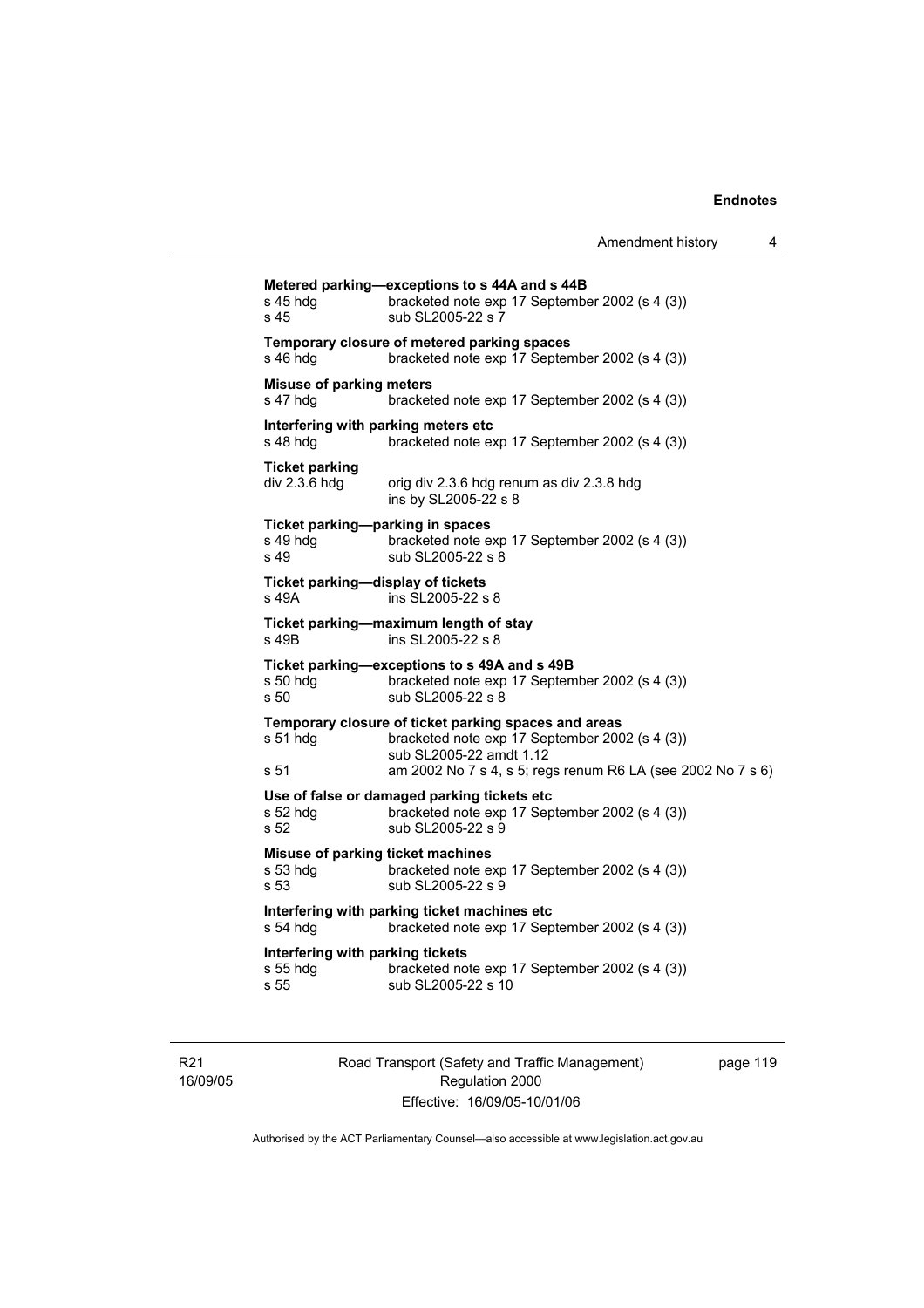| s 45 hdg<br>s 45                                      | Metered parking-exceptions to s 44A and s 44B<br>bracketed note exp 17 September 2002 (s 4 (3))<br>sub SL2005-22 s 7                                                                             |
|-------------------------------------------------------|--------------------------------------------------------------------------------------------------------------------------------------------------------------------------------------------------|
| s 46 hdg                                              | Temporary closure of metered parking spaces<br>bracketed note exp 17 September 2002 (s 4 (3))                                                                                                    |
| <b>Misuse of parking meters</b><br>s 47 hdg           | bracketed note exp 17 September 2002 (s 4 (3))                                                                                                                                                   |
| Interfering with parking meters etc<br>s 48 hdg       | bracketed note exp 17 September 2002 (s 4 (3))                                                                                                                                                   |
| <b>Ticket parking</b><br>$div 2.3.6 h$ div 2.3.6      | orig div 2.3.6 hdg renum as div 2.3.8 hdg<br>ins by SL2005-22 s 8                                                                                                                                |
| Ticket parking-parking in spaces<br>s 49 hdg<br>s 49  | bracketed note exp 17 September 2002 (s 4 (3))<br>sub SL2005-22 s 8                                                                                                                              |
| Ticket parking-display of tickets<br>s 49A            | ins SL2005-22 s 8                                                                                                                                                                                |
| s 49B                                                 | Ticket parking-maximum length of stay<br>ins SL2005-22 s 8                                                                                                                                       |
| $s50$ hdg<br>s 50                                     | Ticket parking-exceptions to s 49A and s 49B<br>bracketed note exp 17 September 2002 (s 4 (3))<br>sub SL2005-22 s 8                                                                              |
| s 51 hdg<br>s 51                                      | Temporary closure of ticket parking spaces and areas<br>bracketed note exp 17 September 2002 (s 4 (3))<br>sub SL2005-22 amdt 1.12<br>am 2002 No 7 s 4, s 5; regs renum R6 LA (see 2002 No 7 s 6) |
| s 52 hdg<br>s 52                                      | Use of false or damaged parking tickets etc<br>bracketed note exp 17 September 2002 (s 4 (3))<br>sub SL2005-22 s 9                                                                               |
| Misuse of parking ticket machines<br>s 53 hdg<br>s 53 | bracketed note exp 17 September 2002 (s 4 (3))<br>sub SL2005-22 s 9                                                                                                                              |
| s 54 hdg                                              | Interfering with parking ticket machines etc<br>bracketed note exp 17 September 2002 (s 4 (3))                                                                                                   |
| Interfering with parking tickets<br>s 55 hda<br>s 55  | bracketed note exp 17 September 2002 (s 4 (3))<br>sub SL2005-22 s 10                                                                                                                             |
|                                                       |                                                                                                                                                                                                  |

R21 16/09/05 Road Transport (Safety and Traffic Management) Regulation 2000 Effective: 16/09/05-10/01/06

page 119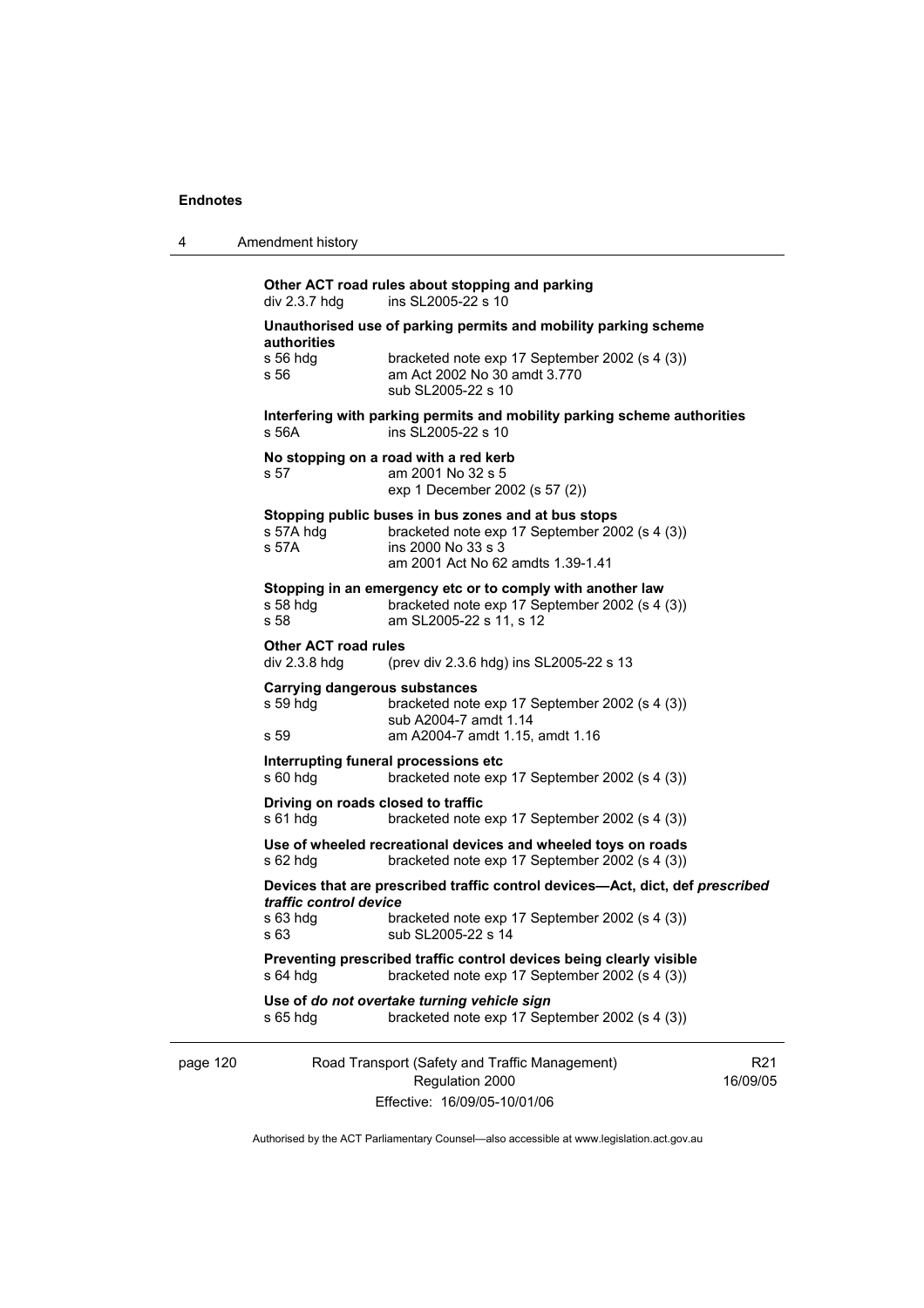|  | Amendment history |
|--|-------------------|
|--|-------------------|

page 120 Road Transport (Safety and Traffic Management) Regulation 2000 Effective: 16/09/05-10/01/06 R21 16/09/05 **Other ACT road rules about stopping and parking**   $div 2.3.7$  hdg ins SL2005-22 s 10 **Unauthorised use of parking permits and mobility parking scheme authorities**  s 56 hdg bracketed note exp 17 September 2002 (s 4 (3)) s 56 am Act 2002 No 30 amdt 3.770 sub SL2005-22 s 10 **Interfering with parking permits and mobility parking scheme authorities**  s 56A ins SL2005-22 s 10 **No stopping on a road with a red kerb**  s 57 am 2001 No 32 s 5 exp 1 December 2002 (s 57 (2)) **Stopping public buses in bus zones and at bus stops**  s 57A hdg bracketed note exp 17 September 2002 (s 4 (3)) s 57A ins 2000 No 33 s 3 am 2001 Act No 62 amdts 1.39-1.41 **Stopping in an emergency etc or to comply with another law** s 58 hdg bracketed note exp 17 September 2002 (s 4 s 58 hdg bracketed note exp 17 September 2002 (s 4 (3))<br>s 58 **bracketed note 52 s** 11, s 12 am SL2005-22 s 11, s 12 **Other ACT road rules**  div 2.3.8 hdg (prev div 2.3.6 hdg) ins SL2005-22 s 13 **Carrying dangerous substances**  s 59 hdg bracketed note exp 17 September 2002 (s 4 (3)) sub A2004-7 amdt 1.14 s 59 am A2004-7 amdt 1.15, amdt 1.16 **Interrupting funeral processions etc**  s 60 hdg bracketed note exp 17 September 2002 (s 4 (3)) **Driving on roads closed to traffic**  s 61 hdg bracketed note exp 17 September 2002 (s 4 (3)) **Use of wheeled recreational devices and wheeled toys on roads**  s 62 hdg bracketed note exp 17 September 2002 (s 4 (3)) **Devices that are prescribed traffic control devices—Act, dict, def** *prescribed traffic control device* s 63 hdg bracketed note exp 17 September 2002 (s 4 (3)) s 63 sub SL2005-22 s 14 **Preventing prescribed traffic control devices being clearly visible**  s 64 hdg bracketed note exp 17 September 2002 (s 4 (3)) **Use of** *do not overtake turning vehicle sign*  s 65 hdg bracketed note exp 17 September 2002 (s 4 (3))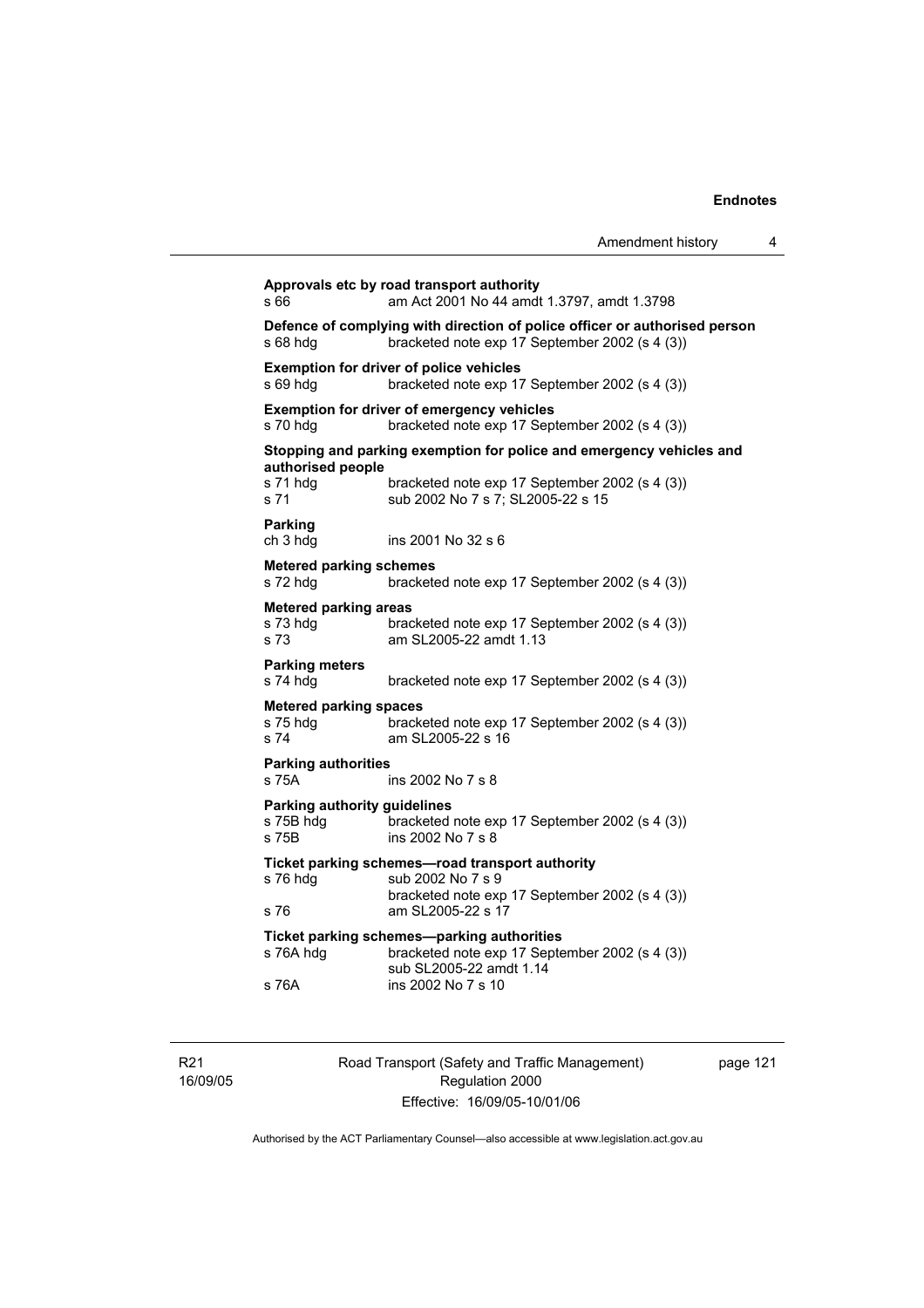| s 66                                               | am Act 2001 No 44 amdt 1.3797, amdt 1.3798                                                                                                                  |
|----------------------------------------------------|-------------------------------------------------------------------------------------------------------------------------------------------------------------|
| s 68 hdg                                           | Defence of complying with direction of police officer or authorised person<br>bracketed note exp 17 September 2002 (s 4 (3))                                |
| s 69 hdg                                           | <b>Exemption for driver of police vehicles</b><br>bracketed note exp 17 September 2002 (s 4 (3))                                                            |
| s 70 hdg                                           | Exemption for driver of emergency vehicles<br>bracketed note exp 17 September 2002 (s 4 (3))                                                                |
| authorised people<br>s 71 hdg<br>s 71              | Stopping and parking exemption for police and emergency vehicles and<br>bracketed note exp 17 September 2002 (s 4 (3))<br>sub 2002 No 7 s 7; SL2005-22 s 15 |
| <b>Parking</b><br>ch 3 hdg                         | ins 2001 No 32 s 6                                                                                                                                          |
| <b>Metered parking schemes</b><br>s 72 hdg         | bracketed note exp 17 September 2002 (s 4 (3))                                                                                                              |
| <b>Metered parking areas</b><br>s 73 hda<br>s 73   | bracketed note exp 17 September 2002 (s 4 (3))<br>am SL2005-22 amdt 1.13                                                                                    |
| <b>Parking meters</b><br>s 74 hdg                  | bracketed note exp 17 September 2002 (s 4 (3))                                                                                                              |
| <b>Metered parking spaces</b><br>s 75 hdg<br>s 74  | bracketed note exp 17 September 2002 (s 4 (3))<br>am SL2005-22 s 16                                                                                         |
| <b>Parking authorities</b><br>s 75A                | ins 2002 No 7 s 8                                                                                                                                           |
| Parking authority guidelines<br>s 75B hdg<br>s 75B | bracketed note exp 17 September 2002 (s 4 (3))<br>ins 2002 No 7 s 8                                                                                         |
| s 76 hdg                                           | Ticket parking schemes-road transport authority<br>sub 2002 No 7 s 9<br>bracketed note exp 17 September 2002 (s 4 (3))                                      |
| s 76                                               | am SL2005-22 s 17                                                                                                                                           |
| s 76A hdg                                          | Ticket parking schemes-parking authorities<br>bracketed note exp 17 September 2002 (s 4 (3))<br>sub SL2005-22 amdt 1.14                                     |

R21 16/09/05 Road Transport (Safety and Traffic Management) Regulation 2000 Effective: 16/09/05-10/01/06

page 121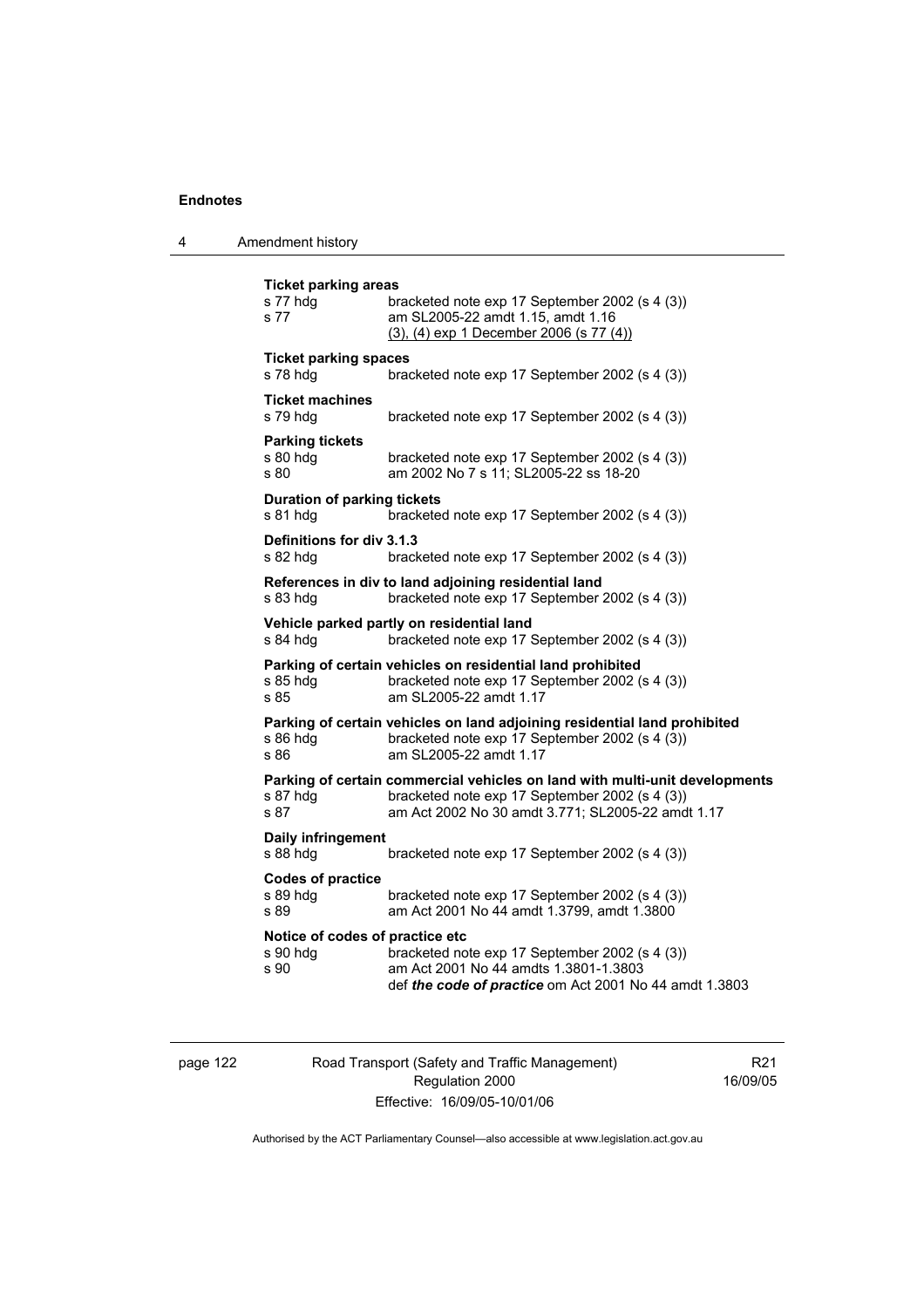4 Amendment history

```
Ticket parking areas 
s 77 hdg bracketed note exp 17 September 2002 (s 4 (3)) 
s 77 am SL2005-22 amdt 1.15, amdt 1.16 
                   (3), (4) exp 1 December 2006 (s 77 (4))
Ticket parking spaces 
s 78 hdg bracketed note exp 17 September 2002 (s 4 (3)) 
Ticket machines 
s 79 hdg bracketed note exp 17 September 2002 (s 4 (3)) 
Parking tickets 
s 80 hdg bracketed note exp 17 September 2002 (s 4 (3)) 
s 80 am 2002 No 7 s 11; SL2005-22 ss 18-20 
Duration of parking tickets 
s 81 hdg bracketed note exp 17 September 2002 (s 4 (3)) 
Definitions for div 3.1.3 
s 82 hdg bracketed note exp 17 September 2002 (s 4 (3)) 
References in div to land adjoining residential land 
s 83 hdg bracketed note exp 17 September 2002 (s 4 (3)) 
Vehicle parked partly on residential land 
s 84 hdg bracketed note exp 17 September 2002 (s 4 (3))
Parking of certain vehicles on residential land prohibited 
s 85 hdg bracketed note exp 17 September 2002 (s 4 (3)) 
s 85 am SL2005-22 amdt 1.17 
Parking of certain vehicles on land adjoining residential land prohibited 
s 86 hdg bracketed note exp 17 September 2002 (s 4 (3))
s 86 am SL2005-22 amdt 1.17
Parking of certain commercial vehicles on land with multi-unit developments 
s 87 hdg bracketed note exp 17 September 2002 (s 4 (3))<br>s 87 bracketed note 97 am Act 2002 No 30 amdt 3.771: SL2005-22 amd
                  am Act 2002 No 30 amdt 3.771; SL2005-22 amdt 1.17
Daily infringement 
s 88 hdg bracketed note exp 17 September 2002 (s 4 (3)) 
Codes of practice 
s 89 hdg bracketed note exp 17 September 2002 (s 4 (3))<br>s 89 bracketed note exp 17 September 2002 (s 4 (3)
                  am Act 2001 No 44 amdt 1.3799, amdt 1.3800
Notice of codes of practice etc 
                  bracketed note exp 17 September 2002 (s 4 (3))
s 90 am Act 2001 No 44 amdts 1.3801-1.3803 
                   def the code of practice om Act 2001 No 44 amdt 1.3803
```
page 122 Road Transport (Safety and Traffic Management) Regulation 2000 Effective: 16/09/05-10/01/06

R21 16/09/05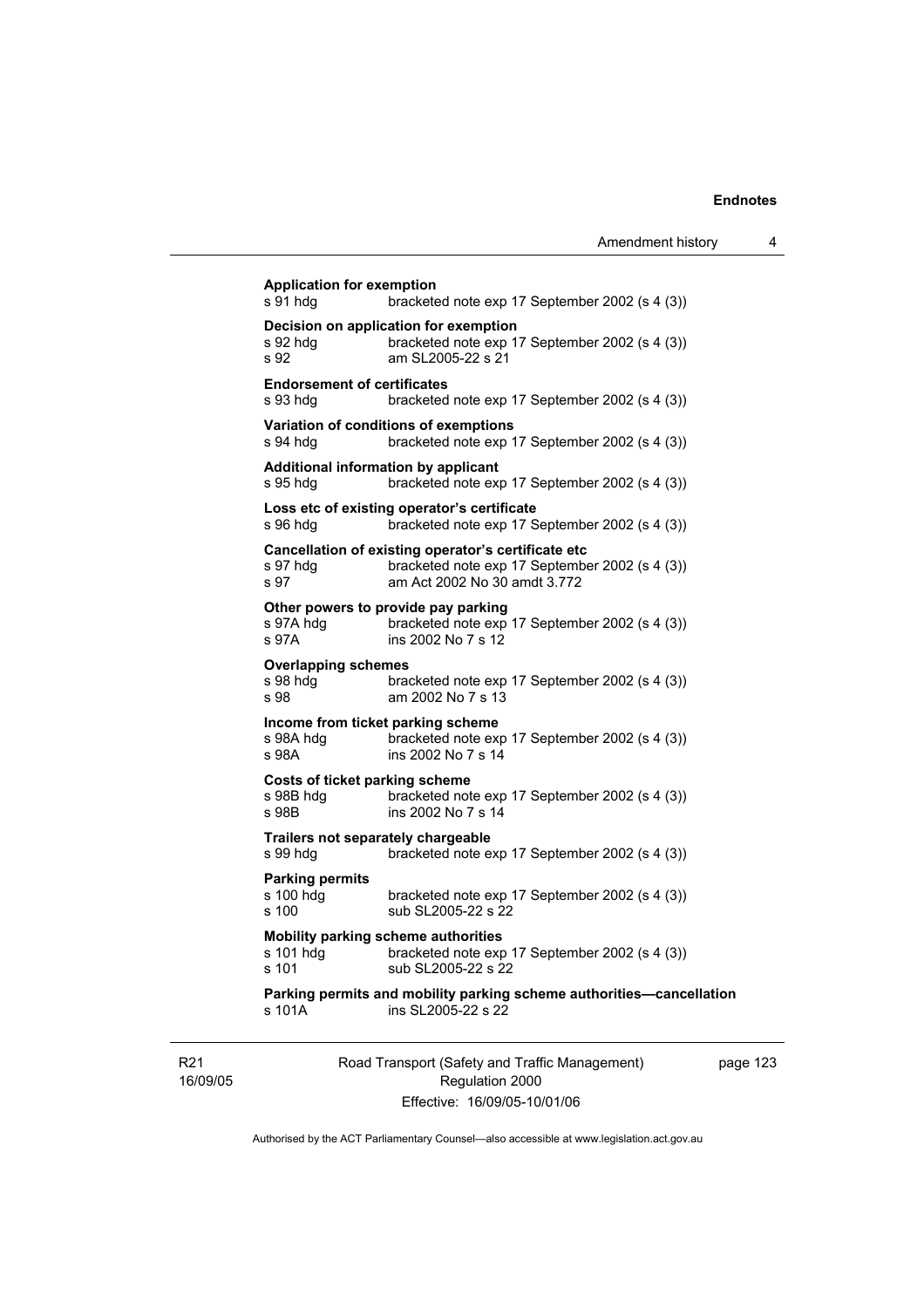$\overline{\phantom{a}}$ 

|                                                             |                                                                                                                                       | Amendment history |
|-------------------------------------------------------------|---------------------------------------------------------------------------------------------------------------------------------------|-------------------|
| <b>Application for exemption</b><br>s 91 hda                | bracketed note exp 17 September 2002 (s 4 (3))                                                                                        |                   |
| s 92 hdg<br>s 92                                            | Decision on application for exemption<br>bracketed note exp 17 September 2002 (s 4 (3))<br>am SL2005-22 s 21                          |                   |
| <b>Endorsement of certificates</b><br>s 93 hdg              | bracketed note exp 17 September 2002 (s 4 (3))                                                                                        |                   |
| s 94 hdg                                                    | Variation of conditions of exemptions<br>bracketed note exp 17 September 2002 (s 4 (3))                                               |                   |
| <b>Additional information by applicant</b><br>s 95 hdq      | bracketed note exp 17 September 2002 (s 4 (3))                                                                                        |                   |
| s 96 hdg                                                    | Loss etc of existing operator's certificate<br>bracketed note exp 17 September 2002 (s 4 (3))                                         |                   |
| s 97 hdg<br>s 97                                            | Cancellation of existing operator's certificate etc<br>bracketed note exp 17 September 2002 (s 4 (3))<br>am Act 2002 No 30 amdt 3.772 |                   |
| s 97A hdg<br>s 97A                                          | Other powers to provide pay parking<br>bracketed note exp 17 September 2002 (s 4 (3))<br>ins 2002 No 7 s 12                           |                   |
| <b>Overlapping schemes</b><br>s 98 hdg<br>s 98              | bracketed note exp 17 September 2002 (s 4 (3))<br>am 2002 No 7 s 13                                                                   |                   |
| Income from ticket parking scheme<br>s 98A hdg<br>s 98A     | bracketed note exp 17 September 2002 (s 4 (3))<br>ins 2002 No 7 s 14                                                                  |                   |
| <b>Costs of ticket parking scheme</b><br>s 98B hdg<br>s 98B | bracketed note exp 17 September 2002 (s 4 (3))<br>ins 2002 No 7 s 14                                                                  |                   |
| Trailers not separately chargeable<br>s 99 hdg              | bracketed note exp 17 September 2002 (s 4 (3))                                                                                        |                   |
| Parking permits<br>s 100 hdg<br>s 100                       | bracketed note exp 17 September 2002 (s 4 (3))<br>sub SL2005-22 s 22                                                                  |                   |
| s 101 hdg<br>s 101                                          | <b>Mobility parking scheme authorities</b><br>bracketed note exp 17 September 2002 (s 4 (3))<br>sub SL2005-22 s 22                    |                   |
| s 101A                                                      | Parking permits and mobility parking scheme authorities-cancellation<br>ins SL2005-22 s 22                                            |                   |
|                                                             | Road Transport (Safety and Traffic Management)                                                                                        | noc               |

R21 16/09/05 Road Transport (Safety and Traffic Management) Regulation 2000 Effective: 16/09/05-10/01/06

page 123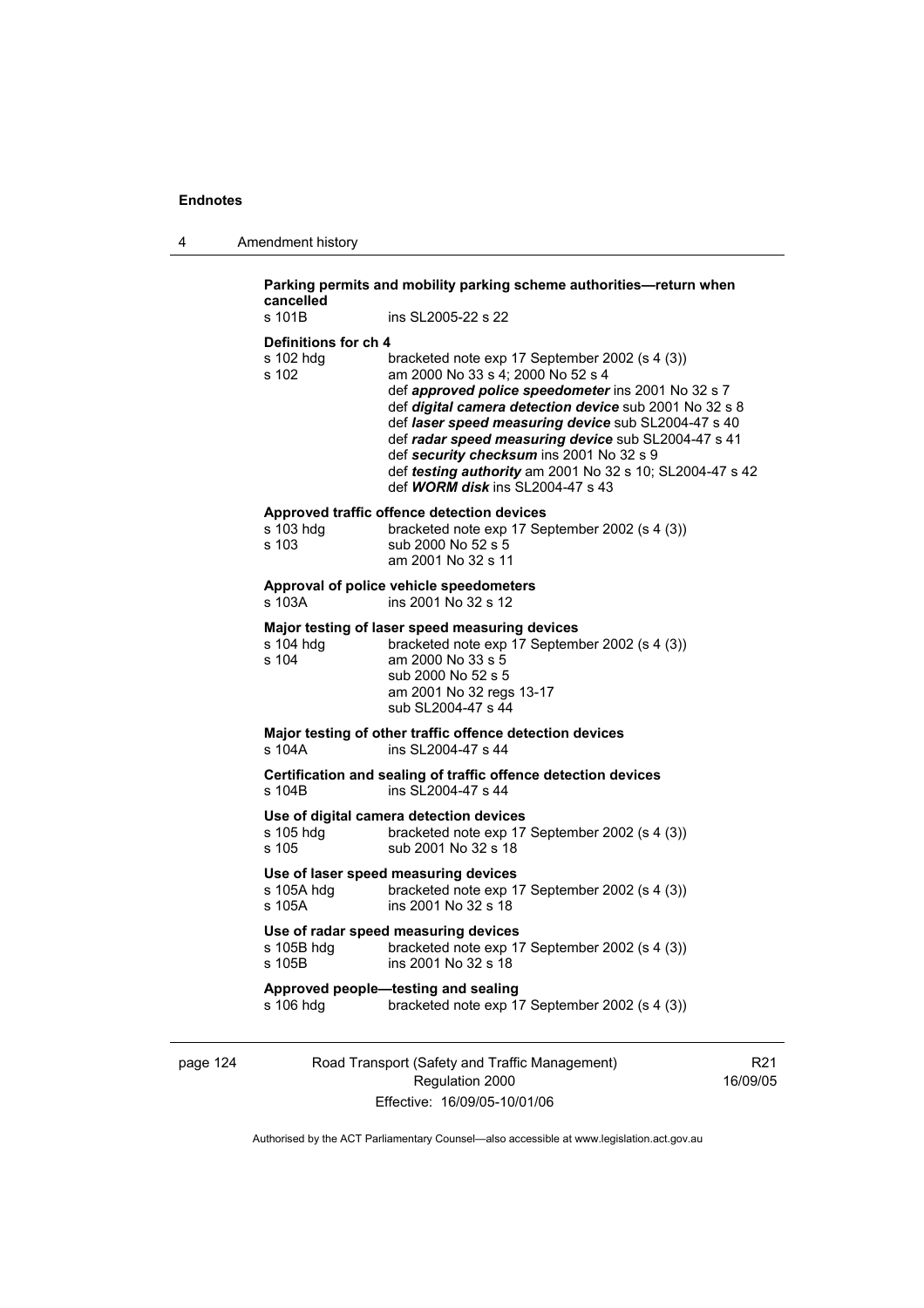| s 101B                                     | ins SL2005-22 s 22                                                                                                                                                                                                                                                                                                                                                                                                                                                   |  |
|--------------------------------------------|----------------------------------------------------------------------------------------------------------------------------------------------------------------------------------------------------------------------------------------------------------------------------------------------------------------------------------------------------------------------------------------------------------------------------------------------------------------------|--|
|                                            |                                                                                                                                                                                                                                                                                                                                                                                                                                                                      |  |
| Definitions for ch 4<br>s 102 hdg<br>s 102 | bracketed note exp 17 September 2002 (s 4 (3))<br>am 2000 No 33 s 4; 2000 No 52 s 4<br>def approved police speedometer ins 2001 No 32 s 7<br>def digital camera detection device sub 2001 No 32 s 8<br>def laser speed measuring device sub SL2004-47 s 40<br>def radar speed measuring device sub SL2004-47 s 41<br>def security checksum ins 2001 No 32 s 9<br>def testing authority am 2001 No 32 s 10; SL2004-47 s 42<br>def <b>WORM disk</b> ins SL2004-47 s 43 |  |
| s 103 hdg<br>s 103                         | Approved traffic offence detection devices<br>bracketed note exp 17 September 2002 (s 4 (3))<br>sub 2000 No 52 s 5<br>am 2001 No 32 s 11                                                                                                                                                                                                                                                                                                                             |  |
| s 103A                                     | Approval of police vehicle speedometers<br>ins 2001 No 32 s 12                                                                                                                                                                                                                                                                                                                                                                                                       |  |
| s 104 hdg<br>s 104                         | Major testing of laser speed measuring devices<br>bracketed note exp 17 September 2002 (s 4 (3))<br>am 2000 No 33 s 5<br>sub 2000 No 52 s 5<br>am 2001 No 32 regs 13-17<br>sub SL2004-47 s 44                                                                                                                                                                                                                                                                        |  |
| s 104A                                     | Major testing of other traffic offence detection devices<br>ins SL2004-47 s 44                                                                                                                                                                                                                                                                                                                                                                                       |  |
| s 104B                                     | Certification and sealing of traffic offence detection devices<br>ins SL2004-47 s 44                                                                                                                                                                                                                                                                                                                                                                                 |  |
| s 105 hda<br>s 105                         | Use of digital camera detection devices<br>bracketed note exp 17 September 2002 (s 4 (3))<br>sub 2001 No 32 s 18                                                                                                                                                                                                                                                                                                                                                     |  |
| s 105A hdq<br>s 105A                       | Use of laser speed measuring devices<br>bracketed note exp 17 September 2002 (s 4 (3))<br>ins 2001 No 32 s 18                                                                                                                                                                                                                                                                                                                                                        |  |
| s 105B hdg<br>s 105B                       | Use of radar speed measuring devices<br>bracketed note exp 17 September 2002 (s 4 (3))<br>ins 2001 No 32 s 18                                                                                                                                                                                                                                                                                                                                                        |  |
|                                            | Approved people—testing and sealing<br>bracketed note exp 17 September 2002 (s 4 (3))                                                                                                                                                                                                                                                                                                                                                                                |  |

page 124 Road Transport (Safety and Traffic Management) Regulation 2000 Effective: 16/09/05-10/01/06

R21 16/09/05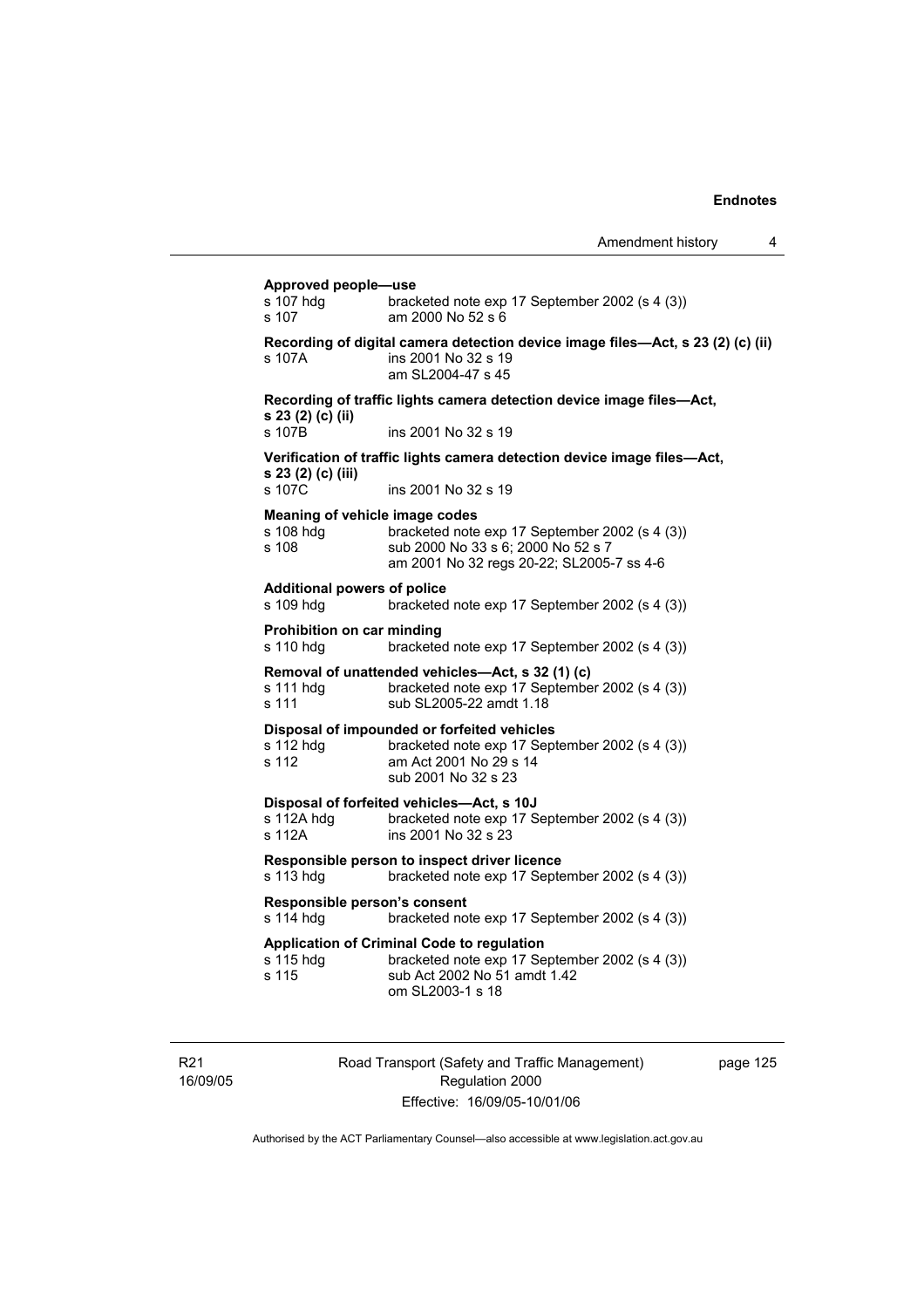#### **Approved people—use**

|                                                                                                             | <b>Apple London Propis</b><br>s 107 hdg<br>s 107                                                                                                    | bracketed note exp 17 September 2002 (s 4 (3))<br>am 2000 No 52 s 6                                                                              |  |  |  |
|-------------------------------------------------------------------------------------------------------------|-----------------------------------------------------------------------------------------------------------------------------------------------------|--------------------------------------------------------------------------------------------------------------------------------------------------|--|--|--|
|                                                                                                             | s 107A                                                                                                                                              | Recording of digital camera detection device image files—Act, s 23 (2) (c) (ii)<br>ins 2001 No 32 s 19<br>am SL2004-47 s 45                      |  |  |  |
|                                                                                                             | Recording of traffic lights camera detection device image files-Act,                                                                                |                                                                                                                                                  |  |  |  |
|                                                                                                             | s 23 (2) (c) (ii)<br>s 107B                                                                                                                         | ins 2001 No 32 s 19                                                                                                                              |  |  |  |
|                                                                                                             | s 23 (2) (c) (iii)                                                                                                                                  | Verification of traffic lights camera detection device image files-Act,                                                                          |  |  |  |
|                                                                                                             | s 107C                                                                                                                                              | ins 2001 No 32 s 19                                                                                                                              |  |  |  |
|                                                                                                             | Meaning of vehicle image codes<br>s 108 hdg<br>s 108                                                                                                | bracketed note exp 17 September 2002 (s 4 (3))<br>sub 2000 No 33 s 6; 2000 No 52 s 7<br>am 2001 No 32 regs 20-22; SL2005-7 ss 4-6                |  |  |  |
|                                                                                                             | <b>Additional powers of police</b><br>s 109 hdg                                                                                                     | bracketed note exp 17 September 2002 (s 4 (3))                                                                                                   |  |  |  |
| Prohibition on car minding<br>s 110 hdg<br>bracketed note exp 17 September 2002 (s 4 (3))                   |                                                                                                                                                     |                                                                                                                                                  |  |  |  |
|                                                                                                             | Removal of unattended vehicles-Act, s 32 (1) (c)<br>bracketed note exp 17 September 2002 (s 4 (3))<br>s 111 hdg<br>s 111<br>sub SL2005-22 amdt 1.18 |                                                                                                                                                  |  |  |  |
|                                                                                                             | s 112 hdg<br>s 112                                                                                                                                  | Disposal of impounded or forfeited vehicles<br>bracketed note exp 17 September 2002 (s 4 (3))<br>am Act 2001 No 29 s 14<br>sub 2001 No 32 s 23   |  |  |  |
|                                                                                                             | s 112A hdg<br>s 112A                                                                                                                                | Disposal of forfeited vehicles-Act, s 10J<br>bracketed note exp 17 September 2002 (s 4 (3))<br>ins 2001 No 32 s 23                               |  |  |  |
| Responsible person to inspect driver licence<br>s 113 hdg<br>bracketed note exp 17 September 2002 (s 4 (3)) |                                                                                                                                                     |                                                                                                                                                  |  |  |  |
|                                                                                                             | Responsible person's consent<br>s 114 hdg<br>bracketed note exp 17 September 2002 (s 4 (3))                                                         |                                                                                                                                                  |  |  |  |
|                                                                                                             | s 115 hdg<br>s 115                                                                                                                                  | Application of Criminal Code to regulation<br>bracketed note exp 17 September 2002 (s 4 (3))<br>sub Act 2002 No 51 amdt 1.42<br>om SL2003-1 s 18 |  |  |  |

R21 16/09/05 Road Transport (Safety and Traffic Management) Regulation 2000 Effective: 16/09/05-10/01/06

page 125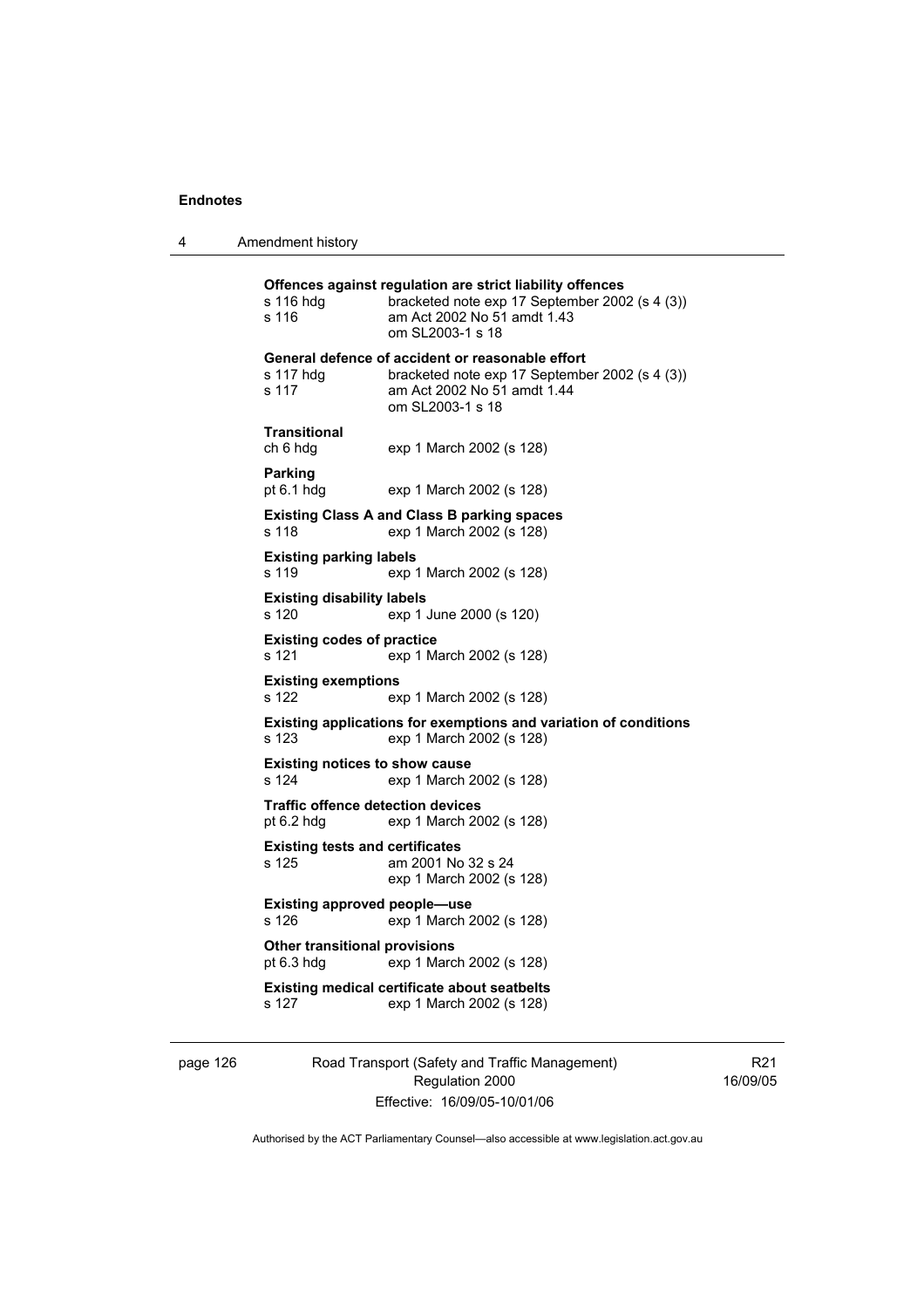4 Amendment history

**Offences against regulation are strict liability offences**  s 116 hdg bracketed note exp 17 September 2002 (s 4 (3)) s 116 am Act 2002 No 51 amdt 1.43 om SL2003-1 s 18 **General defence of accident or reasonable effort**  s 117 hdg bracketed note exp 17 September 2002 (s 4 (3)) s 117 am Act 2002 No 51 amdt 1.44 om SL2003-1 s 18 **Transitional**  ch 6 hdg exp 1 March 2002 (s 128) **Parking**  pt 6.1 hdg exp 1 March 2002 (s 128) **Existing Class A and Class B parking spaces**  s 118 exp 1 March 2002 (s 128) **Existing parking labels**  s 119 exp 1 March 2002 (s 128) **Existing disability labels**  s 120 exp 1 June 2000 (s 120) **Existing codes of practice**<br>s 121 exp 1 Ma exp 1 March 2002 (s 128) **Existing exemptions**  s 122 exp 1 March 2002 (s 128) **Existing applications for exemptions and variation of conditions**  s 123 exp 1 March 2002 (s 128) **Existing notices to show cause**  s 124 exp 1 March 2002 (s 128) **Traffic offence detection devices**  pt 6.2 hdg exp 1 March 2002 (s 128) **Existing tests and certificates**  s 125 am 2001 No 32 s 24 exp 1 March 2002 (s 128) **Existing approved people—use**  s 126 exp 1 March 2002 (s 128) **Other transitional provisions**  pt 6.3 hdg exp 1 March 2002 (s 128) **Existing medical certificate about seatbelts**  s 127 exp 1 March 2002 (s 128)

page 126 Road Transport (Safety and Traffic Management) Regulation 2000 Effective: 16/09/05-10/01/06

R21 16/09/05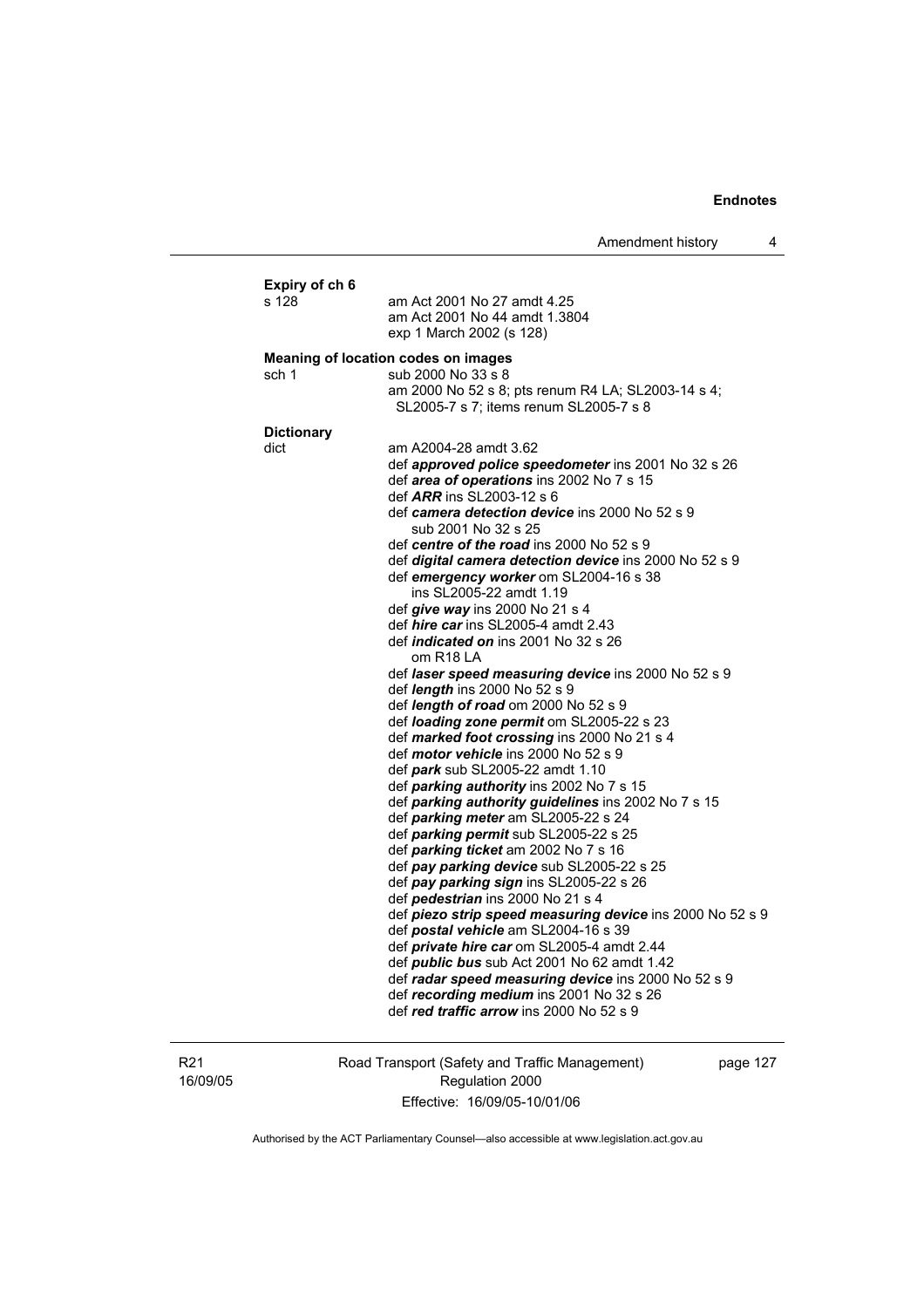| Expiry of ch 6<br>s 128 | am Act 2001 No 27 amdt 4.25<br>am Act 2001 No 44 amdt 1.3804<br>exp 1 March 2002 (s 128)                                                                                                                                                                                                                                                                                                                                                                                                                                                                        |  |  |  |  |
|-------------------------|-----------------------------------------------------------------------------------------------------------------------------------------------------------------------------------------------------------------------------------------------------------------------------------------------------------------------------------------------------------------------------------------------------------------------------------------------------------------------------------------------------------------------------------------------------------------|--|--|--|--|
|                         | Meaning of location codes on images                                                                                                                                                                                                                                                                                                                                                                                                                                                                                                                             |  |  |  |  |
| sch 1                   | sub 2000 No 33 s 8<br>am 2000 No 52 s 8; pts renum R4 LA; SL2003-14 s 4;<br>SL2005-7 s 7; items renum SL2005-7 s 8                                                                                                                                                                                                                                                                                                                                                                                                                                              |  |  |  |  |
| <b>Dictionary</b>       |                                                                                                                                                                                                                                                                                                                                                                                                                                                                                                                                                                 |  |  |  |  |
| dict                    | am A2004-28 amdt 3.62<br>def approved police speedometer ins 2001 No 32 s 26<br>def area of operations ins 2002 No 7 s 15<br>def <i>ARR</i> ins SL2003-12 s 6<br>def camera detection device ins 2000 No 52 s 9<br>sub 2001 No 32 s 25<br>def centre of the road ins 2000 No 52 s 9<br>def digital camera detection device ins 2000 No 52 s 9<br>def emergency worker om SL2004-16 s 38<br>ins SL2005-22 amdt 1.19<br>def give way ins 2000 No 21 s 4<br>def <i>hire car</i> ins SL2005-4 amdt 2.43<br>def <i>indicated on</i> ins 2001 No 32 s 26<br>om R18 LA |  |  |  |  |
|                         | def laser speed measuring device ins 2000 No 52 s 9<br>def <i>length</i> ins 2000 No 52 s 9<br>def <i>length of road</i> om $2000$ No $52 s 9$<br>def loading zone permit om SL2005-22 s 23<br>def marked foot crossing ins 2000 No 21 s 4<br>def <i>motor vehicle</i> ins 2000 No 52 s 9<br>def park sub SL2005-22 amdt 1.10<br>def parking authority ins 2002 No 7 s 15<br>def parking authority guidelines ins 2002 No 7 s 15<br>def parking meter am SL2005-22 s 24<br>def parking permit sub SL2005-22 s 25                                                |  |  |  |  |
|                         | def parking ticket am 2002 No 7 s 16<br>def pay parking device sub SL2005-22 s 25<br>def pay parking sign ins SL2005-22 s 26<br>def <i>pedestrian</i> ins 2000 No 21 s 4<br>def piezo strip speed measuring device ins 2000 No 52 s 9<br>def postal vehicle am SL2004-16 s 39<br>def <i>private hire car</i> om SL2005-4 amdt 2.44<br>def <i>public bus</i> sub Act 2001 No 62 amdt 1.42<br>def radar speed measuring device ins 2000 No 52 s 9<br>def recording medium ins 2001 No 32 s 26<br>def red traffic arrow ins 2000 No 52 s 9                         |  |  |  |  |

R21 16/09/05 Road Transport (Safety and Traffic Management) Regulation 2000 Effective: 16/09/05-10/01/06

page 127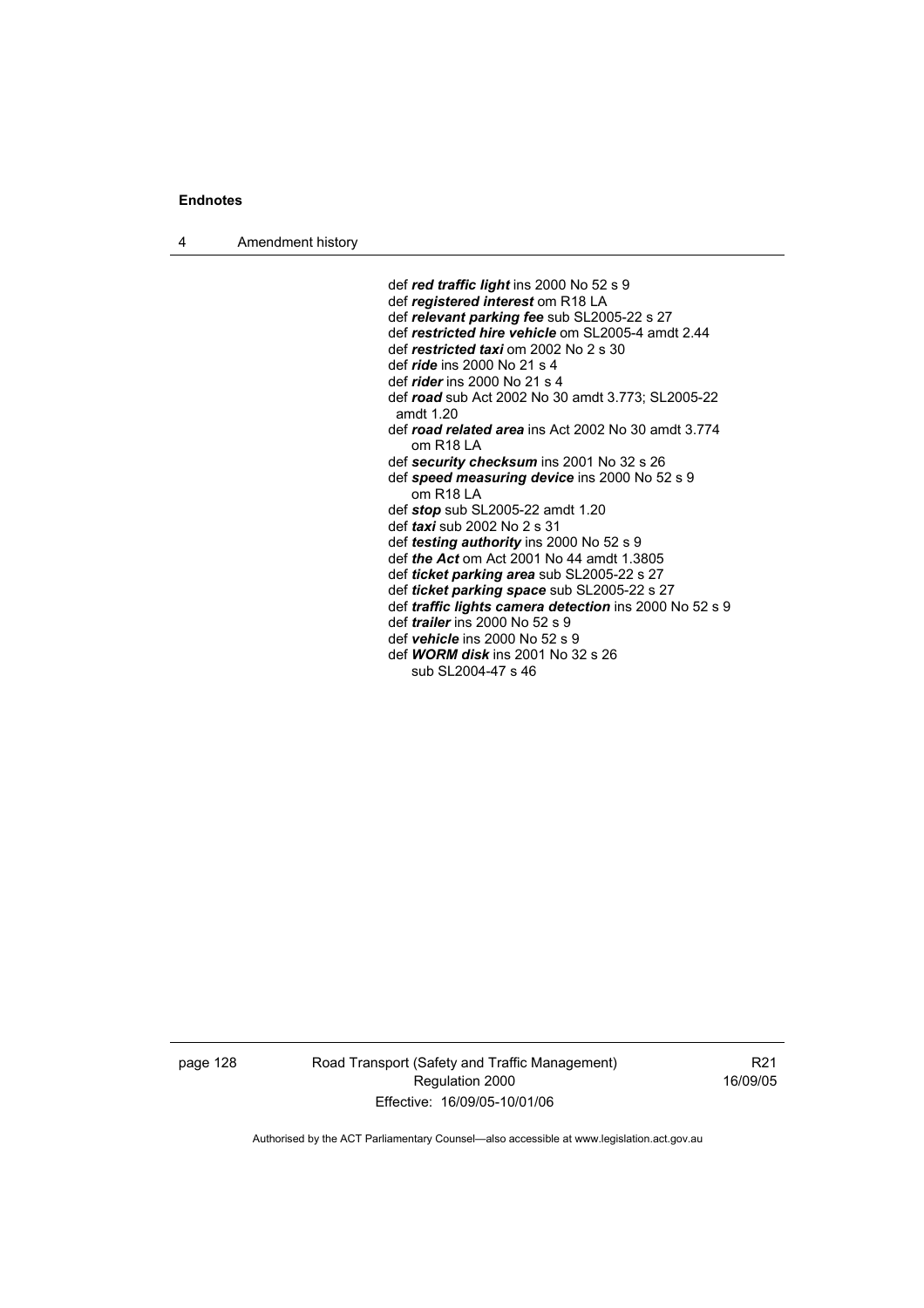4 Amendment history

 def *red traffic light* ins 2000 No 52 s 9 def *registered interest* om R18 LA def *relevant parking fee* sub SL2005-22 s 27 def *restricted hire vehicle* om SL2005-4 amdt 2.44 def *restricted taxi* om 2002 No 2 s 30 def *ride* ins 2000 No 21 s 4 def *rider* ins 2000 No 21 s 4 def *road* sub Act 2002 No 30 amdt 3.773; SL2005-22 amdt 1.20 def *road related area* ins Act 2002 No 30 amdt 3.774 om R18 LA def *security checksum* ins 2001 No 32 s 26 def *speed measuring device* ins 2000 No 52 s 9 om R18 LA def *stop* sub SL2005-22 amdt 1.20 def *taxi* sub 2002 No 2 s 31 def *testing authority* ins 2000 No 52 s 9 def *the Act* om Act 2001 No 44 amdt 1.3805 def *ticket parking area* sub SL2005-22 s 27 def *ticket parking space* sub SL2005-22 s 27 def *traffic lights camera detection* ins 2000 No 52 s 9 def *trailer* ins 2000 No 52 s 9 def *vehicle* ins 2000 No 52 s 9 def *WORM disk* ins 2001 No 32 s 26

sub SL2004-47 s 46

page 128 Road Transport (Safety and Traffic Management) Regulation 2000 Effective: 16/09/05-10/01/06

R21 16/09/05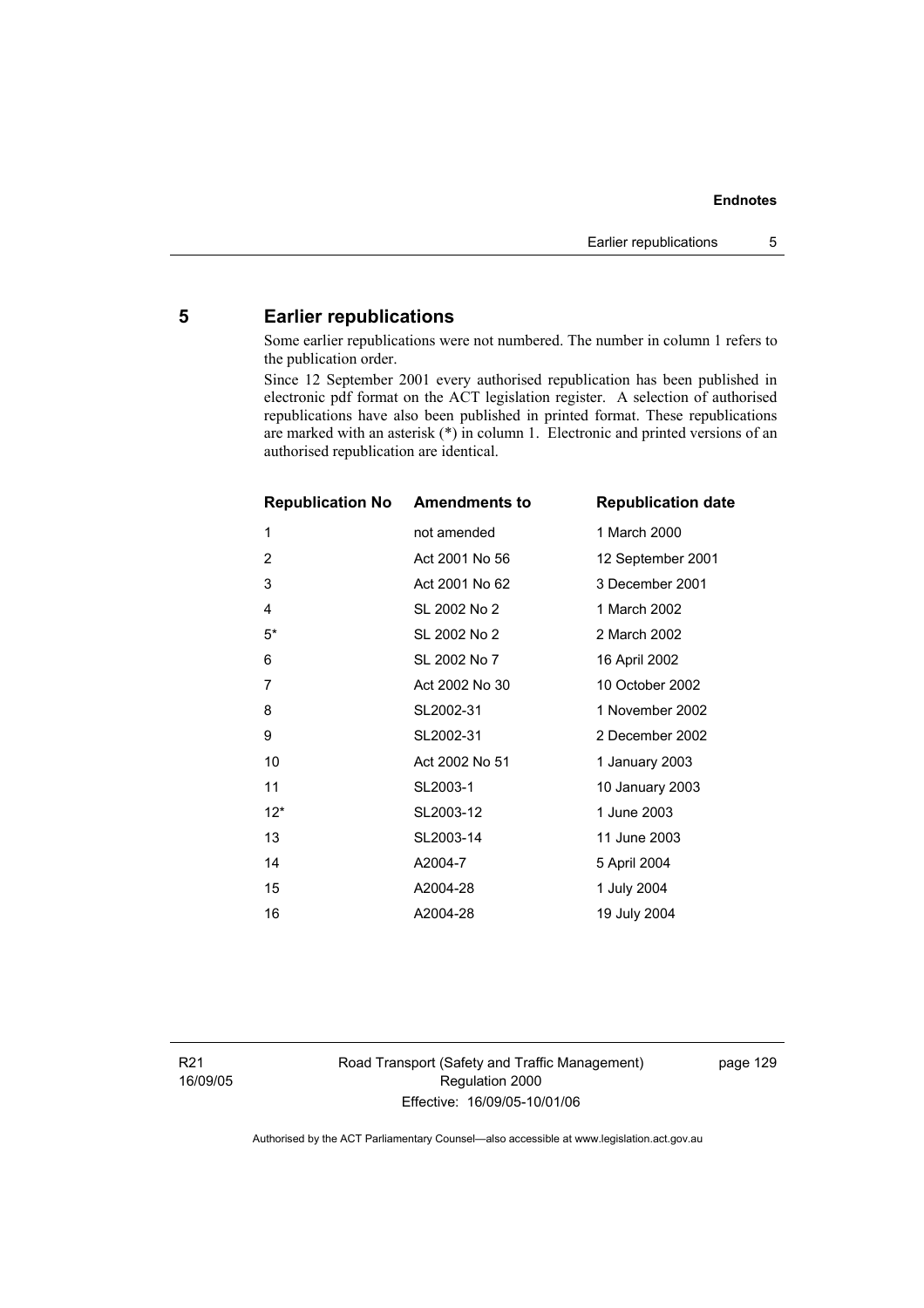# **5 Earlier republications**

Some earlier republications were not numbered. The number in column 1 refers to the publication order.

Since 12 September 2001 every authorised republication has been published in electronic pdf format on the ACT legislation register. A selection of authorised republications have also been published in printed format. These republications are marked with an asterisk (\*) in column 1. Electronic and printed versions of an authorised republication are identical.

| <b>Republication No</b> | <b>Amendments to</b> | <b>Republication date</b> |
|-------------------------|----------------------|---------------------------|
| 1                       | not amended          | 1 March 2000              |
| $\overline{2}$          | Act 2001 No 56       | 12 September 2001         |
| 3                       | Act 2001 No 62       | 3 December 2001           |
| $\overline{4}$          | SL 2002 No 2         | 1 March 2002              |
| $5^*$                   | SL 2002 No 2         | 2 March 2002              |
| 6                       | SL 2002 No 7         | 16 April 2002             |
| 7                       | Act 2002 No 30       | 10 October 2002           |
| 8                       | SL2002-31            | 1 November 2002           |
| 9                       | SL2002-31            | 2 December 2002           |
| 10                      | Act 2002 No 51       | 1 January 2003            |
| 11                      | SL2003-1             | 10 January 2003           |
| $12*$                   | SL2003-12            | 1 June 2003               |
| 13                      | SL2003-14            | 11 June 2003              |
| 14                      | A2004-7              | 5 April 2004              |
| 15                      | A2004-28             | 1 July 2004               |
| 16                      | A2004-28             | 19 July 2004              |

Road Transport (Safety and Traffic Management) Regulation 2000 Effective: 16/09/05-10/01/06

page 129